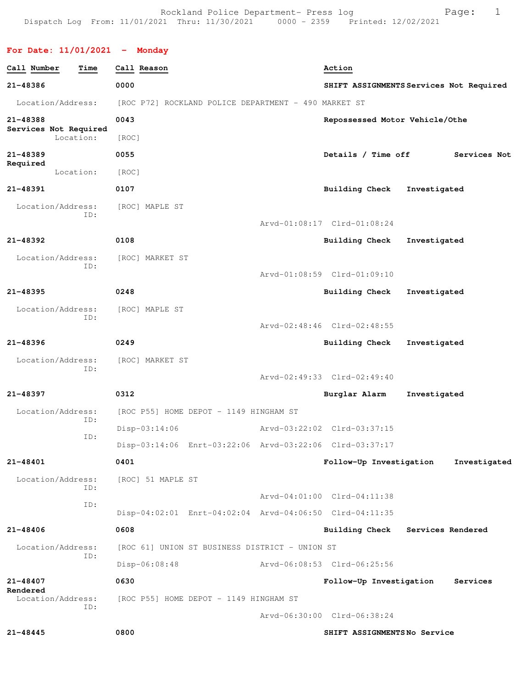Rockland Police Department- Press log entitled and Page: 1 Dispatch Log From: 11/01/2021 Thru: 11/30/2021 0000 - 2359 Printed: 12/02/2021

**For Date: 11/01/2021 - Monday**

| Call Number                        | Time | Call Reason     |                   |                                                         | Action                                  |              |              |
|------------------------------------|------|-----------------|-------------------|---------------------------------------------------------|-----------------------------------------|--------------|--------------|
| 21-48386                           |      | 0000            |                   |                                                         | SHIFT ASSIGNMENTS Services Not Required |              |              |
| Location/Address:                  |      |                 |                   | [ROC P72] ROCKLAND POLICE DEPARTMENT - 490 MARKET ST    |                                         |              |              |
| 21-48388                           |      | 0043            |                   |                                                         | Repossessed Motor Vehicle/Othe          |              |              |
| Services Not Required<br>Location: |      | [ROC]           |                   |                                                         |                                         |              |              |
| 21-48389                           |      | 0055            |                   |                                                         | Details / Time off                      |              | Services Not |
| Required<br>Location:              |      | [ROC]           |                   |                                                         |                                         |              |              |
| 21-48391                           |      | 0107            |                   |                                                         | Building Check                          | Investigated |              |
| Location/Address:                  |      | [ROC] MAPLE ST  |                   |                                                         |                                         |              |              |
|                                    | ID:  |                 |                   |                                                         | Arvd-01:08:17 Clrd-01:08:24             |              |              |
| 21-48392                           |      | 0108            |                   |                                                         | Building Check                          | Investigated |              |
| Location/Address:                  | ID:  |                 | [ROC] MARKET ST   |                                                         |                                         |              |              |
|                                    |      |                 |                   |                                                         | Arvd-01:08:59 Clrd-01:09:10             |              |              |
| $21 - 48395$                       |      | 0248            |                   |                                                         | <b>Building Check</b>                   | Investigated |              |
| Location/Address:                  | ID:  | [ROC] MAPLE ST  |                   |                                                         |                                         |              |              |
|                                    |      |                 |                   |                                                         | Arvd-02:48:46 Clrd-02:48:55             |              |              |
| 21-48396                           |      | 0249            |                   |                                                         | Building Check                          | Investigated |              |
| Location/Address:                  | ID:  |                 | [ROC] MARKET ST   |                                                         |                                         |              |              |
|                                    |      |                 |                   |                                                         | Arvd-02:49:33 Clrd-02:49:40             |              |              |
| 21-48397                           |      | 0312            |                   |                                                         | Burglar Alarm                           | Investigated |              |
| Location/Address:                  | ID:  |                 |                   | [ROC P55] HOME DEPOT - 1149 HINGHAM ST                  |                                         |              |              |
|                                    | ID:  | $Disp-03:14:06$ |                   |                                                         | Arvd-03:22:02 Clrd-03:37:15             |              |              |
|                                    |      |                 |                   | Disp-03:14:06 Enrt-03:22:06 Arvd-03:22:06 Clrd-03:37:17 |                                         |              |              |
| 21-48401                           |      | 0401            |                   |                                                         | Follow-Up Investigation                 |              | Investigated |
| Location/Address:                  | ID:  |                 | [ROC] 51 MAPLE ST |                                                         |                                         |              |              |
|                                    | ID:  |                 |                   |                                                         | Arvd-04:01:00 Clrd-04:11:38             |              |              |
|                                    |      |                 |                   | Disp-04:02:01 Enrt-04:02:04 Arvd-04:06:50 Clrd-04:11:35 |                                         |              |              |
| 21-48406                           |      | 0608            |                   |                                                         | Building Check Services Rendered        |              |              |
| Location/Address:                  | ID:  |                 |                   | [ROC 61] UNION ST BUSINESS DISTRICT - UNION ST          |                                         |              |              |
|                                    |      | Disp-06:08:48   |                   |                                                         | Arvd-06:08:53 Clrd-06:25:56             |              |              |
| 21-48407<br>Rendered               |      | 0630            |                   |                                                         | Follow-Up Investigation                 |              | Services     |
| Location/Address:                  | ID:  |                 |                   | [ROC P55] HOME DEPOT - 1149 HINGHAM ST                  |                                         |              |              |
|                                    |      |                 |                   |                                                         | Arvd-06:30:00 Clrd-06:38:24             |              |              |
| 21-48445                           |      | 0800            |                   |                                                         | SHIFT ASSIGNMENTSNo Service             |              |              |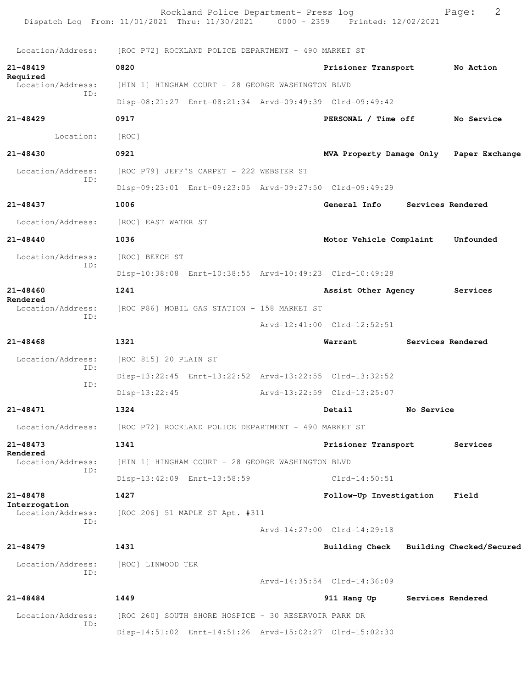|                                    | Rockland Police Department- Press log<br>Dispatch Log From: 11/01/2021 Thru: 11/30/2021 0000 - 2359 Printed: 12/02/2021 |                                         |            | 2<br>Page:        |
|------------------------------------|-------------------------------------------------------------------------------------------------------------------------|-----------------------------------------|------------|-------------------|
| Location/Address:                  | [ROC P72] ROCKLAND POLICE DEPARTMENT - 490 MARKET ST                                                                    |                                         |            |                   |
| $21 - 48419$                       | 0820                                                                                                                    | Prisioner Transport                     |            | No Action         |
| Required<br>Location/Address:      | [HIN 1] HINGHAM COURT - 28 GEORGE WASHINGTON BLVD                                                                       |                                         |            |                   |
| TD:                                | Disp-08:21:27 Enrt-08:21:34 Arvd-09:49:39 Clrd-09:49:42                                                                 |                                         |            |                   |
| $21 - 48429$                       | 0917                                                                                                                    | PERSONAL / Time off                     |            | No Service        |
| Location:                          | [ROC]                                                                                                                   |                                         |            |                   |
| 21-48430                           | 0921                                                                                                                    | MVA Property Damage Only Paper Exchange |            |                   |
| Location/Address:                  | [ROC P79] JEFF'S CARPET - 222 WEBSTER ST                                                                                |                                         |            |                   |
| ID:                                | Disp-09:23:01 Enrt-09:23:05 Arvd-09:27:50 Clrd-09:49:29                                                                 |                                         |            |                   |
| 21-48437                           | 1006                                                                                                                    | General Info                            |            | Services Rendered |
| Location/Address:                  | [ROC] EAST WATER ST                                                                                                     |                                         |            |                   |
| 21-48440                           | 1036                                                                                                                    | Motor Vehicle Complaint                 |            | Unfounded         |
| Location/Address:                  | [ROC] BEECH ST                                                                                                          |                                         |            |                   |
| ID:                                | Disp-10:38:08 Enrt-10:38:55 Arvd-10:49:23 Clrd-10:49:28                                                                 |                                         |            |                   |
| 21-48460                           | 1241                                                                                                                    | Assist Other Agency                     |            | Services          |
| Rendered<br>Location/Address:      | [ROC P86] MOBIL GAS STATION - 158 MARKET ST                                                                             |                                         |            |                   |
| ID:                                |                                                                                                                         | Arvd-12:41:00 Clrd-12:52:51             |            |                   |
| $21 - 48468$                       | 1321                                                                                                                    | Warrant                                 |            | Services Rendered |
| Location/Address:                  | [ROC 815] 20 PLAIN ST                                                                                                   |                                         |            |                   |
| ID:                                | Disp-13:22:45 Enrt-13:22:52 Arvd-13:22:55 Clrd-13:32:52                                                                 |                                         |            |                   |
| ID:                                | $Disp-13:22:45$                                                                                                         | Arvd-13:22:59 Clrd-13:25:07             |            |                   |
| 21-48471                           | 1324                                                                                                                    | Detail                                  | No Service |                   |
| Location/Address:                  | [ROC P72] ROCKLAND POLICE DEPARTMENT - 490 MARKET ST                                                                    |                                         |            |                   |
| 21-48473                           | 1341                                                                                                                    | Prisioner Transport                     |            | Services          |
| Rendered<br>Location/Address:      | [HIN 1] HINGHAM COURT - 28 GEORGE WASHINGTON BLVD                                                                       |                                         |            |                   |
| ID:                                | Disp-13:42:09 Enrt-13:58:59                                                                                             | $Clrd-14:50:51$                         |            |                   |
| $21 - 48478$                       | 1427                                                                                                                    | Follow-Up Investigation                 |            | Field             |
| Interrogation<br>Location/Address: | [ROC 206] 51 MAPLE ST Apt. #311                                                                                         |                                         |            |                   |
| ID:                                |                                                                                                                         | Arvd-14:27:00 Clrd-14:29:18             |            |                   |
| $21 - 48479$                       | 1431                                                                                                                    | Building Check Building Checked/Secured |            |                   |
| Location/Address:                  | [ROC] LINWOOD TER                                                                                                       |                                         |            |                   |
| ID:                                |                                                                                                                         | Arvd-14:35:54 Clrd-14:36:09             |            |                   |
| 21-48484                           | 1449                                                                                                                    | 911 Hang Up                             |            | Services Rendered |
| Location/Address:                  | [ROC 260] SOUTH SHORE HOSPICE - 30 RESERVOIR PARK DR                                                                    |                                         |            |                   |
| ID:                                | Disp-14:51:02 Enrt-14:51:26 Arvd-15:02:27 Clrd-15:02:30                                                                 |                                         |            |                   |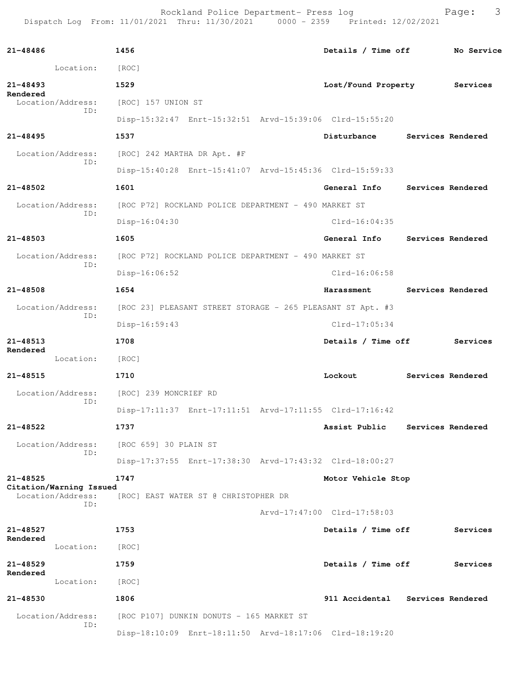Rockland Police Department- Press log entitled and Page: 3 Dispatch Log From: 11/01/2021 Thru: 11/30/2021 0000 - 2359 Printed: 12/02/2021

| 21-48486                                | 1456                                                       | Details / Time off              | No Service        |  |  |  |  |
|-----------------------------------------|------------------------------------------------------------|---------------------------------|-------------------|--|--|--|--|
| Location:                               | [ROC]                                                      |                                 |                   |  |  |  |  |
| $21 - 48493$                            | 1529                                                       | Lost/Found Property             | Services          |  |  |  |  |
| Rendered<br>Location/Address:           | [ROC] 157 UNION ST                                         |                                 |                   |  |  |  |  |
| ID:                                     | Disp-15:32:47 Enrt-15:32:51 Arvd-15:39:06 Clrd-15:55:20    |                                 |                   |  |  |  |  |
| $21 - 48495$                            | 1537                                                       | Disturbance                     | Services Rendered |  |  |  |  |
| Location/Address:                       | [ROC] 242 MARTHA DR Apt. #F                                |                                 |                   |  |  |  |  |
| ID:                                     | Disp-15:40:28 Enrt-15:41:07 Arvd-15:45:36 Clrd-15:59:33    |                                 |                   |  |  |  |  |
| 21-48502                                | 1601                                                       | General Info Services Rendered  |                   |  |  |  |  |
| Location/Address:                       | [ROC P72] ROCKLAND POLICE DEPARTMENT - 490 MARKET ST       |                                 |                   |  |  |  |  |
| ID:                                     | $Disp-16:04:30$                                            | $Clrd-16:04:35$                 |                   |  |  |  |  |
| 21-48503                                | 1605                                                       | General Info                    | Services Rendered |  |  |  |  |
| Location/Address:                       | [ROC P72] ROCKLAND POLICE DEPARTMENT - 490 MARKET ST       |                                 |                   |  |  |  |  |
| ID:                                     | Disp-16:06:52                                              | $Clrd-16:06:58$                 |                   |  |  |  |  |
| 21-48508                                | 1654                                                       | Harassment                      | Services Rendered |  |  |  |  |
| Location/Address:<br>ID:                | [ROC 23] PLEASANT STREET STORAGE - 265 PLEASANT ST Apt. #3 |                                 |                   |  |  |  |  |
|                                         | $Disp-16:59:43$                                            | $Clrd-17:05:34$                 |                   |  |  |  |  |
| $21 - 48513$<br>Rendered                | 1708                                                       | Details / Time off              | Services          |  |  |  |  |
| Location:                               | [ROC]                                                      |                                 |                   |  |  |  |  |
| 21-48515                                | 1710                                                       | Lockout                         | Services Rendered |  |  |  |  |
| Location/Address:<br>ID:                | [ROC] 239 MONCRIEF RD                                      |                                 |                   |  |  |  |  |
|                                         | Disp-17:11:37 Enrt-17:11:51 Arvd-17:11:55 Clrd-17:16:42    |                                 |                   |  |  |  |  |
| 21-48522                                | 1737                                                       | Assist Public Services Rendered |                   |  |  |  |  |
| Location/Address:<br>ID:                | [ROC 659] 30 PLAIN ST                                      |                                 |                   |  |  |  |  |
|                                         | Disp-17:37:55 Enrt-17:38:30 Arvd-17:43:32 Clrd-18:00:27    |                                 |                   |  |  |  |  |
| $21 - 48525$<br>Citation/Warning Issued | 1747                                                       | Motor Vehicle Stop              |                   |  |  |  |  |
| Location/Address:<br>TD:                | [ROC] EAST WATER ST @ CHRISTOPHER DR                       |                                 |                   |  |  |  |  |
|                                         |                                                            | Arvd-17:47:00 Clrd-17:58:03     |                   |  |  |  |  |
| 21-48527<br>Rendered                    | 1753                                                       | Details / Time off              | Services          |  |  |  |  |
| Location:                               | [ROC]                                                      |                                 |                   |  |  |  |  |
| $21 - 48529$<br>Rendered                | 1759                                                       | Details / Time off              | Services          |  |  |  |  |
| Location:                               | [ROC]                                                      |                                 |                   |  |  |  |  |
| 21-48530                                | 1806                                                       | 911 Accidental                  | Services Rendered |  |  |  |  |
| Location/Address:<br>ID:                | [ROC P107] DUNKIN DONUTS - 165 MARKET ST                   |                                 |                   |  |  |  |  |
|                                         | Disp-18:10:09 Enrt-18:11:50 Arvd-18:17:06 Clrd-18:19:20    |                                 |                   |  |  |  |  |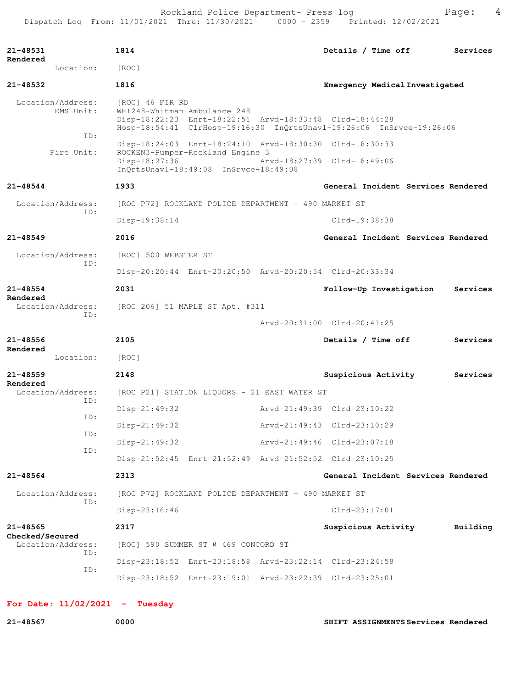Rockland Police Department- Press log entitled and Page: 4 Dispatch Log From: 11/01/2021 Thru: 11/30/2021 0000 - 2359 Printed: 12/02/2021

| 21-48531                         | 1814                                                                                                                                                                               | Details / Time off<br>Services      |
|----------------------------------|------------------------------------------------------------------------------------------------------------------------------------------------------------------------------------|-------------------------------------|
| Rendered<br>Location:            | [ROC]                                                                                                                                                                              |                                     |
| 21-48532                         | 1816                                                                                                                                                                               | Emergency Medical Investigated      |
| Location/Address:<br>EMS Unit:   | [ROC] 46 FIR RD<br>WHI248-Whitman Ambulance 248<br>Disp-18:22:23 Enrt-18:22:51 Arvd-18:33:48 Clrd-18:44:28<br>Hosp-18:54:41 ClrHosp-19:16:30 InQrtsUnavl-19:26:06 InSrvce-19:26:06 |                                     |
| ID:<br>Fire Unit:                | Disp-18:24:03 Enrt-18:24:10 Arvd-18:30:30 Clrd-18:30:33                                                                                                                            |                                     |
|                                  | ROCKEN3-Pumper-Rockland Engine 3<br>Disp-18:27:36<br>InQrtsUnavl-18:49:08 InSrvce-18:49:08                                                                                         | Arvd-18:27:39 Clrd-18:49:06         |
| $21 - 48544$                     | 1933                                                                                                                                                                               | General Incident Services Rendered  |
| Location/Address:<br>ID:         | [ROC P72] ROCKLAND POLICE DEPARTMENT - 490 MARKET ST                                                                                                                               |                                     |
|                                  | Disp-19:38:14                                                                                                                                                                      | Clrd-19:38:38                       |
| $21 - 48549$                     | 2016                                                                                                                                                                               | General Incident Services Rendered  |
| Location/Address:                | [ROC] 500 WEBSTER ST                                                                                                                                                               |                                     |
| ID:                              | Disp-20:20:44 Enrt-20:20:50 Arvd-20:20:54 Clrd-20:33:34                                                                                                                            |                                     |
| $21 - 48554$<br>Rendered         | 2031                                                                                                                                                                               | Follow-Up Investigation<br>Services |
| Location/Address:<br>ID:         | [ROC 206] 51 MAPLE ST Apt. #311                                                                                                                                                    |                                     |
|                                  |                                                                                                                                                                                    | Arvd-20:31:00 Clrd-20:41:25         |
| $21 - 48556$<br>Rendered         | 2105                                                                                                                                                                               | Details / Time off<br>Services      |
| Location:                        | [ROC]                                                                                                                                                                              |                                     |
| $21 - 48559$<br>Rendered         | 2148                                                                                                                                                                               | Suspicious Activity<br>Services     |
| Location/Address:<br>ID:         | [ROC P21] STATION LIQUORS - 21 EAST WATER ST                                                                                                                                       |                                     |
| ID:                              | $Disp-21:49:32$                                                                                                                                                                    | Arvd-21:49:39 Clrd-23:10:22         |
| ID:                              | Disp-21:49:32                                                                                                                                                                      | Arvd-21:49:43 Clrd-23:10:29         |
| ID:                              | Disp-21:49:32                                                                                                                                                                      | Arvd-21:49:46 Clrd-23:07:18         |
|                                  | Disp-21:52:45 Enrt-21:52:49 Arvd-21:52:52 Clrd-23:10:25                                                                                                                            |                                     |
| 21-48564                         | 2313                                                                                                                                                                               | General Incident Services Rendered  |
| Location/Address:<br>ID:         | [ROC P72] ROCKLAND POLICE DEPARTMENT - 490 MARKET ST                                                                                                                               |                                     |
|                                  | Disp-23:16:46                                                                                                                                                                      | $Clrd-23:17:01$                     |
| $21 - 48565$<br>Checked/Secured  | 2317                                                                                                                                                                               | Suspicious Activity<br>Building     |
| Location/Address:<br>ID:         | [ROC] 590 SUMMER ST @ 469 CONCORD ST                                                                                                                                               |                                     |
| ID:                              | Disp-23:18:52 Enrt-23:18:58 Arvd-23:22:14 Clrd-23:24:58                                                                                                                            |                                     |
|                                  | Disp-23:18:52 Enrt-23:19:01 Arvd-23:22:39 Clrd-23:25:01                                                                                                                            |                                     |
| For Date: $11/02/2021$ - Tuesday |                                                                                                                                                                                    |                                     |

**21-48567 0000 SHIFT ASSIGNMENTS Services Rendered**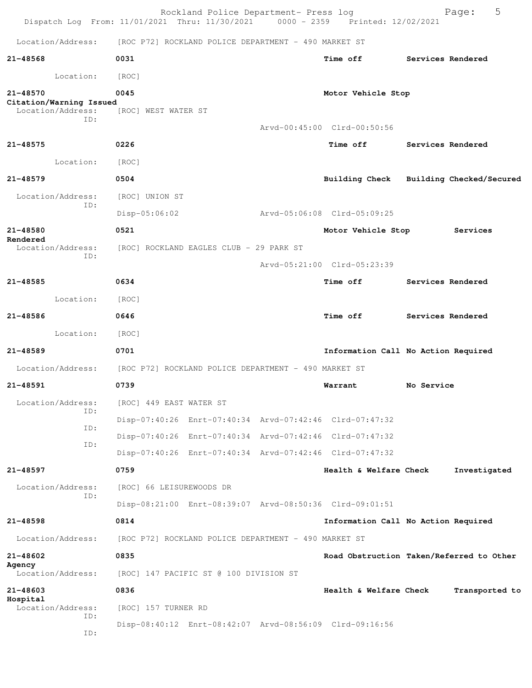| Dispatch Log From: 11/01/2021 Thru: 11/30/2021 0000 - 2359 Printed: 12/02/2021 |                             | Rockland Police Department- Press log                |                                                         |            | 5<br>Page:               |
|--------------------------------------------------------------------------------|-----------------------------|------------------------------------------------------|---------------------------------------------------------|------------|--------------------------|
| Location/Address:                                                              |                             | [ROC P72] ROCKLAND POLICE DEPARTMENT - 490 MARKET ST |                                                         |            |                          |
| 21-48568                                                                       | 0031                        |                                                      | Time off                                                |            | Services Rendered        |
| Location:                                                                      | [ROC]                       |                                                      |                                                         |            |                          |
| 21-48570<br>Citation/Warning Issued<br>Location/Address:<br>ID:                | 0045<br>[ROC] WEST WATER ST |                                                      | Motor Vehicle Stop                                      |            |                          |
|                                                                                |                             |                                                      | Arvd-00:45:00 Clrd-00:50:56                             |            |                          |
| $21 - 48575$                                                                   | 0226                        |                                                      | Time off                                                |            | Services Rendered        |
| Location:                                                                      | [ROC]                       |                                                      |                                                         |            |                          |
| 21-48579                                                                       | 0504                        |                                                      | Building Check                                          |            | Building Checked/Secured |
| Location/Address:<br>ID:                                                       | [ROC] UNION ST              |                                                      |                                                         |            |                          |
|                                                                                | $Disp-05:06:02$             |                                                      | Arvd-05:06:08 Clrd-05:09:25                             |            |                          |
| $21 - 48580$<br>Rendered                                                       | 0521                        |                                                      | Motor Vehicle Stop                                      |            | Services                 |
| Location/Address:<br>ID:                                                       |                             | [ROC] ROCKLAND EAGLES CLUB - 29 PARK ST              |                                                         |            |                          |
|                                                                                |                             |                                                      | Arvd-05:21:00 Clrd-05:23:39                             |            |                          |
| 21-48585                                                                       | 0634                        |                                                      | <b>Time off</b>                                         |            | Services Rendered        |
| Location:                                                                      | [ROC]                       |                                                      |                                                         |            |                          |
| 21-48586                                                                       | 0646                        |                                                      | <b>Time off</b>                                         |            | Services Rendered        |
| Location:                                                                      | [ROC]                       |                                                      |                                                         |            |                          |
| $21 - 48589$                                                                   | 0701                        |                                                      | Information Call No Action Required                     |            |                          |
| Location/Address:                                                              |                             | [ROC P72] ROCKLAND POLICE DEPARTMENT - 490 MARKET ST |                                                         |            |                          |
| 21-48591                                                                       | 0739                        |                                                      | Warrant                                                 | No Service |                          |
| Location/Address:<br>ID:                                                       | [ROC] 449 EAST WATER ST     |                                                      |                                                         |            |                          |
| ID:                                                                            |                             |                                                      | Disp-07:40:26 Enrt-07:40:34 Arvd-07:42:46 Clrd-07:47:32 |            |                          |
| ID:                                                                            |                             |                                                      | Disp-07:40:26 Enrt-07:40:34 Arvd-07:42:46 Clrd-07:47:32 |            |                          |
|                                                                                |                             |                                                      | Disp-07:40:26 Enrt-07:40:34 Arvd-07:42:46 Clrd-07:47:32 |            |                          |
| 21-48597                                                                       | 0759                        |                                                      | Health & Welfare Check                                  |            | Investigated             |
| Location/Address:<br>TD:                                                       | [ROC] 66 LEISUREWOODS DR    |                                                      |                                                         |            |                          |
|                                                                                |                             |                                                      | Disp-08:21:00 Enrt-08:39:07 Arvd-08:50:36 Clrd-09:01:51 |            |                          |
| $21 - 48598$                                                                   | 0814                        |                                                      | Information Call No Action Required                     |            |                          |
| Location/Address:                                                              |                             | [ROC P72] ROCKLAND POLICE DEPARTMENT - 490 MARKET ST |                                                         |            |                          |
| 21-48602<br>Agency                                                             | 0835                        |                                                      | Road Obstruction Taken/Referred to Other                |            |                          |
| Location/Address:                                                              |                             | [ROC] 147 PACIFIC ST @ 100 DIVISION ST               |                                                         |            |                          |
| 21-48603<br>Hospital                                                           | 0836                        |                                                      | Health & Welfare Check                                  |            | Transported to           |
| Location/Address:<br>ID:                                                       | [ROC] 157 TURNER RD         |                                                      |                                                         |            |                          |
| ID:                                                                            |                             |                                                      | Disp-08:40:12 Enrt-08:42:07 Arvd-08:56:09 Clrd-09:16:56 |            |                          |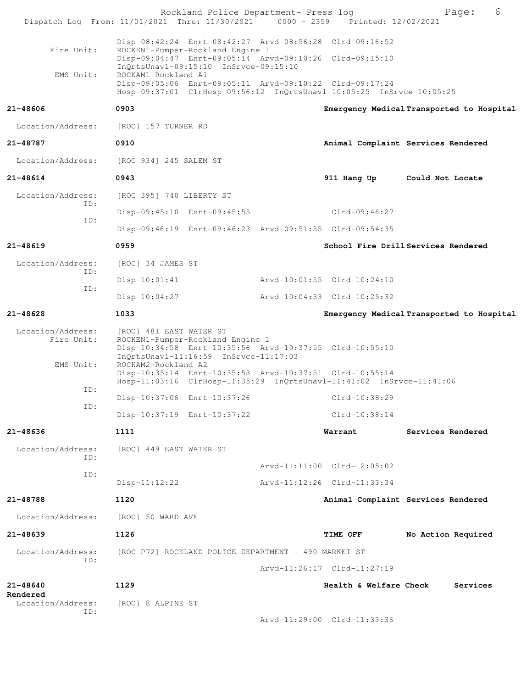| Dispatch Log From: 11/01/2021 Thru: 11/30/2021 0000 - 2359 Printed: 12/02/2021 |                          | Rockland Police Department- Press log                                     |                                                                                                                                 | Page:              | 6        |
|--------------------------------------------------------------------------------|--------------------------|---------------------------------------------------------------------------|---------------------------------------------------------------------------------------------------------------------------------|--------------------|----------|
|                                                                                |                          |                                                                           |                                                                                                                                 |                    |          |
| Fire Unit:                                                                     |                          | ROCKEN1-Pumper-Rockland Engine 1                                          | Disp-08:42:24 Enrt-08:42:27 Arvd-08:56:28 Clrd-09:16:52                                                                         |                    |          |
|                                                                                |                          | InQrtsUnavl-09:15:10 InSrvce-09:15:10                                     | Disp-09:04:47 Enrt-09:05:14 Arvd-09:10:26 Clrd-09:15:10                                                                         |                    |          |
| EMS Unit:                                                                      | ROCKAM1-Rockland A1      |                                                                           | Disp-09:05:06 Enrt-09:05:11 Arvd-09:10:22 Clrd-09:17:24<br>Hosp-09:37:01 ClrHosp-09:56:12 InQrtsUnavl-10:05:25 InSrvce-10:05:25 |                    |          |
| 21-48606                                                                       | 0903                     |                                                                           | Emergency Medical Transported to Hospital                                                                                       |                    |          |
| Location/Address:                                                              | [ROC] 157 TURNER RD      |                                                                           |                                                                                                                                 |                    |          |
| 21-48787                                                                       | 0910                     |                                                                           | Animal Complaint Services Rendered                                                                                              |                    |          |
| Location/Address:                                                              | [ROC 934] 245 SALEM ST   |                                                                           |                                                                                                                                 |                    |          |
| 21-48614                                                                       | 0943                     |                                                                           | 911 Hang Up Could Not Locate                                                                                                    |                    |          |
| Location/Address:                                                              | [ROC 395] 740 LIBERTY ST |                                                                           |                                                                                                                                 |                    |          |
| ID:                                                                            |                          | Disp-09:45:10 Enrt-09:45:55                                               | $Clrd-09:46:27$                                                                                                                 |                    |          |
| ID:                                                                            |                          |                                                                           | Disp-09:46:19 Enrt-09:46:23 Arvd-09:51:55 Clrd-09:54:35                                                                         |                    |          |
| 21-48619                                                                       | 0959                     |                                                                           | School Fire Drill Services Rendered                                                                                             |                    |          |
| Location/Address:                                                              | [ROC] 34 JAMES ST        |                                                                           |                                                                                                                                 |                    |          |
| ID:                                                                            | $Disp-10:01:41$          |                                                                           | Arvd-10:01:55 Clrd-10:24:10                                                                                                     |                    |          |
| ID:                                                                            | $Disp-10:04:27$          |                                                                           | Arvd-10:04:33 Clrd-10:25:32                                                                                                     |                    |          |
| 21-48628                                                                       | 1033                     |                                                                           | Emergency Medical Transported to Hospital                                                                                       |                    |          |
| Location/Address:<br>Fire Unit:                                                | [ROC] 481 EAST WATER ST  | ROCKEN1-Pumper-Rockland Engine 1<br>InQrtsUnavl-11:16:59 InSrvce-11:17:03 | Disp-10:34:58 Enrt-10:35:56 Arvd-10:37:55 Clrd-10:55:10                                                                         |                    |          |
| EMS Unit:                                                                      | ROCKAM2-Rockland A2      |                                                                           | Disp-10:35:14 Enrt-10:35:53 Arvd-10:37:51 Clrd-10:55:14<br>Hosp-11:03:16 ClrHosp-11:35:29 InQrtsUnavl-11:41:02 InSrvce-11:41:06 |                    |          |
| ID:                                                                            |                          | Disp-10:37:06 Enrt-10:37:26                                               | Clrd-10:38:29                                                                                                                   |                    |          |
| ID:                                                                            |                          | Disp-10:37:19 Enrt-10:37:22                                               | Clrd-10:38:14                                                                                                                   |                    |          |
| 21-48636                                                                       | 1111                     |                                                                           | Warrant                                                                                                                         | Services Rendered  |          |
| Location/Address:                                                              | [ROC] 449 EAST WATER ST  |                                                                           |                                                                                                                                 |                    |          |
| ID:                                                                            |                          |                                                                           | Arvd-11:11:00 Clrd-12:05:02                                                                                                     |                    |          |
| ID:                                                                            | $Disp-11:12:22$          |                                                                           | Arvd-11:12:26 Clrd-11:33:34                                                                                                     |                    |          |
| 21-48788                                                                       | 1120                     |                                                                           | Animal Complaint Services Rendered                                                                                              |                    |          |
| Location/Address:                                                              | [ROC] 50 WARD AVE        |                                                                           |                                                                                                                                 |                    |          |
| 21-48639                                                                       | 1126                     |                                                                           | <b>TIME OFF</b>                                                                                                                 | No Action Required |          |
| Location/Address:                                                              |                          | [ROC P72] ROCKLAND POLICE DEPARTMENT - 490 MARKET ST                      |                                                                                                                                 |                    |          |
| ID:                                                                            |                          |                                                                           | Arvd-11:26:17 Clrd-11:27:19                                                                                                     |                    |          |
| 21-48640                                                                       | 1129                     |                                                                           | Health & Welfare Check                                                                                                          |                    | Services |
| Rendered<br>Location/Address:                                                  | [ROC] 8 ALPINE ST        |                                                                           |                                                                                                                                 |                    |          |
| ID:                                                                            |                          |                                                                           | Arvd-11:29:00 Clrd-11:33:36                                                                                                     |                    |          |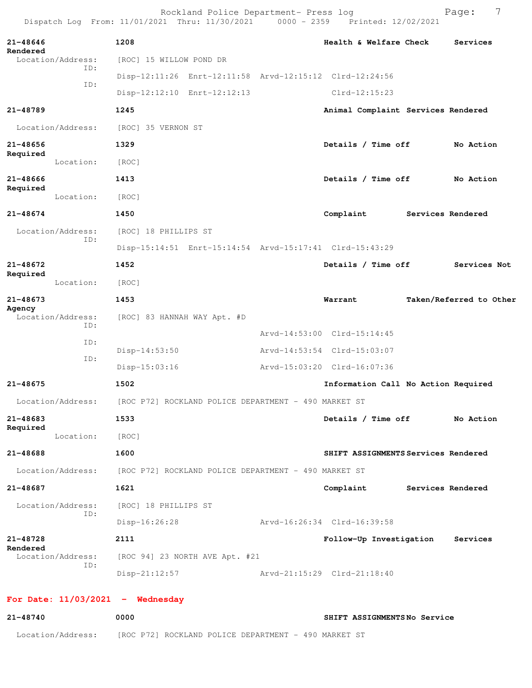| Dispatch Log From: 11/01/2021 Thru: 11/30/2021 |                                                      | Rockland Police Department- Press log                | 0000 - 2359 Printed: 12/02/2021                         | 7<br>Page:              |
|------------------------------------------------|------------------------------------------------------|------------------------------------------------------|---------------------------------------------------------|-------------------------|
| 21-48646<br>Rendered                           | 1208                                                 |                                                      | Health & Welfare Check                                  | Services                |
| Location/Address:<br>ID:                       | [ROC] 15 WILLOW POND DR                              |                                                      |                                                         |                         |
| ID:                                            |                                                      |                                                      | Disp-12:11:26 Enrt-12:11:58 Arvd-12:15:12 Clrd-12:24:56 |                         |
|                                                |                                                      | Disp-12:12:10 Enrt-12:12:13                          | $Clrd-12:15:23$                                         |                         |
| 21-48789                                       | 1245                                                 |                                                      | Animal Complaint Services Rendered                      |                         |
| Location/Address:                              | [ROC] 35 VERNON ST                                   |                                                      |                                                         |                         |
| 21-48656                                       | 1329                                                 |                                                      | Details / Time off                                      | No Action               |
| Required<br>Location:                          | [ROC]                                                |                                                      |                                                         |                         |
| 21-48666                                       | 1413                                                 |                                                      | Details / Time off                                      | No Action               |
| Required<br>Location:                          | [ROC]                                                |                                                      |                                                         |                         |
| $21 - 48674$                                   | 1450                                                 |                                                      | Complaint                                               | Services Rendered       |
| Location/Address:                              | [ROC] 18 PHILLIPS ST                                 |                                                      |                                                         |                         |
| ID:                                            |                                                      |                                                      |                                                         |                         |
| $21 - 48672$                                   | 1452                                                 |                                                      | Details / Time off                                      | Services Not            |
| Required<br>Location:                          | [ROC]                                                |                                                      |                                                         |                         |
| 21-48673                                       | 1453                                                 |                                                      | Warrant                                                 | Taken/Referred to Other |
| Agency<br>Location/Address:<br>ID:             | [ROC] 83 HANNAH WAY Apt. #D                          |                                                      |                                                         |                         |
| ID:                                            |                                                      |                                                      | Arvd-14:53:00 Clrd-15:14:45                             |                         |
| ID:                                            | Disp-14:53:50                                        |                                                      | Arvd-14:53:54 Clrd-15:03:07                             |                         |
|                                                | $Disp-15:03:16$                                      |                                                      | Arvd-15:03:20 Clrd-16:07:36                             |                         |
| 21-48675                                       | 1502                                                 |                                                      | Information Call No Action Required                     |                         |
| Location/Address:                              | [ROC P72] ROCKLAND POLICE DEPARTMENT - 490 MARKET ST |                                                      |                                                         |                         |
| $21 - 48683$<br>Required                       | 1533                                                 |                                                      | Details / Time off                                      | No Action               |
| Location:                                      | [ROC]                                                |                                                      |                                                         |                         |
| 21-48688                                       | 1600                                                 |                                                      | SHIFT ASSIGNMENTS Services Rendered                     |                         |
| Location/Address:                              |                                                      | [ROC P72] ROCKLAND POLICE DEPARTMENT - 490 MARKET ST |                                                         |                         |
| $21 - 48687$                                   | 1621                                                 |                                                      | Complaint Services Rendered                             |                         |
| Location/Address:<br>ID:                       | [ROC] 18 PHILLIPS ST                                 |                                                      |                                                         |                         |
|                                                | $Disp-16:26:28$                                      |                                                      | Arvd-16:26:34 Clrd-16:39:58                             |                         |
| 21-48728                                       | 2111                                                 |                                                      | Follow-Up Investigation                                 | Services                |
| Rendered<br>Location/Address:                  |                                                      | [ROC 94] 23 NORTH AVE Apt. #21                       |                                                         |                         |
| ID:                                            | $Disp-21:12:57$                                      |                                                      | Arvd-21:15:29 Clrd-21:18:40                             |                         |
| For Date: $11/03/2021$ - Wednesday             |                                                      |                                                      |                                                         |                         |

**21-48740 0000 SHIFT ASSIGNMENTS No Service** Location/Address: [ROC P72] ROCKLAND POLICE DEPARTMENT - 490 MARKET ST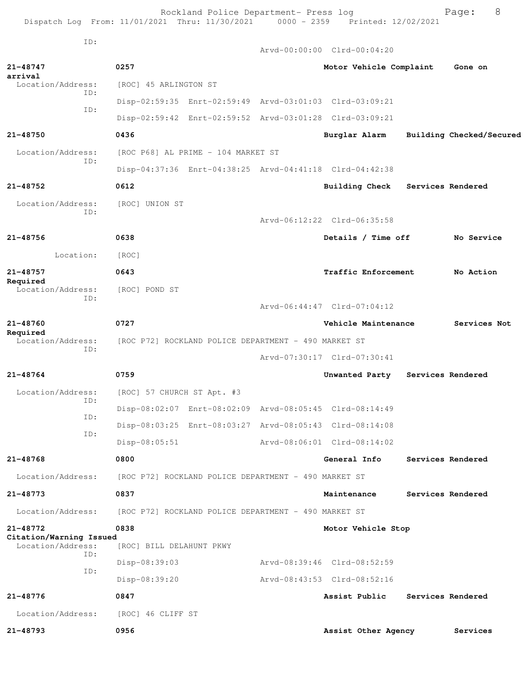Rockland Police Department- Press log Fage: 8 Dispatch Log From: 11/01/2021 Thru: 11/30/2021 0000 - 2359 Printed: 12/02/2021

 ID: Arvd-00:00:00 Clrd-00:04:20 **21-48747 0257 Motor Vehicle Complaint Gone on arrival**  [ROC] 45 ARLINGTON ST ID: Disp-02:59:35 Enrt-02:59:49 Arvd-03:01:03 Clrd-03:09:21 ID: Disp-02:59:42 Enrt-02:59:52 Arvd-03:01:28 Clrd-03:09:21 **21-48750 0436 Burglar Alarm Building Checked/Secured** Location/Address: [ROC P68] AL PRIME - 104 MARKET ST ID: Disp-04:37:36 Enrt-04:38:25 Arvd-04:41:18 Clrd-04:42:38 **21-48752 0612 Building Check Services Rendered** Location/Address: [ROC] UNION ST ID: Arvd-06:12:22 Clrd-06:35:58 **21-48756 0638 Details / Time off No Service** Location: [ROC] **21-48757 0643 Traffic Enforcement No Action Required**  Location/Address: [ROC] POND ST ID: Arvd-06:44:47 Clrd-07:04:12 **21-48760 0727 Vehicle Maintenance Services Not Required**  Location/Address: [ROC P72] ROCKLAND POLICE DEPARTMENT - 490 MARKET ST ID: Arvd-07:30:17 Clrd-07:30:41 **21-48764 0759 Unwanted Party Services Rendered** Location/Address: [ROC] 57 CHURCH ST Apt. #3 ID: Disp-08:02:07 Enrt-08:02:09 Arvd-08:05:45 Clrd-08:14:49 ID: Disp-08:03:25 Enrt-08:03:27 Arvd-08:05:43 Clrd-08:14:08 ID: Disp-08:05:51 Arvd-08:06:01 Clrd-08:14:02 **21-48768 0800 General Info Services Rendered** Location/Address: [ROC P72] ROCKLAND POLICE DEPARTMENT - 490 MARKET ST **21-48773 0837 Maintenance Services Rendered** Location/Address: [ROC P72] ROCKLAND POLICE DEPARTMENT - 490 MARKET ST **21-48772 0838 Motor Vehicle Stop Citation/Warning Issued**  Location/Address: [ROC] BILL DELAHUNT PKWY ID: Disp-08:39:03 Arvd-08:39:46 Clrd-08:52:59 ID: Disp-08:39:20 Arvd-08:43:53 Clrd-08:52:16 **21-48776 0847 Assist Public Services Rendered** Location/Address: [ROC] 46 CLIFF ST **21-48793 0956 Assist Other Agency Services**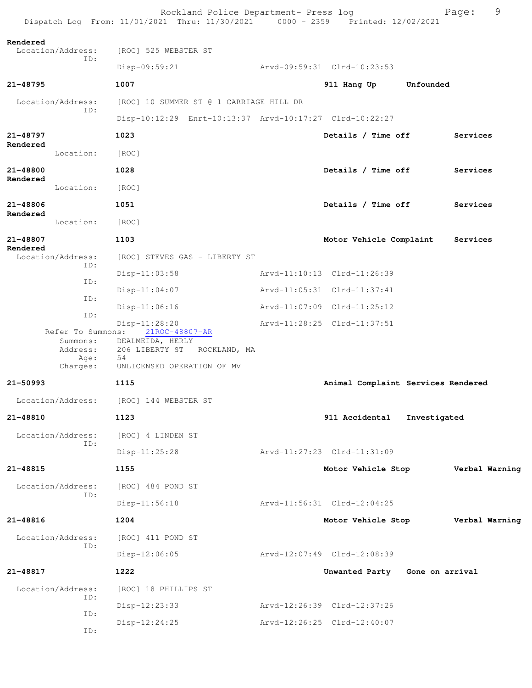|                                                               | Rockland Police Department- Press log<br>Dispatch Log From: 11/01/2021 Thru: 11/30/2021 0000 - 2359 Printed: 12/02/2021  |                                    |              | Page:          | 9 |
|---------------------------------------------------------------|--------------------------------------------------------------------------------------------------------------------------|------------------------------------|--------------|----------------|---|
| Rendered<br>Location/Address:<br>ID:                          | [ROC] 525 WEBSTER ST                                                                                                     |                                    |              |                |   |
|                                                               | Disp-09:59:21                                                                                                            | Arvd-09:59:31 Clrd-10:23:53        |              |                |   |
| 21-48795                                                      | 1007                                                                                                                     | 911 Hang Up                        | Unfounded    |                |   |
| Location/Address:                                             | [ROC] 10 SUMMER ST @ 1 CARRIAGE HILL DR                                                                                  |                                    |              |                |   |
| ID:                                                           | Disp-10:12:29 Enrt-10:13:37 Arvd-10:17:27 Clrd-10:22:27                                                                  |                                    |              |                |   |
| 21-48797                                                      | 1023                                                                                                                     | Details / Time off                 |              | Services       |   |
| Rendered<br>Location:                                         | [ROC]                                                                                                                    |                                    |              |                |   |
| 21-48800                                                      | 1028                                                                                                                     | Details / Time off                 |              | Services       |   |
| Rendered<br>Location:                                         | [ROC]                                                                                                                    |                                    |              |                |   |
| 21-48806                                                      | 1051                                                                                                                     | Details / Time off                 |              | Services       |   |
| Rendered<br>Location:                                         | [ROC]                                                                                                                    |                                    |              |                |   |
| 21-48807                                                      | 1103                                                                                                                     | Motor Vehicle Complaint            |              | Services       |   |
| Rendered<br>Location/Address:<br>ID:                          | [ROC] STEVES GAS - LIBERTY ST                                                                                            |                                    |              |                |   |
| ID:                                                           | $Disp-11:03:58$                                                                                                          | Arvd-11:10:13 Clrd-11:26:39        |              |                |   |
| ID:                                                           | $Disp-11:04:07$                                                                                                          | Arvd-11:05:31 Clrd-11:37:41        |              |                |   |
| ID:                                                           | $Disp-11:06:16$                                                                                                          | Arvd-11:07:09 Clrd-11:25:12        |              |                |   |
| Refer To Summons:<br>Summons:<br>Address:<br>Age:<br>Charges: | $Disp-11:28:20$<br>21ROC-48807-AR<br>DEALMEIDA, HERLY<br>206 LIBERTY ST ROCKLAND, MA<br>54<br>UNLICENSED OPERATION OF MV | Arvd-11:28:25 Clrd-11:37:51        |              |                |   |
| $21 - 50993$                                                  | 1115                                                                                                                     | Animal Complaint Services Rendered |              |                |   |
| Location/Address:                                             | [ROC] 144 WEBSTER ST                                                                                                     |                                    |              |                |   |
| 21-48810                                                      | 1123                                                                                                                     | 911 Accidental                     | Investigated |                |   |
| Location/Address:<br>ID:                                      | [ROC] 4 LINDEN ST                                                                                                        |                                    |              |                |   |
|                                                               | Disp-11:25:28                                                                                                            | Arvd-11:27:23 Clrd-11:31:09        |              |                |   |
| 21-48815                                                      | 1155                                                                                                                     | Motor Vehicle Stop                 |              | Verbal Warning |   |
| Location/Address:                                             | [ROC] 484 POND ST                                                                                                        |                                    |              |                |   |
| ID:                                                           | $Disp-11:56:18$                                                                                                          | Arvd-11:56:31 Clrd-12:04:25        |              |                |   |
| 21-48816                                                      | 1204                                                                                                                     | Motor Vehicle Stop                 |              | Verbal Warning |   |
| Location/Address:                                             | [ROC] 411 POND ST                                                                                                        |                                    |              |                |   |
| ID:                                                           | Disp-12:06:05                                                                                                            | Arvd-12:07:49 Clrd-12:08:39        |              |                |   |
| 21-48817                                                      | 1222                                                                                                                     | Unwanted Party Gone on arrival     |              |                |   |
| Location/Address:                                             | [ROC] 18 PHILLIPS ST                                                                                                     |                                    |              |                |   |
| ID:                                                           | Disp-12:23:33                                                                                                            | Arvd-12:26:39 Clrd-12:37:26        |              |                |   |
| ID:<br>ID:                                                    | $Disp-12:24:25$                                                                                                          | Arvd-12:26:25 Clrd-12:40:07        |              |                |   |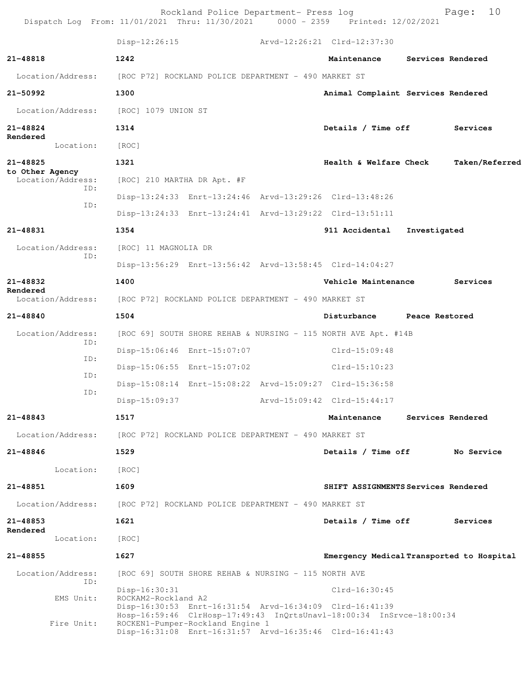| Dispatch Log From: 11/01/2021 Thru: 11/30/2021 0000 - 2359 Printed: 12/02/2021 |                                      | Rockland Police Department- Press log                |                                                                                                                                                                                            |              | 10<br>Page:       |
|--------------------------------------------------------------------------------|--------------------------------------|------------------------------------------------------|--------------------------------------------------------------------------------------------------------------------------------------------------------------------------------------------|--------------|-------------------|
|                                                                                |                                      |                                                      | Disp-12:26:15 Arvd-12:26:21 Clrd-12:37:30                                                                                                                                                  |              |                   |
| 21-48818                                                                       | 1242                                 |                                                      | Maintenance                                                                                                                                                                                |              | Services Rendered |
| Location/Address:                                                              |                                      | [ROC P72] ROCKLAND POLICE DEPARTMENT - 490 MARKET ST |                                                                                                                                                                                            |              |                   |
| 21-50992                                                                       | 1300                                 |                                                      | Animal Complaint Services Rendered                                                                                                                                                         |              |                   |
| Location/Address:                                                              | [ROC] 1079 UNION ST                  |                                                      |                                                                                                                                                                                            |              |                   |
| 21-48824                                                                       | 1314                                 |                                                      | Details / Time off                                                                                                                                                                         |              | Services          |
| Rendered<br>Location:                                                          | [ROC]                                |                                                      |                                                                                                                                                                                            |              |                   |
| 21-48825                                                                       | 1321                                 |                                                      | Health & Welfare Check                                                                                                                                                                     |              | Taken/Referred    |
| to Other Agency<br>Location/Address:                                           | [ROC] 210 MARTHA DR Apt. #F          |                                                      |                                                                                                                                                                                            |              |                   |
| ID:                                                                            |                                      |                                                      | Disp-13:24:33 Enrt-13:24:46 Arvd-13:29:26 Clrd-13:48:26                                                                                                                                    |              |                   |
| ID:                                                                            |                                      |                                                      | Disp-13:24:33 Enrt-13:24:41 Arvd-13:29:22 Clrd-13:51:11                                                                                                                                    |              |                   |
| 21-48831                                                                       | 1354                                 |                                                      | 911 Accidental                                                                                                                                                                             | Investigated |                   |
| Location/Address:                                                              | [ROC] 11 MAGNOLIA DR                 |                                                      |                                                                                                                                                                                            |              |                   |
| ID:                                                                            |                                      |                                                      | Disp-13:56:29 Enrt-13:56:42 Arvd-13:58:45 Clrd-14:04:27                                                                                                                                    |              |                   |
| 21-48832                                                                       | 1400                                 |                                                      | Vehicle Maintenance                                                                                                                                                                        |              | Services          |
| Rendered<br>Location/Address:                                                  |                                      | [ROC P72] ROCKLAND POLICE DEPARTMENT - 490 MARKET ST |                                                                                                                                                                                            |              |                   |
| 21-48840                                                                       | 1504                                 |                                                      | Disturbance Peace Restored                                                                                                                                                                 |              |                   |
| Location/Address:<br>ID:                                                       |                                      |                                                      | [ROC 69] SOUTH SHORE REHAB & NURSING - 115 NORTH AVE Apt. #14B                                                                                                                             |              |                   |
| ID:                                                                            |                                      | Disp-15:06:46 Enrt-15:07:07                          | $Clrd-15:09:48$                                                                                                                                                                            |              |                   |
| ID:                                                                            |                                      | Disp-15:06:55 Enrt-15:07:02                          | Clrd-15:10:23                                                                                                                                                                              |              |                   |
| ID:                                                                            |                                      |                                                      | Disp-15:08:14 Enrt-15:08:22 Arvd-15:09:27 Clrd-15:36:58                                                                                                                                    |              |                   |
|                                                                                | $Disp-15:09:37$                      |                                                      | Arvd-15:09:42 Clrd-15:44:17                                                                                                                                                                |              |                   |
| 21-48843                                                                       | 1517                                 |                                                      | Maintenance                                                                                                                                                                                |              | Services Rendered |
| Location/Address:                                                              |                                      | [ROC P72] ROCKLAND POLICE DEPARTMENT - 490 MARKET ST |                                                                                                                                                                                            |              |                   |
| 21-48846                                                                       | 1529                                 |                                                      | Details / Time off                                                                                                                                                                         |              | No Service        |
| Location:                                                                      | [ROC]                                |                                                      |                                                                                                                                                                                            |              |                   |
| 21-48851                                                                       | 1609                                 |                                                      | SHIFT ASSIGNMENTS Services Rendered                                                                                                                                                        |              |                   |
| Location/Address:                                                              |                                      | [ROC P72] ROCKLAND POLICE DEPARTMENT - 490 MARKET ST |                                                                                                                                                                                            |              |                   |
| 21-48853                                                                       | 1621                                 |                                                      | Details / Time off                                                                                                                                                                         |              | Services          |
| Rendered<br>Location:                                                          | [ROC]                                |                                                      |                                                                                                                                                                                            |              |                   |
| 21-48855                                                                       | 1627                                 |                                                      | Emergency Medical Transported to Hospital                                                                                                                                                  |              |                   |
| Location/Address:                                                              |                                      | [ROC 69] SOUTH SHORE REHAB & NURSING - 115 NORTH AVE |                                                                                                                                                                                            |              |                   |
| ID:<br>EMS Unit:                                                               | Disp-16:30:31<br>ROCKAM2-Rockland A2 |                                                      | $Clrd-16:30:45$                                                                                                                                                                            |              |                   |
| Fire Unit:                                                                     |                                      | ROCKEN1-Pumper-Rockland Engine 1                     | Disp-16:30:53 Enrt-16:31:54 Arvd-16:34:09 Clrd-16:41:39<br>Hosp-16:59:46 ClrHosp-17:49:43 InQrtsUnavl-18:00:34 InSrvce-18:00:34<br>Disp-16:31:08 Enrt-16:31:57 Arvd-16:35:46 Clrd-16:41:43 |              |                   |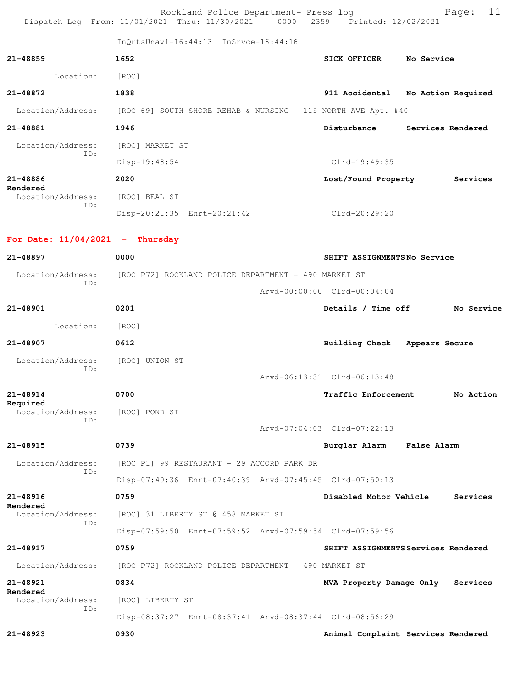|                                         | Rockland Police Department- Press log<br>Dispatch Log From: 11/01/2021 Thru: 11/30/2021 0000 - 2359 Printed: 12/02/2021 |                                     | 11<br>Page: |
|-----------------------------------------|-------------------------------------------------------------------------------------------------------------------------|-------------------------------------|-------------|
|                                         | InQrtsUnavl-16:44:13 InSrvce-16:44:16                                                                                   |                                     |             |
| $21 - 48859$                            | 1652                                                                                                                    | SICK OFFICER No Service             |             |
| Location: [ROC]                         |                                                                                                                         |                                     |             |
| 21-48872                                | 1838                                                                                                                    | 911 Accidental No Action Required   |             |
|                                         | Location/Address: [ROC 69] SOUTH SHORE REHAB & NURSING - 115 NORTH AVE Apt. #40                                         |                                     |             |
| 21-48881                                | 1946                                                                                                                    | Disturbance Services Rendered       |             |
| Location/Address: [ROC] MARKET ST       |                                                                                                                         |                                     |             |
| ID:                                     | Disp-19:48:54                                                                                                           | $Clrd-19:49:35$                     |             |
| 21-48886                                | 2020                                                                                                                    | Lost/Found Property                 | Services    |
| Rendered<br>Location/Address:           | [ROC] BEAL ST                                                                                                           |                                     |             |
| ID:                                     | Disp-20:21:35 Enrt-20:21:42                                                                                             | Clrd-20:29:20                       |             |
| For Date: $11/04/2021$ - Thursday       |                                                                                                                         |                                     |             |
| 21-48897                                | 0000                                                                                                                    | SHIFT ASSIGNMENTSNo Service         |             |
| Location/Address:                       | [ROC P72] ROCKLAND POLICE DEPARTMENT - 490 MARKET ST                                                                    |                                     |             |
| ID:                                     |                                                                                                                         | Arvd-00:00:00 Clrd-00:04:04         |             |
| 21-48901                                | 0201                                                                                                                    | Details / Time off                  | No Service  |
| Location: [ROC]                         |                                                                                                                         |                                     |             |
| 21-48907                                | 0612                                                                                                                    | Building Check Appears Secure       |             |
| Location/Address: [ROC] UNION ST<br>ID: |                                                                                                                         |                                     |             |
|                                         |                                                                                                                         | Arvd-06:13:31 Clrd-06:13:48         |             |
| 21-48914                                | 0700                                                                                                                    | Traffic Enforcement                 | No Action   |
| Required<br>Location/Address:<br>ID:    | [ROC] POND ST                                                                                                           |                                     |             |
|                                         |                                                                                                                         | Arvd-07:04:03 Clrd-07:22:13         |             |
| 21-48915                                | 0739                                                                                                                    | Burglar Alarm False Alarm           |             |
| Location/Address:<br>ID:                | [ROC P1] 99 RESTAURANT - 29 ACCORD PARK DR                                                                              |                                     |             |
|                                         | Disp-07:40:36 Enrt-07:40:39 Arvd-07:45:45 Clrd-07:50:13                                                                 |                                     |             |
| 21-48916<br>Rendered                    | 0759                                                                                                                    | Disabled Motor Vehicle              | Services    |
| Location/Address:<br>ID:                | [ROC] 31 LIBERTY ST @ 458 MARKET ST                                                                                     |                                     |             |
|                                         | Disp-07:59:50 Enrt-07:59:52 Arvd-07:59:54 Clrd-07:59:56                                                                 |                                     |             |
| 21-48917                                | 0759                                                                                                                    | SHIFT ASSIGNMENTS Services Rendered |             |
| Location/Address:                       | [ROC P72] ROCKLAND POLICE DEPARTMENT - 490 MARKET ST                                                                    |                                     |             |
| 21-48921                                | 0834                                                                                                                    | MVA Property Damage Only            | Services    |
| Rendered<br>Location/Address:<br>ID:    | [ROC] LIBERTY ST                                                                                                        |                                     |             |
|                                         | Disp-08:37:27 Enrt-08:37:41 Arvd-08:37:44 Clrd-08:56:29                                                                 |                                     |             |
| 21-48923                                | 0930                                                                                                                    | Animal Complaint Services Rendered  |             |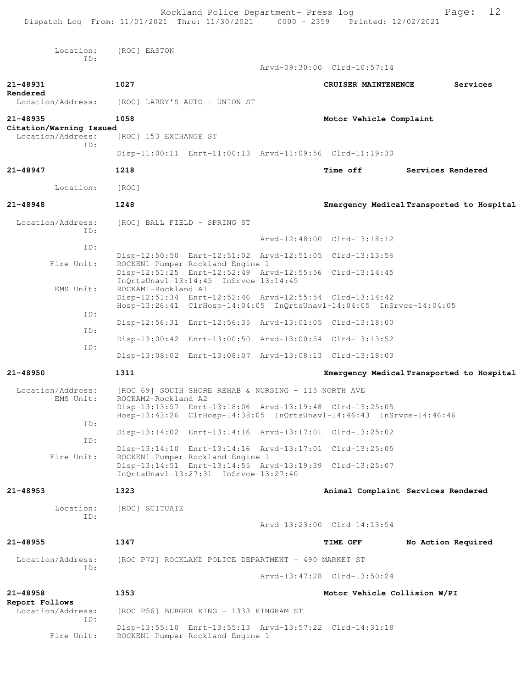|                                     | Rockland Police Department- Press log<br>Dispatch Log From: 11/01/2021 Thru: 11/30/2021 0000 - 2359 Printed: 12/02/2021         |                              | 12<br>Page:                               |
|-------------------------------------|---------------------------------------------------------------------------------------------------------------------------------|------------------------------|-------------------------------------------|
|                                     |                                                                                                                                 |                              |                                           |
| Location:<br>TD:                    | [ROC] EASTON                                                                                                                    |                              |                                           |
|                                     |                                                                                                                                 | Arvd-09:30:00 Clrd-10:57:14  |                                           |
| 21-48931<br>Rendered                | 1027                                                                                                                            | CRUISER MAINTENENCE          | Services                                  |
| Location/Address:                   | [ROC] LARRY'S AUTO - UNION ST                                                                                                   |                              |                                           |
| 21-48935<br>Citation/Warning Issued | 1058                                                                                                                            | Motor Vehicle Complaint      |                                           |
| Location/Address:<br>TD:            | [ROC] 153 EXCHANGE ST                                                                                                           |                              |                                           |
|                                     | Disp-11:00:11 Enrt-11:00:13 Arvd-11:09:56 Clrd-11:19:30                                                                         |                              |                                           |
| 21-48947                            | 1218                                                                                                                            | <b>Time off</b>              | Services Rendered                         |
| Location:                           | [ROC]                                                                                                                           |                              |                                           |
| $21 - 48948$                        | 1248                                                                                                                            |                              | Emergency Medical Transported to Hospital |
| Location/Address:<br>TD:            | [ROC] BALL FIELD - SPRING ST                                                                                                    |                              |                                           |
| ID:                                 |                                                                                                                                 | Arvd-12:48:00 Clrd-13:18:12  |                                           |
| Fire Unit:                          | Disp-12:50:50 Enrt-12:51:02 Arvd-12:51:05 Clrd-13:13:56<br>ROCKEN1-Pumper-Rockland Engine 1                                     |                              |                                           |
|                                     | Disp-12:51:25 Enrt-12:52:49 Arvd-12:55:56 Clrd-13:14:45                                                                         |                              |                                           |
| EMS Unit:                           | ROCKAM1-Rockland A1<br>Disp-12:51:34 Enrt-12:52:46 Arvd-12:55:54 Clrd-13:14:42                                                  |                              |                                           |
| ID:                                 | Hosp-13:26:41 ClrHosp-14:04:05 InQrtsUnavl-14:04:05 InSrvce-14:04:05<br>Disp-12:56:31 Enrt-12:56:35 Arvd-13:01:05 Clrd-13:18:00 |                              |                                           |
| ID:                                 | Disp-13:00:42 Enrt-13:00:50 Arvd-13:00:54 Clrd-13:13:52                                                                         |                              |                                           |
| ID:                                 | Disp-13:08:02 Enrt-13:08:07 Arvd-13:08:13 Clrd-13:18:03                                                                         |                              |                                           |
| 21-48950                            | 1311                                                                                                                            |                              | Emergency Medical Transported to Hospital |
| Location/Address:                   | [ROC 69] SOUTH SHORE REHAB & NURSING - 115 NORTH AVE                                                                            |                              |                                           |
| EMS Unit:                           | ROCKAM2-Rockland A2<br>Disp-13:13:57 Enrt-13:18:06 Arvd-13:19:48 Clrd-13:25:05                                                  |                              |                                           |
| ID:                                 | Hosp-13:43:26 ClrHosp-14:38:05 InQrtsUnavl-14:46:43 InSrvce-14:46:46                                                            |                              |                                           |
| ID:                                 | Disp-13:14:02 Enrt-13:14:16 Arvd-13:17:01 Clrd-13:25:02                                                                         |                              |                                           |
| Fire Unit:                          | Disp-13:14:10 Enrt-13:14:16 Arvd-13:17:01 Clrd-13:25:05<br>ROCKEN1-Pumper-Rockland Engine 1                                     |                              |                                           |
|                                     | Disp-13:14:51 Enrt-13:14:55 Arvd-13:19:39 Clrd-13:25:07<br>InOrtsUnavl-13:27:31 InSrvce-13:27:40                                |                              |                                           |
| 21-48953                            | 1323                                                                                                                            |                              | Animal Complaint Services Rendered        |
| Location:                           | [ROC] SCITUATE                                                                                                                  |                              |                                           |
| ID:                                 |                                                                                                                                 | Arvd-13:23:00 Clrd-14:13:54  |                                           |
| $21 - 48955$                        | 1347                                                                                                                            | TIME OFF                     | No Action Required                        |
| Location/Address:                   | [ROC P72] ROCKLAND POLICE DEPARTMENT - 490 MARKET ST                                                                            |                              |                                           |
| TD:                                 |                                                                                                                                 | Arvd-13:47:28 Clrd-13:50:24  |                                           |
| 21-48958<br>Report Follows          | 1353                                                                                                                            | Motor Vehicle Collision W/PI |                                           |
| Location/Address:<br>TD:            | [ROC P56] BURGER KING - 1333 HINGHAM ST                                                                                         |                              |                                           |
| Fire Unit:                          | Disp-13:55:10 Enrt-13:55:13 Arvd-13:57:22 Clrd-14:31:18<br>ROCKEN1-Pumper-Rockland Engine 1                                     |                              |                                           |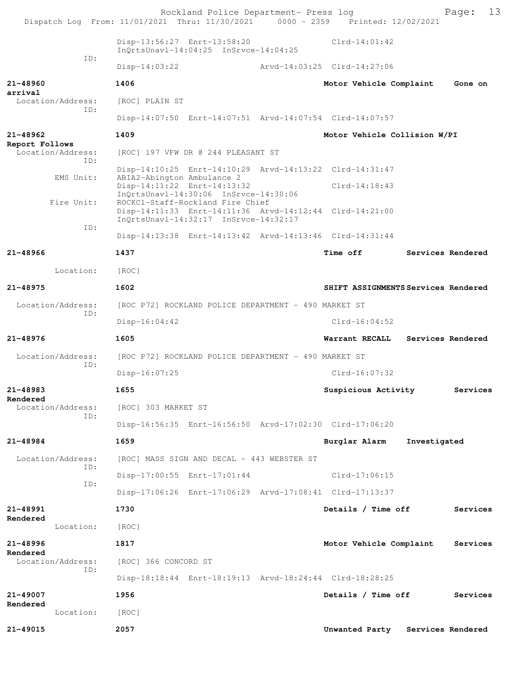Rockland Police Department- Press log Fage: 13 Dispatch Log From: 11/01/2021 Thru: 11/30/2021 0000 - 2359 Printed: 12/02/2021 Disp-13:56:27 Enrt-13:58:20 Clrd-14:01:42 InQrtsUnavl-14:04:25 InSrvce-14:04:25 ID: Disp-14:03:22 Arvd-14:03:25 Clrd-14:27:06 **21-48960 1406 Motor Vehicle Complaint Gone on arrival**  Location/Address: [ROC] PLAIN ST ID: Disp-14:07:50 Enrt-14:07:51 Arvd-14:07:54 Clrd-14:07:57 **21-48962 1409 Motor Vehicle Collision W/PI Report Follows**  Location/Address: [ROC] 197 VFW DR @ 244 PLEASANT ST ID: Disp-14:10:25 Enrt-14:10:29 Arvd-14:13:22 Clrd-14:31:47<br>EMS Unit: ABIA2-Abington Ambulance 2 ABIA2-Abington Ambulance 2 Disp-14:11:22 Enrt-14:13:32 Clrd-14:18:43 InQrtsUnavl-14:30:06 InSrvce-14:30:06 Fire Unit: ROCKC1-Staff-Rockland Fire Chief Disp-14:11:33 Enrt-14:11:36 Arvd-14:12:44 Clrd-14:21:00 InQrtsUnavl-14:32:17 InSrvce-14:32:17 ID: Disp-14:13:38 Enrt-14:13:42 Arvd-14:13:46 Clrd-14:31:44 **21-48966 1437 Time off Services Rendered** Location: [ROC] **21-48975 1602 SHIFT ASSIGNMENTS Services Rendered** Location/Address: [ROC P72] ROCKLAND POLICE DEPARTMENT - 490 MARKET ST ID: Disp-16:04:42 Clrd-16:04:52 **21-48976 1605 Warrant RECALL Services Rendered** Location/Address: [ROC P72] ROCKLAND POLICE DEPARTMENT - 490 MARKET ST ID: Disp-16:07:25 Clrd-16:07:32 **21-48983 1655 Suspicious Activity Services Rendered**  Location/Address: [ROC] 303 MARKET ST ID: Disp-16:56:35 Enrt-16:56:50 Arvd-17:02:30 Clrd-17:06:20 **21-48984 1659 Burglar Alarm Investigated** Location/Address: [ROC] MASS SIGN AND DECAL - 443 WEBSTER ST ID: Disp-17:00:55 Enrt-17:01:44 Clrd-17:06:15 ID: Disp-17:06:26 Enrt-17:06:29 Arvd-17:08:41 Clrd-17:13:37 **21-48991 1730 Details / Time off Services Rendered**  Location: [ROC] **21-48996 1817 Motor Vehicle Complaint Services Rendered**  Location/Address: [ROC] 366 CONCORD ST ID: Disp-18:18:44 Enrt-18:19:13 Arvd-18:24:44 Clrd-18:28:25 **21-49007 1956 Details / Time off Services Rendered**  Location: [ROC] **21-49015 2057 Unwanted Party Services Rendered**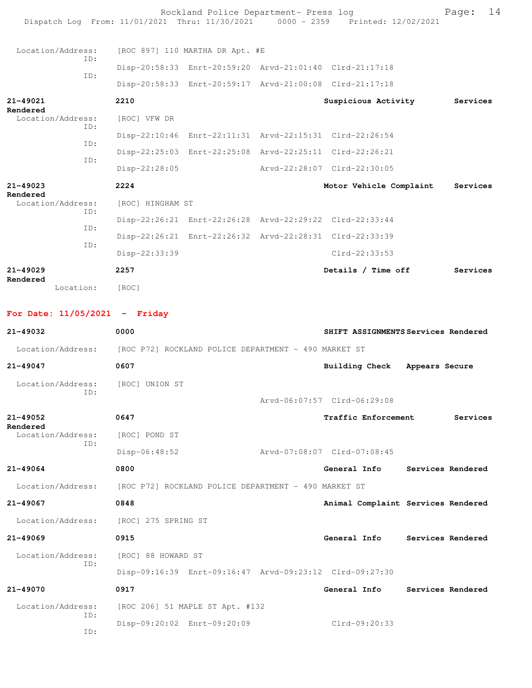| Page:<br>14<br>Rockland Police Department- Press log<br>Dispatch Log From: 11/01/2021 Thru: 11/30/2021 0000 - 2359 Printed: 12/02/2021 |                                   |                                 |  |                                                                                                                                     |          |  |
|----------------------------------------------------------------------------------------------------------------------------------------|-----------------------------------|---------------------------------|--|-------------------------------------------------------------------------------------------------------------------------------------|----------|--|
| Location/Address:<br>ID:<br>TD:                                                                                                        |                                   | [ROC 897] 110 MARTHA DR Apt. #E |  | Disp-20:58:33 Enrt-20:59:20 Arvd-21:01:40 Clrd-21:17:18<br>Disp-20:58:33 Enrt-20:59:17 Arvd-21:00:08 Clrd-21:17:18                  |          |  |
| $21 - 49021$<br>Rendered<br>Location/Address:<br>TD:                                                                                   | 2210<br>[ROC] VFW DR              |                                 |  | Suspicious Activity<br>Disp-22:10:46 Enrt-22:11:31 Arvd-22:15:31 Clrd-22:26:54                                                      | Services |  |
| ID:<br>ID:<br>$21 - 49023$                                                                                                             | Disp-22:28:05<br>2224             |                                 |  | Disp-22:25:03 Enrt-22:25:08 Arvd-22:25:11 Clrd-22:26:21<br>Arvd-22:28:07 Clrd-22:30:05<br>Motor Vehicle Complaint                   | Services |  |
| Rendered<br>Location/Address:<br>TD:<br>TD:<br>TD:                                                                                     | [ROC] HINGHAM ST<br>Disp-22:33:39 |                                 |  | Disp-22:26:21 Enrt-22:26:28 Arvd-22:29:22 Clrd-22:33:44<br>Disp-22:26:21 Enrt-22:26:32 Arvd-22:28:31 Clrd-22:33:39<br>Clrd-22:33:53 |          |  |
| $21 - 49029$<br>Rendered<br>Location:                                                                                                  | 2257<br>[ROC]                     |                                 |  | Details / Time off                                                                                                                  | Services |  |
| For Date: $11/05/2021$ - Friday<br>$21 - 49032$                                                                                        | 0000                              |                                 |  | SHIFT ASSIGNMENTS Services Rendered                                                                                                 |          |  |

|                                       | Location/Address: [ROC P72] ROCKLAND POLICE DEPARTMENT - 490 MARKET ST |                             |                                    |
|---------------------------------------|------------------------------------------------------------------------|-----------------------------|------------------------------------|
| $21 - 49047$                          | 0607                                                                   | <b>Building Check</b>       | Appears Secure                     |
| Location/Address:                     | [ROC] UNION ST                                                         |                             |                                    |
| TD:                                   |                                                                        | Arvd-06:07:57 Clrd-06:29:08 |                                    |
| $21 - 49052$                          | 0647                                                                   | Traffic Enforcement         | Services                           |
| Rendered<br>Location/Address:         | [ROC] POND ST                                                          |                             |                                    |
| ID:                                   | Disp-06:48:52                                                          | Arvd-07:08:07 Clrd-07:08:45 |                                    |
| $21 - 49064$                          | 0800                                                                   | General Info                | Services Rendered                  |
|                                       | Location/Address: [ROC P72] ROCKLAND POLICE DEPARTMENT - 490 MARKET ST |                             |                                    |
| $21 - 49067$                          | 0848                                                                   |                             | Animal Complaint Services Rendered |
| Location/Address: [ROC] 275 SPRING ST |                                                                        |                             |                                    |
| $21 - 49069$                          | 0915                                                                   | General Info                | Services Rendered                  |
| Location/Address:                     | [ROC] 88 HOWARD ST                                                     |                             |                                    |
| TD:                                   | Disp-09:16:39 Enrt-09:16:47 Arvd-09:23:12 Clrd-09:27:30                |                             |                                    |
| $21 - 49070$                          | 0917                                                                   | General Info                | Services Rendered                  |
| Location/Address:                     | [ROC 206] 51 MAPLE ST Apt. #132                                        |                             |                                    |
| TD:                                   | Disp-09:20:02 Enrt-09:20:09                                            | $Clrd-09:20:33$             |                                    |
| TD:                                   |                                                                        |                             |                                    |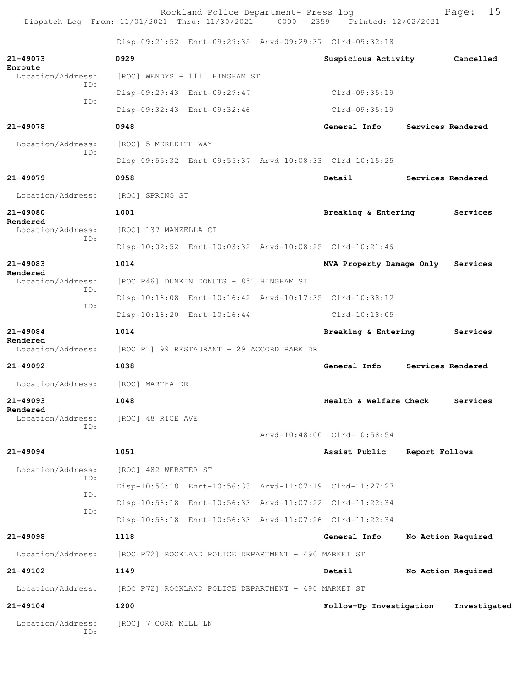Rockland Police Department- Press log Page: 15<br>21 Thru: 11/30/2021 0000 - 2359 Printed: 12/02/2021 Dispatch Log From: 11/01/2021 Thru: 11/30/2021 0000 - 2359 Printed: 12/02/2021 Disp-09:21:52 Enrt-09:29:35 Arvd-09:29:37 Clrd-09:32:18 **21-49073 0929 Suspicious Activity Cancelled Enroute**  Location/Address: [ROC] WENDYS - 1111 HINGHAM ST ID: Disp-09:29:43 Enrt-09:29:47 Clrd-09:35:19 ID: Disp-09:32:43 Enrt-09:32:46 Clrd-09:35:19 **21-49078 0948 General Info Services Rendered** Location/Address: [ROC] 5 MEREDITH WAY ID: Disp-09:55:32 Enrt-09:55:37 Arvd-10:08:33 Clrd-10:15:25 **21-49079 0958 Detail Services Rendered** Location/Address: [ROC] SPRING ST **21-49080 1001 Breaking & Entering Services Rendered**  Location/Address: [ROC] 137 MANZELLA CT ID: Disp-10:02:52 Enrt-10:03:32 Arvd-10:08:25 Clrd-10:21:46 **21-49083 1014 MVA Property Damage Only Services Rendered**  [ROC P46] DUNKIN DONUTS - 851 HINGHAM ST ID: Disp-10:16:08 Enrt-10:16:42 Arvd-10:17:35 Clrd-10:38:12 ID: Disp-10:16:20 Enrt-10:16:44 Clrd-10:18:05 **21-49084 1014 Breaking & Entering Services Rendered**  Location/Address: [ROC P1] 99 RESTAURANT - 29 ACCORD PARK DR **21-49092 1038 General Info Services Rendered** Location/Address: [ROC] MARTHA DR **21-49093 1048 Health & Welfare Check Services Rendered**  Location/Address: [ROC] 48 RICE AVE ID: Arvd-10:48:00 Clrd-10:58:54 **21-49094 1051 Assist Public Report Follows** Location/Address: [ROC] 482 WEBSTER ST ID: Disp-10:56:18 Enrt-10:56:33 Arvd-11:07:19 Clrd-11:27:27 ID: Disp-10:56:18 Enrt-10:56:33 Arvd-11:07:22 Clrd-11:22:34 ID: Disp-10:56:18 Enrt-10:56:33 Arvd-11:07:26 Clrd-11:22:34 **21-49098 1118 General Info No Action Required** Location/Address: [ROC P72] ROCKLAND POLICE DEPARTMENT - 490 MARKET ST **21-49102 1149 Detail No Action Required** Location/Address: [ROC P72] ROCKLAND POLICE DEPARTMENT - 490 MARKET ST **21-49104 1200 Follow-Up Investigation Investigated** Location/Address: [ROC] 7 CORN MILL LN ID: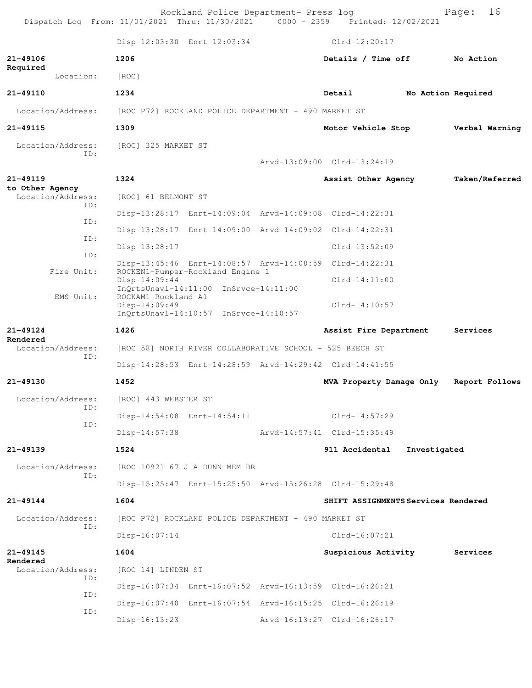|                                      | Rockland Police Department- Press log<br>Dispatch Log From: 11/01/2021 Thru: 11/30/2021 0000 - 2359 Printed: 12/02/2021  |                                     |              | 16<br>Page:        |
|--------------------------------------|--------------------------------------------------------------------------------------------------------------------------|-------------------------------------|--------------|--------------------|
|                                      | Disp-12:03:30 Enrt-12:03:34                                                                                              | $Clrd-12:20:17$                     |              |                    |
| 21-49106<br>Required                 | 1206                                                                                                                     | Details / Time off                  |              | No Action          |
| Location:                            | [ROC]                                                                                                                    |                                     |              |                    |
| 21-49110                             | 1234                                                                                                                     | Detail                              |              | No Action Required |
| Location/Address:                    | [ROC P72] ROCKLAND POLICE DEPARTMENT - 490 MARKET ST                                                                     |                                     |              |                    |
| 21-49115                             | 1309                                                                                                                     | Motor Vehicle Stop                  |              | Verbal Warning     |
| Location/Address:                    | [ROC] 325 MARKET ST                                                                                                      |                                     |              |                    |
| ID:                                  |                                                                                                                          | Arvd-13:09:00 Clrd-13:24:19         |              |                    |
| 21-49119                             | 1324                                                                                                                     | Assist Other Agency                 |              | Taken/Referred     |
| to Other Agency<br>Location/Address: | [ROC] 61 BELMONT ST                                                                                                      |                                     |              |                    |
| ID:                                  | Disp-13:28:17 Enrt-14:09:04 Arvd-14:09:08 Clrd-14:22:31                                                                  |                                     |              |                    |
| ID:                                  | Disp-13:28:17 Enrt-14:09:00 Arvd-14:09:02 Clrd-14:22:31                                                                  |                                     |              |                    |
| ID:                                  | Disp-13:28:17                                                                                                            | $Clrd-13:52:09$                     |              |                    |
| ID:                                  | Disp-13:45:46 Enrt-14:08:57 Arvd-14:08:59 Clrd-14:22:31                                                                  |                                     |              |                    |
| Fire Unit:                           | ROCKEN1-Pumper-Rockland Engine 1<br>$Disp-14:09:44$                                                                      | $Clrd-14:11:00$                     |              |                    |
| EMS Unit:                            | InQrtsUnavl-14:11:00 InSrvce-14:11:00<br>ROCKAM1-Rockland A1<br>$Disp-14:09:49$<br>InQrtsUnavl-14:10:57 InSrvce-14:10:57 | $Clrd-14:10:57$                     |              |                    |
| 21-49124                             | 1426                                                                                                                     | Assist Fire Department              |              | Services           |
| Rendered<br>Location/Address:        | [ROC 58] NORTH RIVER COLLABORATIVE SCHOOL - 525 BEECH ST                                                                 |                                     |              |                    |
| ID:                                  | Disp-14:28:53 Enrt-14:28:59 Arvd-14:29:42 Clrd-14:41:55                                                                  |                                     |              |                    |
| 21-49130                             | 1452                                                                                                                     | MVA Property Damage Only            |              | Report Follows     |
| Location/Address:                    | [ROC] 443 WEBSTER ST                                                                                                     |                                     |              |                    |
| ID:                                  | Disp-14:54:08 Enrt-14:54:11                                                                                              | Clrd-14:57:29                       |              |                    |
| ID:                                  | $Disp-14:57:38$                                                                                                          | Arvd-14:57:41 Clrd-15:35:49         |              |                    |
| 21-49139                             | 1524                                                                                                                     | 911 Accidental                      | Investigated |                    |
| Location/Address:                    | [ROC 1092] 67 J A DUNN MEM DR                                                                                            |                                     |              |                    |
| ID:                                  | Disp-15:25:47 Enrt-15:25:50 Arvd-15:26:28 Clrd-15:29:48                                                                  |                                     |              |                    |
| 21-49144                             | 1604                                                                                                                     | SHIFT ASSIGNMENTS Services Rendered |              |                    |
| Location/Address:                    | [ROC P72] ROCKLAND POLICE DEPARTMENT - 490 MARKET ST                                                                     |                                     |              |                    |
| ID:                                  | $Disp-16:07:14$                                                                                                          | Clrd-16:07:21                       |              |                    |
| 21-49145                             | 1604                                                                                                                     | Suspicious Activity                 |              | Services           |
| Rendered<br>Location/Address:        | [ROC 14] LINDEN ST                                                                                                       |                                     |              |                    |
| ID:                                  | Disp-16:07:34 Enrt-16:07:52 Arvd-16:13:59 Clrd-16:26:21                                                                  |                                     |              |                    |
| ID:                                  | Disp-16:07:40 Enrt-16:07:54 Arvd-16:15:25 Clrd-16:26:19                                                                  |                                     |              |                    |
| ID:                                  | $Disp-16:13:23$                                                                                                          | Arvd-16:13:27 Clrd-16:26:17         |              |                    |
|                                      |                                                                                                                          |                                     |              |                    |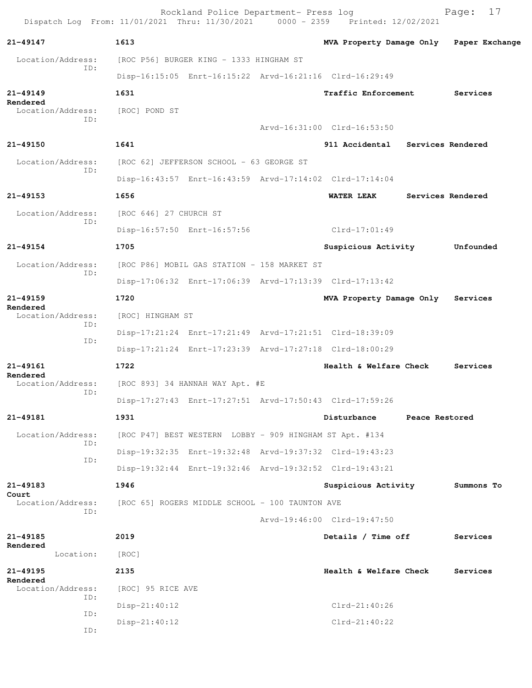Rockland Police Department- Press log Fage: 17<br>21 Thru: 11/30/2021 0000 - 2359 Printed: 12/02/2021 Dispatch Log From: 11/01/2021 Thru: 11/30/2021 **21-49147 1613 MVA Property Damage Only Paper Exchange** Location/Address: [ROC P56] BURGER KING - 1333 HINGHAM ST ID: Disp-16:15:05 Enrt-16:15:22 Arvd-16:21:16 Clrd-16:29:49 **21-49149 1631 Traffic Enforcement Services Rendered**  Location/Address: [ROC] POND ST ID: Arvd-16:31:00 Clrd-16:53:50 **21-49150 1641 911 Accidental Services Rendered** Location/Address: [ROC 62] JEFFERSON SCHOOL - 63 GEORGE ST ID: Disp-16:43:57 Enrt-16:43:59 Arvd-17:14:02 Clrd-17:14:04 **21-49153 1656 WATER LEAK Services Rendered** Location/Address: [ROC 646] 27 CHURCH ST ID: Disp-16:57:50 Enrt-16:57:56 Clrd-17:01:49 **21-49154 1705 Suspicious Activity Unfounded** Location/Address: [ROC P86] MOBIL GAS STATION - 158 MARKET ST ID: Disp-17:06:32 Enrt-17:06:39 Arvd-17:13:39 Clrd-17:13:42 **21-49159 1720 MVA Property Damage Only Services Rendered**  Location/Address: [ROC] HINGHAM ST ID: Disp-17:21:24 Enrt-17:21:49 Arvd-17:21:51 Clrd-18:39:09 ID: Disp-17:21:24 Enrt-17:23:39 Arvd-17:27:18 Clrd-18:00:29 **21-49161 1722 Health & Welfare Check Services Rendered**  Location/Address: [ROC 893] 34 HANNAH WAY Apt. #E ID: Disp-17:27:43 Enrt-17:27:51 Arvd-17:50:43 Clrd-17:59:26 **21-49181 1931 Disturbance Peace Restored** Location/Address: [ROC P47] BEST WESTERN LOBBY - 909 HINGHAM ST Apt. #134 ID: Disp-19:32:35 Enrt-19:32:48 Arvd-19:37:32 Clrd-19:43:23 ID: Disp-19:32:44 Enrt-19:32:46 Arvd-19:32:52 Clrd-19:43:21 **21-49183 1946 Suspicious Activity Summons To Court**  Location/Address: [ROC 65] ROGERS MIDDLE SCHOOL - 100 TAUNTON AVE ID: Arvd-19:46:00 Clrd-19:47:50 **21-49185 2019 Details / Time off Services Rendered**  Location: [ROC] **21-49195 2135 Health & Welfare Check Services Rendered**  Location/Address: [ROC] 95 RICE AVE ID: Disp-21:40:12 Clrd-21:40:26 ID: Disp-21:40:12 Clrd-21:40:22 ID: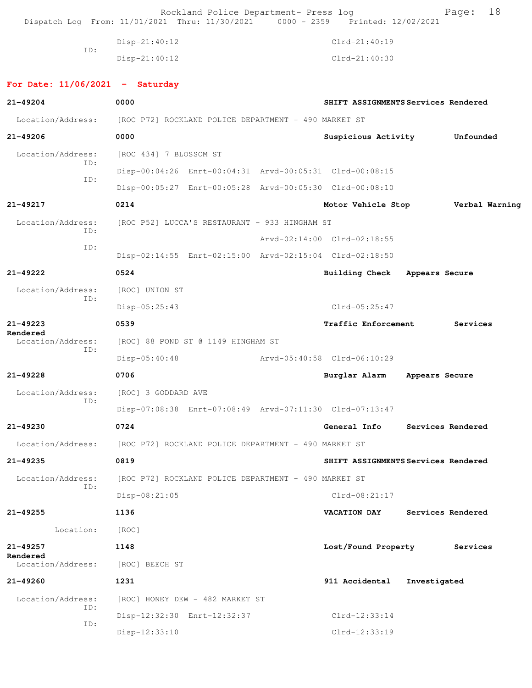Rockland Police Department- Press log Fage: 18<br>21 Thru: 11/30/2021 0000 - 2359 Printed: 12/02/2021 Dispatch Log From: 11/01/2021 Thru: 11/30/2021 0000 - 2359 Printed: 12/02/2021 Disp-21:40:12 Clrd-21:40:19 ID: Disp-21:40:12 Clrd-21:40:30 **For Date: 11/06/2021 - Saturday 21-49204 0000 SHIFT ASSIGNMENTS Services Rendered** Location/Address: [ROC P72] ROCKLAND POLICE DEPARTMENT - 490 MARKET ST **21-49206 0000 Suspicious Activity Unfounded** Location/Address: [ROC 434] 7 BLOSSOM ST ID: Disp-00:04:26 Enrt-00:04:31 Arvd-00:05:31 Clrd-00:08:15 ID: Disp-00:05:27 Enrt-00:05:28 Arvd-00:05:30 Clrd-00:08:10 **21-49217 0214 Motor Vehicle Stop Verbal Warning** Location/Address: [ROC P52] LUCCA'S RESTAURANT - 933 HINGHAM ST ID: Arvd-02:14:00 Clrd-02:18:55 ID: Disp-02:14:55 Enrt-02:15:00 Arvd-02:15:04 Clrd-02:18:50 **21-49222 0524 Building Check Appears Secure** Location/Address: [ROC] UNION ST ID: Disp-05:25:43 Clrd-05:25:47 **21-49223 0539 Traffic Enforcement Services Rendered**  Location/Address: [ROC] 88 POND ST @ 1149 HINGHAM ST ID: Disp-05:40:48 Arvd-05:40:58 Clrd-06:10:29 **21-49228 0706 Burglar Alarm Appears Secure** Location/Address: [ROC] 3 GODDARD AVE ID: Disp-07:08:38 Enrt-07:08:49 Arvd-07:11:30 Clrd-07:13:47 **21-49230 0724 General Info Services Rendered** Location/Address: [ROC P72] ROCKLAND POLICE DEPARTMENT - 490 MARKET ST **21-49235 0819 SHIFT ASSIGNMENTS Services Rendered** Location/Address: [ROC P72] ROCKLAND POLICE DEPARTMENT - 490 MARKET ST ID: Disp-08:21:05 Clrd-08:21:17 **21-49255 1136 VACATION DAY Services Rendered** Location: [ROC] **21-49257 1148 Lost/Found Property Services Rendered**  Location/Address: [ROC] BEECH ST **21-49260 1231 911 Accidental Investigated** Location/Address: [ROC] HONEY DEW - 482 MARKET ST ID: Disp-12:32:30 Enrt-12:32:37 Clrd-12:33:14 ID: Disp-12:33:10 Clrd-12:33:19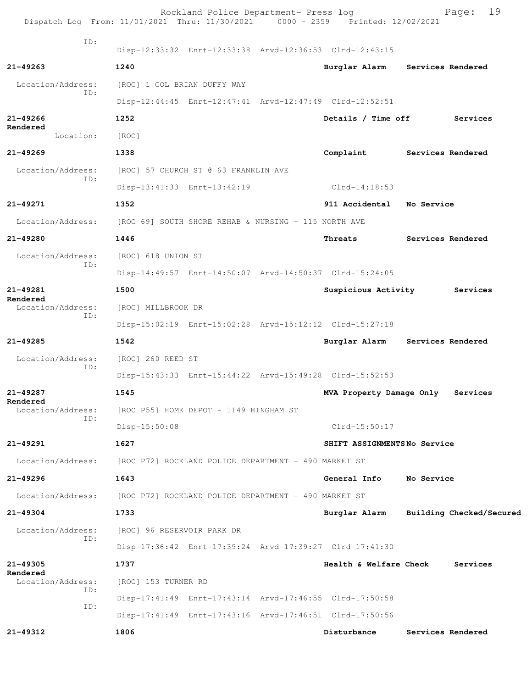|                               | Rockland Police Department- Press log<br>Dispatch Log From: 11/01/2021 Thru: 11/30/2021 0000 - 2359 Printed: 12/02/2021 |                             | 19<br>Page:                     |
|-------------------------------|-------------------------------------------------------------------------------------------------------------------------|-----------------------------|---------------------------------|
| ID:                           | Disp-12:33:32 Enrt-12:33:38 Arvd-12:36:53 Clrd-12:43:15                                                                 |                             |                                 |
| $21 - 49263$                  | 1240                                                                                                                    |                             | Burglar Alarm Services Rendered |
| Location/Address:             | [ROC] 1 COL BRIAN DUFFY WAY                                                                                             |                             |                                 |
| ID:                           | Disp-12:44:45 Enrt-12:47:41 Arvd-12:47:49 Clrd-12:52:51                                                                 |                             |                                 |
| $21 - 49266$                  | 1252                                                                                                                    | Details / Time off          | Services                        |
| Rendered<br>Location:         | [ROC]                                                                                                                   |                             |                                 |
| $21 - 49269$                  | 1338                                                                                                                    | Complaint                   | Services Rendered               |
| Location/Address:             | [ROC] 57 CHURCH ST @ 63 FRANKLIN AVE                                                                                    |                             |                                 |
| ID:                           | Disp-13:41:33 Enrt-13:42:19                                                                                             | Clrd-14:18:53               |                                 |
| 21-49271                      | 1352                                                                                                                    | 911 Accidental No Service   |                                 |
| Location/Address:             | [ROC 69] SOUTH SHORE REHAB & NURSING - 115 NORTH AVE                                                                    |                             |                                 |
| 21-49280                      | 1446                                                                                                                    | Threats                     | Services Rendered               |
| Location/Address:             | [ROC] 618 UNION ST                                                                                                      |                             |                                 |
| ID:                           | Disp-14:49:57 Enrt-14:50:07 Arvd-14:50:37 Clrd-15:24:05                                                                 |                             |                                 |
| $21 - 49281$                  | 1500                                                                                                                    |                             | Suspicious Activity Services    |
| Rendered<br>Location/Address: | [ROC] MILLBROOK DR                                                                                                      |                             |                                 |
| ID:                           | Disp-15:02:19 Enrt-15:02:28 Arvd-15:12:12 Clrd-15:27:18                                                                 |                             |                                 |
| 21-49285                      | 1542                                                                                                                    |                             | Burglar Alarm Services Rendered |
| Location/Address:             | [ROC] 260 REED ST                                                                                                       |                             |                                 |
| ID:                           | Disp-15:43:33 Enrt-15:44:22 Arvd-15:49:28 Clrd-15:52:53                                                                 |                             |                                 |
| 21-49287                      | 1545                                                                                                                    | MVA Property Damage Only    | Services                        |
| Rendered<br>Location/Address: | [ROC P55] HOME DEPOT - 1149 HINGHAM ST                                                                                  |                             |                                 |
| ID:                           | $Disp-15:50:08$                                                                                                         | $Clrd-15:50:17$             |                                 |
| 21-49291                      | 1627                                                                                                                    | SHIFT ASSIGNMENTSNo Service |                                 |
| Location/Address:             | [ROC P72] ROCKLAND POLICE DEPARTMENT - 490 MARKET ST                                                                    |                             |                                 |
| $21 - 49296$                  | 1643                                                                                                                    | General Info                | No Service                      |
| Location/Address:             | [ROC P72] ROCKLAND POLICE DEPARTMENT - 490 MARKET ST                                                                    |                             |                                 |
| 21-49304                      | 1733                                                                                                                    | Burglar Alarm               | Building Checked/Secured        |
| Location/Address:<br>ID:      | [ROC] 96 RESERVOIR PARK DR                                                                                              |                             |                                 |
|                               | Disp-17:36:42 Enrt-17:39:24 Arvd-17:39:27 Clrd-17:41:30                                                                 |                             |                                 |
| 21-49305<br>Rendered          | 1737                                                                                                                    | Health & Welfare Check      | Services                        |
| Location/Address:<br>ID:      | [ROC] 153 TURNER RD                                                                                                     |                             |                                 |
| ID:                           | Disp-17:41:49 Enrt-17:43:14 Arvd-17:46:55 Clrd-17:50:58                                                                 |                             |                                 |
|                               | Disp-17:41:49 Enrt-17:43:16 Arvd-17:46:51 Clrd-17:50:56                                                                 |                             |                                 |
| 21-49312                      | 1806                                                                                                                    | Disturbance                 | Services Rendered               |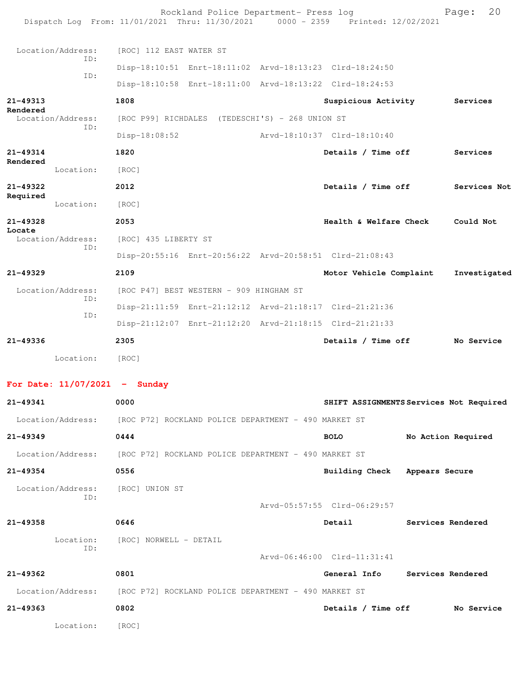| Dispatch Log From: 11/01/2021 Thru: 11/30/2021 0000 - 2359 Printed: 12/02/2021 |                                                      | Rockland Police Department- Press log |                                                         |                   | 20<br>Page:        |
|--------------------------------------------------------------------------------|------------------------------------------------------|---------------------------------------|---------------------------------------------------------|-------------------|--------------------|
| Location/Address:                                                              | [ROC] 112 EAST WATER ST                              |                                       |                                                         |                   |                    |
| ID:                                                                            |                                                      |                                       | Disp-18:10:51 Enrt-18:11:02 Arvd-18:13:23 Clrd-18:24:50 |                   |                    |
| ID:                                                                            |                                                      |                                       | Disp-18:10:58 Enrt-18:11:00 Arvd-18:13:22 Clrd-18:24:53 |                   |                    |
| 21-49313<br>Rendered                                                           | 1808                                                 |                                       | Suspicious Activity                                     |                   | Services           |
| Location/Address:<br>ID:                                                       | [ROC P99] RICHDALES (TEDESCHI'S) - 268 UNION ST      |                                       |                                                         |                   |                    |
|                                                                                | Disp-18:08:52                                        |                                       | Arvd-18:10:37 Clrd-18:10:40                             |                   |                    |
| 21-49314<br>Rendered                                                           | 1820                                                 |                                       | Details / Time off                                      |                   | Services           |
| Location:                                                                      | [ROC]                                                |                                       |                                                         |                   |                    |
| 21-49322<br>Required                                                           | 2012                                                 |                                       | Details / Time off                                      |                   | Services Not       |
| Location:                                                                      | [ROC]                                                |                                       |                                                         |                   |                    |
| 21-49328<br>Locate                                                             | 2053                                                 |                                       | Health & Welfare Check                                  |                   | Could Not          |
| Location/Address:<br>ID:                                                       | [ROC] 435 LIBERTY ST                                 |                                       |                                                         |                   |                    |
|                                                                                |                                                      |                                       | Disp-20:55:16 Enrt-20:56:22 Arvd-20:58:51 Clrd-21:08:43 |                   |                    |
| $21 - 49329$                                                                   | 2109                                                 |                                       | Motor Vehicle Complaint                                 |                   | Investigated       |
| Location/Address:<br>ID:                                                       | [ROC P47] BEST WESTERN - 909 HINGHAM ST              |                                       |                                                         |                   |                    |
| ID:                                                                            |                                                      |                                       | Disp-21:11:59 Enrt-21:12:12 Arvd-21:18:17 Clrd-21:21:36 |                   |                    |
|                                                                                |                                                      |                                       | Disp-21:12:07 Enrt-21:12:20 Arvd-21:18:15 Clrd-21:21:33 |                   |                    |
| $21 - 49336$                                                                   | 2305                                                 |                                       | Details / Time off                                      |                   | No Service         |
| Location:                                                                      | [ROC]                                                |                                       |                                                         |                   |                    |
| For Date: $11/07/2021$ - Sunday                                                |                                                      |                                       |                                                         |                   |                    |
| 21-49341                                                                       | 0000                                                 |                                       | SHIFT ASSIGNMENTS Services Not Required                 |                   |                    |
| Location/Address: [ROC P72] ROCKLAND POLICE DEPARTMENT - 490 MARKET ST         |                                                      |                                       |                                                         |                   |                    |
| 21-49349                                                                       | 0444                                                 |                                       | <b>BOLO</b>                                             |                   | No Action Required |
| Location/Address:                                                              | [ROC P72] ROCKLAND POLICE DEPARTMENT - 490 MARKET ST |                                       |                                                         |                   |                    |
| 21-49354                                                                       | 0556                                                 |                                       | Building Check Appears Secure                           |                   |                    |
| Location/Address:<br>ID:                                                       | [ROC] UNION ST                                       |                                       |                                                         |                   |                    |
|                                                                                |                                                      |                                       | Arvd-05:57:55 Clrd-06:29:57                             |                   |                    |
| 21-49358                                                                       | 0646                                                 |                                       | Detail                                                  | Services Rendered |                    |
| Location:<br>ID:                                                               | [ROC] NORWELL - DETAIL                               |                                       |                                                         |                   |                    |
|                                                                                |                                                      |                                       | Arvd-06:46:00 Clrd-11:31:41                             |                   |                    |
| 21-49362                                                                       | 0801                                                 |                                       | General Info Services Rendered                          |                   |                    |
| Location/Address:                                                              | [ROC P72] ROCKLAND POLICE DEPARTMENT - 490 MARKET ST |                                       |                                                         |                   |                    |
| 21-49363                                                                       | 0802                                                 |                                       | Details / Time off                                      |                   | No Service         |
| Location:                                                                      | [ROC]                                                |                                       |                                                         |                   |                    |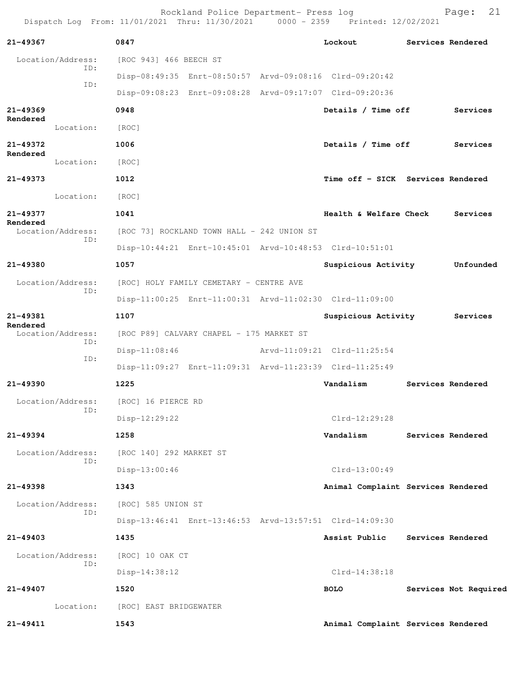Rockland Police Department- Press log entitled Page: 21 Dispatch Log From: 11/01/2021 Thru: 11/30/2021 0000 - 2359 Printed: 12/02/2021

| 21-49367             |                          | 0847                                       |                                          | Lockout                                                 | Services Rendered     |
|----------------------|--------------------------|--------------------------------------------|------------------------------------------|---------------------------------------------------------|-----------------------|
|                      | Location/Address:        | [ROC 943] 466 BEECH ST                     |                                          |                                                         |                       |
|                      | ID:                      |                                            |                                          | Disp-08:49:35 Enrt-08:50:57 Arvd-09:08:16 Clrd-09:20:42 |                       |
|                      | ID:                      |                                            |                                          | Disp-09:08:23 Enrt-09:08:28 Arvd-09:17:07 Clrd-09:20:36 |                       |
| $21 - 49369$         |                          | 0948                                       |                                          | Details / Time off                                      | Services              |
| Rendered             | Location:                | [ROC]                                      |                                          |                                                         |                       |
| $21 - 49372$         |                          | 1006                                       |                                          | Details / Time off                                      | Services              |
| Rendered             | Location:                | [ROC]                                      |                                          |                                                         |                       |
| 21-49373             |                          | 1012                                       |                                          | Time off - SICK Services Rendered                       |                       |
|                      | Location:                | [ROC]                                      |                                          |                                                         |                       |
| 21-49377<br>Rendered |                          | 1041                                       |                                          | Health & Welfare Check                                  | Services              |
|                      | Location/Address:<br>ID: | [ROC 73] ROCKLAND TOWN HALL - 242 UNION ST |                                          |                                                         |                       |
|                      |                          |                                            |                                          | Disp-10:44:21 Enrt-10:45:01 Arvd-10:48:53 Clrd-10:51:01 |                       |
| $21 - 49380$         |                          | 1057                                       |                                          | Suspicious Activity                                     | Unfounded             |
|                      | Location/Address:<br>ID: |                                            | [ROC] HOLY FAMILY CEMETARY - CENTRE AVE  |                                                         |                       |
|                      |                          |                                            |                                          | Disp-11:00:25 Enrt-11:00:31 Arvd-11:02:30 Clrd-11:09:00 |                       |
| 21-49381<br>Rendered |                          | 1107                                       |                                          | Suspicious Activity                                     | Services              |
|                      | Location/Address:<br>ID: |                                            | [ROC P89] CALVARY CHAPEL - 175 MARKET ST |                                                         |                       |
|                      | ID:                      | $Disp-11:08:46$                            |                                          | Arvd-11:09:21 Clrd-11:25:54                             |                       |
|                      |                          |                                            |                                          | Disp-11:09:27 Enrt-11:09:31 Arvd-11:23:39 Clrd-11:25:49 |                       |
| 21-49390             |                          | 1225                                       |                                          | Vandalism                                               | Services Rendered     |
|                      | Location/Address:<br>ID: | [ROC] 16 PIERCE RD                         |                                          |                                                         |                       |
|                      |                          | Disp-12:29:22                              |                                          | Clrd-12:29:28                                           |                       |
| 21-49394             |                          | 1258                                       |                                          | Vandalism                                               | Services Rendered     |
|                      | Location/Address:<br>ID: | [ROC 140] 292 MARKET ST                    |                                          |                                                         |                       |
|                      |                          | $Disp-13:00:46$                            |                                          | Clrd-13:00:49                                           |                       |
| $21 - 49398$         |                          | 1343                                       |                                          | Animal Complaint Services Rendered                      |                       |
|                      | Location/Address:<br>ID: | [ROC] 585 UNION ST                         |                                          |                                                         |                       |
|                      |                          |                                            |                                          | Disp-13:46:41 Enrt-13:46:53 Arvd-13:57:51 Clrd-14:09:30 |                       |
| 21-49403             |                          | 1435                                       |                                          | Assist Public                                           | Services Rendered     |
|                      | Location/Address:<br>ID: | [ROC] 10 OAK CT                            |                                          |                                                         |                       |
|                      |                          | $Disp-14:38:12$                            |                                          | $Clrd-14:38:18$                                         |                       |
| 21-49407             |                          | 1520                                       |                                          | <b>BOLO</b>                                             | Services Not Required |
|                      | Location:                | [ROC] EAST BRIDGEWATER                     |                                          |                                                         |                       |
| 21-49411             |                          | 1543                                       |                                          | Animal Complaint Services Rendered                      |                       |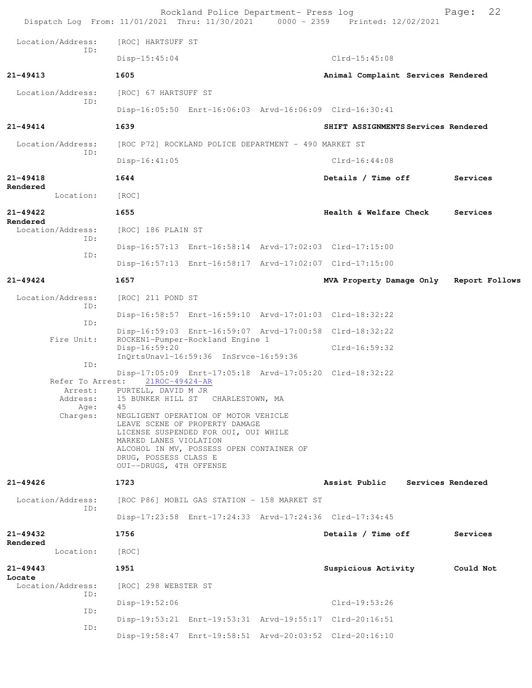| Dispatch Log From: 11/01/2021 Thru: 11/30/2021 0000 - 2359 Printed: 12/02/2021 |                                                                            | Rockland Police Department- Press log                                                                                                                      |                                                         | 22<br>Page:       |
|--------------------------------------------------------------------------------|----------------------------------------------------------------------------|------------------------------------------------------------------------------------------------------------------------------------------------------------|---------------------------------------------------------|-------------------|
| Location/Address:                                                              | [ROC] HARTSUFF ST                                                          |                                                                                                                                                            |                                                         |                   |
| TD:                                                                            | Disp-15:45:04                                                              |                                                                                                                                                            | $Clrd-15:45:08$                                         |                   |
| 21-49413                                                                       | 1605                                                                       |                                                                                                                                                            | Animal Complaint Services Rendered                      |                   |
| Location/Address:                                                              | [ROC] 67 HARTSUFF ST                                                       |                                                                                                                                                            |                                                         |                   |
| ID:                                                                            |                                                                            |                                                                                                                                                            | Disp-16:05:50 Enrt-16:06:03 Arvd-16:06:09 Clrd-16:30:41 |                   |
| $21 - 49414$                                                                   | 1639                                                                       |                                                                                                                                                            | SHIFT ASSIGNMENTS Services Rendered                     |                   |
| Location/Address:                                                              |                                                                            | [ROC P72] ROCKLAND POLICE DEPARTMENT - 490 MARKET ST                                                                                                       |                                                         |                   |
| ID:                                                                            | $Disp-16:41:05$                                                            |                                                                                                                                                            | $Clrd-16:44:08$                                         |                   |
| 21-49418                                                                       | 1644                                                                       |                                                                                                                                                            | Details / Time off                                      | Services          |
| Rendered<br>Location:                                                          | [ROC]                                                                      |                                                                                                                                                            |                                                         |                   |
| $21 - 49422$<br>Rendered                                                       | 1655                                                                       |                                                                                                                                                            | Health & Welfare Check                                  | Services          |
| Location/Address:<br>ID:                                                       | [ROC] 186 PLAIN ST                                                         |                                                                                                                                                            |                                                         |                   |
| ID:                                                                            |                                                                            |                                                                                                                                                            | Disp-16:57:13 Enrt-16:58:14 Arvd-17:02:03 Clrd-17:15:00 |                   |
|                                                                                |                                                                            |                                                                                                                                                            | Disp-16:57:13 Enrt-16:58:17 Arvd-17:02:07 Clrd-17:15:00 |                   |
| $21 - 49424$                                                                   | 1657                                                                       |                                                                                                                                                            | MVA Property Damage Only                                | Report Follows    |
| Location/Address:<br>ID:                                                       | [ROC] 211 POND ST                                                          |                                                                                                                                                            |                                                         |                   |
| ID:                                                                            |                                                                            |                                                                                                                                                            | Disp-16:58:57 Enrt-16:59:10 Arvd-17:01:03 Clrd-18:32:22 |                   |
| Fire Unit:                                                                     |                                                                            | ROCKEN1-Pumper-Rockland Engine 1                                                                                                                           | Disp-16:59:03 Enrt-16:59:07 Arvd-17:00:58 Clrd-18:32:22 |                   |
|                                                                                | Disp-16:59:20                                                              | InQrtsUnavl-16:59:36 InSrvce-16:59:36                                                                                                                      | $Clrd-16:59:32$                                         |                   |
| ID:                                                                            |                                                                            |                                                                                                                                                            | Disp-17:05:09 Enrt-17:05:18 Arvd-17:05:20 Clrd-18:32:22 |                   |
| Refer To Arrest:<br>Arrest:                                                    | 21ROC-49424-AR<br>PURTELL, DAVID M JR                                      |                                                                                                                                                            |                                                         |                   |
| Address:<br>Age:                                                               | 45                                                                         | 15 BUNKER HILL ST CHARLESTOWN, MA                                                                                                                          |                                                         |                   |
| Charges:                                                                       | MARKED LANES VIOLATION<br>DRUG, POSSESS CLASS E<br>OUI--DRUGS, 4TH OFFENSE | NEGLIGENT OPERATION OF MOTOR VEHICLE<br>LEAVE SCENE OF PROPERTY DAMAGE<br>LICENSE SUSPENDED FOR OUI, OUI WHILE<br>ALCOHOL IN MV, POSSESS OPEN CONTAINER OF |                                                         |                   |
| $21 - 49426$                                                                   | 1723                                                                       |                                                                                                                                                            | Assist Public                                           | Services Rendered |
| Location/Address:<br>ID:                                                       |                                                                            | [ROC P86] MOBIL GAS STATION - 158 MARKET ST                                                                                                                |                                                         |                   |
|                                                                                |                                                                            |                                                                                                                                                            | Disp-17:23:58 Enrt-17:24:33 Arvd-17:24:36 Clrd-17:34:45 |                   |
| 21-49432<br>Rendered                                                           | 1756                                                                       |                                                                                                                                                            | Details / Time off                                      | Services          |
| Location:                                                                      | [ROC]                                                                      |                                                                                                                                                            |                                                         |                   |
| $21 - 49443$                                                                   | 1951                                                                       |                                                                                                                                                            | Suspicious Activity                                     | Could Not         |
| Locate<br>Location/Address:<br>ID:                                             | [ROC] 298 WEBSTER ST                                                       |                                                                                                                                                            |                                                         |                   |
| ID:                                                                            | Disp-19:52:06                                                              |                                                                                                                                                            | Clrd-19:53:26                                           |                   |
| ID:                                                                            |                                                                            |                                                                                                                                                            | Disp-19:53:21 Enrt-19:53:31 Arvd-19:55:17 Clrd-20:16:51 |                   |
|                                                                                |                                                                            |                                                                                                                                                            | Disp-19:58:47 Enrt-19:58:51 Arvd-20:03:52 Clrd-20:16:10 |                   |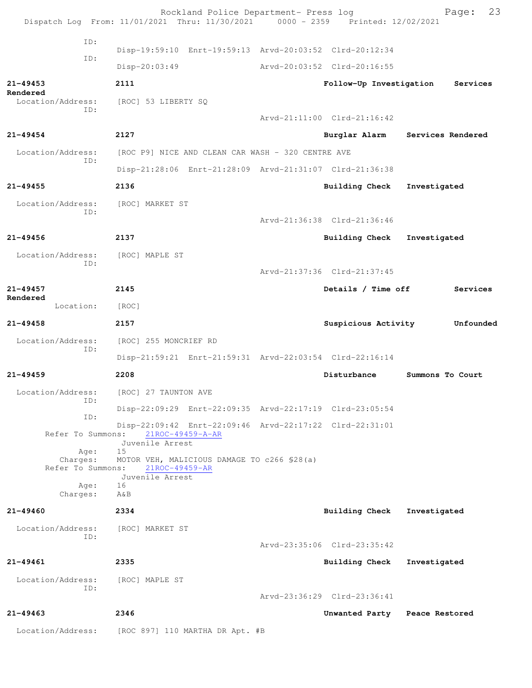|                               | Rockland Police Department- Press log<br>Dispatch Log From: 11/01/2021 Thru: 11/30/2021 0000 - 2359 Printed: 12/02/2021 |                             | 23<br>Page:                   |
|-------------------------------|-------------------------------------------------------------------------------------------------------------------------|-----------------------------|-------------------------------|
| ID:                           |                                                                                                                         |                             |                               |
| ID:                           | Disp-19:59:10 Enrt-19:59:13 Arvd-20:03:52 Clrd-20:12:34                                                                 |                             |                               |
|                               | $Disp-20:03:49$                                                                                                         | Arvd-20:03:52 Clrd-20:16:55 |                               |
| $21 - 49453$<br>Rendered      | 2111                                                                                                                    | Follow-Up Investigation     | Services                      |
| Location/Address:<br>ID:      | [ROC] 53 LIBERTY SQ                                                                                                     |                             |                               |
|                               |                                                                                                                         | Arvd-21:11:00 Clrd-21:16:42 |                               |
| $21 - 49454$                  | 2127                                                                                                                    | Burglar Alarm               | Services Rendered             |
| Location/Address:<br>ID:      | [ROC P9] NICE AND CLEAN CAR WASH - 320 CENTRE AVE                                                                       |                             |                               |
|                               | Disp-21:28:06 Enrt-21:28:09 Arvd-21:31:07 Clrd-21:36:38                                                                 |                             |                               |
| $21 - 49455$                  | 2136                                                                                                                    | Building Check              | Investigated                  |
| Location/Address:             | [ROC] MARKET ST                                                                                                         |                             |                               |
| ID:                           |                                                                                                                         | Arvd-21:36:38 Clrd-21:36:46 |                               |
| $21 - 49456$                  | 2137                                                                                                                    | <b>Building Check</b>       | Investigated                  |
| Location/Address:             | [ROC] MAPLE ST                                                                                                          |                             |                               |
| ID:                           |                                                                                                                         | Arvd-21:37:36 Clrd-21:37:45 |                               |
| $21 - 49457$                  | 2145                                                                                                                    | Details / Time off          | Services                      |
| Rendered<br>Location:         | [ROC]                                                                                                                   |                             |                               |
| $21 - 49458$                  | 2157                                                                                                                    | Suspicious Activity         | Unfounded                     |
| Location/Address:             | [ROC] 255 MONCRIEF RD                                                                                                   |                             |                               |
| ID:                           | Disp-21:59:21 Enrt-21:59:31 Arvd-22:03:54 Clrd-22:16:14                                                                 |                             |                               |
| $21 - 49459$                  | 2208                                                                                                                    | Disturbance                 | Summons To Court              |
| Location/Address:             | [ROC] 27 TAUNTON AVE                                                                                                    |                             |                               |
| ID:                           | Disp-22:09:29 Enrt-22:09:35 Arvd-22:17:19 Clrd-23:05:54                                                                 |                             |                               |
| ID:                           |                                                                                                                         |                             |                               |
| Refer To Summons:             | Disp-22:09:42 Enrt-22:09:46 Arvd-22:17:22 Clrd-22:31:01<br>21ROC-49459-A-AR                                             |                             |                               |
| Age:                          | Juvenile Arrest<br>15                                                                                                   |                             |                               |
| Charges:<br>Refer To Summons: | MOTOR VEH, MALICIOUS DAMAGE TO c266 \$28(a)<br>21ROC-49459-AR                                                           |                             |                               |
| Age:                          | Juvenile Arrest<br>16                                                                                                   |                             |                               |
| Charges:                      | AδB                                                                                                                     |                             |                               |
| $21 - 49460$                  | 2334                                                                                                                    | <b>Building Check</b>       | Investigated                  |
| Location/Address:<br>ID:      | [ROC] MARKET ST                                                                                                         |                             |                               |
|                               |                                                                                                                         | Arvd-23:35:06 Clrd-23:35:42 |                               |
| 21-49461                      | 2335                                                                                                                    | Building Check              | Investigated                  |
| Location/Address:<br>TD:      | [ROC] MAPLE ST                                                                                                          |                             |                               |
|                               |                                                                                                                         | Arvd-23:36:29 Clrd-23:36:41 |                               |
| $21 - 49463$                  | 2346                                                                                                                    |                             | Unwanted Party Peace Restored |
| Location/Address:             | [ROC 897] 110 MARTHA DR Apt. #B                                                                                         |                             |                               |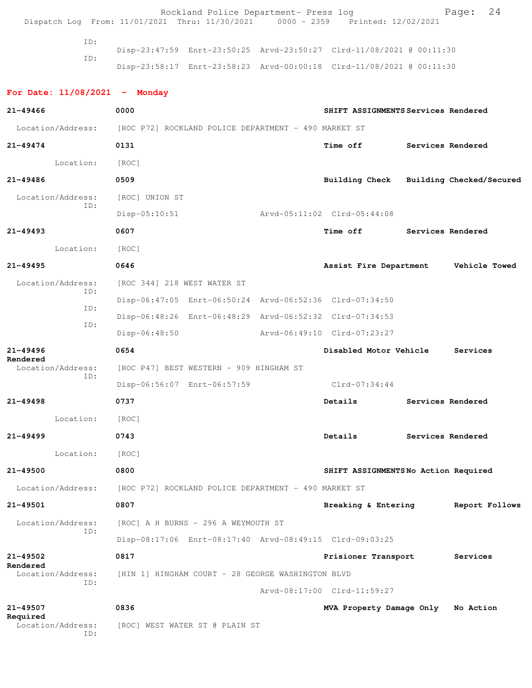Rockland Police Department- Press log Page: 24<br>21 Thru: 11/30/2021 0000 - 2359 Printed: 12/02/2021 Dispatch Log From: 11/01/2021 Thru: 11/30/2021 ID: Disp-23:47:59 Enrt-23:50:25 Arvd-23:50:27 Clrd-11/08/2021 @ 00:11:30

ID:

ID:

Disp-23:58:17 Enrt-23:58:23 Arvd-00:00:18 Clrd-11/08/2021 @ 00:11:30

**For Date: 11/08/2021 - Monday 21-49466 0000 SHIFT ASSIGNMENTS Services Rendered** Location/Address: [ROC P72] ROCKLAND POLICE DEPARTMENT - 490 MARKET ST **21-49474 0131 Time off Services Rendered** Location: [ROC] **21-49486 0509 Building Check Building Checked/Secured** Location/Address: [ROC] UNION ST ID: Disp-05:10:51 Arvd-05:11:02 Clrd-05:44:08 **21-49493 0607 Time off Services Rendered** Location: [ROC] **21-49495 0646 Assist Fire Department Vehicle Towed** Location/Address: [ROC 344] 218 WEST WATER ST ID: Disp-06:47:05 Enrt-06:50:24 Arvd-06:52:36 Clrd-07:34:50 ID: Disp-06:48:26 Enrt-06:48:29 Arvd-06:52:32 Clrd-07:34:53 ID: Disp-06:48:50 Arvd-06:49:10 Clrd-07:23:27 **21-49496 0654 Disabled Motor Vehicle Services Rendered**  Location/Address: [ROC P47] BEST WESTERN - 909 HINGHAM ST ID: Disp-06:56:07 Enrt-06:57:59 Clrd-07:34:44 **21-49498 0737 Details Services Rendered** Location: [ROC] **21-49499 0743 Details Services Rendered** Location: [ROC] **21-49500 0800 SHIFT ASSIGNMENTS No Action Required** Location/Address: [ROC P72] ROCKLAND POLICE DEPARTMENT - 490 MARKET ST **21-49501 0807 Breaking & Entering Report Follows** Location/Address: [ROC] A H BURNS - 296 A WEYMOUTH ST ID: Disp-08:17:06 Enrt-08:17:40 Arvd-08:49:15 Clrd-09:03:25 **21-49502 0817 Prisioner Transport Services Rendered**  Location/Address: [HIN 1] HINGHAM COURT - 28 GEORGE WASHINGTON BLVD ID: Arvd-08:17:00 Clrd-11:59:27 **21-49507 0836 MVA Property Damage Only No Action Required**  Location/Address: [ROC] WEST WATER ST @ PLAIN ST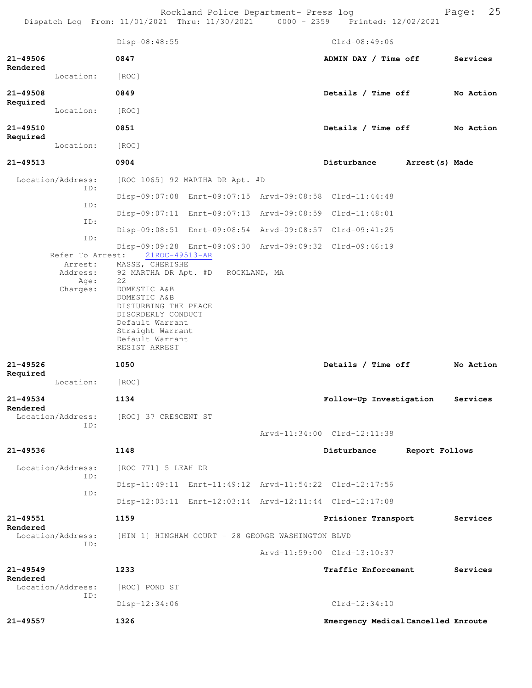Rockland Police Department- Press log entitled and Page: 25 Dispatch Log From: 11/01/2021 Thru: 11/30/2021 0000 - 2359 Printed: 12/02/2021

|                      |                          | Disp-08:48:55                                                                                                                         |  | $Clrd-08:49:06$                                         |                |           |
|----------------------|--------------------------|---------------------------------------------------------------------------------------------------------------------------------------|--|---------------------------------------------------------|----------------|-----------|
| 21-49506             |                          | 0847                                                                                                                                  |  | ADMIN DAY / Time off                                    |                | Services  |
| Rendered             | Location:                | [ROC]                                                                                                                                 |  |                                                         |                |           |
| 21-49508             |                          | 0849                                                                                                                                  |  | Details / Time off                                      |                | No Action |
| Required             | Location:                | [ROC]                                                                                                                                 |  |                                                         |                |           |
| 21-49510             |                          | 0851                                                                                                                                  |  | Details / Time off                                      |                | No Action |
| Required             | Location:                | [ROC]                                                                                                                                 |  |                                                         |                |           |
| 21-49513             |                          | 0904                                                                                                                                  |  | Disturbance Arrest (s) Made                             |                |           |
|                      | Location/Address:<br>ID: | [ROC 1065] 92 MARTHA DR Apt. #D                                                                                                       |  |                                                         |                |           |
|                      | ID:                      |                                                                                                                                       |  | Disp-09:07:08 Enrt-09:07:15 Arvd-09:08:58 Clrd-11:44:48 |                |           |
|                      |                          |                                                                                                                                       |  | Disp-09:07:11 Enrt-09:07:13 Arvd-09:08:59 Clrd-11:48:01 |                |           |
|                      | ID:                      |                                                                                                                                       |  | Disp-09:08:51 Enrt-09:08:54 Arvd-09:08:57 Clrd-09:41:25 |                |           |
|                      | ID:                      | Refer To Arrest: 21ROC-49513-AR                                                                                                       |  | Disp-09:09:28 Enrt-09:09:30 Arvd-09:09:32 Clrd-09:46:19 |                |           |
|                      | Address:                 | Arrest: MASSE, CHERISHE<br>92 MARTHA DR Apt. #D ROCKLAND, MA                                                                          |  |                                                         |                |           |
|                      | Age:<br>Charges:         | 22<br>DOMESTIC A&B                                                                                                                    |  |                                                         |                |           |
|                      |                          | DOMESTIC A&B<br>DISTURBING THE PEACE<br>DISORDERLY CONDUCT<br>Default Warrant<br>Straight Warrant<br>Default Warrant<br>RESIST ARREST |  |                                                         |                |           |
| 21-49526<br>Required |                          | 1050                                                                                                                                  |  | Details / Time off                                      |                | No Action |
|                      | Location:                | [ROC]                                                                                                                                 |  |                                                         |                |           |
| 21-49534<br>Rendered |                          | 1134                                                                                                                                  |  | Follow-Up Investigation                                 |                | Services  |
|                      | ID:                      | Location/Address: [ROC] 37 CRESCENT ST                                                                                                |  |                                                         |                |           |
|                      |                          |                                                                                                                                       |  | Arvd-11:34:00 Clrd-12:11:38                             |                |           |
| 21-49536             |                          | 1148                                                                                                                                  |  | Disturbance                                             | Report Follows |           |
|                      | Location/Address:<br>ID: | [ROC 771] 5 LEAH DR                                                                                                                   |  |                                                         |                |           |
|                      | ID:                      |                                                                                                                                       |  | Disp-11:49:11 Enrt-11:49:12 Arvd-11:54:22 Clrd-12:17:56 |                |           |
|                      |                          |                                                                                                                                       |  | Disp-12:03:11 Enrt-12:03:14 Arvd-12:11:44 Clrd-12:17:08 |                |           |
| 21-49551<br>Rendered |                          | 1159                                                                                                                                  |  | Prisioner Transport                                     |                | Services  |
|                      | Location/Address:        | [HIN 1] HINGHAM COURT - 28 GEORGE WASHINGTON BLVD                                                                                     |  |                                                         |                |           |
|                      | ID:                      |                                                                                                                                       |  | Arvd-11:59:00 Clrd-13:10:37                             |                |           |
| 21-49549             |                          | 1233                                                                                                                                  |  | Traffic Enforcement                                     |                | Services  |
| Rendered             | Location/Address:        | [ROC] POND ST                                                                                                                         |  |                                                         |                |           |
|                      | ID:                      | $Disp-12:34:06$                                                                                                                       |  | $Clrd-12:34:10$                                         |                |           |
| 21-49557             |                          | 1326                                                                                                                                  |  | Emergency Medical Cancelled Enroute                     |                |           |
|                      |                          |                                                                                                                                       |  |                                                         |                |           |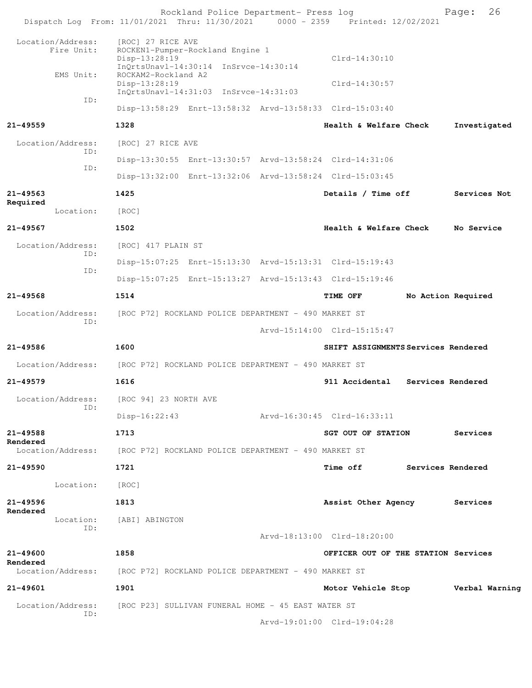| Dispatch Log From: 11/01/2021 Thru: 11/30/2021 0000 - 2359 Printed: 12/02/2021 |                                                              | Rockland Police Department- Press log |                                                         |                   | 26<br>Page:        |  |
|--------------------------------------------------------------------------------|--------------------------------------------------------------|---------------------------------------|---------------------------------------------------------|-------------------|--------------------|--|
| Location/Address:                                                              | [ROC] 27 RICE AVE                                            |                                       |                                                         |                   |                    |  |
| Fire Unit:                                                                     | ROCKEN1-Pumper-Rockland Engine 1<br>Disp-13:28:19            |                                       | $Clrd-14:30:10$                                         |                   |                    |  |
| EMS Unit:                                                                      | InQrtsUnavl-14:30:14 InSrvce-14:30:14<br>ROCKAM2-Rockland A2 |                                       |                                                         |                   |                    |  |
|                                                                                | $Disp-13:28:19$<br>InQrtsUnavl-14:31:03 InSrvce-14:31:03     |                                       | $Clrd-14:30:57$                                         |                   |                    |  |
| ID:                                                                            |                                                              |                                       | Disp-13:58:29 Enrt-13:58:32 Arvd-13:58:33 Clrd-15:03:40 |                   |                    |  |
| $21 - 49559$                                                                   | 1328                                                         |                                       | Health & Welfare Check                                  |                   | Investigated       |  |
| Location/Address:                                                              | [ROC] 27 RICE AVE                                            |                                       |                                                         |                   |                    |  |
| ID:                                                                            |                                                              |                                       | Disp-13:30:55 Enrt-13:30:57 Arvd-13:58:24 Clrd-14:31:06 |                   |                    |  |
| ID:                                                                            |                                                              |                                       | Disp-13:32:00 Enrt-13:32:06 Arvd-13:58:24 Clrd-15:03:45 |                   |                    |  |
| 21-49563<br>Required                                                           | 1425                                                         |                                       | Details / Time off                                      |                   | Services Not       |  |
| Location:                                                                      | [ROC]                                                        |                                       |                                                         |                   |                    |  |
| $21 - 49567$                                                                   | 1502                                                         |                                       | Health & Welfare Check                                  |                   | No Service         |  |
| Location/Address:                                                              | [ROC] 417 PLAIN ST                                           |                                       |                                                         |                   |                    |  |
| ID:<br>ID:                                                                     |                                                              |                                       | Disp-15:07:25 Enrt-15:13:30 Arvd-15:13:31 Clrd-15:19:43 |                   |                    |  |
|                                                                                |                                                              |                                       | Disp-15:07:25 Enrt-15:13:27 Arvd-15:13:43 Clrd-15:19:46 |                   |                    |  |
| 21-49568                                                                       | 1514                                                         |                                       | <b>TIME OFF</b>                                         |                   | No Action Required |  |
| Location/Address:<br>ID:                                                       | [ROC P72] ROCKLAND POLICE DEPARTMENT - 490 MARKET ST         |                                       |                                                         |                   |                    |  |
|                                                                                |                                                              |                                       | Arvd-15:14:00 Clrd-15:15:47                             |                   |                    |  |
| 21-49586                                                                       | 1600                                                         |                                       | SHIFT ASSIGNMENTS Services Rendered                     |                   |                    |  |
| Location/Address:                                                              | [ROC P72] ROCKLAND POLICE DEPARTMENT - 490 MARKET ST         |                                       |                                                         |                   |                    |  |
| 21-49579                                                                       | 1616                                                         |                                       | 911 Accidental                                          | Services Rendered |                    |  |
| Location/Address:<br>ID:                                                       | [ROC 94] 23 NORTH AVE                                        |                                       |                                                         |                   |                    |  |
|                                                                                | Disp-16:22:43                                                |                                       | Arvd-16:30:45 Clrd-16:33:11                             |                   |                    |  |
| 21-49588<br>Rendered                                                           | 1713                                                         |                                       | SGT OUT OF STATION                                      |                   | Services           |  |
| Location/Address:                                                              | [ROC P72] ROCKLAND POLICE DEPARTMENT - 490 MARKET ST         |                                       |                                                         |                   |                    |  |
| 21-49590                                                                       | 1721                                                         |                                       | Time off Services Rendered                              |                   |                    |  |
| Location: [ROC]                                                                |                                                              |                                       |                                                         |                   |                    |  |
| 21-49596<br>Rendered                                                           | 1813                                                         |                                       | Assist Other Agency                                     |                   | Services           |  |
| Location:<br>ID:                                                               | [ABI] ABINGTON                                               |                                       |                                                         |                   |                    |  |
|                                                                                |                                                              |                                       | Arvd-18:13:00 Clrd-18:20:00                             |                   |                    |  |
| 21-49600<br>Rendered                                                           | 1858                                                         |                                       | OFFICER OUT OF THE STATION Services                     |                   |                    |  |
| Location/Address: [ROC P72] ROCKLAND POLICE DEPARTMENT - 490 MARKET ST         |                                                              |                                       |                                                         |                   |                    |  |
| 21-49601                                                                       | 1901                                                         |                                       | Motor Vehicle Stop <b>Werbal Warning</b>                |                   |                    |  |
| Location/Address:<br>ID:                                                       | [ROC P23] SULLIVAN FUNERAL HOME - 45 EAST WATER ST           |                                       |                                                         |                   |                    |  |
|                                                                                |                                                              |                                       | Arvd-19:01:00 Clrd-19:04:28                             |                   |                    |  |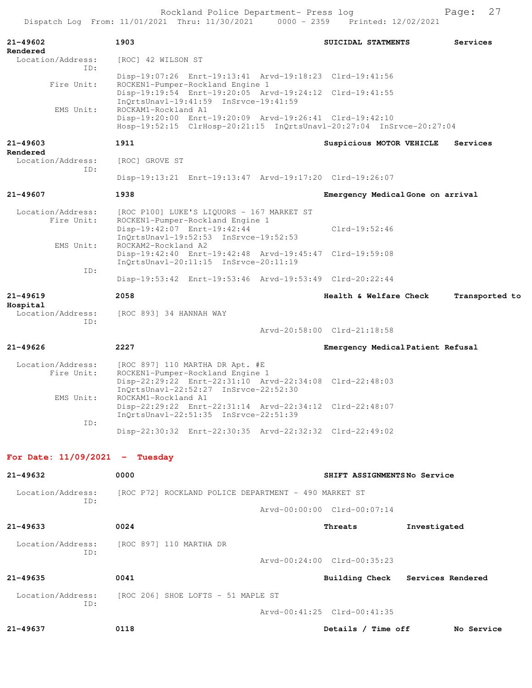|                                  | Rockland Police Department- Press log<br>Dispatch Log From: 11/01/2021 Thru: 11/30/2021 0000 - 2359 Printed: 12/02/2021                                |                                   | 27<br>Page:    |
|----------------------------------|--------------------------------------------------------------------------------------------------------------------------------------------------------|-----------------------------------|----------------|
| 21-49602<br>Rendered             | 1903                                                                                                                                                   | SUICIDAL STATMENTS                | Services       |
| Location/Address:<br>ID:         | [ROC] 42 WILSON ST                                                                                                                                     |                                   |                |
| Fire Unit:                       | Disp-19:07:26 Enrt-19:13:41 Arvd-19:18:23 Clrd-19:41:56<br>ROCKEN1-Pumper-Rockland Engine 1<br>Disp-19:19:54 Enrt-19:20:05 Arvd-19:24:12 Clrd-19:41:55 |                                   |                |
| EMS Unit:                        | InOrtsUnavl-19:41:59 InSrvce-19:41:59<br>ROCKAM1-Rockland A1                                                                                           |                                   |                |
|                                  | Disp-19:20:00 Enrt-19:20:09 Arvd-19:26:41 Clrd-19:42:10<br>Hosp-19:52:15 ClrHosp-20:21:15 InQrtsUnavl-20:27:04 InSrvce-20:27:04                        |                                   |                |
| $21 - 49603$<br>Rendered         | 1911                                                                                                                                                   | Suspicious MOTOR VEHICLE          | Services       |
| Location/Address:<br>ID:         | [ROC] GROVE ST                                                                                                                                         |                                   |                |
|                                  | Disp-19:13:21 Enrt-19:13:47 Arvd-19:17:20 Clrd-19:26:07                                                                                                |                                   |                |
| $21 - 49607$                     | 1938                                                                                                                                                   | Emergency Medical Gone on arrival |                |
| Location/Address:<br>Fire Unit:  | [ROC P100] LUKE'S LIQUORS - 167 MARKET ST<br>ROCKEN1-Pumper-Rockland Engine 1<br>Disp-19:42:07 Enrt-19:42:44<br>InQrtsUnavl-19:52:53 InSrvce-19:52:53  | $Clrd-19:52:46$                   |                |
| EMS Unit:                        | ROCKAM2-Rockland A2<br>Disp-19:42:40 Enrt-19:42:48 Arvd-19:45:47 Clrd-19:59:08<br>InOrtsUnav1-20:11:15 InSrvce-20:11:19                                |                                   |                |
| ID:                              | Disp-19:53:42 Enrt-19:53:46 Arvd-19:53:49 Clrd-20:22:44                                                                                                |                                   |                |
| $21 - 49619$                     | 2058                                                                                                                                                   | Health & Welfare Check            | Transported to |
| Hospital<br>Location/Address:    | [ROC 893] 34 HANNAH WAY                                                                                                                                |                                   |                |
| ID:                              |                                                                                                                                                        | Arvd-20:58:00 Clrd-21:18:58       |                |
| $21 - 49626$                     | 2227                                                                                                                                                   | Emergency Medical Patient Refusal |                |
| Location/Address:                | [ROC 897] 110 MARTHA DR Apt. #E                                                                                                                        |                                   |                |
| Fire Unit:                       | ROCKEN1-Pumper-Rockland Engine 1<br>Disp-22:29:22 Enrt-22:31:10 Arvd-22:34:08 Clrd-22:48:03<br>InQrtsUnavl-22:52:27 InSrvce-22:52:30                   |                                   |                |
| EMS Unit:                        | ROCKAM1-Rockland A1<br>Disp-22:29:22 Enrt-22:31:14 Arvd-22:34:12 Clrd-22:48:07<br>InQrtsUnavl-22:51:35 InSrvce-22:51:39                                |                                   |                |
| ID:                              | Disp-22:30:32 Enrt-22:30:35 Arvd-22:32:32 Clrd-22:49:02                                                                                                |                                   |                |
| For Date: $11/09/2021$ - Tuesday |                                                                                                                                                        |                                   |                |
| 21-49632                         | 0000                                                                                                                                                   | SHIFT ASSIGNMENTSNo Service       |                |
| Location/Address:<br>ID:         | [ROC P72] ROCKLAND POLICE DEPARTMENT - 490 MARKET ST                                                                                                   |                                   |                |
|                                  |                                                                                                                                                        | Arvd-00:00:00 Clrd-00:07:14       |                |
| $21 - 49633$                     | 0024                                                                                                                                                   | Threats                           | Investigated   |
| Location/Address:<br>ID:         | [ROC 897] 110 MARTHA DR                                                                                                                                |                                   |                |
|                                  |                                                                                                                                                        | Arvd-00:24:00 Clrd-00:35:23       |                |
| 21-49635                         | 0041                                                                                                                                                   | Building Check Services Rendered  |                |
| Location/Address:<br>ID:         | [ROC 206] SHOE LOFTS - 51 MAPLE ST                                                                                                                     |                                   |                |
|                                  |                                                                                                                                                        | Arvd-00:41:25 Clrd-00:41:35       |                |
| 21-49637                         | 0118                                                                                                                                                   | Details / Time off                | No Service     |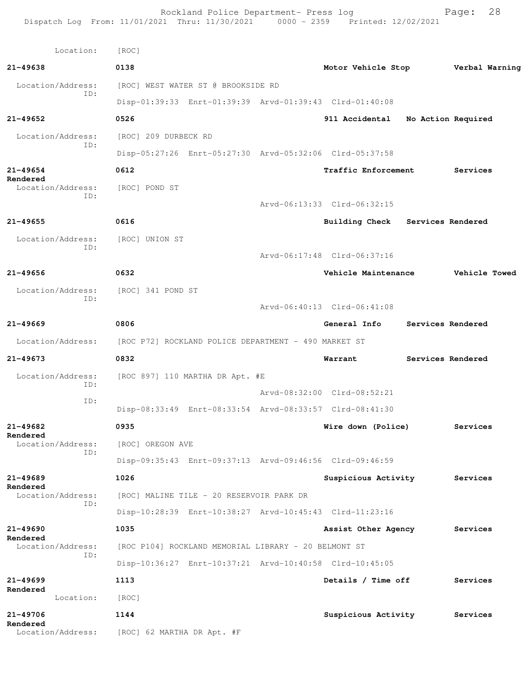Rockland Police Department- Press log Fage: 28 Dispatch Log From: 11/01/2021 Thru: 11/30/2021 0000 - 2359 Printed: 12/02/2021 Location: [ROC] **21-49638 0138 Motor Vehicle Stop Verbal Warning** Location/Address: [ROC] WEST WATER ST @ BROOKSIDE RD ID: Disp-01:39:33 Enrt-01:39:39 Arvd-01:39:43 Clrd-01:40:08 **21-49652 0526 911 Accidental No Action Required** Location/Address: [ROC] 209 DURBECK RD ID: Disp-05:27:26 Enrt-05:27:30 Arvd-05:32:06 Clrd-05:37:58 **21-49654 0612 Traffic Enforcement Services Rendered**  Location/Address: [ROC] POND ST ID: Arvd-06:13:33 Clrd-06:32:15 **21-49655 0616 Building Check Services Rendered** Location/Address: [ROC] UNION ST ID: Arvd-06:17:48 Clrd-06:37:16 **21-49656 0632 Vehicle Maintenance Vehicle Towed** Location/Address: [ROC] 341 POND ST ID: Arvd-06:40:13 Clrd-06:41:08 **21-49669 0806 General Info Services Rendered** Location/Address: [ROC P72] ROCKLAND POLICE DEPARTMENT - 490 MARKET ST **21-49673 0832 Warrant Services Rendered** Location/Address: [ROC 897] 110 MARTHA DR Apt. #E ID: Arvd-08:32:00 Clrd-08:52:21 ID: Disp-08:33:49 Enrt-08:33:54 Arvd-08:33:57 Clrd-08:41:30 **21-49682 0935 Wire down (Police) Services Rendered**  Location/Address: [ROC] OREGON AVE ID: Disp-09:35:43 Enrt-09:37:13 Arvd-09:46:56 Clrd-09:46:59 **21-49689 1026 Suspicious Activity Services Rendered**  Location/Address: [ROC] MALINE TILE - 20 RESERVOIR PARK DR ID: Disp-10:28:39 Enrt-10:38:27 Arvd-10:45:43 Clrd-11:23:16 **21-49690 1035 Assist Other Agency Services Rendered**  [ROC P104] ROCKLAND MEMORIAL LIBRARY - 20 BELMONT ST ID: Disp-10:36:27 Enrt-10:37:21 Arvd-10:40:58 Clrd-10:45:05 **21-49699 1113 Details / Time off Services Rendered**  Location: [ROC] **21-49706 1144 Suspicious Activity Services Rendered**  Location/Address: [ROC] 62 MARTHA DR Apt. #F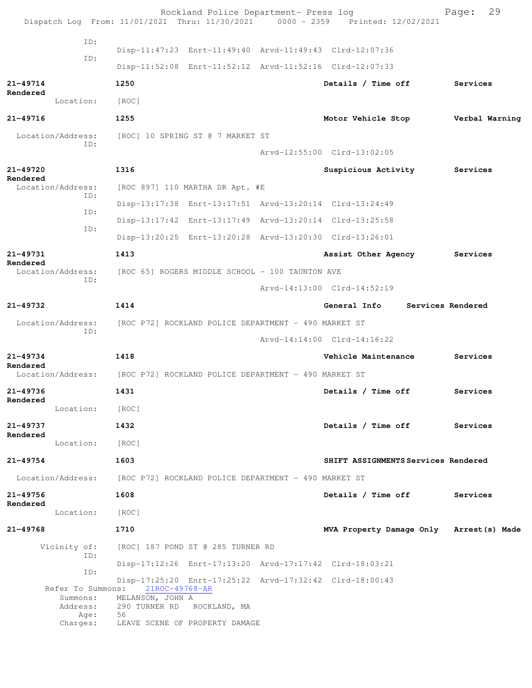|                               |                                                                        | Rockland Police Department- Press log                   | Dispatch Log From: 11/01/2021 Thru: 11/30/2021 0000 - 2359 Printed: 12/02/2021 | 29<br>Page:       |
|-------------------------------|------------------------------------------------------------------------|---------------------------------------------------------|--------------------------------------------------------------------------------|-------------------|
|                               | ID:                                                                    |                                                         |                                                                                |                   |
|                               | ID:                                                                    | Disp-11:47:23 Enrt-11:49:40 Arvd-11:49:43 Clrd-12:07:36 |                                                                                |                   |
|                               |                                                                        | Disp-11:52:08 Enrt-11:52:12 Arvd-11:52:16 Clrd-12:07:33 |                                                                                |                   |
| 21-49714<br>Rendered          | 1250                                                                   |                                                         | Details / Time off                                                             | Services          |
| Location:                     | [ROC]                                                                  |                                                         |                                                                                |                   |
| 21-49716                      | 1255                                                                   |                                                         | Motor Vehicle Stop                                                             | Verbal Warning    |
| Location/Address:             | [ROC] 10 SPRING ST @ 7 MARKET ST<br>ID:                                |                                                         |                                                                                |                   |
|                               |                                                                        |                                                         | Arvd-12:55:00 Clrd-13:02:05                                                    |                   |
| 21-49720<br>Rendered          | 1316                                                                   |                                                         | Suspicious Activity                                                            | Services          |
| Location/Address:             |                                                                        | [ROC 897] 110 MARTHA DR Apt. #E                         |                                                                                |                   |
|                               | ID:                                                                    | Disp-13:17:38 Enrt-13:17:51 Arvd-13:20:14 Clrd-13:24:49 |                                                                                |                   |
|                               | ID:                                                                    | Disp-13:17:42 Enrt-13:17:49 Arvd-13:20:14 Clrd-13:25:58 |                                                                                |                   |
|                               | ID:                                                                    | Disp-13:20:25 Enrt-13:20:28 Arvd-13:20:30 Clrd-13:26:01 |                                                                                |                   |
| 21-49731                      | 1413                                                                   |                                                         | Assist Other Agency                                                            | Services          |
| Rendered<br>Location/Address: |                                                                        | [ROC 65] ROGERS MIDDLE SCHOOL - 100 TAUNTON AVE         |                                                                                |                   |
|                               | ID:                                                                    |                                                         | Arvd-14:13:00 Clrd-14:52:19                                                    |                   |
| 21-49732                      | 1414                                                                   |                                                         | General Info                                                                   | Services Rendered |
| Location/Address:             |                                                                        | [ROC P72] ROCKLAND POLICE DEPARTMENT - 490 MARKET ST    |                                                                                |                   |
|                               | ID:                                                                    |                                                         | Arvd-14:14:00 Clrd-14:16:22                                                    |                   |
| 21-49734<br>Rendered          | 1418                                                                   |                                                         | Vehicle Maintenance                                                            | Services          |
| Location/Address:             | [ROC P72] ROCKLAND POLICE DEPARTMENT - 490 MARKET ST                   |                                                         |                                                                                |                   |
| 21-49736<br>Rendered          | 1431                                                                   |                                                         | Details / Time off                                                             | Services          |
|                               | Location: [ROC]                                                        |                                                         |                                                                                |                   |
| 21-49737                      | 1432                                                                   |                                                         | Details / Time off                                                             | Services          |
| Rendered                      | Location: [ROC]                                                        |                                                         |                                                                                |                   |
| 21-49754                      | 1603                                                                   |                                                         | SHIFT ASSIGNMENTS Services Rendered                                            |                   |
|                               | Location/Address: [ROC P72] ROCKLAND POLICE DEPARTMENT - 490 MARKET ST |                                                         |                                                                                |                   |
| 21-49756                      | 1608                                                                   |                                                         | Details / Time off                                                             | Services          |
| Rendered<br>Location:         | [ROC]                                                                  |                                                         |                                                                                |                   |
| 21-49768                      | 1710                                                                   |                                                         | MVA Property Damage Only Arrest (s) Made                                       |                   |
|                               | Vicinity of: [ROC] 187 POND ST @ 285 TURNER RD                         |                                                         |                                                                                |                   |
|                               | ID:                                                                    | Disp-17:12:26 Enrt-17:13:20 Arvd-17:17:42 Clrd-18:03:21 |                                                                                |                   |
|                               | ID:                                                                    | Disp-17:25:20 Enrt-17:25:22 Arvd-17:32:42 Clrd-18:00:43 |                                                                                |                   |
|                               | Refer To Summons: 21ROC-49768-AR<br>Summons: MELANSON, JOHN A          |                                                         |                                                                                |                   |
| Address:                      | 56<br>Age:                                                             | 290 TURNER RD ROCKLAND, MA                              |                                                                                |                   |
| Charges:                      | LEAVE SCENE OF PROPERTY DAMAGE                                         |                                                         |                                                                                |                   |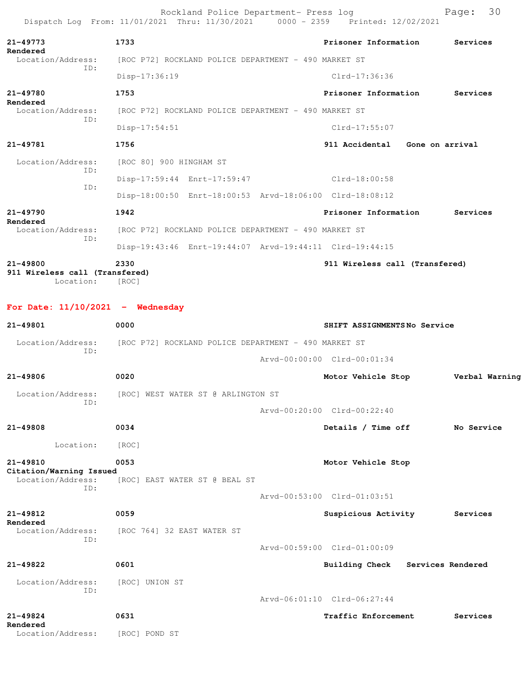Rockland Police Department- Press log Page: 30 Dispatch Log From: 11/01/2021 Thru: 11/30/2021 0000 - 2359 Printed: 12/02/2021 **21-49773 1733 Prisoner Information Services Rendered**  Location/Address: [ROC P72] ROCKLAND POLICE DEPARTMENT - 490 MARKET ST ID: Disp-17:36:19 Clrd-17:36:36 **21-49780 1753 Prisoner Information Services Rendered**  Location/Address: [ROC P72] ROCKLAND POLICE DEPARTMENT - 490 MARKET ST ID: Disp-17:54:51 Clrd-17:55:07 **21-49781 1756 911 Accidental Gone on arrival** Location/Address: [ROC 80] 900 HINGHAM ST ID: Disp-17:59:44 Enrt-17:59:47 Clrd-18:00:58 ID: Disp-18:00:50 Enrt-18:00:53 Arvd-18:06:00 Clrd-18:08:12 **21-49790 1942 Prisoner Information Services Rendered**  Location/Address: [ROC P72] ROCKLAND POLICE DEPARTMENT - 490 MARKET ST ID: Disp-19:43:46 Enrt-19:44:07 Arvd-19:44:11 Clrd-19:44:15 **21-49800 2330 911 Wireless call (Transfered)**

**911 Wireless call (Transfered)**  Location: [ROC]

**For Date: 11/10/2021 - Wednesday**

| $21 - 49801$                                                        | 0000                                                 | SHIFT ASSIGNMENTSNo Service          |
|---------------------------------------------------------------------|------------------------------------------------------|--------------------------------------|
| Location/Address:<br>TD:                                            | [ROC P72] ROCKLAND POLICE DEPARTMENT - 490 MARKET ST |                                      |
|                                                                     |                                                      | Arvd-00:00:00 Clrd-00:01:34          |
| $21 - 49806$                                                        | 0020                                                 | Motor Vehicle Stop<br>Verbal Warning |
| Location/Address:<br>TD:                                            | [ROC] WEST WATER ST @ ARLINGTON ST                   |                                      |
|                                                                     |                                                      | Arvd-00:20:00 Clrd-00:22:40          |
| $21 - 49808$                                                        | 0034                                                 | Details / Time off<br>No Service     |
| Location:                                                           | [ROC]                                                |                                      |
| $21 - 49810$<br>Citation/Warning Issued<br>Location/Address:<br>TD: | 0053<br>[ROC] EAST WATER ST @ BEAL ST                | Motor Vehicle Stop                   |
|                                                                     |                                                      | Arvd-00:53:00 Clrd-01:03:51          |
| $21 - 49812$<br>Rendered                                            | 0059                                                 | Suspicious Activity<br>Services      |
| Location/Address:<br>TD:                                            | [ROC 764] 32 EAST WATER ST                           |                                      |
|                                                                     |                                                      | Arvd-00:59:00 Clrd-01:00:09          |
| $21 - 49822$                                                        | 0601                                                 | Building Check<br>Services Rendered  |
| Location/Address:<br>TD:                                            | [ROC] UNION ST                                       |                                      |
|                                                                     |                                                      | Arvd-06:01:10 Clrd-06:27:44          |
| $21 - 49824$<br>Rendered                                            | 0631                                                 | Traffic Enforcement<br>Services      |
| Location/Address:                                                   | [ROC] POND ST                                        |                                      |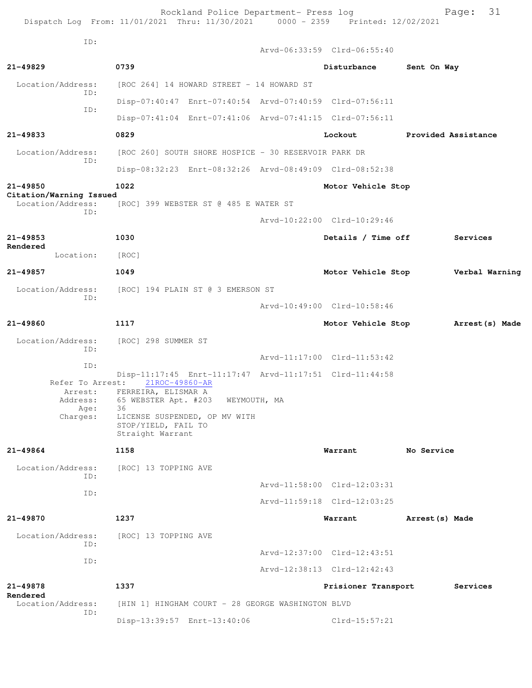Rockland Police Department- Press log entitled and Page: 31 Dispatch Log From: 11/01/2021 Thru: 11/30/2021 0000 - 2359 Printed: 12/02/2021

| ID:                                             |                                                                                  |                                       |  | Arvd-06:33:59 Clrd-06:55:40                             |                     |                |  |
|-------------------------------------------------|----------------------------------------------------------------------------------|---------------------------------------|--|---------------------------------------------------------|---------------------|----------------|--|
| 21-49829                                        | 0739                                                                             |                                       |  | Disturbance                                             | Sent On Way         |                |  |
| Location/Address:                               | [ROC 264] 14 HOWARD STREET - 14 HOWARD ST                                        |                                       |  |                                                         |                     |                |  |
| ID:                                             |                                                                                  |                                       |  | Disp-07:40:47 Enrt-07:40:54 Arvd-07:40:59 Clrd-07:56:11 |                     |                |  |
| ID:                                             |                                                                                  |                                       |  | Disp-07:41:04 Enrt-07:41:06 Arvd-07:41:15 Clrd-07:56:11 |                     |                |  |
| 21-49833                                        | 0829                                                                             |                                       |  | Lockout                                                 | Provided Assistance |                |  |
| Location/Address:                               | [ROC 260] SOUTH SHORE HOSPICE - 30 RESERVOIR PARK DR                             |                                       |  |                                                         |                     |                |  |
| ID:                                             |                                                                                  |                                       |  | Disp-08:32:23 Enrt-08:32:26 Arvd-08:49:09 Clrd-08:52:38 |                     |                |  |
| 21-49850                                        | 1022                                                                             |                                       |  | Motor Vehicle Stop                                      |                     |                |  |
| Citation/Warning Issued<br>Location/Address:    |                                                                                  | [ROC] 399 WEBSTER ST @ 485 E WATER ST |  |                                                         |                     |                |  |
| ID:                                             |                                                                                  |                                       |  | Arvd-10:22:00 Clrd-10:29:46                             |                     |                |  |
| 21-49853                                        | 1030                                                                             |                                       |  | Details / Time off                                      |                     | Services       |  |
| Rendered<br>Location:                           | [ROC]                                                                            |                                       |  |                                                         |                     |                |  |
| 21-49857                                        | 1049                                                                             |                                       |  | Motor Vehicle Stop                                      |                     | Verbal Warning |  |
| Location/Address:<br>ID:                        | [ROC] 194 PLAIN ST @ 3 EMERSON ST                                                |                                       |  |                                                         |                     |                |  |
|                                                 |                                                                                  |                                       |  | Arvd-10:49:00 Clrd-10:58:46                             |                     |                |  |
| 21-49860                                        | 1117                                                                             |                                       |  | Motor Vehicle Stop                                      |                     | Arrest(s) Made |  |
| Location/Address:                               | [ROC] 298 SUMMER ST                                                              |                                       |  |                                                         |                     |                |  |
| ID:                                             |                                                                                  |                                       |  | Arvd-11:17:00 Clrd-11:53:42                             |                     |                |  |
| ID:                                             |                                                                                  |                                       |  | Disp-11:17:45 Enrt-11:17:47 Arvd-11:17:51 Clrd-11:44:58 |                     |                |  |
| Refer To Arrest:<br>Arrest:<br>Address:<br>Age: | 21ROC-49860-AR<br>FERREIRA, ELISMAR A<br>65 WEBSTER Apt. #203 WEYMOUTH, MA<br>36 |                                       |  |                                                         |                     |                |  |
| Charges:                                        | LICENSE SUSPENDED, OP MV WITH<br>STOP/YIELD, FAIL TO<br>Straight Warrant         |                                       |  |                                                         |                     |                |  |
| 21-49864                                        | 1158                                                                             |                                       |  | Warrant                                                 | No Service          |                |  |
| Location/Address:                               | [ROC] 13 TOPPING AVE                                                             |                                       |  |                                                         |                     |                |  |
| ID:                                             |                                                                                  |                                       |  | Arvd-11:58:00 Clrd-12:03:31                             |                     |                |  |
| ID:                                             |                                                                                  |                                       |  | Arvd-11:59:18 Clrd-12:03:25                             |                     |                |  |
| 21-49870                                        | 1237                                                                             |                                       |  | Warrant                                                 | Arrest (s) Made     |                |  |
| Location/Address:                               | [ROC] 13 TOPPING AVE                                                             |                                       |  |                                                         |                     |                |  |
| ID:                                             |                                                                                  |                                       |  | Arvd-12:37:00 Clrd-12:43:51                             |                     |                |  |
| ID:                                             |                                                                                  |                                       |  | Arvd-12:38:13 Clrd-12:42:43                             |                     |                |  |
| 21-49878                                        | 1337                                                                             |                                       |  | Prisioner Transport                                     |                     | Services       |  |
| Rendered<br>Location/Address:                   | [HIN 1] HINGHAM COURT - 28 GEORGE WASHINGTON BLVD                                |                                       |  |                                                         |                     |                |  |
| ID:                                             | Disp-13:39:57 Enrt-13:40:06                                                      |                                       |  | $Clrd-15:57:21$                                         |                     |                |  |
|                                                 |                                                                                  |                                       |  |                                                         |                     |                |  |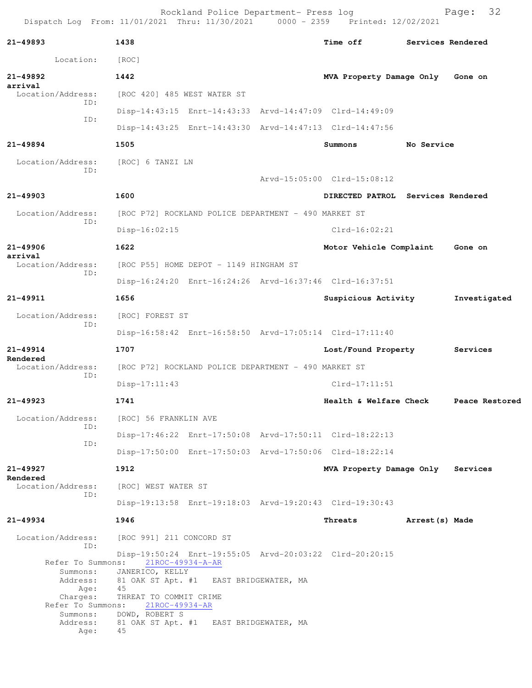Rockland Police Department- Press log Fage: 32 Dispatch Log From: 11/01/2021 Thru: 11/30/2021 0000 - 2359 Printed: 12/02/2021

**21-49893 1438 Time off Services Rendered** Location: [ROC] **21-49892 1442 MVA Property Damage Only Gone on arrival**  Location/Address: [ROC 420] 485 WEST WATER ST ID: Disp-14:43:15 Enrt-14:43:33 Arvd-14:47:09 Clrd-14:49:09 ID: Disp-14:43:25 Enrt-14:43:30 Arvd-14:47:13 Clrd-14:47:56 **21-49894 1505 Summons No Service** Location/Address: [ROC] 6 TANZI LN ID: Arvd-15:05:00 Clrd-15:08:12 **21-49903 1600 DIRECTED PATROL Services Rendered** Location/Address: [ROC P72] ROCKLAND POLICE DEPARTMENT - 490 MARKET ST ID: Disp-16:02:15 Clrd-16:02:21 **21-49906 1622 Motor Vehicle Complaint Gone on arrival**  Location/Address: [ROC P55] HOME DEPOT - 1149 HINGHAM ST ID: Disp-16:24:20 Enrt-16:24:26 Arvd-16:37:46 Clrd-16:37:51 **21-49911 1656 Suspicious Activity Investigated** Location/Address: [ROC] FOREST ST ID: Disp-16:58:42 Enrt-16:58:50 Arvd-17:05:14 Clrd-17:11:40 **21-49914 1707 Lost/Found Property Services Rendered**  Location/Address: [ROC P72] ROCKLAND POLICE DEPARTMENT - 490 MARKET ST ID: Disp-17:11:43 Clrd-17:11:51 **21-49923 1741 Health & Welfare Check Peace Restored** Location/Address: [ROC] 56 FRANKLIN AVE ID: Disp-17:46:22 Enrt-17:50:08 Arvd-17:50:11 Clrd-18:22:13 ID: Disp-17:50:00 Enrt-17:50:03 Arvd-17:50:06 Clrd-18:22:14 **21-49927 1912 MVA Property Damage Only Services Rendered**  Location/Address: [ROC] WEST WATER ST ID: Disp-19:13:58 Enrt-19:18:03 Arvd-19:20:43 Clrd-19:30:43 **21-49934 1946 Threats Arrest(s) Made** Location/Address: [ROC 991] 211 CONCORD ST ID: Disp-19:50:24 Enrt-19:55:05 Arvd-20:03:22 Clrd-20:20:15<br>Refer To Summons: 21ROC-49934-A-AR Refer To Summons: 21ROC-49934-A-AR Summons: JANERICO, KELLY Address: 81 OAK ST Apt. #1 EAST BRIDGEWATER, MA Age: 45 Charges: THREAT TO COMMIT CRIME Refer To Summons: 21ROC-49934-AR Summons: DOWD, ROBERT S Address: 81 OAK ST Apt. #1 EAST BRIDGEWATER, MA

Age: 45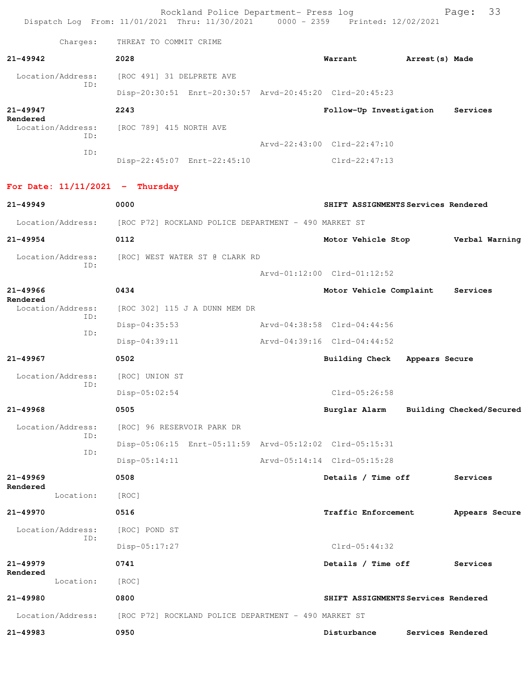Rockland Police Department- Press log Fage: 33 Dispatch Log From: 11/01/2021 Thru: 11/30/2021 0000 - 2359 Printed: 12/02/2021 Charges: THREAT TO COMMIT CRIME **21-49942 2028 Warrant Arrest(s) Made** Location/Address: [ROC 491] 31 DELPRETE AVE ID: Disp-20:30:51 Enrt-20:30:57 Arvd-20:45:20 Clrd-20:45:23 **21-49947 2243 Follow-Up Investigation Services Rendered**  Location/Address: [ROC 789] 415 NORTH AVE ID: Arvd-22:43:00 Clrd-22:47:10 ID: Disp-22:45:07 Enrt-22:45:10 Clrd-22:47:13 **For Date: 11/11/2021 - Thursday 21-49949 0000 SHIFT ASSIGNMENTS Services Rendered** Location/Address: [ROC P72] ROCKLAND POLICE DEPARTMENT - 490 MARKET ST **21-49954 0112 Motor Vehicle Stop Verbal Warning** Location/Address: [ROC] WEST WATER ST @ CLARK RD ID: Arvd-01:12:00 Clrd-01:12:52 **21-49966 0434 Motor Vehicle Complaint Services Rendered**  [ROC 302] 115 J A DUNN MEM DR ID: Disp-04:35:53 Arvd-04:38:58 Clrd-04:44:56 ID: Disp-04:39:11 Arvd-04:39:16 Clrd-04:44:52 **21-49967 0502 Building Check Appears Secure** Location/Address: [ROC] UNION ST ID: Disp-05:02:54 Clrd-05:26:58 **21-49968 0505 Burglar Alarm Building Checked/Secured** Location/Address: [ROC] 96 RESERVOIR PARK DR ID: Disp-05:06:15 Enrt-05:11:59 Arvd-05:12:02 Clrd-05:15:31 ID: Disp-05:14:11 Arvd-05:14:14 Clrd-05:15:28 **21-49969 0508 Details / Time off Services Rendered**  Location: [ROC] **21-49970 0516 Traffic Enforcement Appears Secure** Location/Address: [ROC] POND ST ID: Disp-05:17:27 Clrd-05:44:32 **21-49979 0741 Details / Time off Services Rendered**  Location: [ROC] **21-49980 0800 SHIFT ASSIGNMENTS Services Rendered** Location/Address: [ROC P72] ROCKLAND POLICE DEPARTMENT - 490 MARKET ST **21-49983 0950 Disturbance Services Rendered**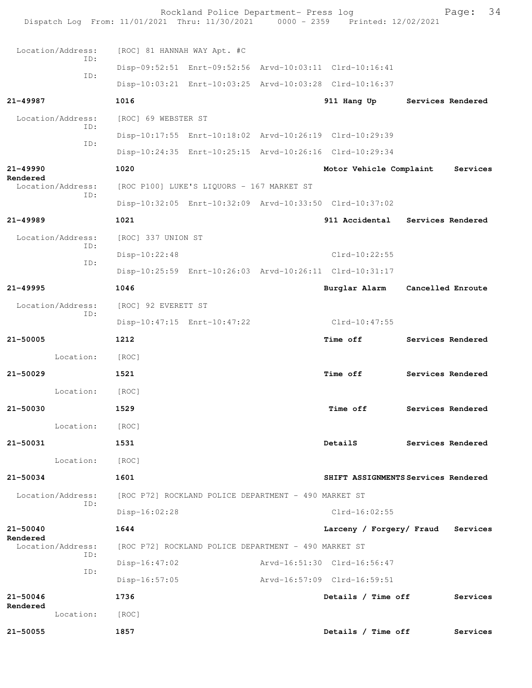| Dispatch Log From: 11/01/2021 Thru: 11/30/2021 0000 - 2359 Printed: 12/02/2021 |                                                      | Rockland Police Department- Press log                   |  |                                                         |  | 34<br>Page:       |
|--------------------------------------------------------------------------------|------------------------------------------------------|---------------------------------------------------------|--|---------------------------------------------------------|--|-------------------|
| Location/Address:                                                              | [ROC] 81 HANNAH WAY Apt. #C                          |                                                         |  |                                                         |  |                   |
| TD:                                                                            |                                                      |                                                         |  | Disp-09:52:51 Enrt-09:52:56 Arvd-10:03:11 Clrd-10:16:41 |  |                   |
| ID:                                                                            |                                                      | Disp-10:03:21 Enrt-10:03:25 Arvd-10:03:28 Clrd-10:16:37 |  |                                                         |  |                   |
| 21-49987                                                                       | 1016                                                 |                                                         |  | 911 Hang Up                                             |  | Services Rendered |
| Location/Address:                                                              | [ROC] 69 WEBSTER ST                                  |                                                         |  |                                                         |  |                   |
| ID:                                                                            |                                                      | Disp-10:17:55 Enrt-10:18:02 Arvd-10:26:19 Clrd-10:29:39 |  |                                                         |  |                   |
| ID:                                                                            |                                                      | Disp-10:24:35 Enrt-10:25:15 Arvd-10:26:16 Clrd-10:29:34 |  |                                                         |  |                   |
| 21-49990                                                                       | 1020                                                 |                                                         |  | Motor Vehicle Complaint                                 |  | Services          |
| Rendered<br>Location/Address:                                                  |                                                      | [ROC P100] LUKE'S LIQUORS - 167 MARKET ST               |  |                                                         |  |                   |
| ID:                                                                            |                                                      | Disp-10:32:05 Enrt-10:32:09 Arvd-10:33:50 Clrd-10:37:02 |  |                                                         |  |                   |
| $21 - 49989$                                                                   | 1021                                                 |                                                         |  | 911 Accidental Services Rendered                        |  |                   |
| Location/Address:                                                              | [ROC] 337 UNION ST                                   |                                                         |  |                                                         |  |                   |
| ID:                                                                            | $Disp-10:22:48$                                      |                                                         |  | $Clrd-10:22:55$                                         |  |                   |
| ID:                                                                            |                                                      | Disp-10:25:59 Enrt-10:26:03 Arvd-10:26:11 Clrd-10:31:17 |  |                                                         |  |                   |
| $21 - 49995$                                                                   | 1046                                                 |                                                         |  | Burglar Alarm                                           |  | Cancelled Enroute |
| Location/Address:                                                              | [ROC] 92 EVERETT ST                                  |                                                         |  |                                                         |  |                   |
| ID:                                                                            |                                                      | Disp-10:47:15 Enrt-10:47:22                             |  | Clrd-10:47:55                                           |  |                   |
| 21-50005                                                                       | 1212                                                 |                                                         |  | <b>Time off</b>                                         |  | Services Rendered |
| Location:                                                                      | [ROC]                                                |                                                         |  |                                                         |  |                   |
| $21 - 50029$                                                                   | 1521                                                 |                                                         |  | <b>Time off</b>                                         |  | Services Rendered |
| Location: [ROC]                                                                |                                                      |                                                         |  |                                                         |  |                   |
| 21-50030                                                                       | 1529                                                 |                                                         |  | <b>Time off</b>                                         |  | Services Rendered |
| Location:                                                                      | [ROC]                                                |                                                         |  |                                                         |  |                   |
| 21-50031                                                                       | 1531                                                 |                                                         |  | DetailS                                                 |  | Services Rendered |
| Location:                                                                      | [ROC]                                                |                                                         |  |                                                         |  |                   |
| 21-50034                                                                       | 1601                                                 |                                                         |  | SHIFT ASSIGNMENTS Services Rendered                     |  |                   |
| Location/Address:                                                              |                                                      | [ROC P72] ROCKLAND POLICE DEPARTMENT - 490 MARKET ST    |  |                                                         |  |                   |
| ID:                                                                            | $Disp-16:02:28$                                      |                                                         |  | $Clrd-16:02:55$                                         |  |                   |
| 21-50040                                                                       | 1644                                                 |                                                         |  | Larceny / Forgery/ Fraud                                |  | Services          |
| Rendered<br>Location/Address:                                                  | [ROC P72] ROCKLAND POLICE DEPARTMENT - 490 MARKET ST |                                                         |  |                                                         |  |                   |
| ID:                                                                            | $Disp-16:47:02$                                      |                                                         |  | Arvd-16:51:30 Clrd-16:56:47                             |  |                   |
| ID:                                                                            | Disp-16:57:05                                        |                                                         |  | Arvd-16:57:09 Clrd-16:59:51                             |  |                   |
| 21-50046                                                                       | 1736                                                 |                                                         |  | Details / Time off                                      |  | Services          |
| Rendered<br>Location:                                                          | [ROC]                                                |                                                         |  |                                                         |  |                   |
| 21-50055                                                                       | 1857                                                 |                                                         |  | Details / Time off                                      |  | Services          |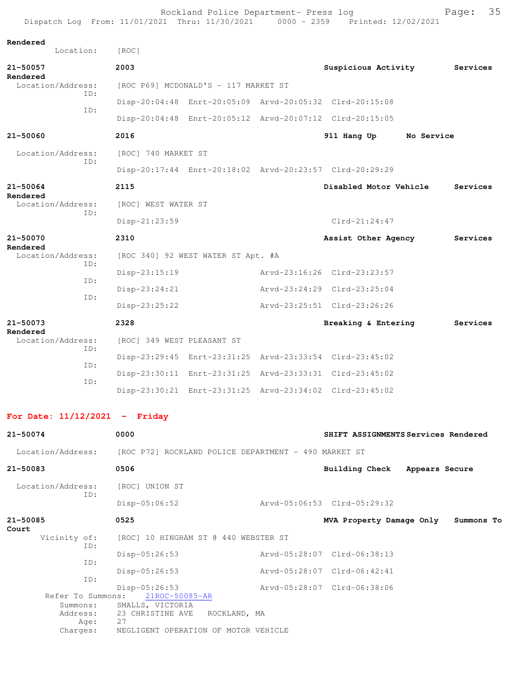|                                             |           | Dispatch Log From: 11/01/2021 Thru: 11/30/2021 0000 - 2359 |                                                         |  | Printed: 12/02/2021         |            |  |  |
|---------------------------------------------|-----------|------------------------------------------------------------|---------------------------------------------------------|--|-----------------------------|------------|--|--|
| Rendered                                    | Location: | [ROC]                                                      |                                                         |  |                             |            |  |  |
| 21-50057                                    |           | 2003                                                       |                                                         |  | Suspicious Activity         | Services   |  |  |
| Rendered<br>Location/Address:<br>TD:<br>ID: |           | [ROC P69] MCDONALD'S - 117 MARKET ST                       |                                                         |  |                             |            |  |  |
|                                             |           |                                                            | Disp-20:04:48 Enrt-20:05:09 Arvd-20:05:32 Clrd-20:15:08 |  |                             |            |  |  |
|                                             |           |                                                            | Disp-20:04:48 Enrt-20:05:12 Arvd-20:07:12 Clrd-20:15:05 |  |                             |            |  |  |
| 21-50060                                    |           | 2016                                                       |                                                         |  | 911 Hang Up                 | No Service |  |  |
| Location/Address:                           | TD:       | [ROC] 740 MARKET ST                                        |                                                         |  |                             |            |  |  |
|                                             |           |                                                            | Disp-20:17:44 Enrt-20:18:02 Arvd-20:23:57 Clrd-20:29:29 |  |                             |            |  |  |
| 21-50064                                    |           | 2115                                                       |                                                         |  | Disabled Motor Vehicle      | Services   |  |  |
| Rendered<br>Location/Address:               | TD:       | [ROC] WEST WATER ST                                        |                                                         |  |                             |            |  |  |
|                                             |           | Disp-21:23:59                                              |                                                         |  | $Clrd-21:24:47$             |            |  |  |
| 21-50070<br>Rendered                        |           | 2310                                                       |                                                         |  | Assist Other Agency         | Services   |  |  |
| Location/Address:                           | ID:       |                                                            | [ROC 340] 92 WEST WATER ST Apt. #A                      |  |                             |            |  |  |
|                                             | ID:       | Disp-23:15:19                                              |                                                         |  | Arvd-23:16:26 Clrd-23:23:57 |            |  |  |
|                                             | ID:       | Disp-23:24:21                                              |                                                         |  | Arvd-23:24:29 Clrd-23:25:04 |            |  |  |
|                                             |           | Disp-23:25:22                                              |                                                         |  | Arvd-23:25:51 Clrd-23:26:26 |            |  |  |
| 21-50073<br>Rendered                        |           | 2328                                                       |                                                         |  | Breaking & Entering         | Services   |  |  |
| Location/Address:                           | TD:       | [ROC] 349 WEST PLEASANT ST                                 |                                                         |  |                             |            |  |  |
|                                             | ID:       |                                                            | Disp-23:29:45 Enrt-23:31:25 Arvd-23:33:54 Clrd-23:45:02 |  |                             |            |  |  |
| ID:                                         |           |                                                            | Disp-23:30:11 Enrt-23:31:25 Arvd-23:33:31 Clrd-23:45:02 |  |                             |            |  |  |
|                                             |           |                                                            | Disp-23:30:21 Enrt-23:31:25 Arvd-23:34:02 Clrd-23:45:02 |  |                             |            |  |  |
|                                             |           |                                                            |                                                         |  |                             |            |  |  |

Rockland Police Department- Press log entitled and Page: 35

## **For Date: 11/12/2021 - Friday**

| $21 - 50074$             | 0000                                                                   | SHIFT ASSIGNMENTS Services Rendered |                |            |
|--------------------------|------------------------------------------------------------------------|-------------------------------------|----------------|------------|
|                          | Location/Address: [ROC P72] ROCKLAND POLICE DEPARTMENT - 490 MARKET ST |                                     |                |            |
| 21-50083                 | 0506                                                                   | Building Check                      | Appears Secure |            |
| Location/Address:<br>ID: | [ROC] UNION ST                                                         |                                     |                |            |
|                          | $Disp-05:06:52$                                                        | Arvd-05:06:53 Clrd-05:29:32         |                |            |
| 21-50085<br>Court        | 0525                                                                   | MVA Property Damage Only            |                | Summons To |
| Vicinity of:<br>ID:      | [ROC] 10 HINGHAM ST @ 440 WEBSTER ST                                   |                                     |                |            |
| ID:                      | $Disp-05:26:53$                                                        | Arvd-05:28:07 Clrd-06:38:13         |                |            |
| ID:                      | $Disp-05:26:53$                                                        | Arvd-05:28:07 Clrd-06:42:41         |                |            |
| Refer To Summons:        | $Disp-05:26:53$<br>21ROC-50085-AR                                      | Arvd-05:28:07 Clrd-06:38:06         |                |            |
| Summons:                 | SMALLS, VICTORIA                                                       |                                     |                |            |
| Address:<br>Aqe:         | 23 CHRISTINE AVE<br>ROCKLAND, MA<br>2.7                                |                                     |                |            |
| Charges:                 | NEGLIGENT OPERATION OF MOTOR VEHICLE                                   |                                     |                |            |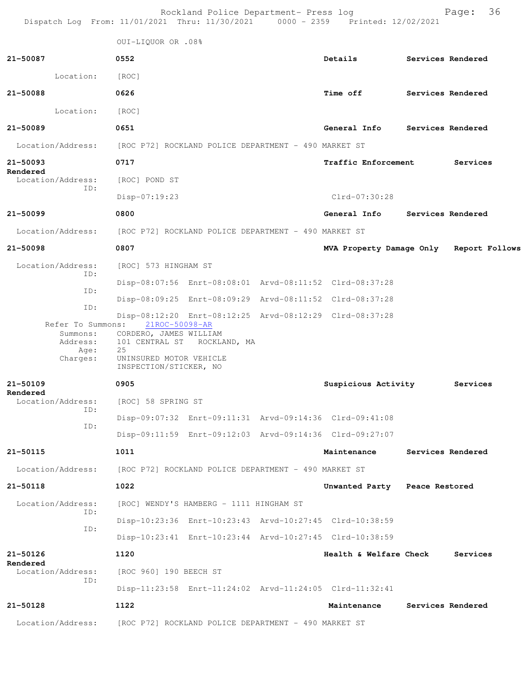| Dispatch Log From: 11/01/2021 Thru: 11/30/2021 0000 - 2359 Printed: 12/02/2021 |                                                                                                     | Rockland Police Department- Press log                |  |                                                         |  | 36<br>Page:       |  |  |  |
|--------------------------------------------------------------------------------|-----------------------------------------------------------------------------------------------------|------------------------------------------------------|--|---------------------------------------------------------|--|-------------------|--|--|--|
|                                                                                | 0UI-LIQUOR OR .08%                                                                                  |                                                      |  |                                                         |  |                   |  |  |  |
| 21-50087                                                                       | 0552                                                                                                |                                                      |  | Details                                                 |  | Services Rendered |  |  |  |
| Location:                                                                      | [ROC]                                                                                               |                                                      |  |                                                         |  |                   |  |  |  |
| 21-50088                                                                       | 0626                                                                                                |                                                      |  | Time off Services Rendered                              |  |                   |  |  |  |
| Location:                                                                      | [ROC]                                                                                               |                                                      |  |                                                         |  |                   |  |  |  |
| 21-50089                                                                       | 0651                                                                                                |                                                      |  | General Info Services Rendered                          |  |                   |  |  |  |
| Location/Address:                                                              | [ROC P72] ROCKLAND POLICE DEPARTMENT - 490 MARKET ST                                                |                                                      |  |                                                         |  |                   |  |  |  |
| 21-50093                                                                       | 0717                                                                                                |                                                      |  | <b>Traffic Enforcement</b>                              |  | Services          |  |  |  |
| Rendered<br>Location/Address:                                                  | [ROC] POND ST                                                                                       |                                                      |  |                                                         |  |                   |  |  |  |
| ID:                                                                            | Disp-07:19:23                                                                                       |                                                      |  | Clrd-07:30:28                                           |  |                   |  |  |  |
| 21-50099                                                                       | 0800                                                                                                |                                                      |  | General Info                                            |  | Services Rendered |  |  |  |
| Location/Address:                                                              |                                                                                                     | [ROC P72] ROCKLAND POLICE DEPARTMENT - 490 MARKET ST |  |                                                         |  |                   |  |  |  |
| 21-50098                                                                       | 0807                                                                                                |                                                      |  | MVA Property Damage Only Report Follows                 |  |                   |  |  |  |
| Location/Address:<br>ID:                                                       | [ROC] 573 HINGHAM ST                                                                                |                                                      |  |                                                         |  |                   |  |  |  |
| ID:                                                                            |                                                                                                     |                                                      |  | Disp-08:07:56 Enrt-08:08:01 Arvd-08:11:52 Clrd-08:37:28 |  |                   |  |  |  |
| ID:                                                                            |                                                                                                     |                                                      |  | Disp-08:09:25 Enrt-08:09:29 Arvd-08:11:52 Clrd-08:37:28 |  |                   |  |  |  |
| Refer To Summons:<br>Summons:<br>Address:<br>Age:<br>Charges:                  | 21ROC-50098-AR<br>CORDERO, JAMES WILLIAM<br>25<br>UNINSURED MOTOR VEHICLE<br>INSPECTION/STICKER, NO | 101 CENTRAL ST ROCKLAND, MA                          |  | Disp-08:12:20 Enrt-08:12:25 Arvd-08:12:29 Clrd-08:37:28 |  |                   |  |  |  |
| 21-50109                                                                       | 0905                                                                                                |                                                      |  | Suspicious Activity                                     |  | Services          |  |  |  |
| Rendered<br>Location/Address:                                                  | [ROC] 58 SPRING ST                                                                                  |                                                      |  |                                                         |  |                   |  |  |  |
| ID:<br>ID:                                                                     |                                                                                                     |                                                      |  | Disp-09:07:32 Enrt-09:11:31 Arvd-09:14:36 Clrd-09:41:08 |  |                   |  |  |  |
|                                                                                |                                                                                                     |                                                      |  | Disp-09:11:59 Enrt-09:12:03 Arvd-09:14:36 Clrd-09:27:07 |  |                   |  |  |  |
| 21-50115                                                                       | 1011                                                                                                |                                                      |  | Maintenance                                             |  | Services Rendered |  |  |  |
| Location/Address:                                                              |                                                                                                     | [ROC P72] ROCKLAND POLICE DEPARTMENT - 490 MARKET ST |  |                                                         |  |                   |  |  |  |
| 21-50118                                                                       | 1022                                                                                                |                                                      |  | Unwanted Party Peace Restored                           |  |                   |  |  |  |
| Location/Address:<br>ID:                                                       |                                                                                                     | [ROC] WENDY'S HAMBERG - 1111 HINGHAM ST              |  |                                                         |  |                   |  |  |  |
| ID:                                                                            |                                                                                                     |                                                      |  | Disp-10:23:36 Enrt-10:23:43 Arvd-10:27:45 Clrd-10:38:59 |  |                   |  |  |  |
|                                                                                |                                                                                                     |                                                      |  | Disp-10:23:41 Enrt-10:23:44 Arvd-10:27:45 Clrd-10:38:59 |  |                   |  |  |  |
| 21-50126<br>Rendered                                                           | 1120                                                                                                |                                                      |  | Health & Welfare Check                                  |  | Services          |  |  |  |
| Location/Address:<br>ID:                                                       | [ROC 960] 190 BEECH ST                                                                              |                                                      |  |                                                         |  |                   |  |  |  |
|                                                                                |                                                                                                     |                                                      |  | Disp-11:23:58 Enrt-11:24:02 Arvd-11:24:05 Clrd-11:32:41 |  |                   |  |  |  |
| 21-50128                                                                       | 1122                                                                                                |                                                      |  | Maintenance                                             |  | Services Rendered |  |  |  |
| Location/Address:                                                              |                                                                                                     | [ROC P72] ROCKLAND POLICE DEPARTMENT - 490 MARKET ST |  |                                                         |  |                   |  |  |  |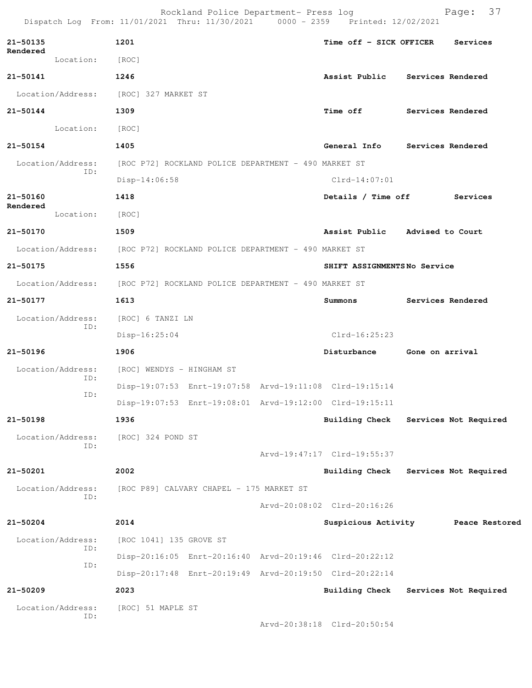|                   |                          |                                                                        | Rockland Police Department- Press log                | Dispatch Log From: 11/01/2021 Thru: 11/30/2021 0000 - 2359 Printed: 12/02/2021 | 37<br>Page:                               |
|-------------------|--------------------------|------------------------------------------------------------------------|------------------------------------------------------|--------------------------------------------------------------------------------|-------------------------------------------|
| 21-50135          |                          | 1201                                                                   |                                                      | Time off - SICK OFFICER                                                        | Services                                  |
| Rendered          | Location:                | [ROC]                                                                  |                                                      |                                                                                |                                           |
| 21-50141          |                          | 1246                                                                   |                                                      | Assist Public                                                                  | Services Rendered                         |
|                   |                          | Location/Address: [ROC] 327 MARKET ST                                  |                                                      |                                                                                |                                           |
| 21-50144          |                          | 1309                                                                   |                                                      | <b>Time off</b>                                                                | Services Rendered                         |
|                   | Location:                | [ROC]                                                                  |                                                      |                                                                                |                                           |
| 21-50154          |                          | 1405                                                                   |                                                      |                                                                                | General Info Services Rendered            |
|                   | Location/Address:        |                                                                        | [ROC P72] ROCKLAND POLICE DEPARTMENT - 490 MARKET ST |                                                                                |                                           |
|                   | ID:                      | Disp-14:06:58                                                          |                                                      | $Clrd-14:07:01$                                                                |                                           |
| 21-50160          |                          | 1418                                                                   |                                                      |                                                                                | Details / Time off Services               |
| Rendered          | Location:                | [ROC]                                                                  |                                                      |                                                                                |                                           |
| 21-50170          |                          | 1509                                                                   |                                                      |                                                                                | Assist Public Advised to Court            |
|                   |                          | Location/Address: [ROC P72] ROCKLAND POLICE DEPARTMENT - 490 MARKET ST |                                                      |                                                                                |                                           |
| 21-50175          |                          | 1556                                                                   |                                                      | SHIFT ASSIGNMENTSNo Service                                                    |                                           |
|                   | Location/Address:        | [ROC P72] ROCKLAND POLICE DEPARTMENT - 490 MARKET ST                   |                                                      |                                                                                |                                           |
| 21-50177          |                          | 1613                                                                   |                                                      | Summons                                                                        | Services Rendered                         |
| Location/Address: | [ROC] 6 TANZI LN         |                                                                        |                                                      |                                                                                |                                           |
|                   | ID:                      | $Disp-16:25:04$                                                        |                                                      | $Clrd-16:25:23$                                                                |                                           |
| $21 - 50196$      |                          | 1906                                                                   |                                                      | Disturbance                                                                    | Gone on arrival                           |
|                   | Location/Address:<br>ID: | [ROC] WENDYS - HINGHAM ST                                              |                                                      |                                                                                |                                           |
|                   | ID:                      |                                                                        |                                                      | Disp-19:07:53 Enrt-19:07:58 Arvd-19:11:08 Clrd-19:15:14                        |                                           |
|                   |                          |                                                                        |                                                      | Disp-19:07:53 Enrt-19:08:01 Arvd-19:12:00 Clrd-19:15:11                        |                                           |
| 21-50198          |                          | 1936                                                                   |                                                      | <b>Building Check</b>                                                          | Services Not Required                     |
|                   | Location/Address:<br>ID: | [ROC] 324 POND ST                                                      |                                                      |                                                                                |                                           |
|                   |                          |                                                                        |                                                      | Arvd-19:47:17 Clrd-19:55:37                                                    |                                           |
| 21-50201          |                          | 2002                                                                   |                                                      | <b>Building Check</b>                                                          | Services Not Required                     |
|                   | Location/Address:<br>ID: |                                                                        | [ROC P89] CALVARY CHAPEL - 175 MARKET ST             |                                                                                |                                           |
|                   |                          |                                                                        |                                                      | Arvd-20:08:02 Clrd-20:16:26                                                    |                                           |
| $21 - 50204$      |                          | 2014                                                                   |                                                      |                                                                                | Suspicious Activity <b>Peace Restored</b> |
|                   | Location/Address:<br>ID: | [ROC 1041] 135 GROVE ST                                                |                                                      |                                                                                |                                           |
|                   | ID:                      |                                                                        |                                                      | Disp-20:16:05 Enrt-20:16:40 Arvd-20:19:46 Clrd-20:22:12                        |                                           |
|                   |                          |                                                                        |                                                      | Disp-20:17:48 Enrt-20:19:49 Arvd-20:19:50 Clrd-20:22:14                        |                                           |
| 21-50209          |                          | 2023                                                                   |                                                      |                                                                                | Building Check Services Not Required      |
|                   | Location/Address:<br>ID: | [ROC] 51 MAPLE ST                                                      |                                                      |                                                                                |                                           |
|                   |                          |                                                                        |                                                      | Arvd-20:38:18 Clrd-20:50:54                                                    |                                           |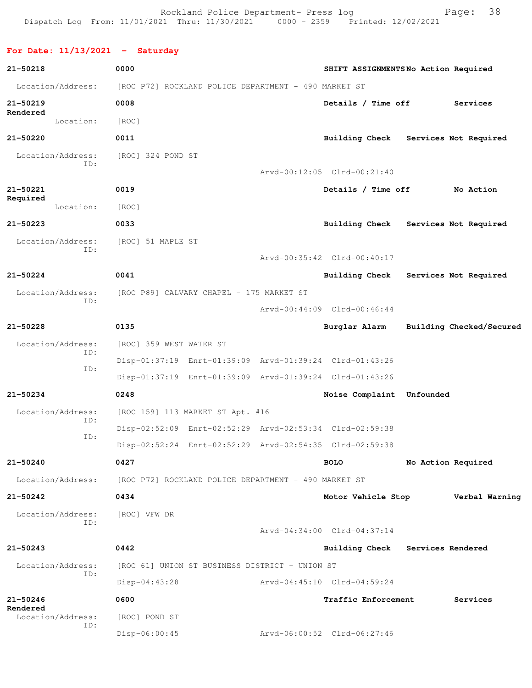Rockland Police Department- Press log Fage: 38 Dispatch Log From: 11/01/2021 Thru: 11/30/2021 0000 - 2359 Printed: 12/02/2021

**For Date: 11/13/2021 - Saturday 21-50218 0000 SHIFT ASSIGNMENTS No Action Required** Location/Address: [ROC P72] ROCKLAND POLICE DEPARTMENT - 490 MARKET ST **21-50219 0008 Details / Time off Services Rendered**  Location: [ROC] **21-50220 0011 Building Check Services Not Required** Location/Address: [ROC] 324 POND ST ID: Arvd-00:12:05 Clrd-00:21:40 **21-50221 0019 Details / Time off No Action Required**  Location: [ROC] **21-50223 0033 Building Check Services Not Required** Location/Address: [ROC] 51 MAPLE ST ID: Arvd-00:35:42 Clrd-00:40:17 **21-50224 0041 Building Check Services Not Required** Location/Address: [ROC P89] CALVARY CHAPEL - 175 MARKET ST ID: Arvd-00:44:09 Clrd-00:46:44 **21-50228 0135 Burglar Alarm Building Checked/Secured** Location/Address: [ROC] 359 WEST WATER ST ID: Disp-01:37:19 Enrt-01:39:09 Arvd-01:39:24 Clrd-01:43:26 ID: Disp-01:37:19 Enrt-01:39:09 Arvd-01:39:24 Clrd-01:43:26 **21-50234 0248 Noise Complaint Unfounded**  Location/Address: [ROC 159] 113 MARKET ST Apt. #16 ID: Disp-02:52:09 Enrt-02:52:29 Arvd-02:53:34 Clrd-02:59:38 ID: Disp-02:52:24 Enrt-02:52:29 Arvd-02:54:35 Clrd-02:59:38 **21-50240 0427 BOLO No Action Required** Location/Address: [ROC P72] ROCKLAND POLICE DEPARTMENT - 490 MARKET ST **21-50242 0434 Motor Vehicle Stop Verbal Warning** Location/Address: [ROC] VFW DR ID: Arvd-04:34:00 Clrd-04:37:14 **21-50243 0442 Building Check Services Rendered** Location/Address: [ROC 61] UNION ST BUSINESS DISTRICT - UNION ST ID: Disp-04:43:28 Arvd-04:45:10 Clrd-04:59:24 **21-50246 0600 Traffic Enforcement Services Rendered**  Location/Address: [ROC] POND ST ID:

Disp-06:00:45 Arvd-06:00:52 Clrd-06:27:46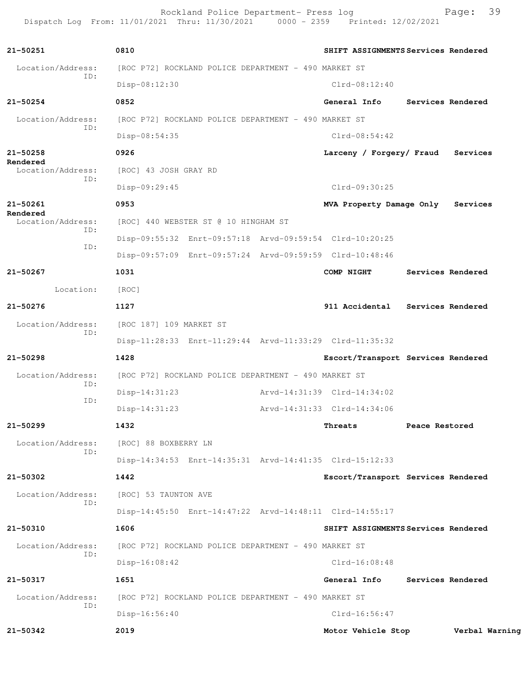Rockland Police Department- Press log Page: 39<br>21 Thru: 11/30/2021 0000 - 2359 Printed: 12/02/2021 Dispatch Log From: 11/01/2021 Thru: 11/30/2021

**21-50251 0810 SHIFT ASSIGNMENTS Services Rendered** Location/Address: [ROC P72] ROCKLAND POLICE DEPARTMENT - 490 MARKET ST ID: Disp-08:12:30 Clrd-08:12:40 **21-50254 0852 General Info Services Rendered** Location/Address: [ROC P72] ROCKLAND POLICE DEPARTMENT - 490 MARKET ST ID: Disp-08:54:35 Clrd-08:54:42 **21-50258 0926 Larceny / Forgery/ Fraud Services Rendered**  Location/Address: [ROC] 43 JOSH GRAY RD ID: Disp-09:29:45 Clrd-09:30:25 **21-50261 0953 MVA Property Damage Only Services Rendered**  Location/Address: [ROC] 440 WEBSTER ST @ 10 HINGHAM ST ID: Disp-09:55:32 Enrt-09:57:18 Arvd-09:59:54 Clrd-10:20:25 ID: Disp-09:57:09 Enrt-09:57:24 Arvd-09:59:59 Clrd-10:48:46 **21-50267 1031 COMP NIGHT Services Rendered** Location: [ROC] **21-50276 1127 911 Accidental Services Rendered** Location/Address: [ROC 187] 109 MARKET ST ID: Disp-11:28:33 Enrt-11:29:44 Arvd-11:33:29 Clrd-11:35:32 **21-50298 1428 Escort/Transport Services Rendered** Location/Address: [ROC P72] ROCKLAND POLICE DEPARTMENT - 490 MARKET ST ID: Disp-14:31:23 Arvd-14:31:39 Clrd-14:34:02 ID: Disp-14:31:23 Arvd-14:31:33 Clrd-14:34:06 **21-50299 1432 Threats Peace Restored** Location/Address: [ROC] 88 BOXBERRY LN ID: Disp-14:34:53 Enrt-14:35:31 Arvd-14:41:35 Clrd-15:12:33 **21-50302 1442 Escort/Transport Services Rendered** Location/Address: [ROC] 53 TAUNTON AVE ID: Disp-14:45:50 Enrt-14:47:22 Arvd-14:48:11 Clrd-14:55:17 **21-50310 1606 SHIFT ASSIGNMENTS Services Rendered** Location/Address: [ROC P72] ROCKLAND POLICE DEPARTMENT - 490 MARKET ST ID: Disp-16:08:42 Clrd-16:08:48 **21-50317 1651 General Info Services Rendered** Location/Address: [ROC P72] ROCKLAND POLICE DEPARTMENT - 490 MARKET ST ID: Disp-16:56:40 Clrd-16:56:47 **21-50342 2019 Motor Vehicle Stop Verbal Warning**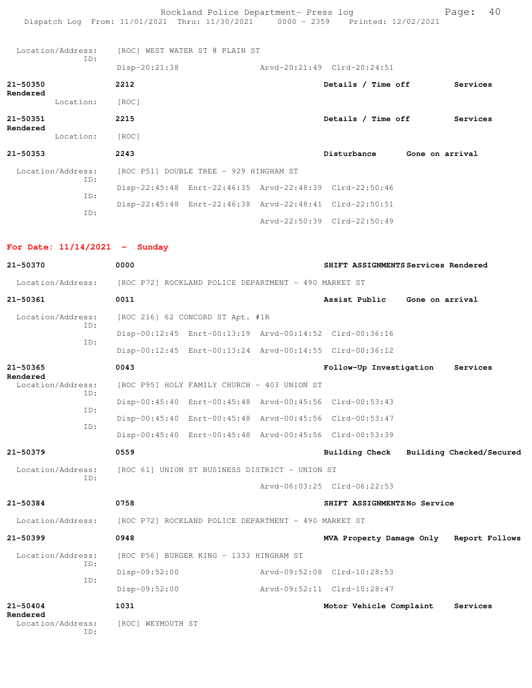Rockland Police Department- Press log Page: 40 Dispatch Log From: 11/01/2021 Thru: 11/30/2021 0000 - 2359 Printed: 12/02/2021 Location/Address: [ROC] WEST WATER ST @ PLAIN ST ID: Disp-20:21:38 Arvd-20:21:49 Clrd-20:24:51 **21-50350 2212 Details / Time off Services Rendered**  Location: [ROC] **21-50351 2215 Details / Time off Services Rendered**  Location: [ROC] **21-50353 2243 Disturbance Gone on arrival** Location/Address: [ROC P51] DOUBLE TREE - 929 HINGHAM ST ID: Disp-22:45:48 Enrt-22:46:35 Arvd-22:48:39 Clrd-22:50:46 ID: Disp-22:45:48 Enrt-22:46:38 Arvd-22:48:41 Clrd-22:50:51 ID:

Arvd-22:50:39 Clrd-22:50:49

## **For Date: 11/14/2021 - Sunday**

| 21-50370                             | 0000                             |                                                         | SHIFT ASSIGNMENTS Services Rendered |                                         |
|--------------------------------------|----------------------------------|---------------------------------------------------------|-------------------------------------|-----------------------------------------|
| Location/Address:                    |                                  | [ROC P72] ROCKLAND POLICE DEPARTMENT - 490 MARKET ST    |                                     |                                         |
| 21-50361                             | 0011                             |                                                         | Assist Public                       | Gone on arrival                         |
| Location/Address:<br>TD:             | [ROC 216] 62 CONCORD ST Apt. #1R |                                                         |                                     |                                         |
| ID:                                  |                                  | Disp-00:12:45 Enrt-00:13:19 Arvd-00:14:52 Clrd-00:36:16 |                                     |                                         |
|                                      |                                  | Disp-00:12:45 Enrt-00:13:24 Arvd-00:14:55 Clrd-00:36:12 |                                     |                                         |
| 21-50365<br>Rendered                 | 0043                             |                                                         | Follow-Up Investigation             | Services                                |
| Location/Address:<br>TD:             |                                  | [ROC P95] HOLY FAMILY CHURCH - 403 UNION ST             |                                     |                                         |
| ID:                                  |                                  | Disp-00:45:40 Enrt-00:45:48 Arvd-00:45:56 Clrd-00:53:43 |                                     |                                         |
| TD:                                  |                                  | Disp-00:45:40 Enrt-00:45:48 Arvd-00:45:56 Clrd-00:53:47 |                                     |                                         |
|                                      |                                  | Disp-00:45:40 Enrt-00:45:48 Arvd-00:45:56 Clrd-00:53:39 |                                     |                                         |
| 21-50379                             | 0559                             |                                                         |                                     | Building Check Building Checked/Secured |
| Location/Address:                    |                                  | [ROC 61] UNION ST BUSINESS DISTRICT - UNION ST          |                                     |                                         |
| TD:                                  |                                  |                                                         | Arvd-06:03:25 Clrd-06:22:53         |                                         |
| 21-50384                             | 0758                             |                                                         | SHIFT ASSIGNMENTSNo Service         |                                         |
| Location/Address:                    |                                  | [ROC P72] ROCKLAND POLICE DEPARTMENT - 490 MARKET ST    |                                     |                                         |
| $21 - 50399$                         | 0948                             |                                                         |                                     | MVA Property Damage Only Report Follows |
| Location/Address:                    |                                  | [ROC P56] BURGER KING - 1333 HINGHAM ST                 |                                     |                                         |
| TD:                                  | Disp-09:52:00                    |                                                         | Arvd-09:52:08 Clrd-10:28:53         |                                         |
| ID:                                  | Disp-09:52:00                    |                                                         | Arvd-09:52:11 Clrd-10:28:47         |                                         |
| $21 - 50404$                         | 1031                             |                                                         | Motor Vehicle Complaint             | Services                                |
| Rendered<br>Location/Address:<br>TD: | [ROC] WEYMOUTH ST                |                                                         |                                     |                                         |
|                                      |                                  |                                                         |                                     |                                         |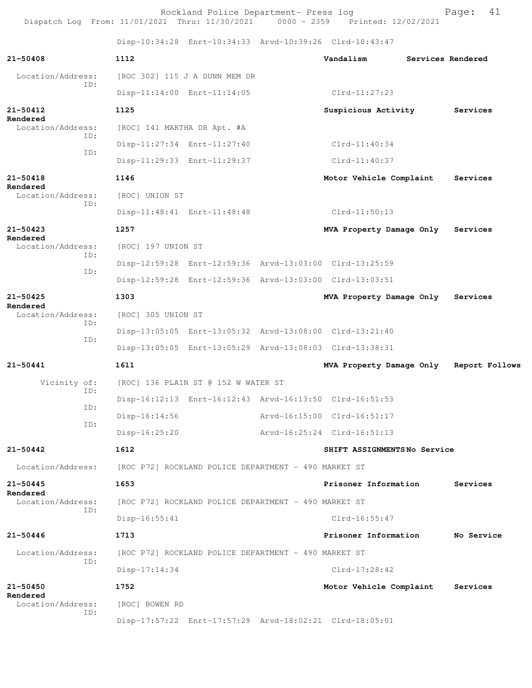Rockland Police Department- Press log entitled and Page: 41 Dispatch Log From: 11/01/2021 Thru: 11/30/2021 0000 - 2359 Printed: 12/02/2021

Disp-10:34:28 Enrt-10:34:33 Arvd-10:39:26 Clrd-10:43:47

|                                      |                    |                                                      | Disp-10:34:28 Enrt-10:34:33 Arvd-10:39:26 Clrd-10:43:47 |                   |
|--------------------------------------|--------------------|------------------------------------------------------|---------------------------------------------------------|-------------------|
| $21 - 50408$                         | 1112               |                                                      | Vandalism                                               | Services Rendered |
| Location/Address:<br>ID:             |                    | [ROC 302] 115 J A DUNN MEM DR                        |                                                         |                   |
|                                      |                    | Disp-11:14:00 Enrt-11:14:05                          | $Clrd-11:27:23$                                         |                   |
| $21 - 50412$<br>Rendered             | 1125               |                                                      | Suspicious Activity                                     | Services          |
| Location/Address:<br>ID:             |                    | [ROC] 141 MARTHA DR Apt. #A                          |                                                         |                   |
| ID:                                  |                    | Disp-11:27:34 Enrt-11:27:40                          | $Clrd-11:40:34$                                         |                   |
|                                      |                    | Disp-11:29:33 Enrt-11:29:37                          | $Clrd-11:40:37$                                         |                   |
| $21 - 50418$                         | 1146               |                                                      | Motor Vehicle Complaint                                 | Services          |
| Rendered<br>Location/Address:        | [ROC] UNION ST     |                                                      |                                                         |                   |
| ID:                                  |                    | Disp-11:48:41 Enrt-11:48:48                          | $Clrd-11:50:13$                                         |                   |
| $21 - 50423$                         | 1257               |                                                      | MVA Property Damage Only                                | Services          |
| Rendered<br>Location/Address:        | [ROC] 197 UNION ST |                                                      |                                                         |                   |
| ID:                                  |                    |                                                      | Disp-12:59:28 Enrt-12:59:36 Arvd-13:03:00 Clrd-13:25:59 |                   |
| ID:                                  |                    |                                                      | Disp-12:59:28 Enrt-12:59:36 Arvd-13:03:00 Clrd-13:03:51 |                   |
| $21 - 50425$                         | 1303               |                                                      | MVA Property Damage Only                                | Services          |
| Rendered<br>Location/Address:<br>ID: | [ROC] 305 UNION ST |                                                      |                                                         |                   |
|                                      |                    |                                                      | Disp-13:05:05 Enrt-13:05:32 Arvd-13:08:00 Clrd-13:21:40 |                   |
| ID:                                  |                    |                                                      | Disp-13:05:05 Enrt-13:05:29 Arvd-13:08:03 Clrd-13:38:31 |                   |
| $21 - 50441$                         | 1611               |                                                      | MVA Property Damage Only                                | Report Follows    |
| Vicinity of:                         |                    | [ROC] 136 PLAIN ST @ 152 W WATER ST                  |                                                         |                   |
| ID:                                  |                    |                                                      | Disp-16:12:13 Enrt-16:12:43 Arvd-16:13:50 Clrd-16:51:53 |                   |
| ID:                                  | $Disp-16:14:56$    |                                                      | Arvd-16:15:00 Clrd-16:51:17                             |                   |
| ID:                                  | Disp-16:25:20      |                                                      | Arvd-16:25:24 Clrd-16:51:13                             |                   |
| 21-50442                             | 1612               |                                                      | SHIFT ASSIGNMENTSNo Service                             |                   |
| Location/Address:                    |                    | [ROC P72] ROCKLAND POLICE DEPARTMENT - 490 MARKET ST |                                                         |                   |
| $21 - 50445$                         | 1653               |                                                      | Prisoner Information                                    | Services          |
| Rendered<br>Location/Address:        |                    | [ROC P72] ROCKLAND POLICE DEPARTMENT - 490 MARKET ST |                                                         |                   |
| ID:                                  | $Disp-16:55:41$    |                                                      | $Clrd-16:55:47$                                         |                   |
| $21 - 50446$                         | 1713               |                                                      | Prisoner Information                                    | No Service        |
| Location/Address:                    |                    | [ROC P72] ROCKLAND POLICE DEPARTMENT - 490 MARKET ST |                                                         |                   |
| ID:                                  | $Disp-17:14:34$    |                                                      | $Clrd-17:28:42$                                         |                   |
| $21 - 50450$                         | 1752               |                                                      | Motor Vehicle Complaint                                 | Services          |
| Rendered<br>Location/Address:        | [ROC] BOWEN RD     |                                                      |                                                         |                   |
| ID:                                  |                    |                                                      | Disp-17:57:22 Enrt-17:57:29 Arvd-18:02:21 Clrd-18:05:01 |                   |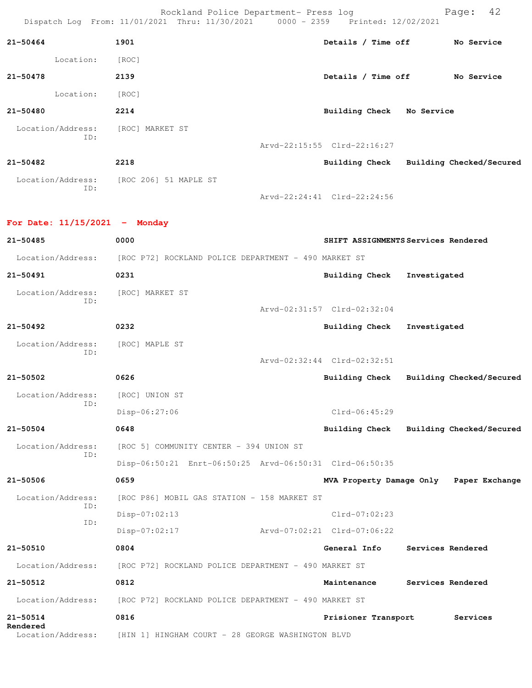Rockland Police Department- Press log Fage: 42<br>21 Thru: 11/30/2021 0000 - 2359 Printed: 12/02/2021 Dispatch Log From: 11/01/2021 Thru: 11/30/2021 0000 - 2359 Printed: 12/02/2021

| $21 - 50464$      | 1901                  | Details / Time off          | No Service               |
|-------------------|-----------------------|-----------------------------|--------------------------|
| Location:         | [ROC]                 |                             |                          |
| 21-50478          | 2139                  | Details / Time off          | No Service               |
| Location:         | [ROC]                 |                             |                          |
| 21-50480          | 2214                  | <b>Building Check</b>       | No Service               |
| Location/Address: | [ROC] MARKET ST       |                             |                          |
| ID:               |                       | Arvd-22:15:55 Clrd-22:16:27 |                          |
| 21-50482          | 2218                  | Building Check              | Building Checked/Secured |
| Location/Address: | [ROC 206] 51 MAPLE ST |                             |                          |
| ID:               |                       | Arvd-22:24:41 Clrd-22:24:56 |                          |

**For Date: 11/15/2021 - Monday 21-50485 0000 SHIFT ASSIGNMENTS Services Rendered** Location/Address: [ROC P72] ROCKLAND POLICE DEPARTMENT - 490 MARKET ST **21-50491 0231 Building Check Investigated** Location/Address: [ROC] MARKET ST ID: Arvd-02:31:57 Clrd-02:32:04 **21-50492 0232 Building Check Investigated** Location/Address: [ROC] MAPLE ST ID: Arvd-02:32:44 Clrd-02:32:51 **21-50502 0626 Building Check Building Checked/Secured** Location/Address: [ROC] UNION ST ID: Disp-06:27:06 Clrd-06:45:29 **21-50504 0648 Building Check Building Checked/Secured** Location/Address: [ROC 5] COMMUNITY CENTER - 394 UNION ST ID: Disp-06:50:21 Enrt-06:50:25 Arvd-06:50:31 Clrd-06:50:35 **21-50506 0659 MVA Property Damage Only Paper Exchange** Location/Address: [ROC P86] MOBIL GAS STATION - 158 MARKET ST ID: Disp-07:02:13 Clrd-07:02:23 ID: Disp-07:02:17 Arvd-07:02:21 Clrd-07:06:22 **21-50510 0804 General Info Services Rendered** Location/Address: [ROC P72] ROCKLAND POLICE DEPARTMENT - 490 MARKET ST **21-50512 0812 Maintenance Services Rendered** Location/Address: [ROC P72] ROCKLAND POLICE DEPARTMENT - 490 MARKET ST **21-50514 0816 Prisioner Transport Services Rendered**  Location/Address: [HIN 1] HINGHAM COURT - 28 GEORGE WASHINGTON BLVD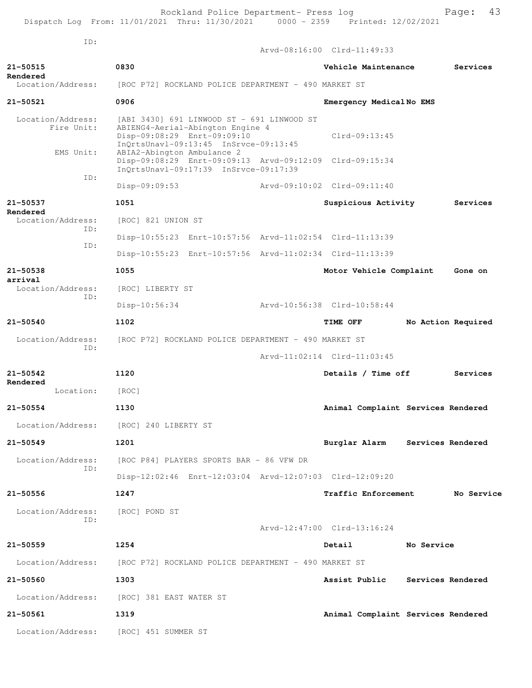| ID:                                 |                                                                                                                                                        | Arvd-08:16:00 Clrd-11:49:33        |
|-------------------------------------|--------------------------------------------------------------------------------------------------------------------------------------------------------|------------------------------------|
| 21-50515                            | 0830                                                                                                                                                   | Services<br>Vehicle Maintenance    |
| Rendered<br>Location/Address:       | [ROC P72] ROCKLAND POLICE DEPARTMENT - 490 MARKET ST                                                                                                   |                                    |
| $21 - 50521$                        | 0906                                                                                                                                                   | Emergency MedicalNo EMS            |
| Location/Address:<br>Fire Unit:     | [ABI 3430] 691 LINWOOD ST - 691 LINWOOD ST<br>ABIENG4-Aerial-Abington Engine 4<br>Disp-09:08:29 Enrt-09:09:10<br>InQrtsUnavl-09:13:45 InSrvce-09:13:45 | $Clrd-09:13:45$                    |
| EMS Unit:                           | ABIA2-Abington Ambulance 2<br>Disp-09:08:29 Enrt-09:09:13 Arvd-09:12:09 Clrd-09:15:34<br>InQrtsUnavl-09:17:39 InSrvce-09:17:39                         |                                    |
| ID:                                 | $Disp-09:09:53$                                                                                                                                        | Arvd-09:10:02 Clrd-09:11:40        |
| 21-50537                            | 1051                                                                                                                                                   | Suspicious Activity<br>Services    |
| Rendered<br>Location/Address:       | [ROC] 821 UNION ST                                                                                                                                     |                                    |
| TD:                                 | Disp-10:55:23 Enrt-10:57:56 Arvd-11:02:54 Clrd-11:13:39                                                                                                |                                    |
| ID:                                 | Disp-10:55:23 Enrt-10:57:56 Arvd-11:02:34 Clrd-11:13:39                                                                                                |                                    |
| 21-50538                            | 1055                                                                                                                                                   | Motor Vehicle Complaint<br>Gone on |
| arrival<br>Location/Address:<br>TD: | [ROC] LIBERTY ST                                                                                                                                       |                                    |
|                                     | $Disp-10:56:34$                                                                                                                                        | Arvd-10:56:38 Clrd-10:58:44        |
| $21 - 50540$                        | 1102                                                                                                                                                   | TIME OFF<br>No Action Required     |
| Location/Address:<br>ID:            | [ROC P72] ROCKLAND POLICE DEPARTMENT - 490 MARKET ST                                                                                                   |                                    |
|                                     |                                                                                                                                                        | Arvd-11:02:14 Clrd-11:03:45        |
| 21-50542<br>Rendered                | 1120                                                                                                                                                   | Details / Time off<br>Services     |
| Location:                           | [ROC]                                                                                                                                                  |                                    |
| $21 - 50554$                        | 1130                                                                                                                                                   | Animal Complaint Services Rendered |
|                                     | Location/Address: [ROC] 240 LIBERTY ST                                                                                                                 |                                    |
| 21-50549                            | 1201                                                                                                                                                   | Burglar Alarm Services Rendered    |
| Location/Address:<br>ID:            | [ROC P84] PLAYERS SPORTS BAR - 86 VFW DR                                                                                                               |                                    |
|                                     | Disp-12:02:46 Enrt-12:03:04 Arvd-12:07:03 Clrd-12:09:20                                                                                                |                                    |
| 21-50556                            | 1247                                                                                                                                                   | Traffic Enforcement<br>No Service  |
| Location/Address:<br>ID:            | [ROC] POND ST                                                                                                                                          | Arvd-12:47:00 Clrd-13:16:24        |
| $21 - 50559$                        | 1254                                                                                                                                                   | No Service<br>Detail               |
| Location/Address:                   | [ROC P72] ROCKLAND POLICE DEPARTMENT - 490 MARKET ST                                                                                                   |                                    |
| 21-50560                            | 1303                                                                                                                                                   | Assist Public<br>Services Rendered |
|                                     |                                                                                                                                                        |                                    |
| Location/Address:                   | [ROC] 381 EAST WATER ST                                                                                                                                |                                    |
| 21-50561                            | 1319                                                                                                                                                   | Animal Complaint Services Rendered |

Location/Address: [ROC] 451 SUMMER ST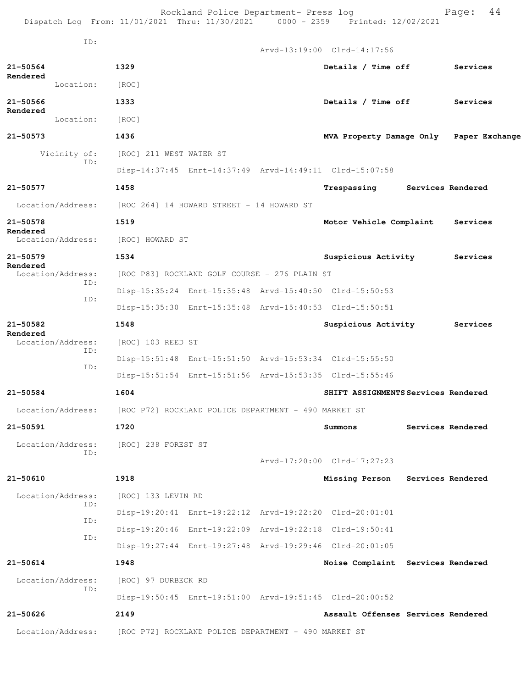Rockland Police Department- Press log entitled and Page: 44 Dispatch Log From: 11/01/2021 Thru: 11/30/2021 0000 - 2359 Printed: 12/02/2021

|              | ID:               |                                                      |                                                      | Arvd-13:19:00 Clrd-14:17:56                             |                   |                   |
|--------------|-------------------|------------------------------------------------------|------------------------------------------------------|---------------------------------------------------------|-------------------|-------------------|
| $21 - 50564$ |                   | 1329                                                 |                                                      | Details / Time off                                      |                   | Services          |
| Rendered     | Location:         | [ROC]                                                |                                                      |                                                         |                   |                   |
| $21 - 50566$ |                   | 1333                                                 |                                                      | Details / Time off                                      |                   | Services          |
| Rendered     | Location:         | [ROC]                                                |                                                      |                                                         |                   |                   |
| $21 - 50573$ |                   | 1436                                                 |                                                      | MVA Property Damage Only Paper Exchange                 |                   |                   |
|              | Vicinity of:      | [ROC] 211 WEST WATER ST                              |                                                      |                                                         |                   |                   |
|              | ID:               |                                                      |                                                      | Disp-14:37:45 Enrt-14:37:49 Arvd-14:49:11 Clrd-15:07:58 |                   |                   |
| 21-50577     |                   | 1458                                                 |                                                      | Trespassing                                             | Services Rendered |                   |
|              | Location/Address: |                                                      | [ROC 264] 14 HOWARD STREET - 14 HOWARD ST            |                                                         |                   |                   |
| 21-50578     |                   | 1519                                                 |                                                      | Motor Vehicle Complaint                                 |                   | Services          |
| Rendered     | Location/Address: | [ROC] HOWARD ST                                      |                                                      |                                                         |                   |                   |
| 21-50579     |                   | 1534                                                 |                                                      | Suspicious Activity                                     |                   | Services          |
| Rendered     | Location/Address: |                                                      | [ROC P83] ROCKLAND GOLF COURSE - 276 PLAIN ST        |                                                         |                   |                   |
|              | ID:               |                                                      |                                                      | Disp-15:35:24 Enrt-15:35:48 Arvd-15:40:50 Clrd-15:50:53 |                   |                   |
|              | ID:               |                                                      |                                                      | Disp-15:35:30 Enrt-15:35:48 Arvd-15:40:53 Clrd-15:50:51 |                   |                   |
| 21-50582     |                   | 1548                                                 |                                                      | Suspicious Activity                                     |                   | Services          |
| Rendered     | Location/Address: | [ROC] 103 REED ST                                    |                                                      |                                                         |                   |                   |
|              | TD:               |                                                      |                                                      | Disp-15:51:48 Enrt-15:51:50 Arvd-15:53:34 Clrd-15:55:50 |                   |                   |
|              | ID:               |                                                      |                                                      | Disp-15:51:54 Enrt-15:51:56 Arvd-15:53:35 Clrd-15:55:46 |                   |                   |
| 21-50584     |                   | 1604                                                 |                                                      | SHIFT ASSIGNMENTS Services Rendered                     |                   |                   |
|              | Location/Address: | [ROC P72] ROCKLAND POLICE DEPARTMENT - 490 MARKET ST |                                                      |                                                         |                   |                   |
| 21-50591     |                   | 1720                                                 |                                                      | $\verb Summons $                                        | Services Rendered |                   |
|              | Location/Address: | [ROC] 238 FOREST ST                                  |                                                      |                                                         |                   |                   |
|              | ID:               |                                                      |                                                      | $Arvd-17:20:00$ $Clrd-17:27:23$                         |                   |                   |
| $21 - 50610$ |                   | 1918                                                 |                                                      | Missing Person                                          |                   | Services Rendered |
|              | Location/Address: | [ROC] 133 LEVIN RD                                   |                                                      |                                                         |                   |                   |
|              | ID:               |                                                      |                                                      | Disp-19:20:41 Enrt-19:22:12 Arvd-19:22:20 Clrd-20:01:01 |                   |                   |
|              | ID:               |                                                      |                                                      | Disp-19:20:46 Enrt-19:22:09 Arvd-19:22:18 Clrd-19:50:41 |                   |                   |
|              | ID:               |                                                      |                                                      | Disp-19:27:44 Enrt-19:27:48 Arvd-19:29:46 Clrd-20:01:05 |                   |                   |
| $21 - 50614$ |                   | 1948                                                 |                                                      | Noise Complaint Services Rendered                       |                   |                   |
|              | Location/Address: | [ROC] 97 DURBECK RD                                  |                                                      |                                                         |                   |                   |
|              | ID:               |                                                      |                                                      | Disp-19:50:45 Enrt-19:51:00 Arvd-19:51:45 Clrd-20:00:52 |                   |                   |
| 21-50626     |                   | 2149                                                 |                                                      | Assault Offenses Services Rendered                      |                   |                   |
|              | Location/Address: |                                                      | [ROC P72] ROCKLAND POLICE DEPARTMENT - 490 MARKET ST |                                                         |                   |                   |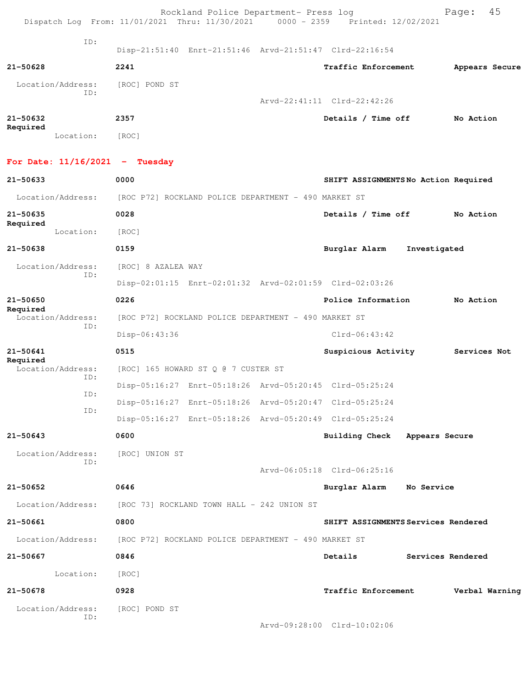| Dispatch Log From: 11/01/2021 Thru: 11/30/2021 |                    | Rockland Police Department- Press log                | 0000 - 2359 Printed: 12/02/2021                         |              | 45<br>Page:       |
|------------------------------------------------|--------------------|------------------------------------------------------|---------------------------------------------------------|--------------|-------------------|
| ID:                                            |                    |                                                      | Disp-21:51:40 Enrt-21:51:46 Arvd-21:51:47 Clrd-22:16:54 |              |                   |
| 21-50628                                       | 2241               |                                                      | Traffic Enforcement                                     |              | Appears Secure    |
| Location/Address:                              | [ROC] POND ST      |                                                      |                                                         |              |                   |
| ID:                                            |                    |                                                      | Arvd-22:41:11 Clrd-22:42:26                             |              |                   |
| 21-50632                                       | 2357               |                                                      | Details / Time off                                      |              | No Action         |
| Required<br>Location:                          | [ROC]              |                                                      |                                                         |              |                   |
| For Date: $11/16/2021$ - Tuesday               |                    |                                                      |                                                         |              |                   |
| $21 - 50633$                                   | 0000               |                                                      | SHIFT ASSIGNMENTSNo Action Required                     |              |                   |
| Location/Address:                              |                    | [ROC P72] ROCKLAND POLICE DEPARTMENT - 490 MARKET ST |                                                         |              |                   |
| 21-50635                                       | 0028               |                                                      | Details / Time off                                      |              | No Action         |
| Required<br>Location:                          | [ROC]              |                                                      |                                                         |              |                   |
| 21-50638                                       | 0159               |                                                      | Burglar Alarm                                           | Investigated |                   |
| Location/Address:                              | [ROC] 8 AZALEA WAY |                                                      |                                                         |              |                   |
| ID:                                            |                    |                                                      | Disp-02:01:15 Enrt-02:01:32 Arvd-02:01:59 Clrd-02:03:26 |              |                   |
| 21-50650                                       | 0226               |                                                      | Police Information                                      |              | No Action         |
| Required<br>Location/Address:                  |                    | [ROC P72] ROCKLAND POLICE DEPARTMENT - 490 MARKET ST |                                                         |              |                   |
| ID:                                            | Disp-06:43:36      |                                                      | $Clrd-06:43:42$                                         |              |                   |
| 21-50641                                       | 0515               |                                                      | Suspicious Activity                                     |              | Services Not      |
| Required<br>Location/Address:                  |                    | [ROC] 165 HOWARD ST Q @ 7 CUSTER ST                  |                                                         |              |                   |
| ID:                                            |                    |                                                      | Disp-05:16:27 Enrt-05:18:26 Arvd-05:20:45 Clrd-05:25:24 |              |                   |
| ID:                                            |                    |                                                      | Disp-05:16:27 Enrt-05:18:26 Arvd-05:20:47 Clrd-05:25:24 |              |                   |
| ID:                                            |                    |                                                      | Disp-05:16:27 Enrt-05:18:26 Arvd-05:20:49 Clrd-05:25:24 |              |                   |
| $21 - 50643$                                   | 0600               |                                                      | Building Check Appears Secure                           |              |                   |
| Location/Address:                              | [ROC] UNION ST     |                                                      |                                                         |              |                   |
| ID:                                            |                    |                                                      | Arvd-06:05:18 Clrd-06:25:16                             |              |                   |
| 21-50652                                       | 0646               |                                                      | Burglar Alarm No Service                                |              |                   |
| Location/Address:                              |                    | [ROC 73] ROCKLAND TOWN HALL - 242 UNION ST           |                                                         |              |                   |
| 21-50661                                       | 0800               |                                                      | SHIFT ASSIGNMENTS Services Rendered                     |              |                   |
| Location/Address:                              |                    | [ROC P72] ROCKLAND POLICE DEPARTMENT - 490 MARKET ST |                                                         |              |                   |
| 21-50667                                       | 0846               |                                                      | Details                                                 |              | Services Rendered |
| Location:                                      | [ROC]              |                                                      |                                                         |              |                   |
| 21-50678                                       | 0928               |                                                      | Traffic Enforcement                                     |              | Verbal Warning    |
| Location/Address:                              | [ROC] POND ST      |                                                      |                                                         |              |                   |
| ID:                                            |                    |                                                      | Arvd-09:28:00 Clrd-10:02:06                             |              |                   |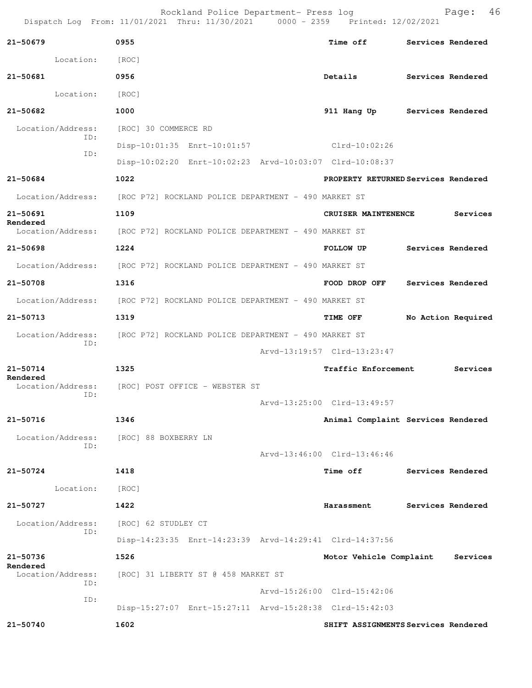Rockland Police Department- Press log entitled and Page: 46 Dispatch Log From: 11/01/2021 Thru: 11/30/2021 0000 - 2359 Printed: 12/02/2021

| $21 - 50679$                  | 0955                                                                   | <b>Time off</b>                     | Services Rendered |                    |
|-------------------------------|------------------------------------------------------------------------|-------------------------------------|-------------------|--------------------|
| Location:                     | [ROC]                                                                  |                                     |                   |                    |
| $21 - 50681$                  | 0956                                                                   | Details                             | Services Rendered |                    |
| Location:                     | [ROC]                                                                  |                                     |                   |                    |
| 21-50682                      | 1000                                                                   | 911 Hang Up                         | Services Rendered |                    |
| Location/Address:             | [ROC] 30 COMMERCE RD                                                   |                                     |                   |                    |
| ID:<br>ID:                    | Disp-10:01:35 Enrt-10:01:57                                            | Clrd-10:02:26                       |                   |                    |
|                               | Disp-10:02:20 Enrt-10:02:23 Arvd-10:03:07 Clrd-10:08:37                |                                     |                   |                    |
| 21-50684                      | 1022                                                                   | PROPERTY RETURNED Services Rendered |                   |                    |
|                               | Location/Address: [ROC P72] ROCKLAND POLICE DEPARTMENT - 490 MARKET ST |                                     |                   |                    |
| 21-50691                      | 1109                                                                   | CRUISER MAINTENENCE                 |                   | Services           |
| Rendered                      | Location/Address: [ROC P72] ROCKLAND POLICE DEPARTMENT - 490 MARKET ST |                                     |                   |                    |
| 21-50698                      | 1224                                                                   | <b>FOLLOW UP</b>                    |                   | Services Rendered  |
|                               | Location/Address: [ROC P72] ROCKLAND POLICE DEPARTMENT - 490 MARKET ST |                                     |                   |                    |
| 21-50708                      | 1316                                                                   | FOOD DROP OFF                       | Services Rendered |                    |
|                               | Location/Address: [ROC P72] ROCKLAND POLICE DEPARTMENT - 490 MARKET ST |                                     |                   |                    |
| 21-50713                      | 1319                                                                   | <b>TIME OFF</b>                     |                   | No Action Required |
|                               | Location/Address: [ROC P72] ROCKLAND POLICE DEPARTMENT - 490 MARKET ST |                                     |                   |                    |
| ID:                           |                                                                        | Arvd-13:19:57 Clrd-13:23:47         |                   |                    |
| 21-50714                      | 1325                                                                   | <b>Traffic Enforcement</b>          |                   | Services           |
| Rendered                      | Location/Address: [ROC] POST OFFICE - WEBSTER ST                       |                                     |                   |                    |
| ID:                           |                                                                        | Arvd-13:25:00 Clrd-13:49:57         |                   |                    |
| 21-50716                      | 1346                                                                   | Animal Complaint Services Rendered  |                   |                    |
|                               | Location/Address: [ROC] 88 BOXBERRY LN                                 |                                     |                   |                    |
| ID:                           |                                                                        | Arvd-13:46:00 Clrd-13:46:46         |                   |                    |
| 21-50724                      | 1418                                                                   | Time off                            | Services Rendered |                    |
| Location: [ROC]               |                                                                        |                                     |                   |                    |
| 21-50727                      | 1422                                                                   | Harassment                          | Services Rendered |                    |
| Location/Address:             | [ROC] 62 STUDLEY CT                                                    |                                     |                   |                    |
| ID:                           | Disp-14:23:35 Enrt-14:23:39 Arvd-14:29:41 Clrd-14:37:56                |                                     |                   |                    |
| 21-50736                      | 1526                                                                   | Motor Vehicle Complaint             |                   | Services           |
| Rendered<br>Location/Address: | [ROC] 31 LIBERTY ST @ 458 MARKET ST                                    |                                     |                   |                    |
| ID:<br>ID:                    |                                                                        | Arvd-15:26:00 Clrd-15:42:06         |                   |                    |
|                               | Disp-15:27:07 Enrt-15:27:11 Arvd-15:28:38 Clrd-15:42:03                |                                     |                   |                    |
| 21-50740                      | 1602                                                                   | SHIFT ASSIGNMENTS Services Rendered |                   |                    |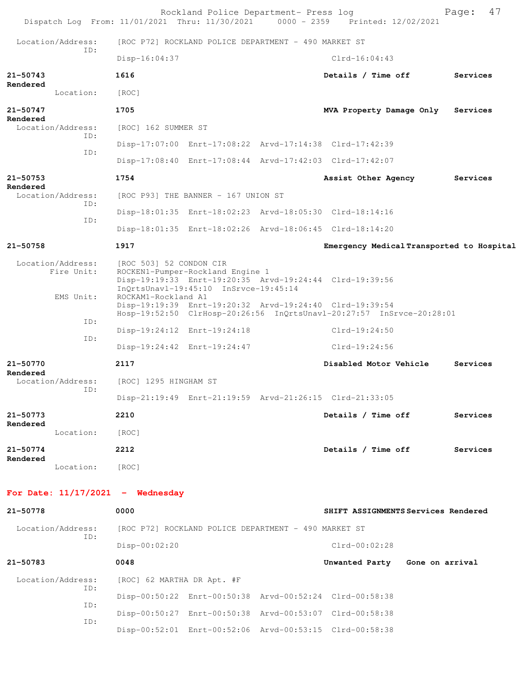|          |                                 |                                    | Rockland Police Department- Press log                                                                                                | Dispatch Log From: 11/01/2021 Thru: 11/30/2021 0000 - 2359 Printed: 12/02/2021 | Page:    | 47 |
|----------|---------------------------------|------------------------------------|--------------------------------------------------------------------------------------------------------------------------------------|--------------------------------------------------------------------------------|----------|----|
|          | Location/Address:               |                                    | [ROC P72] ROCKLAND POLICE DEPARTMENT - 490 MARKET ST                                                                                 |                                                                                |          |    |
|          | ID:                             | Disp-16:04:37                      |                                                                                                                                      | $C1rd-16:04:43$                                                                |          |    |
| 21-50743 |                                 | 1616                               |                                                                                                                                      | Details / Time off                                                             | Services |    |
| Rendered | Location:                       | [ROC]                              |                                                                                                                                      |                                                                                |          |    |
| 21-50747 |                                 | 1705                               |                                                                                                                                      | MVA Property Damage Only                                                       | Services |    |
| Rendered | Location/Address:               | [ROC] 162 SUMMER ST                |                                                                                                                                      |                                                                                |          |    |
|          | ID:                             |                                    | Disp-17:07:00 Enrt-17:08:22 Arvd-17:14:38 Clrd-17:42:39                                                                              |                                                                                |          |    |
|          | ID:                             |                                    |                                                                                                                                      | Disp-17:08:40 Enrt-17:08:44 Arvd-17:42:03 Clrd-17:42:07                        |          |    |
| 21-50753 |                                 | 1754                               |                                                                                                                                      | Assist Other Agency                                                            | Services |    |
| Rendered | Location/Address:               |                                    | [ROC P93] THE BANNER - 167 UNION ST                                                                                                  |                                                                                |          |    |
|          | ID:                             |                                    | Disp-18:01:35 Enrt-18:02:23 Arvd-18:05:30 Clrd-18:14:16                                                                              |                                                                                |          |    |
|          | ID:                             |                                    | Disp-18:01:35 Enrt-18:02:26 Arvd-18:06:45 Clrd-18:14:20                                                                              |                                                                                |          |    |
| 21-50758 |                                 | 1917                               |                                                                                                                                      | Emergency Medical Transported to Hospital                                      |          |    |
|          | Location/Address:<br>Fire Unit: | [ROC 503] 52 CONDON CIR            | ROCKEN1-Pumper-Rockland Engine 1<br>Disp-19:19:33 Enrt-19:20:35 Arvd-19:24:44 Clrd-19:39:56<br>InQrtsUnavl-19:45:10 InSrvce-19:45:14 |                                                                                |          |    |
|          | EMS Unit:                       | ROCKAM1-Rockland A1                | Disp-19:19:39 Enrt-19:20:32 Arvd-19:24:40 Clrd-19:39:54                                                                              | Hosp-19:52:50 ClrHosp-20:26:56 InQrtsUnavl-20:27:57 InSrvce-20:28:01           |          |    |
|          | ID:                             |                                    | Disp-19:24:12 Enrt-19:24:18                                                                                                          | $Clrd-19:24:50$                                                                |          |    |
|          | ID:                             |                                    | Disp-19:24:42 Enrt-19:24:47                                                                                                          | $Clrd-19:24:56$                                                                |          |    |
| 21-50770 |                                 | 2117                               |                                                                                                                                      | Disabled Motor Vehicle                                                         | Services |    |
| Rendered | Location/Address:               | [ROC] 1295 HINGHAM ST              |                                                                                                                                      |                                                                                |          |    |
|          | ID:                             |                                    | Disp-21:19:49 Enrt-21:19:59 Arvd-21:26:15 Clrd-21:33:05                                                                              |                                                                                |          |    |
| 21-50773 |                                 | 2210                               |                                                                                                                                      | Details / Time off                                                             | Services |    |
| Rendered | Location:                       | [ROC]                              |                                                                                                                                      |                                                                                |          |    |
| 21-50774 |                                 | 2212                               |                                                                                                                                      | Details / Time off                                                             | Services |    |
| Rendered | Location:                       | [ROC]                              |                                                                                                                                      |                                                                                |          |    |
|          |                                 | For Date: $11/17/2021$ - Wednesday |                                                                                                                                      |                                                                                |          |    |
| 21-50778 |                                 | 0000                               |                                                                                                                                      | SHIFT ASSIGNMENTS Services Rendered                                            |          |    |
|          | Location/Address:<br>ID:        |                                    | [ROC P72] ROCKLAND POLICE DEPARTMENT - 490 MARKET ST                                                                                 |                                                                                |          |    |
|          |                                 | $Disp-00:02:20$                    |                                                                                                                                      | $Clrd-00:02:28$                                                                |          |    |
| 21-50783 |                                 | 0048                               |                                                                                                                                      | Unwanted Party Gone on arrival                                                 |          |    |
|          | Location/Address:<br>ID:        | [ROC] 62 MARTHA DR Apt. #F         |                                                                                                                                      |                                                                                |          |    |
|          | ID:                             |                                    | Disp-00:50:22 Enrt-00:50:38 Arvd-00:52:24 Clrd-00:58:38                                                                              |                                                                                |          |    |
|          | ID:                             |                                    | Disp-00:50:27 Enrt-00:50:38 Arvd-00:53:07 Clrd-00:58:38                                                                              |                                                                                |          |    |

Disp-00:52:01 Enrt-00:52:06 Arvd-00:53:15 Clrd-00:58:38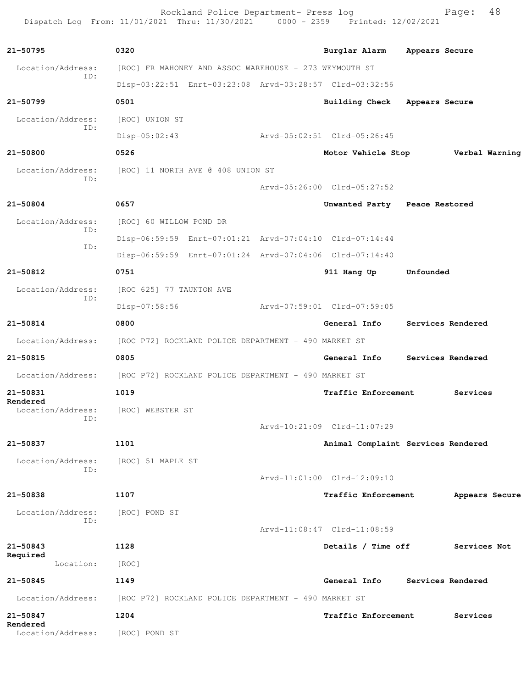Rockland Police Department- Press log entitled and Page: 48 Dispatch Log From: 11/01/2021 Thru: 11/30/2021 0000 - 2359 Printed: 12/02/2021

| 21-50795                      | 0320                                                 |                                                        |                                                         |                                    |
|-------------------------------|------------------------------------------------------|--------------------------------------------------------|---------------------------------------------------------|------------------------------------|
|                               |                                                      |                                                        | Burglar Alarm                                           | Appears Secure                     |
| Location/Address:<br>ID:      |                                                      | [ROC] FR MAHONEY AND ASSOC WAREHOUSE - 273 WEYMOUTH ST |                                                         |                                    |
|                               |                                                      |                                                        | Disp-03:22:51 Enrt-03:23:08 Arvd-03:28:57 Clrd-03:32:56 |                                    |
| 21-50799                      | 0501                                                 |                                                        | Building Check                                          | Appears Secure                     |
| Location/Address:<br>ID:      | [ROC] UNION ST                                       |                                                        |                                                         |                                    |
|                               | $Disp-05:02:43$                                      |                                                        | Arvd-05:02:51 Clrd-05:26:45                             |                                    |
| 21-50800                      | 0526                                                 |                                                        |                                                         | Motor Vehicle Stop Verbal Warning  |
| Location/Address:<br>ID:      |                                                      | [ROC] 11 NORTH AVE @ 408 UNION ST                      |                                                         |                                    |
|                               |                                                      |                                                        | Arvd-05:26:00 Clrd-05:27:52                             |                                    |
| 21-50804                      | 0657                                                 |                                                        | Unwanted Party Peace Restored                           |                                    |
| Location/Address:             | [ROC] 60 WILLOW POND DR                              |                                                        |                                                         |                                    |
| ID:                           |                                                      |                                                        | Disp-06:59:59 Enrt-07:01:21 Arvd-07:04:10 Clrd-07:14:44 |                                    |
| ID:                           |                                                      |                                                        | Disp-06:59:59 Enrt-07:01:24 Arvd-07:04:06 Clrd-07:14:40 |                                    |
| 21-50812                      | 0751                                                 |                                                        | 911 Hang Up                                             | Unfounded                          |
| Location/Address:             | [ROC 625] 77 TAUNTON AVE                             |                                                        |                                                         |                                    |
| ID:                           | Disp-07:58:56                                        |                                                        | Arvd-07:59:01 Clrd-07:59:05                             |                                    |
| 21-50814                      | 0800                                                 |                                                        | General Info                                            | Services Rendered                  |
| Location/Address:             | [ROC P72] ROCKLAND POLICE DEPARTMENT - 490 MARKET ST |                                                        |                                                         |                                    |
| $21 - 50815$                  | 0805                                                 |                                                        | General Info                                            | Services Rendered                  |
| Location/Address:             | [ROC P72] ROCKLAND POLICE DEPARTMENT - 490 MARKET ST |                                                        |                                                         |                                    |
| 21-50831                      | 1019                                                 |                                                        | <b>Traffic Enforcement</b>                              | Services                           |
| Rendered<br>Location/Address: | [ROC] WEBSTER ST                                     |                                                        |                                                         |                                    |
| ID:                           |                                                      |                                                        | Arvd-10:21:09 Clrd-11:07:29                             |                                    |
| 21-50837                      | 1101                                                 |                                                        |                                                         | Animal Complaint Services Rendered |
| Location/Address:             | [ROC] 51 MAPLE ST                                    |                                                        |                                                         |                                    |
| ID:                           |                                                      |                                                        |                                                         |                                    |
|                               |                                                      |                                                        | Arvd-11:01:00 Clrd-12:09:10                             |                                    |
| 21-50838                      | 1107                                                 |                                                        | Traffic Enforcement                                     | Appears Secure                     |
| Location/Address:<br>ID:      | [ROC] POND ST                                        |                                                        |                                                         |                                    |
|                               |                                                      |                                                        | Arvd-11:08:47 Clrd-11:08:59                             |                                    |
| 21-50843<br>Required          | 1128                                                 |                                                        | Details / Time off                                      | Services Not                       |
| Location:                     | [ROC]                                                |                                                        |                                                         |                                    |
| 21-50845                      | 1149                                                 |                                                        | General Info                                            | Services Rendered                  |
| Location/Address:             |                                                      | [ROC P72] ROCKLAND POLICE DEPARTMENT - 490 MARKET ST   |                                                         |                                    |
| 21-50847<br>Rendered          | 1204                                                 |                                                        | <b>Traffic Enforcement</b>                              | Services                           |
| Location/Address:             | [ROC] POND ST                                        |                                                        |                                                         |                                    |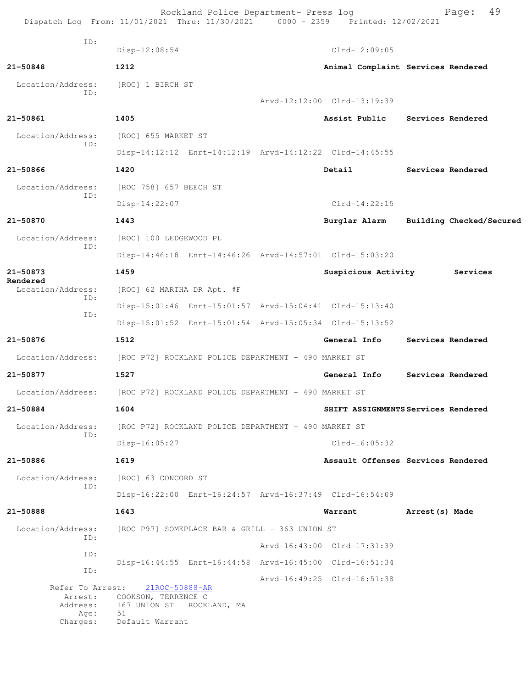Rockland Police Department- Press log Fage: 49<br>21 Thru: 11/30/2021 0000 - 2359 Printed: 12/02/2021 Dispatch Log From: 11/01/2021 Thru: 11/30/2021 0000 - 2359 Printed: 12/02/2021 ID: Disp-12:08:54 Clrd-12:09:05 **21-50848 1212 Animal Complaint Services Rendered** Location/Address: [ROC] 1 BIRCH ST ID: Arvd-12:12:00 Clrd-13:19:39 **21-50861 1405 Assist Public Services Rendered** Location/Address: [ROC] 655 MARKET ST ID: Disp-14:12:12 Enrt-14:12:19 Arvd-14:12:22 Clrd-14:45:55 **21-50866 1420 Detail Services Rendered** Location/Address: [ROC 758] 657 BEECH ST ID: Disp-14:22:07 Clrd-14:22:15 **21-50870 1443 Burglar Alarm Building Checked/Secured** Location/Address: [ROC] 100 LEDGEWOOD PL ID: Disp-14:46:18 Enrt-14:46:26 Arvd-14:57:01 Clrd-15:03:20 **21-50873 1459 Suspicious Activity Services Rendered**  Location/Address: [ROC] 62 MARTHA DR Apt. #F ID: Disp-15:01:46 Enrt-15:01:57 Arvd-15:04:41 Clrd-15:13:40 ID: Disp-15:01:52 Enrt-15:01:54 Arvd-15:05:34 Clrd-15:13:52 **21-50876 1512 General Info Services Rendered** Location/Address: [ROC P72] ROCKLAND POLICE DEPARTMENT - 490 MARKET ST **21-50877 1527 General Info Services Rendered** Location/Address: [ROC P72] ROCKLAND POLICE DEPARTMENT - 490 MARKET ST **21-50884 1604 SHIFT ASSIGNMENTS Services Rendered** Location/Address: [ROC P72] ROCKLAND POLICE DEPARTMENT - 490 MARKET ST ID: Disp-16:05:27 Clrd-16:05:32 **21-50886 1619 Assault Offenses Services Rendered** Location/Address: [ROC] 63 CONCORD ST ID: Disp-16:22:00 Enrt-16:24:57 Arvd-16:37:49 Clrd-16:54:09 **21-50888 1643 Warrant Arrest(s) Made** Location/Address: [ROC P97] SOMEPLACE BAR & GRILL - 363 UNION ST ID: Arvd-16:43:00 Clrd-17:31:39 ID: Disp-16:44:55 Enrt-16:44:58 Arvd-16:45:00 Clrd-16:51:34 ID: Arvd-16:49:25 Clrd-16:51:38<br>21ROC-50888-AR Refer To Arrest: Arrest: COOKSON, TERRENCE C Address: 167 UNION ST ROCKLAND, MA Age: 51 Charges: Default Warrant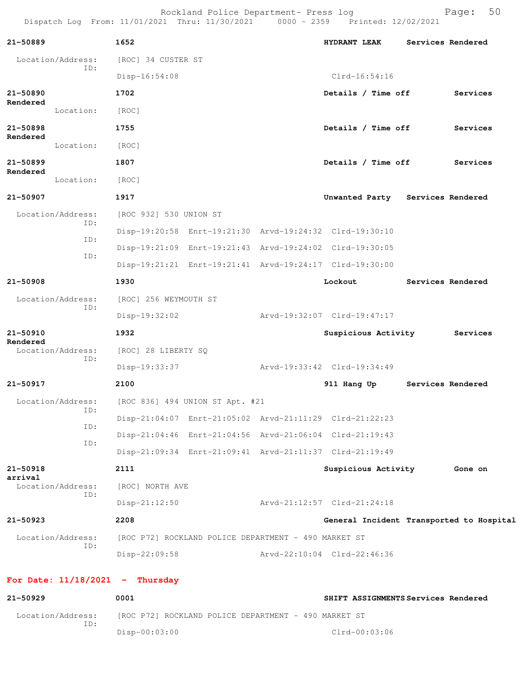Rockland Police Department- Press log entitled and Page: 50 Dispatch Log From: 11/01/2021 Thru: 11/30/2021 0000 - 2359 Printed: 12/02/2021

| 21-50889                 |                   | 1652                              |                                                      | <b>HYDRANT LEAK</b>                                     | Services Rendered |
|--------------------------|-------------------|-----------------------------------|------------------------------------------------------|---------------------------------------------------------|-------------------|
|                          | Location/Address: | [ROC] 34 CUSTER ST                |                                                      |                                                         |                   |
|                          | ID:               | $Disp-16:54:08$                   |                                                      | $Clrd-16:54:16$                                         |                   |
| 21-50890                 |                   | 1702                              |                                                      | Details / Time off                                      | Services          |
| Rendered                 | Location:         | [ROC]                             |                                                      |                                                         |                   |
| 21-50898                 |                   | 1755                              |                                                      | Details / Time off                                      | Services          |
| Rendered                 | Location:         | [ROC]                             |                                                      |                                                         |                   |
| 21-50899                 |                   | 1807                              |                                                      | Details / Time off                                      | Services          |
| Rendered                 | Location:         | [ROC]                             |                                                      |                                                         |                   |
| 21-50907                 |                   | 1917                              |                                                      | Unwanted Party Services Rendered                        |                   |
|                          | Location/Address: | [ROC 932] 530 UNION ST            |                                                      |                                                         |                   |
|                          | ID:               |                                   |                                                      | Disp-19:20:58 Enrt-19:21:30 Arvd-19:24:32 Clrd-19:30:10 |                   |
|                          | ID:               |                                   |                                                      | Disp-19:21:09 Enrt-19:21:43 Arvd-19:24:02 Clrd-19:30:05 |                   |
|                          | ID:               |                                   |                                                      | Disp-19:21:21 Enrt-19:21:41 Arvd-19:24:17 Clrd-19:30:00 |                   |
| 21-50908                 |                   | 1930                              |                                                      | Lockout                                                 | Services Rendered |
| Location/Address:<br>ID: |                   | [ROC] 256 WEYMOUTH ST             |                                                      |                                                         |                   |
|                          |                   | Disp-19:32:02                     |                                                      | Arvd-19:32:07 Clrd-19:47:17                             |                   |
| 21-50910                 |                   | 1932                              |                                                      | Suspicious Activity                                     | Services          |
| Rendered                 | Location/Address: | [ROC] 28 LIBERTY SQ               |                                                      |                                                         |                   |
|                          | ID:               | Disp-19:33:37                     |                                                      | Arvd-19:33:42 Clrd-19:34:49                             |                   |
| 21-50917                 |                   | 2100                              |                                                      | 911 Hang Up                                             | Services Rendered |
|                          | Location/Address: |                                   | [ROC 836] 494 UNION ST Apt. #21                      |                                                         |                   |
|                          | ID:               |                                   |                                                      | Disp-21:04:07 Enrt-21:05:02 Arvd-21:11:29 Clrd-21:22:23 |                   |
|                          | ID:               |                                   |                                                      | Disp-21:04:46 Enrt-21:04:56 Arvd-21:06:04 Clrd-21:19:43 |                   |
|                          | ID:               |                                   |                                                      | Disp-21:09:34 Enrt-21:09:41 Arvd-21:11:37 Clrd-21:19:49 |                   |
| 21-50918                 |                   | 2111                              |                                                      | Suspicious Activity                                     | Gone on           |
| arrival                  | Location/Address: | [ROC] NORTH AVE                   |                                                      |                                                         |                   |
|                          | ID:               | $Disp-21:12:50$                   |                                                      | Arvd-21:12:57 Clrd-21:24:18                             |                   |
| 21-50923                 |                   | 2208                              |                                                      | General Incident Transported to Hospital                |                   |
| Location/Address:        |                   |                                   | [ROC P72] ROCKLAND POLICE DEPARTMENT - 490 MARKET ST |                                                         |                   |
|                          | ID:               | $Disp-22:09:58$                   |                                                      | Arvd-22:10:04 Clrd-22:46:36                             |                   |
|                          |                   | For Date: $11/18/2021$ - Thursday |                                                      |                                                         |                   |
| 21-50929                 |                   | 0001                              |                                                      | SHIFT ASSIGNMENTS Services Rendered                     |                   |

Disp-00:03:00 Clrd-00:03:06

Location/Address: [ROC P72] ROCKLAND POLICE DEPARTMENT - 490 MARKET ST

ID: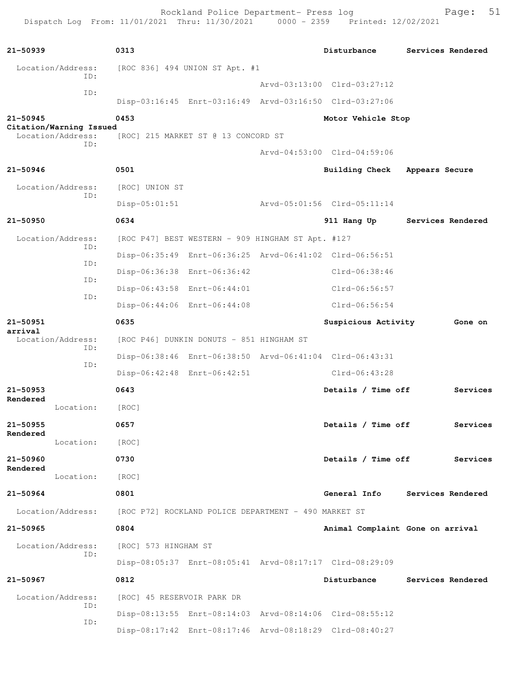Rockland Police Department- Press log entitled and Page: 51 Dispatch Log From: 11/01/2021 Thru: 11/30/2021 0000 - 2359 Printed: 12/02/2021

| $21 - 50939$                                        | 0313                                                    | Disturbance                      | Services Rendered |
|-----------------------------------------------------|---------------------------------------------------------|----------------------------------|-------------------|
| Location/Address:<br>TD:                            | [ROC 836] 494 UNION ST Apt. #1                          |                                  |                   |
| ID:                                                 |                                                         | Arvd-03:13:00 Clrd-03:27:12      |                   |
|                                                     | Disp-03:16:45 Enrt-03:16:49 Arvd-03:16:50 Clrd-03:27:06 |                                  |                   |
| $21 - 50945$                                        | 0453                                                    | Motor Vehicle Stop               |                   |
| Citation/Warning Issued<br>Location/Address:<br>TD: | [ROC] 215 MARKET ST @ 13 CONCORD ST                     |                                  |                   |
|                                                     |                                                         | Arvd-04:53:00 Clrd-04:59:06      |                   |
| 21-50946                                            | 0501                                                    | Building Check                   | Appears Secure    |
| Location/Address:                                   | [ROC] UNION ST                                          |                                  |                   |
| ID:                                                 | $Disp-05:01:51$                                         | Arvd-05:01:56 Clrd-05:11:14      |                   |
| 21-50950                                            | 0634                                                    | 911 Hang Up                      | Services Rendered |
| Location/Address:                                   | [ROC P47] BEST WESTERN - 909 HINGHAM ST Apt. #127       |                                  |                   |
| ID:                                                 | Disp-06:35:49 Enrt-06:36:25 Arvd-06:41:02 Clrd-06:56:51 |                                  |                   |
| ID:                                                 | Disp-06:36:38 Enrt-06:36:42                             | Clrd-06:38:46                    |                   |
| ID:                                                 | Disp-06:43:58 Enrt-06:44:01                             | $Clrd-06:56:57$                  |                   |
| ID:                                                 | Disp-06:44:06 Enrt-06:44:08                             | $Clrd-06:56:54$                  |                   |
| 21-50951                                            | 0635                                                    | Suspicious Activity              | Gone on           |
| arrival<br>Location/Address:                        | [ROC P46] DUNKIN DONUTS - 851 HINGHAM ST                |                                  |                   |
| ID:                                                 | Disp-06:38:46 Enrt-06:38:50 Arvd-06:41:04 Clrd-06:43:31 |                                  |                   |
| ID:                                                 | Disp-06:42:48 Enrt-06:42:51                             | $Clrd-06:43:28$                  |                   |
| $21 - 50953$                                        | 0643                                                    | Details / Time off               | Services          |
| Rendered<br>Location:                               | [ROC]                                                   |                                  |                   |
| 21-50955                                            | 0657                                                    | Details / Time off               | Services          |
| Rendered<br>Location:                               | [ROC]                                                   |                                  |                   |
| 21-50960                                            | 0730                                                    | Details / Time off               | Services          |
| Rendered<br>Location:                               | [ROC]                                                   |                                  |                   |
| 21-50964                                            | 0801                                                    | General Info                     | Services Rendered |
| Location/Address:                                   | [ROC P72] ROCKLAND POLICE DEPARTMENT - 490 MARKET ST    |                                  |                   |
| $21 - 50965$                                        | 0804                                                    | Animal Complaint Gone on arrival |                   |
| Location/Address:                                   | [ROC] 573 HINGHAM ST                                    |                                  |                   |
| ID:                                                 | Disp-08:05:37 Enrt-08:05:41 Arvd-08:17:17 Clrd-08:29:09 |                                  |                   |
| 21-50967                                            | 0812                                                    | Disturbance                      | Services Rendered |
| Location/Address:                                   | [ROC] 45 RESERVOIR PARK DR                              |                                  |                   |
| ID:                                                 | Disp-08:13:55 Enrt-08:14:03 Arvd-08:14:06 Clrd-08:55:12 |                                  |                   |
| ID:                                                 | Disp-08:17:42 Enrt-08:17:46 Arvd-08:18:29 Clrd-08:40:27 |                                  |                   |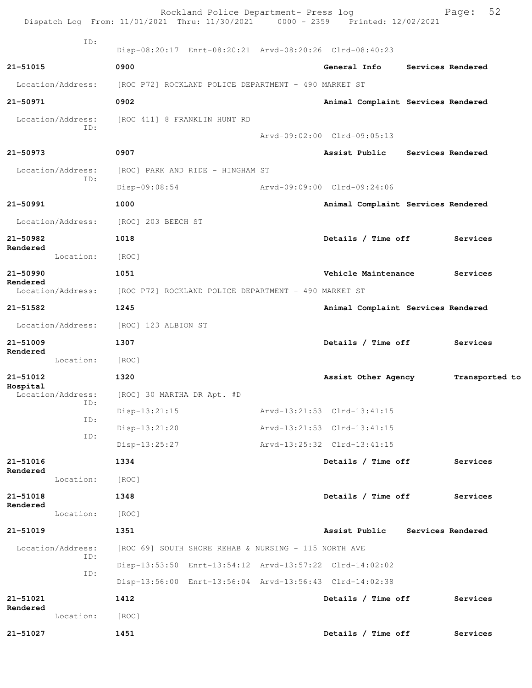|                               | Dispatch Log From: 11/01/2021 Thru: 11/30/2021 0000 - 2359 Printed: 12/02/2021 | Rockland Police Department- Press log |                                    | 52<br>Page:       |
|-------------------------------|--------------------------------------------------------------------------------|---------------------------------------|------------------------------------|-------------------|
| ID:                           | Disp-08:20:17 Enrt-08:20:21 Arvd-08:20:26 Clrd-08:40:23                        |                                       |                                    |                   |
| 21-51015                      | 0900                                                                           |                                       | General Info                       | Services Rendered |
| Location/Address:             | [ROC P72] ROCKLAND POLICE DEPARTMENT - 490 MARKET ST                           |                                       |                                    |                   |
| 21-50971                      | 0902                                                                           |                                       | Animal Complaint Services Rendered |                   |
| Location/Address:             | [ROC 411] 8 FRANKLIN HUNT RD                                                   |                                       |                                    |                   |
| ID:                           |                                                                                |                                       | Arvd-09:02:00 Clrd-09:05:13        |                   |
| 21-50973                      | 0907                                                                           |                                       | Assist Public                      | Services Rendered |
| Location/Address:             | [ROC] PARK AND RIDE - HINGHAM ST                                               |                                       |                                    |                   |
| ID:                           | $Disp-09:08:54$                                                                |                                       | Arvd-09:09:00 Clrd-09:24:06        |                   |
| 21-50991                      | 1000                                                                           |                                       | Animal Complaint Services Rendered |                   |
| Location/Address:             | [ROC] 203 BEECH ST                                                             |                                       |                                    |                   |
| 21-50982                      | 1018                                                                           |                                       | Details / Time off                 | Services          |
| Rendered<br>Location:         | [ROC]                                                                          |                                       |                                    |                   |
| $21 - 50990$                  | 1051                                                                           |                                       | Vehicle Maintenance                | Services          |
| Rendered<br>Location/Address: | [ROC P72] ROCKLAND POLICE DEPARTMENT - 490 MARKET ST                           |                                       |                                    |                   |
| 21-51582                      | 1245                                                                           |                                       | Animal Complaint Services Rendered |                   |
| Location/Address:             | [ROC] 123 ALBION ST                                                            |                                       |                                    |                   |
| 21-51009                      | 1307                                                                           |                                       | Details / Time off                 | Services          |
| Rendered<br>Location:         | [ROC]                                                                          |                                       |                                    |                   |
| 21-51012                      | 1320                                                                           |                                       | Assist Other Agency                | Transported to    |
| Hospital<br>Location/Address: | [ROC] 30 MARTHA DR Apt. #D                                                     |                                       |                                    |                   |
| ID:                           | $Disp-13:21:15$                                                                |                                       | Arvd-13:21:53 Clrd-13:41:15        |                   |
| ID:                           | Disp-13:21:20                                                                  |                                       | Arvd-13:21:53 Clrd-13:41:15        |                   |
| ID:                           | $Disp-13:25:27$                                                                |                                       | Arvd-13:25:32 Clrd-13:41:15        |                   |
| 21-51016                      | 1334                                                                           |                                       | Details / Time off                 | Services          |
| Rendered<br>Location:         | [ROC]                                                                          |                                       |                                    |                   |
| 21-51018                      | 1348                                                                           |                                       | Details / Time off                 | Services          |
| Rendered<br>Location:         | [ROC]                                                                          |                                       |                                    |                   |
| 21-51019                      | 1351                                                                           |                                       | Assist Public                      | Services Rendered |
| Location/Address:             | [ROC 69] SOUTH SHORE REHAB & NURSING - 115 NORTH AVE                           |                                       |                                    |                   |
| ID:                           | Disp-13:53:50 Enrt-13:54:12 Arvd-13:57:22 Clrd-14:02:02                        |                                       |                                    |                   |
| ID:                           | Disp-13:56:00 Enrt-13:56:04 Arvd-13:56:43 Clrd-14:02:38                        |                                       |                                    |                   |
| 21-51021                      | 1412                                                                           |                                       | Details / Time off                 | Services          |
| Rendered<br>Location:         | [ROC]                                                                          |                                       |                                    |                   |
| 21-51027                      | 1451                                                                           |                                       | Details / Time off                 | Services          |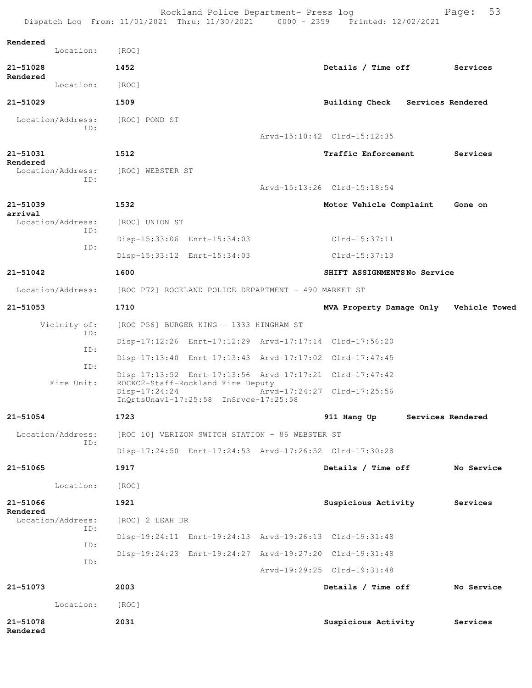|                          |                          | Dispatch Loq From: $11/01/2021$ Thru: $11/30/2021$ 0000 - 2359 |                                                      | Printed: 12/02/2021                                     |                   |
|--------------------------|--------------------------|----------------------------------------------------------------|------------------------------------------------------|---------------------------------------------------------|-------------------|
| Rendered                 | Location:                | [ROC]                                                          |                                                      |                                                         |                   |
| 21-51028                 |                          | 1452                                                           |                                                      | Details / Time off                                      | Services          |
| Rendered                 | Location:                | [ROC]                                                          |                                                      |                                                         |                   |
| 21-51029                 |                          | 1509                                                           |                                                      | Building Check Services Rendered                        |                   |
|                          | Location/Address:        | [ROC] POND ST                                                  |                                                      |                                                         |                   |
|                          | ID:                      |                                                                |                                                      | Arvd-15:10:42 Clrd-15:12:35                             |                   |
| 21-51031                 |                          | 1512                                                           |                                                      | <b>Traffic Enforcement</b>                              | Services          |
| Rendered                 | Location/Address:        | [ROC] WEBSTER ST                                               |                                                      |                                                         |                   |
|                          | ID:                      |                                                                |                                                      | Arvd-15:13:26 Clrd-15:18:54                             |                   |
| $21 - 51039$             |                          | 1532                                                           |                                                      | Motor Vehicle Complaint                                 | Gone on           |
| arrival                  | Location/Address:        | [ROC] UNION ST                                                 |                                                      |                                                         |                   |
|                          | ID:                      |                                                                | Disp-15:33:06 Enrt-15:34:03                          | Clrd-15:37:11                                           |                   |
|                          | ID:                      |                                                                | Disp-15:33:12 Enrt-15:34:03                          | $Clrd-15:37:13$                                         |                   |
| $21 - 51042$             |                          | 1600                                                           |                                                      | SHIFT ASSIGNMENTSNo Service                             |                   |
|                          | Location/Address:        |                                                                | [ROC P72] ROCKLAND POLICE DEPARTMENT - 490 MARKET ST |                                                         |                   |
| $21 - 51053$             |                          | 1710                                                           |                                                      | MVA Property Damage Only                                | Vehicle Towed     |
|                          | Vicinity of:             |                                                                | [ROC P56] BURGER KING - 1333 HINGHAM ST              |                                                         |                   |
|                          | ID:                      |                                                                |                                                      | Disp-17:12:26 Enrt-17:12:29 Arvd-17:17:14 Clrd-17:56:20 |                   |
|                          | ID:                      |                                                                |                                                      | Disp-17:13:40 Enrt-17:13:43 Arvd-17:17:02 Clrd-17:47:45 |                   |
|                          | ID:<br>Fire Unit:        |                                                                | ROCKC2-Staff-Rockland Fire Deputy                    | Disp-17:13:52 Enrt-17:13:56 Arvd-17:17:21 Clrd-17:47:42 |                   |
|                          |                          | $Disp-17:24:24$                                                | InQrtsUnavl-17:25:58 InSrvce-17:25:58                | Arvd-17:24:27 Clrd-17:25:56                             |                   |
| 21-51054                 |                          | 1723                                                           |                                                      | 911 Hang Up                                             | Services Rendered |
|                          | Location/Address:<br>ID: |                                                                | [ROC 10] VERIZON SWITCH STATION - 86 WEBSTER ST      |                                                         |                   |
|                          |                          |                                                                |                                                      | Disp-17:24:50 Enrt-17:24:53 Arvd-17:26:52 Clrd-17:30:28 |                   |
| 21-51065                 |                          | 1917                                                           |                                                      | Details / Time off                                      | No Service        |
|                          | Location:                | [ROC]                                                          |                                                      |                                                         |                   |
| $21 - 51066$<br>Rendered |                          | 1921                                                           |                                                      | Suspicious Activity                                     | Services          |
|                          | Location/Address:<br>ID: | [ROC] 2 LEAH DR                                                |                                                      |                                                         |                   |
|                          | ID:                      |                                                                |                                                      | Disp-19:24:11 Enrt-19:24:13 Arvd-19:26:13 Clrd-19:31:48 |                   |
|                          | ID:                      |                                                                |                                                      | Disp-19:24:23 Enrt-19:24:27 Arvd-19:27:20 Clrd-19:31:48 |                   |
|                          |                          |                                                                |                                                      | Arvd-19:29:25 Clrd-19:31:48                             |                   |
| 21-51073                 |                          | 2003                                                           |                                                      | Details / Time off                                      | No Service        |
|                          | Location:                | [ROC]                                                          |                                                      |                                                         |                   |
| 21-51078<br>Rendered     |                          | 2031                                                           |                                                      | Suspicious Activity                                     | Services          |

Rockland Police Department- Press log entitled and Page: 53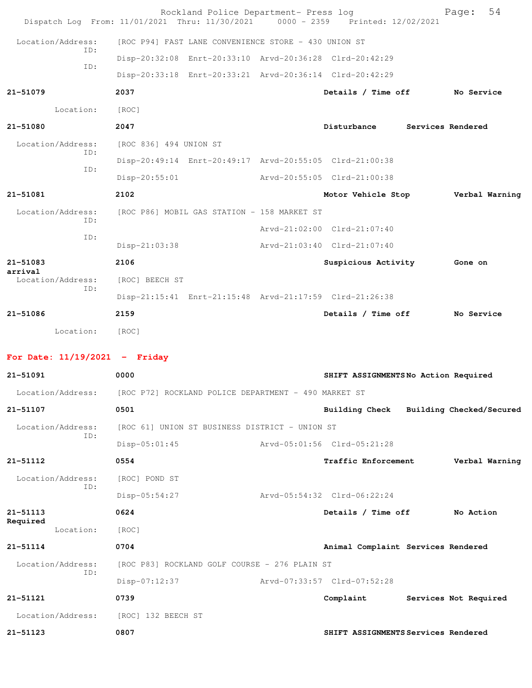| Dispatch Log From: 11/01/2021 Thru: 11/30/2021 |                        |                                                      | Rockland Police Department- Press log<br>0000 - 2359 Printed: 12/02/2021 | 54<br>Page:           |
|------------------------------------------------|------------------------|------------------------------------------------------|--------------------------------------------------------------------------|-----------------------|
| Location/Address:                              |                        | [ROC P94] FAST LANE CONVENIENCE STORE - 430 UNION ST |                                                                          |                       |
| ID:                                            |                        |                                                      | Disp-20:32:08 Enrt-20:33:10 Arvd-20:36:28 Clrd-20:42:29                  |                       |
| ID:                                            |                        |                                                      | Disp-20:33:18 Enrt-20:33:21 Arvd-20:36:14 Clrd-20:42:29                  |                       |
| 21-51079                                       | 2037                   |                                                      | Details / Time off                                                       | No Service            |
| Location:                                      | [ROC]                  |                                                      |                                                                          |                       |
| 21-51080                                       | 2047                   |                                                      | Disturbance                                                              | Services Rendered     |
| Location/Address:                              | [ROC 836] 494 UNION ST |                                                      |                                                                          |                       |
| ID:                                            |                        |                                                      | Disp-20:49:14 Enrt-20:49:17 Arvd-20:55:05 Clrd-21:00:38                  |                       |
| ID:                                            | Disp-20:55:01          |                                                      | Arvd-20:55:05 Clrd-21:00:38                                              |                       |
| 21-51081                                       | 2102                   |                                                      | Motor Vehicle Stop                                                       | Verbal Warning        |
| Location/Address:                              |                        | [ROC P86] MOBIL GAS STATION - 158 MARKET ST          |                                                                          |                       |
| ID:                                            |                        |                                                      | Arvd-21:02:00 Clrd-21:07:40                                              |                       |
| ID:                                            | Disp-21:03:38          |                                                      | Arvd-21:03:40 Clrd-21:07:40                                              |                       |
| 21-51083                                       | 2106                   |                                                      | Suspicious Activity                                                      | <b>Gone on</b>        |
| arrival<br>Location/Address:                   | [ROC] BEECH ST         |                                                      |                                                                          |                       |
| ID:                                            |                        |                                                      | Disp-21:15:41 Enrt-21:15:48 Arvd-21:17:59 Clrd-21:26:38                  |                       |
| 21-51086                                       | 2159                   |                                                      | Details / Time off                                                       | No Service            |
| Location: [ROC]                                |                        |                                                      |                                                                          |                       |
| For Date: $11/19/2021$ - Friday                |                        |                                                      |                                                                          |                       |
| 21-51091                                       | 0000                   |                                                      | SHIFT ASSIGNMENTS No Action Required                                     |                       |
| Location/Address:                              |                        | [ROC P72] ROCKLAND POLICE DEPARTMENT - 490 MARKET ST |                                                                          |                       |
| 21-51107                                       | 0501                   |                                                      | Building Check Building Checked/Secured                                  |                       |
| Location/Address:                              |                        | [ROC 61] UNION ST BUSINESS DISTRICT - UNION ST       |                                                                          |                       |
| ID:                                            | $Disp-05:01:45$        |                                                      | Arvd-05:01:56 Clrd-05:21:28                                              |                       |
| 21-51112                                       | 0554                   |                                                      | Traffic Enforcement                                                      | Verbal Warning        |
| Location/Address:                              | [ROC] POND ST          |                                                      |                                                                          |                       |
| ID:                                            | Disp-05:54:27          |                                                      | Arvd-05:54:32 Clrd-06:22:24                                              |                       |
| 21-51113                                       | 0624                   |                                                      | Details / Time off                                                       | No Action             |
| Required<br>Location:                          | [ROC]                  |                                                      |                                                                          |                       |
| 21-51114                                       | 0704                   |                                                      | Animal Complaint Services Rendered                                       |                       |
| Location/Address:                              |                        | [ROC P83] ROCKLAND GOLF COURSE - 276 PLAIN ST        |                                                                          |                       |
| ID:                                            | Disp-07:12:37          |                                                      | Arvd-07:33:57 Clrd-07:52:28                                              |                       |
| 21-51121                                       | 0739                   |                                                      | Complaint                                                                | Services Not Required |
| Location/Address:                              | [ROC] 132 BEECH ST     |                                                      |                                                                          |                       |
| 21-51123                                       | 0807                   |                                                      | SHIFT ASSIGNMENTS Services Rendered                                      |                       |
|                                                |                        |                                                      |                                                                          |                       |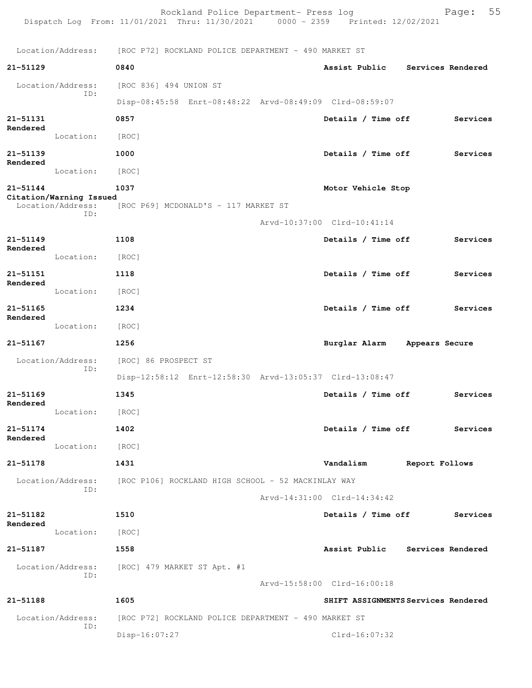Rockland Police Department- Press log Page: 55 Dispatch Log From: 11/01/2021 Thru: 11/30/2021 0000 - 2359 Printed: 12/02/2021 Location/Address: [ROC P72] ROCKLAND POLICE DEPARTMENT - 490 MARKET ST **21-51129 0840 Assist Public Services Rendered** Location/Address: [ROC 836] 494 UNION ST ID: Disp-08:45:58 Enrt-08:48:22 Arvd-08:49:09 Clrd-08:59:07 **21-51131 0857 Details / Time off Services Rendered**  Location: [ROC] **21-51139 1000 Details / Time off Services Rendered**  Location: [ROC] **21-51144 1037 Motor Vehicle Stop Citation/Warning Issued**  Location/Address: [ROC P69] MCDONALD'S - 117 MARKET ST ID: Arvd-10:37:00 Clrd-10:41:14 **21-51149 1108 Details / Time off Services Rendered**  Location: [ROC] **21-51151 1118 Details / Time off Services Rendered**  Location: [ROC] **21-51165 1234 Details / Time off Services Rendered**  Location: [ROC] **21-51167 1256 Burglar Alarm Appears Secure** Location/Address: [ROC] 86 PROSPECT ST ID: Disp-12:58:12 Enrt-12:58:30 Arvd-13:05:37 Clrd-13:08:47 **21-51169 1345 Details / Time off Services Rendered**  Location: [ROC] **21-51174 1402 Details / Time off Services Rendered**  Location: [ROC] **21-51178 1431 Vandalism Report Follows** Location/Address: [ROC P106] ROCKLAND HIGH SCHOOL - 52 MACKINLAY WAY ID: Arvd-14:31:00 Clrd-14:34:42 **21-51182 1510 Details / Time off Services Rendered**  Location: [ROC] **21-51187 1558 Assist Public Services Rendered** Location/Address: [ROC] 479 MARKET ST Apt. #1 ID: Arvd-15:58:00 Clrd-16:00:18 **21-51188 1605 SHIFT ASSIGNMENTS Services Rendered** Location/Address: [ROC P72] ROCKLAND POLICE DEPARTMENT - 490 MARKET ST ID: Disp-16:07:27 Clrd-16:07:32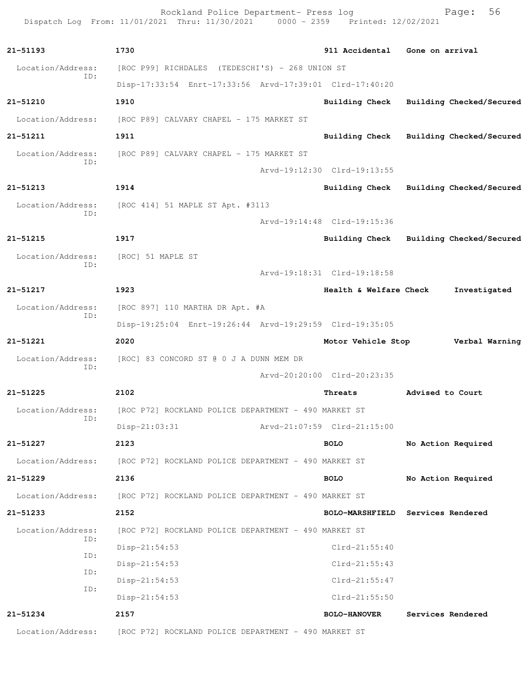Rockland Police Department- Press log entitled and Page: 56 Dispatch Log From: 11/01/2021 Thru: 11/30/2021 0000 - 2359 Printed: 12/02/2021

| 21-51193                 | 1730                                                    | 911 Accidental              | Gone on arrival                         |
|--------------------------|---------------------------------------------------------|-----------------------------|-----------------------------------------|
| Location/Address:        | [ROC P99] RICHDALES (TEDESCHI'S) - 268 UNION ST         |                             |                                         |
| ID:                      | Disp-17:33:54 Enrt-17:33:56 Arvd-17:39:01 Clrd-17:40:20 |                             |                                         |
| 21-51210                 | 1910                                                    | Building Check              | Building Checked/Secured                |
| Location/Address:        | [ROC P89] CALVARY CHAPEL - 175 MARKET ST                |                             |                                         |
| 21-51211                 | 1911                                                    | <b>Building Check</b>       | Building Checked/Secured                |
| Location/Address:<br>ID: | [ROC P89] CALVARY CHAPEL - 175 MARKET ST                |                             |                                         |
|                          |                                                         | Arvd-19:12:30 Clrd-19:13:55 |                                         |
| 21-51213                 | 1914                                                    |                             | Building Check Building Checked/Secured |
| Location/Address:<br>ID: | [ROC 414] 51 MAPLE ST Apt. #3113                        |                             |                                         |
|                          |                                                         | Arvd-19:14:48 Clrd-19:15:36 |                                         |
| $21 - 51215$             | 1917                                                    | Building Check              | Building Checked/Secured                |
| Location/Address:        | [ROC] 51 MAPLE ST                                       |                             |                                         |
| ID:                      |                                                         | Arvd-19:18:31 Clrd-19:18:58 |                                         |
| 21-51217                 | 1923                                                    | Health & Welfare Check      | Investigated                            |
| Location/Address:        | [ROC 897] 110 MARTHA DR Apt. #A                         |                             |                                         |
| ID:                      | Disp-19:25:04 Enrt-19:26:44 Arvd-19:29:59 Clrd-19:35:05 |                             |                                         |
| $21 - 51221$             | 2020                                                    | Motor Vehicle Stop          | Verbal Warning                          |
| Location/Address:<br>ID: | [ROC] 83 CONCORD ST @ 0 J A DUNN MEM DR                 |                             |                                         |
|                          |                                                         | Arvd-20:20:00 Clrd-20:23:35 |                                         |
| $21 - 51225$             | 2102                                                    | Threats                     | Advised to Court                        |
| Location/Address:<br>ID: | [ROC P72] ROCKLAND POLICE DEPARTMENT - 490 MARKET ST    |                             |                                         |
|                          | $Disp-21:03:31$                                         | Arvd-21:07:59 Clrd-21:15:00 |                                         |
| 21-51227                 | 2123                                                    | <b>BOLO</b>                 | No Action Required                      |
| Location/Address:        | [ROC P72] ROCKLAND POLICE DEPARTMENT - 490 MARKET ST    |                             |                                         |
| 21-51229                 | 2136                                                    | <b>BOLO</b>                 | No Action Required                      |
| Location/Address:        | [ROC P72] ROCKLAND POLICE DEPARTMENT - 490 MARKET ST    |                             |                                         |
| 21-51233                 | 2152                                                    |                             | BOLO-MARSHFIELD Services Rendered       |
| Location/Address:        | [ROC P72] ROCKLAND POLICE DEPARTMENT - 490 MARKET ST    |                             |                                         |
| ID:                      | Disp-21:54:53                                           | $Clrd-21:55:40$             |                                         |
| ID:                      | Disp-21:54:53                                           | $Clrd-21:55:43$             |                                         |
| ID:<br>ID:               | Disp-21:54:53                                           | $Clrd-21:55:47$             |                                         |
|                          | $Disp-21:54:53$                                         | $Clrd-21:55:50$             |                                         |
| 21-51234                 | 2157                                                    | <b>BOLO-HANOVER</b>         | Services Rendered                       |
| Location/Address:        | [ROC P72] ROCKLAND POLICE DEPARTMENT - 490 MARKET ST    |                             |                                         |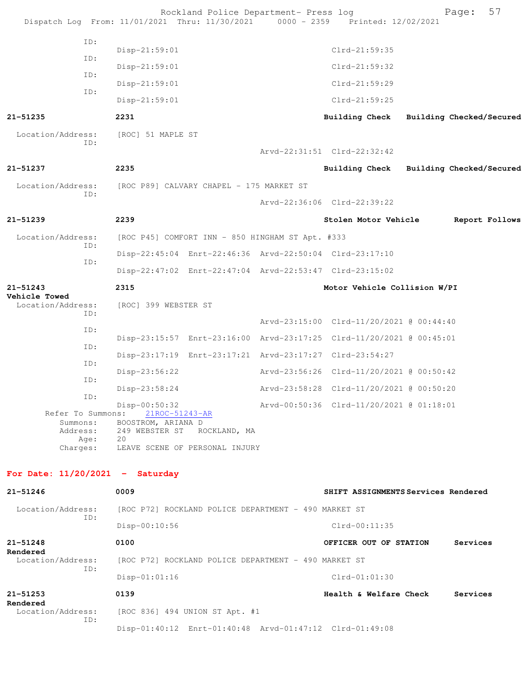|                                   |                  |                                                       | Rockland Police Department- Press log<br>Dispatch Log From: 11/01/2021 Thru: 11/30/2021 | 0000 - 2359 Printed: 12/02/2021                                      |                          | Page:    | 57             |
|-----------------------------------|------------------|-------------------------------------------------------|-----------------------------------------------------------------------------------------|----------------------------------------------------------------------|--------------------------|----------|----------------|
|                                   | ID:              | Disp-21:59:01                                         |                                                                                         | $Clrd-21:59:35$                                                      |                          |          |                |
|                                   | ID:              | Disp-21:59:01                                         |                                                                                         | $Clrd-21:59:32$                                                      |                          |          |                |
|                                   | ID:              | Disp-21:59:01                                         |                                                                                         | $Clrd-21:59:29$                                                      |                          |          |                |
|                                   | ID:              | Disp-21:59:01                                         |                                                                                         | $Clrd-21:59:25$                                                      |                          |          |                |
| $21 - 51235$                      |                  | 2231                                                  |                                                                                         | Building Check                                                       | Building Checked/Secured |          |                |
| Location/Address:                 | ID:              | [ROC] 51 MAPLE ST                                     |                                                                                         | Arvd-22:31:51 Clrd-22:32:42                                          |                          |          |                |
|                                   |                  |                                                       |                                                                                         |                                                                      |                          |          |                |
| 21-51237                          |                  | 2235                                                  |                                                                                         | <b>Building Check</b>                                                | Building Checked/Secured |          |                |
| Location/Address:                 | ID:              |                                                       | [ROC P89] CALVARY CHAPEL - 175 MARKET ST                                                |                                                                      |                          |          |                |
|                                   |                  |                                                       |                                                                                         | Arvd-22:36:06 Clrd-22:39:22                                          |                          |          |                |
| 21-51239                          |                  | 2239                                                  |                                                                                         | Stolen Motor Vehicle                                                 |                          |          | Report Follows |
| Location/Address:                 | ID:              |                                                       | [ROC P45] COMFORT INN - 850 HINGHAM ST Apt. #333                                        |                                                                      |                          |          |                |
| ID:                               |                  |                                                       | Disp-22:45:04 Enrt-22:46:36 Arvd-22:50:04 Clrd-23:17:10                                 |                                                                      |                          |          |                |
|                                   |                  |                                                       |                                                                                         | Disp-22:47:02 Enrt-22:47:04 Arvd-22:53:47 Clrd-23:15:02              |                          |          |                |
| 21-51243<br>Vehicle Towed         |                  | 2315                                                  |                                                                                         | Motor Vehicle Collision W/PI                                         |                          |          |                |
| Location/Address:                 | ID:              | [ROC] 399 WEBSTER ST                                  |                                                                                         |                                                                      |                          |          |                |
|                                   | ID:              |                                                       |                                                                                         | Arvd-23:15:00 Clrd-11/20/2021 @ 00:44:40                             |                          |          |                |
|                                   | ID:              |                                                       |                                                                                         | Disp-23:15:57 Enrt-23:16:00 Arvd-23:17:25 Clrd-11/20/2021 @ 00:45:01 |                          |          |                |
|                                   | ID:              |                                                       |                                                                                         | Disp-23:17:19 Enrt-23:17:21 Arvd-23:17:27 Clrd-23:54:27              |                          |          |                |
|                                   | ID:              | Disp-23:56:22                                         |                                                                                         | Arvd-23:56:26 Clrd-11/20/2021 @ 00:50:42                             |                          |          |                |
|                                   | ID:              | Disp-23:58:24                                         |                                                                                         | Arvd-23:58:28 Clrd-11/20/2021 @ 00:50:20                             |                          |          |                |
| Refer To Summons:<br>Summons:     |                  | Disp-00:50:32<br>21ROC-51243-AR<br>BOOSTROM, ARIANA D |                                                                                         | Arvd-00:50:36 Clrd-11/20/2021 @ 01:18:01                             |                          |          |                |
| Charges:                          | Address:<br>Age: | 249 WEBSTER ST<br>20                                  | ROCKLAND, MA<br>LEAVE SCENE OF PERSONAL INJURY                                          |                                                                      |                          |          |                |
| For Date: $11/20/2021$ - Saturday |                  |                                                       |                                                                                         |                                                                      |                          |          |                |
| 21-51246                          |                  | 0009                                                  |                                                                                         | SHIFT ASSIGNMENTS Services Rendered                                  |                          |          |                |
| Location/Address:                 |                  |                                                       | [ROC P72] ROCKLAND POLICE DEPARTMENT - 490 MARKET ST                                    |                                                                      |                          |          |                |
|                                   | ID:              | Disp-00:10:56                                         |                                                                                         | $Clrd-00:11:35$                                                      |                          |          |                |
| $21 - 51248$                      |                  | 0100                                                  |                                                                                         | OFFICER OUT OF STATION                                               |                          | Services |                |
| Rendered<br>Location/Address:     |                  |                                                       | [ROC P72] ROCKLAND POLICE DEPARTMENT - 490 MARKET ST                                    |                                                                      |                          |          |                |
|                                   | ID:              | Disp-01:01:16                                         |                                                                                         | $Clrd-01:01:30$                                                      |                          |          |                |
| $21 - 51253$                      |                  | 0139                                                  |                                                                                         | Health & Welfare Check                                               |                          | Services |                |
| Rendered<br>Location/Address:     |                  |                                                       | [ROC 836] 494 UNION ST Apt. #1                                                          |                                                                      |                          |          |                |
|                                   | ID:              |                                                       |                                                                                         | Disp-01:40:12 Enrt-01:40:48 Arvd-01:47:12 Clrd-01:49:08              |                          |          |                |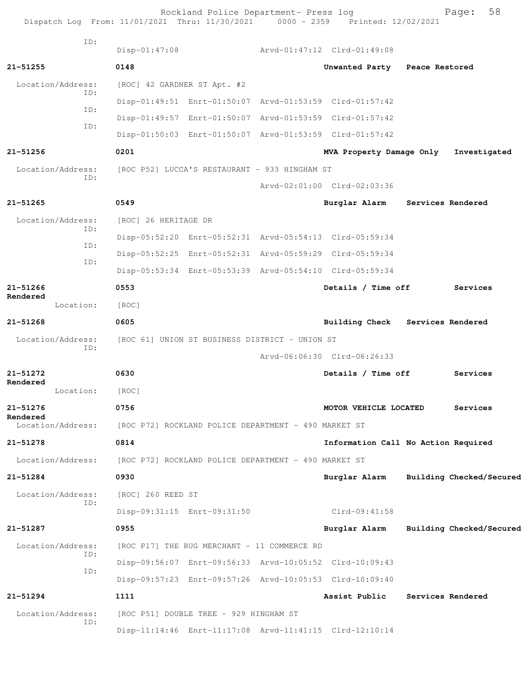Rockland Police Department- Press log entitled and Page: 58 Dispatch Log From: 11/01/2021 Thru: 11/30/2021 0000 - 2359 Printed: 12/02/2021

| ID:                   |                                                                        |                               |                                     |
|-----------------------|------------------------------------------------------------------------|-------------------------------|-------------------------------------|
|                       | $Disp-01:47:08$                                                        | Arvd-01:47:12 Clrd-01:49:08   |                                     |
| $21 - 51255$          | 0148                                                                   | Unwanted Party Peace Restored |                                     |
| Location/Address:     | [ROC] 42 GARDNER ST Apt. #2                                            |                               |                                     |
| TD:                   | Disp-01:49:51 Enrt-01:50:07 Arvd-01:53:59 Clrd-01:57:42                |                               |                                     |
| ID:                   | Disp-01:49:57 Enrt-01:50:07 Arvd-01:53:59 Clrd-01:57:42                |                               |                                     |
| ID:                   | Disp-01:50:03 Enrt-01:50:07 Arvd-01:53:59 Clrd-01:57:42                |                               |                                     |
| $21 - 51256$          | 0201                                                                   | MVA Property Damage Only      | Investigated                        |
| Location/Address:     | [ROC P52] LUCCA'S RESTAURANT - 933 HINGHAM ST                          |                               |                                     |
| ID:                   |                                                                        | Arvd-02:01:00 Clrd-02:03:36   |                                     |
| $21 - 51265$          | 0549                                                                   | Burglar Alarm                 | Services Rendered                   |
| Location/Address:     | [ROC] 26 HERITAGE DR                                                   |                               |                                     |
| TD:                   | Disp-05:52:20 Enrt-05:52:31 Arvd-05:54:13 Clrd-05:59:34                |                               |                                     |
| TD:                   | Disp-05:52:25 Enrt-05:52:31 Arvd-05:59:29 Clrd-05:59:34                |                               |                                     |
| ID:                   | Disp-05:53:34 Enrt-05:53:39 Arvd-05:54:10 Clrd-05:59:34                |                               |                                     |
| 21-51266              | 0553                                                                   | Details / Time off            | Services                            |
| Rendered<br>Location: | [ROC]                                                                  |                               |                                     |
| $21 - 51268$          | 0605                                                                   |                               | Building Check Services Rendered    |
| Location/Address:     | [ROC 61] UNION ST BUSINESS DISTRICT - UNION ST                         |                               |                                     |
| ID:                   |                                                                        | Arvd-06:06:30 Clrd-06:26:33   |                                     |
| 21-51272              | 0630                                                                   | Details / Time off            | Services                            |
| Rendered<br>Location: | [ROC]                                                                  |                               |                                     |
| 21-51276              | 0756                                                                   | MOTOR VEHICLE LOCATED         | Services                            |
| Rendered              | Location/Address: [ROC P72] ROCKLAND POLICE DEPARTMENT - 490 MARKET ST |                               |                                     |
| 21-51278              | 0814                                                                   |                               | Information Call No Action Required |
| Location/Address:     | [ROC P72] ROCKLAND POLICE DEPARTMENT - 490 MARKET ST                   |                               |                                     |
| 21-51284              | 0930                                                                   | Burglar Alarm                 | Building Checked/Secured            |
| Location/Address:     | [ROC] 260 REED ST                                                      |                               |                                     |
| ID:                   | Disp-09:31:15 Enrt-09:31:50                                            | Clrd-09:41:58                 |                                     |
| 21-51287              | 0955                                                                   | Burglar Alarm                 | Building Checked/Secured            |
| Location/Address:     | [ROC P17] THE RUG MERCHANT - 11 COMMERCE RD                            |                               |                                     |
| ID:                   | Disp-09:56:07 Enrt-09:56:33 Arvd-10:05:52 Clrd-10:09:43                |                               |                                     |
| ID:                   | Disp-09:57:23 Enrt-09:57:26 Arvd-10:05:53 Clrd-10:09:40                |                               |                                     |
| 21-51294              | 1111                                                                   | Assist Public                 | Services Rendered                   |
| Location/Address:     | [ROC P51] DOUBLE TREE - 929 HINGHAM ST                                 |                               |                                     |
| ID:                   | Disp-11:14:46 Enrt-11:17:08 Arvd-11:41:15 Clrd-12:10:14                |                               |                                     |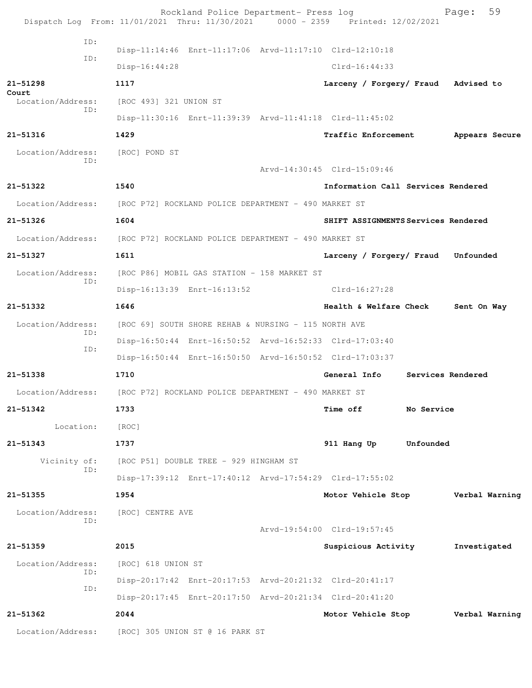|                                                                        |     |                        | Rockland Police Department- Press log                | Dispatch Log From: 11/01/2021 Thru: 11/30/2021 0000 - 2359 Printed: 12/02/2021 |                   | Page:          | 59 |
|------------------------------------------------------------------------|-----|------------------------|------------------------------------------------------|--------------------------------------------------------------------------------|-------------------|----------------|----|
|                                                                        | ID: |                        |                                                      |                                                                                |                   |                |    |
|                                                                        | ID: |                        |                                                      | Disp-11:14:46 Enrt-11:17:06 Arvd-11:17:10 Clrd-12:10:18                        |                   |                |    |
|                                                                        |     | $Disp-16:44:28$        |                                                      | $Clrd-16:44:33$                                                                |                   |                |    |
| 21-51298<br>Court                                                      |     | 1117                   |                                                      | Larceny / Forgery/ Fraud Advised to                                            |                   |                |    |
| Location/Address:                                                      | ID: | [ROC 493] 321 UNION ST |                                                      |                                                                                |                   |                |    |
|                                                                        |     |                        |                                                      | Disp-11:30:16 Enrt-11:39:39 Arvd-11:41:18 Clrd-11:45:02                        |                   |                |    |
| 21-51316                                                               |     | 1429                   |                                                      | Traffic Enforcement                                                            |                   | Appears Secure |    |
| Location/Address:                                                      |     | [ROC] POND ST          |                                                      |                                                                                |                   |                |    |
|                                                                        | ID: |                        |                                                      | Arvd-14:30:45 Clrd-15:09:46                                                    |                   |                |    |
| 21-51322                                                               |     | 1540                   |                                                      | Information Call Services Rendered                                             |                   |                |    |
| Location/Address: [ROC P72] ROCKLAND POLICE DEPARTMENT - 490 MARKET ST |     |                        |                                                      |                                                                                |                   |                |    |
| 21-51326                                                               |     | 1604                   |                                                      | SHIFT ASSIGNMENTS Services Rendered                                            |                   |                |    |
| Location/Address:                                                      |     |                        | [ROC P72] ROCKLAND POLICE DEPARTMENT - 490 MARKET ST |                                                                                |                   |                |    |
| 21-51327                                                               |     | 1611                   |                                                      | Larceny / Forgery/ Fraud Unfounded                                             |                   |                |    |
| Location/Address:                                                      |     |                        | [ROC P86] MOBIL GAS STATION - 158 MARKET ST          |                                                                                |                   |                |    |
|                                                                        | ID: |                        | Disp-16:13:39 Enrt-16:13:52                          | Clrd-16:27:28                                                                  |                   |                |    |
| 21-51332                                                               |     | 1646                   |                                                      | Health & Welfare Check                                                         |                   | Sent On Way    |    |
| Location/Address:                                                      |     |                        | [ROC 69] SOUTH SHORE REHAB & NURSING - 115 NORTH AVE |                                                                                |                   |                |    |
|                                                                        | ID: |                        |                                                      | Disp-16:50:44 Enrt-16:50:52 Arvd-16:52:33 Clrd-17:03:40                        |                   |                |    |
|                                                                        | ID: |                        |                                                      | Disp-16:50:44 Enrt-16:50:50 Arvd-16:50:52 Clrd-17:03:37                        |                   |                |    |
| 21-51338                                                               |     | 1710                   |                                                      | General Info                                                                   | Services Rendered |                |    |
| Location/Address:                                                      |     |                        | [ROC P72] ROCKLAND POLICE DEPARTMENT - 490 MARKET ST |                                                                                |                   |                |    |
| 21-51342                                                               |     | 1733                   |                                                      | Time off                                                                       | No Service        |                |    |
| Location:                                                              |     | [ROC]                  |                                                      |                                                                                |                   |                |    |
| 21-51343                                                               |     | 1737                   |                                                      | 911 Hang Up                                                                    | Unfounded         |                |    |
| Vicinity of:                                                           |     |                        | [ROC P51] DOUBLE TREE - 929 HINGHAM ST               |                                                                                |                   |                |    |
|                                                                        | ID: |                        |                                                      | Disp-17:39:12 Enrt-17:40:12 Arvd-17:54:29 Clrd-17:55:02                        |                   |                |    |
| 21-51355                                                               |     | 1954                   |                                                      | Motor Vehicle Stop                                                             |                   | Verbal Warning |    |
| Location/Address:                                                      |     | [ROC] CENTRE AVE       |                                                      |                                                                                |                   |                |    |
|                                                                        | ID: |                        |                                                      | Arvd-19:54:00 Clrd-19:57:45                                                    |                   |                |    |
| 21-51359                                                               |     | 2015                   |                                                      | Suspicious Activity                                                            |                   | Investigated   |    |
| Location/Address:                                                      |     | [ROC] 618 UNION ST     |                                                      |                                                                                |                   |                |    |
|                                                                        | ID: |                        |                                                      | Disp-20:17:42 Enrt-20:17:53 Arvd-20:21:32 Clrd-20:41:17                        |                   |                |    |
|                                                                        | ID: |                        |                                                      | Disp-20:17:45 Enrt-20:17:50 Arvd-20:21:34 Clrd-20:41:20                        |                   |                |    |
| 21-51362                                                               |     | 2044                   |                                                      | Motor Vehicle Stop                                                             |                   | Verbal Warning |    |
| Location/Address:                                                      |     |                        | [ROC] 305 UNION ST @ 16 PARK ST                      |                                                                                |                   |                |    |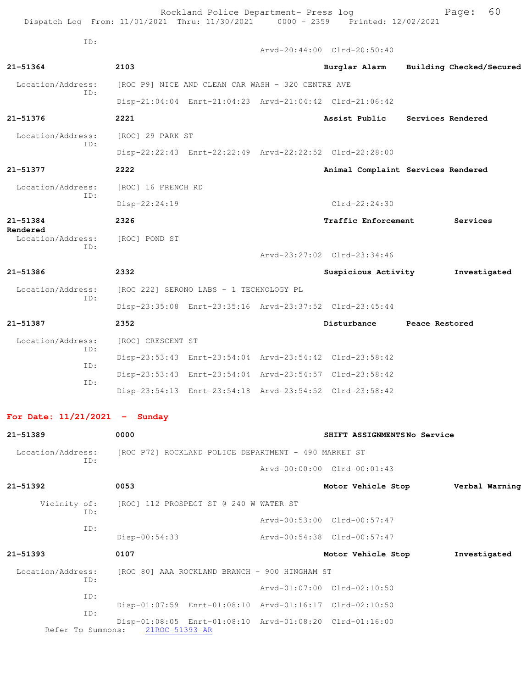| Dispatch Log From: 11/01/2021 Thru: 11/30/2021 0000 - 2359 Printed: 12/02/2021 |                                                     | Rockland Police Department- Press log             |                                                         |                | 60<br>Page:              |  |
|--------------------------------------------------------------------------------|-----------------------------------------------------|---------------------------------------------------|---------------------------------------------------------|----------------|--------------------------|--|
| ID:                                                                            |                                                     |                                                   | Arvd-20:44:00 Clrd-20:50:40                             |                |                          |  |
| 21-51364                                                                       | 2103                                                |                                                   | Burglar Alarm                                           |                | Building Checked/Secured |  |
| Location/Address:                                                              |                                                     | [ROC P9] NICE AND CLEAN CAR WASH - 320 CENTRE AVE |                                                         |                |                          |  |
| ID:                                                                            |                                                     |                                                   | Disp-21:04:04 Enrt-21:04:23 Arvd-21:04:42 Clrd-21:06:42 |                |                          |  |
| 21-51376                                                                       | 2221                                                |                                                   | Assist Public                                           |                | Services Rendered        |  |
| Location/Address:                                                              | [ROC] 29 PARK ST                                    |                                                   |                                                         |                |                          |  |
| ID:                                                                            |                                                     |                                                   | Disp-22:22:43 Enrt-22:22:49 Arvd-22:22:52 Clrd-22:28:00 |                |                          |  |
| 21-51377                                                                       | 2222                                                |                                                   | Animal Complaint Services Rendered                      |                |                          |  |
| Location/Address:                                                              | [ROC] 16 FRENCH RD                                  |                                                   |                                                         |                |                          |  |
| ID:                                                                            | Disp-22:24:19                                       |                                                   | $Clrd-22:24:30$                                         |                |                          |  |
| 21-51384                                                                       | 2326                                                |                                                   | <b>Traffic Enforcement</b>                              |                | Services                 |  |
| Rendered<br>Location/Address:                                                  | [ROC] POND ST                                       |                                                   |                                                         |                |                          |  |
| ID:                                                                            |                                                     |                                                   | Arvd-23:27:02 Clrd-23:34:46                             |                |                          |  |
| 21-51386                                                                       | 2332                                                |                                                   | Suspicious Activity                                     |                | Investigated             |  |
| Location/Address:<br>ID:                                                       |                                                     | [ROC 222] SERONO LABS - 1 TECHNOLOGY PL           |                                                         |                |                          |  |
|                                                                                |                                                     |                                                   | Disp-23:35:08 Enrt-23:35:16 Arvd-23:37:52 Clrd-23:45:44 |                |                          |  |
| 21-51387                                                                       | 2352                                                |                                                   | Disturbance                                             | Peace Restored |                          |  |
| Location/Address:                                                              | [ROC] CRESCENT ST                                   |                                                   |                                                         |                |                          |  |
| ID:                                                                            |                                                     |                                                   | Disp-23:53:43 Enrt-23:54:04 Arvd-23:54:42 Clrd-23:58:42 |                |                          |  |
| ID:                                                                            |                                                     |                                                   | Disp-23:53:43 Enrt-23:54:04 Arvd-23:54:57 Clrd-23:58:42 |                |                          |  |
| ID:                                                                            |                                                     |                                                   | Disp-23:54:13 Enrt-23:54:18 Arvd-23:54:52 Clrd-23:58:42 |                |                          |  |
| For Date: $11/21/2021$ - Sunday                                                |                                                     |                                                   |                                                         |                |                          |  |
| 21-51389                                                                       | 0000                                                |                                                   | SHIFT ASSIGNMENTSNo Service                             |                |                          |  |
| Location/Address: [ROC P72] ROCKLAND POLICE DEPARTMENT - 490 MARKET ST         |                                                     |                                                   |                                                         |                |                          |  |
| ID:                                                                            |                                                     |                                                   | Arvd-00:00:00 Clrd-00:01:43                             |                |                          |  |
| $21 - 51392$                                                                   | 0053                                                |                                                   | Motor Vehicle Stop Verbal Warning                       |                |                          |  |
|                                                                                | Vicinity of: [ROC] 112 PROSPECT ST @ 240 W WATER ST |                                                   |                                                         |                |                          |  |
| ID:                                                                            |                                                     |                                                   | Arvd-00:53:00 Clrd-00:57:47                             |                |                          |  |
| ID:                                                                            | $Disp-00:54:33$                                     |                                                   | Arvd-00:54:38 Clrd-00:57:47                             |                |                          |  |
| 21-51393                                                                       | 0107                                                |                                                   | Motor Vehicle Stop                                      |                | Investigated             |  |
| Location/Address:<br>TD:                                                       | [ROC 80] AAA ROCKLAND BRANCH - 900 HINGHAM ST       |                                                   |                                                         |                |                          |  |
| ID:                                                                            |                                                     |                                                   | Arvd-01:07:00 Clrd-02:10:50                             |                |                          |  |
|                                                                                |                                                     |                                                   | Disp-01:07:59 Enrt-01:08:10 Arvd-01:16:17 Clrd-02:10:50 |                |                          |  |

 ID: Disp-01:08:05 Enrt-01:08:10 Arvd-01:08:20 Clrd-01:16:00 Refer To Summons: 21ROC-51393-AR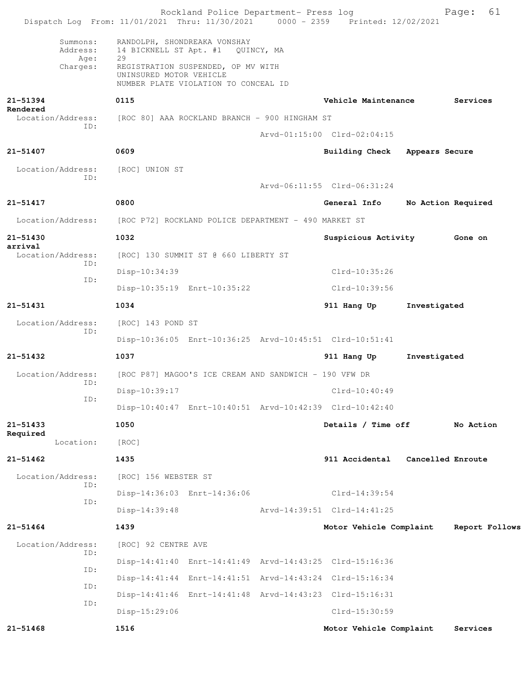| Dispatch Log From: 11/01/2021 Thru: 11/30/2021 0000 - 2359 Printed: 12/02/2021 |                         | Rockland Police Department- Press log                                      |                                                         |                   | 61<br>Page:        |
|--------------------------------------------------------------------------------|-------------------------|----------------------------------------------------------------------------|---------------------------------------------------------|-------------------|--------------------|
| Summons:<br>Address:<br>Age:                                                   | 29                      | RANDOLPH, SHONDREAKA VONSHAY<br>14 BICKNELL ST Apt. #1 QUINCY, MA          |                                                         |                   |                    |
| Charges:                                                                       | UNINSURED MOTOR VEHICLE | REGISTRATION SUSPENDED, OP MV WITH<br>NUMBER PLATE VIOLATION TO CONCEAL ID |                                                         |                   |                    |
| 21-51394                                                                       | 0115                    |                                                                            | Vehicle Maintenance                                     |                   | Services           |
| Rendered<br>Location/Address:                                                  |                         | [ROC 80] AAA ROCKLAND BRANCH - 900 HINGHAM ST                              |                                                         |                   |                    |
| ID:                                                                            |                         |                                                                            | Arvd-01:15:00 Clrd-02:04:15                             |                   |                    |
| 21-51407                                                                       | 0609                    |                                                                            | <b>Building Check</b>                                   | Appears Secure    |                    |
| Location/Address:                                                              | [ROC] UNION ST          |                                                                            |                                                         |                   |                    |
| ID:                                                                            |                         |                                                                            | Arvd-06:11:55 Clrd-06:31:24                             |                   |                    |
| 21-51417                                                                       | 0800                    |                                                                            | General Info                                            |                   | No Action Required |
| Location/Address:                                                              |                         | [ROC P72] ROCKLAND POLICE DEPARTMENT - 490 MARKET ST                       |                                                         |                   |                    |
| 21-51430                                                                       | 1032                    |                                                                            | Suspicious Activity                                     |                   | <b>Gone</b> on     |
| arrival<br>Location/Address:<br>ID:                                            |                         | [ROC] 130 SUMMIT ST @ 660 LIBERTY ST                                       |                                                         |                   |                    |
|                                                                                | Disp-10:34:39           |                                                                            | Clrd-10:35:26                                           |                   |                    |
| ID:                                                                            |                         | Disp-10:35:19 Enrt-10:35:22                                                | Clrd-10:39:56                                           |                   |                    |
| 21-51431                                                                       | 1034                    |                                                                            | 911 Hang Up                                             | Investigated      |                    |
| Location/Address:<br>ID:                                                       | [ROC] 143 POND ST       |                                                                            |                                                         |                   |                    |
|                                                                                |                         |                                                                            | Disp-10:36:05 Enrt-10:36:25 Arvd-10:45:51 Clrd-10:51:41 |                   |                    |
| $21 - 51432$                                                                   | 1037                    |                                                                            | 911 Hang Up                                             | Investigated      |                    |
| Location/Address:<br>ID:                                                       |                         | [ROC P87] MAGOO'S ICE CREAM AND SANDWICH - 190 VFW DR                      |                                                         |                   |                    |
| ID:                                                                            | Disp-10:39:17           |                                                                            | $Clrd-10:40:49$                                         |                   |                    |
|                                                                                |                         |                                                                            | Disp-10:40:47 Enrt-10:40:51 Arvd-10:42:39 Clrd-10:42:40 |                   |                    |
| $21 - 51433$<br>Required                                                       | 1050                    |                                                                            | Details / Time off                                      |                   | No Action          |
| Location:                                                                      | [ROC]                   |                                                                            |                                                         |                   |                    |
| $21 - 51462$                                                                   | 1435                    |                                                                            | 911 Accidental                                          | Cancelled Enroute |                    |
| Location/Address:<br>ID:                                                       | [ROC] 156 WEBSTER ST    |                                                                            |                                                         |                   |                    |
| ID:                                                                            |                         | Disp-14:36:03 Enrt-14:36:06                                                | $Clrd-14:39:54$                                         |                   |                    |
|                                                                                | Disp-14:39:48           |                                                                            | Arvd-14:39:51 Clrd-14:41:25                             |                   |                    |
| $21 - 51464$                                                                   | 1439                    |                                                                            | Motor Vehicle Complaint                                 |                   | Report Follows     |
| Location/Address:<br>ID:                                                       | [ROC] 92 CENTRE AVE     |                                                                            |                                                         |                   |                    |
| ID:                                                                            |                         |                                                                            | Disp-14:41:40 Enrt-14:41:49 Arvd-14:43:25 Clrd-15:16:36 |                   |                    |
| ID:                                                                            |                         |                                                                            | Disp-14:41:44 Enrt-14:41:51 Arvd-14:43:24 Clrd-15:16:34 |                   |                    |
| ID:                                                                            |                         |                                                                            | Disp-14:41:46 Enrt-14:41:48 Arvd-14:43:23 Clrd-15:16:31 |                   |                    |
|                                                                                | Disp-15:29:06           |                                                                            | Clrd-15:30:59                                           |                   |                    |
| $21 - 51468$                                                                   | 1516                    |                                                                            | Motor Vehicle Complaint                                 |                   | Services           |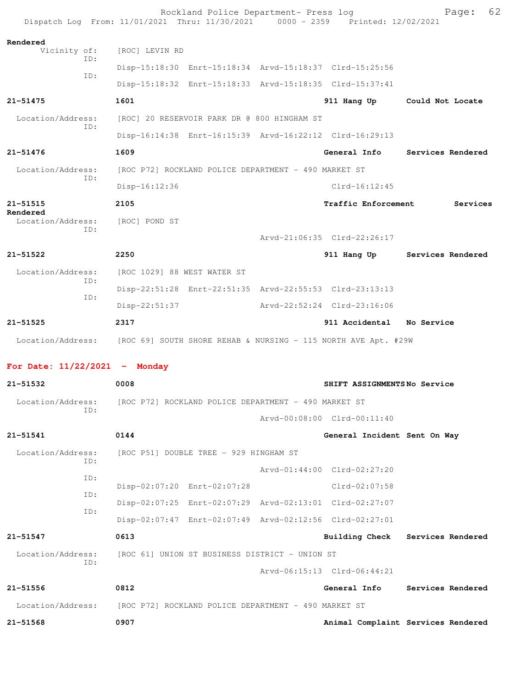|                                 | Rockland Police Department- Press log<br>Dispatch Log From: 11/01/2021 Thru: 11/30/2021 0000 - 2359 Printed: 12/02/2021 |                              | 62<br>Page:                        |
|---------------------------------|-------------------------------------------------------------------------------------------------------------------------|------------------------------|------------------------------------|
| Rendered<br>Vicinity of:        | [ROC] LEVIN RD                                                                                                          |                              |                                    |
| ID:                             | Disp-15:18:30 Enrt-15:18:34 Arvd-15:18:37 Clrd-15:25:56                                                                 |                              |                                    |
| ID:                             | Disp-15:18:32 Enrt-15:18:33 Arvd-15:18:35 Clrd-15:37:41                                                                 |                              |                                    |
| $21 - 51475$                    | 1601                                                                                                                    |                              | 911 Hang Up Could Not Locate       |
| Location/Address:               | [ROC] 20 RESERVOIR PARK DR @ 800 HINGHAM ST                                                                             |                              |                                    |
| TD:                             | Disp-16:14:38 Enrt-16:15:39 Arvd-16:22:12 Clrd-16:29:13                                                                 |                              |                                    |
| $21 - 51476$                    | 1609                                                                                                                    |                              | General Info Services Rendered     |
| Location/Address:<br>TD:        | [ROC P72] ROCKLAND POLICE DEPARTMENT - 490 MARKET ST                                                                    |                              |                                    |
|                                 | Disp-16:12:36                                                                                                           | $Clrd-16:12:45$              |                                    |
| $21 - 51515$<br>Rendered        | 2105                                                                                                                    | <b>Traffic Enforcement</b>   | Services                           |
| Location/Address:<br>ID:        | [ROC] POND ST                                                                                                           |                              |                                    |
|                                 |                                                                                                                         | Arvd-21:06:35 Clrd-22:26:17  |                                    |
| $21 - 51522$                    | 2250                                                                                                                    |                              | 911 Hang Up Services Rendered      |
| Location/Address:<br>ID:        | [ROC 1029] 88 WEST WATER ST                                                                                             |                              |                                    |
| ID:                             | Disp-22:51:28 Enrt-22:51:35 Arvd-22:55:53 Clrd-23:13:13                                                                 |                              |                                    |
|                                 | $Disp-22:51:37$                                                                                                         | Arvd-22:52:24 Clrd-23:16:06  |                                    |
| $21 - 51525$                    | 2317                                                                                                                    | 911 Accidental No Service    |                                    |
|                                 | Location/Address: [ROC 69] SOUTH SHORE REHAB & NURSING - 115 NORTH AVE Apt. #29W                                        |                              |                                    |
| For Date: $11/22/2021$ - Monday |                                                                                                                         |                              |                                    |
| 21-51532                        | 0008                                                                                                                    | SHIFT ASSIGNMENTSNo Service  |                                    |
| Location/Address:<br>ID:        | [ROC P72] ROCKLAND POLICE DEPARTMENT - 490 MARKET ST                                                                    |                              |                                    |
|                                 |                                                                                                                         | Arvd-00:08:00 Clrd-00:11:40  |                                    |
| 21-51541                        | 0144                                                                                                                    | General Incident Sent On Way |                                    |
| Location/Address:<br>ID:        | [ROC P51] DOUBLE TREE - 929 HINGHAM ST                                                                                  |                              |                                    |
| ID:                             |                                                                                                                         | Arvd-01:44:00 Clrd-02:27:20  |                                    |
| ID:                             | Disp-02:07:20 Enrt-02:07:28                                                                                             | Clrd-02:07:58                |                                    |
| ID:                             | Disp-02:07:25 Enrt-02:07:29 Arvd-02:13:01 Clrd-02:27:07                                                                 |                              |                                    |
|                                 | Disp-02:07:47 Enrt-02:07:49 Arvd-02:12:56 Clrd-02:27:01                                                                 |                              |                                    |
| 21-51547                        | 0613                                                                                                                    |                              | Building Check Services Rendered   |
| Location/Address:<br>TD:        | [ROC 61] UNION ST BUSINESS DISTRICT - UNION ST                                                                          |                              |                                    |
|                                 |                                                                                                                         | Arvd-06:15:13 Clrd-06:44:21  |                                    |
| 21-51556                        | 0812                                                                                                                    | General Info                 | Services Rendered                  |
| Location/Address:               | [ROC P72] ROCKLAND POLICE DEPARTMENT - 490 MARKET ST                                                                    |                              |                                    |
| 21-51568                        | 0907                                                                                                                    |                              | Animal Complaint Services Rendered |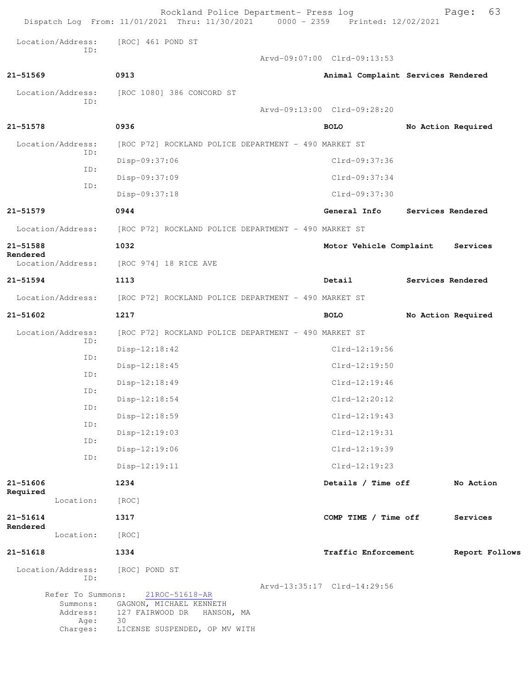|                               |                                           | Rockland Police Department- Press log<br>Dispatch Log From: 11/01/2021 Thru: 11/30/2021 0000 - 2359 Printed: 12/02/2021 | 63<br>Page:                        |
|-------------------------------|-------------------------------------------|-------------------------------------------------------------------------------------------------------------------------|------------------------------------|
| Location/Address:             | [ROC] 461 POND ST                         |                                                                                                                         |                                    |
| ID:                           |                                           | Arvd-09:07:00 Clrd-09:13:53                                                                                             |                                    |
| 21-51569                      | 0913                                      |                                                                                                                         | Animal Complaint Services Rendered |
| Location/Address:             | [ROC 1080] 386 CONCORD ST                 |                                                                                                                         |                                    |
| ID:                           |                                           | Arvd-09:13:00 Clrd-09:28:20                                                                                             |                                    |
| 21-51578                      | 0936                                      | <b>BOLO</b>                                                                                                             | No Action Required                 |
| Location/Address:             |                                           | [ROC P72] ROCKLAND POLICE DEPARTMENT - 490 MARKET ST                                                                    |                                    |
| ID:                           | Disp-09:37:06                             | Clrd-09:37:36                                                                                                           |                                    |
| ID:                           | Disp-09:37:09                             | Clrd-09:37:34                                                                                                           |                                    |
| ID:                           | Disp-09:37:18                             | Clrd-09:37:30                                                                                                           |                                    |
| 21-51579                      | 0944                                      | General Info                                                                                                            | Services Rendered                  |
| Location/Address:             |                                           | [ROC P72] ROCKLAND POLICE DEPARTMENT - 490 MARKET ST                                                                    |                                    |
| 21-51588                      | 1032                                      | Motor Vehicle Complaint                                                                                                 | Services                           |
| Rendered<br>Location/Address: | [ROC 974] 18 RICE AVE                     |                                                                                                                         |                                    |
| 21-51594                      | 1113                                      | Detail                                                                                                                  | Services Rendered                  |
| Location/Address:             |                                           | [ROC P72] ROCKLAND POLICE DEPARTMENT - 490 MARKET ST                                                                    |                                    |
| 21-51602                      | 1217                                      | <b>BOLO</b>                                                                                                             | No Action Required                 |
| Location/Address:             |                                           | [ROC P72] ROCKLAND POLICE DEPARTMENT - 490 MARKET ST                                                                    |                                    |
| ID:                           | $Disp-12:18:42$                           | $Clrd-12:19:56$                                                                                                         |                                    |
| ID:                           | $Disp-12:18:45$                           | $Clrd-12:19:50$                                                                                                         |                                    |
| ID:                           | Disp-12:18:49                             | $Clrd-12:19:46$                                                                                                         |                                    |
| ID:                           | Disp-12:18:54                             | Clrd-12:20:12                                                                                                           |                                    |
| ID:                           | Disp-12:18:59                             | $Clrd-12:19:43$                                                                                                         |                                    |
| ID:                           | Disp-12:19:03                             | Clrd-12:19:31                                                                                                           |                                    |
| ID:                           | Disp-12:19:06                             | $C1rd-12:19:39$                                                                                                         |                                    |
| ID:                           | Disp-12:19:11                             | Clrd-12:19:23                                                                                                           |                                    |
| 21-51606                      | 1234                                      | Details / Time off                                                                                                      | No Action                          |
| Required<br>Location:         | [ROC]                                     |                                                                                                                         |                                    |
| $21 - 51614$                  | 1317                                      | COMP TIME / Time off                                                                                                    | Services                           |
| Rendered<br>Location:         | [ROC]                                     |                                                                                                                         |                                    |
| 21-51618                      | 1334                                      | Traffic Enforcement                                                                                                     | Report Follows                     |
| Location/Address:             | [ROC] POND ST                             |                                                                                                                         |                                    |
| ID:                           |                                           | Arvd-13:35:17 Clrd-14:29:56                                                                                             |                                    |
| Refer To Summons:<br>Summons: | 21ROC-51618-AR<br>GAGNON, MICHAEL KENNETH |                                                                                                                         |                                    |
| Address:<br>Age:              | 127 FAIRWOOD DR<br>HANSON, MA<br>30       |                                                                                                                         |                                    |
| Charges:                      | LICENSE SUSPENDED, OP MV WITH             |                                                                                                                         |                                    |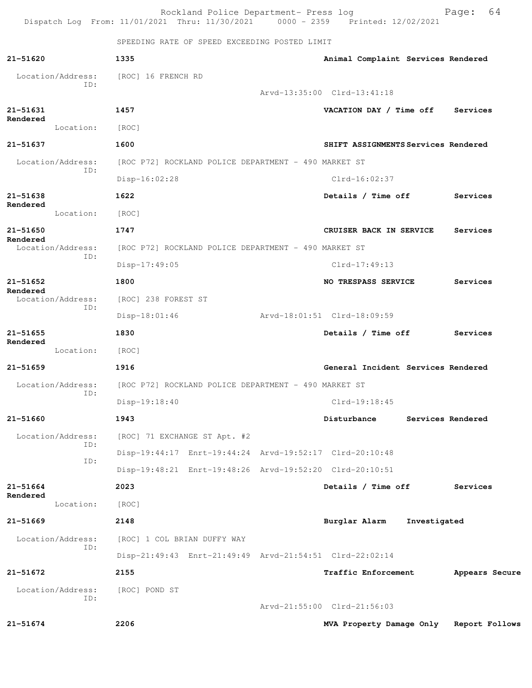|                      |                          |                                                      | Rockland Police Department- Press log                |  | Dispatch Log From: 11/01/2021 Thru: 11/30/2021 0000 - 2359 Printed: 12/02/2021 |              | 64<br>Page:       |  |
|----------------------|--------------------------|------------------------------------------------------|------------------------------------------------------|--|--------------------------------------------------------------------------------|--------------|-------------------|--|
|                      |                          |                                                      | SPEEDING RATE OF SPEED EXCEEDING POSTED LIMIT        |  |                                                                                |              |                   |  |
| 21-51620             |                          | 1335                                                 |                                                      |  | Animal Complaint Services Rendered                                             |              |                   |  |
|                      | Location/Address:        | [ROC] 16 FRENCH RD                                   |                                                      |  |                                                                                |              |                   |  |
|                      | ID:                      |                                                      |                                                      |  | Arvd-13:35:00 Clrd-13:41:18                                                    |              |                   |  |
| 21-51631             |                          | 1457                                                 |                                                      |  | VACATION DAY / Time off<br>Services                                            |              |                   |  |
| Rendered             | Location:                | [ROC]                                                |                                                      |  |                                                                                |              |                   |  |
| 21-51637             |                          | 1600                                                 |                                                      |  | SHIFT ASSIGNMENTS Services Rendered                                            |              |                   |  |
|                      | Location/Address:        |                                                      | [ROC P72] ROCKLAND POLICE DEPARTMENT - 490 MARKET ST |  |                                                                                |              |                   |  |
|                      | ID:                      | $Disp-16:02:28$                                      |                                                      |  | $Clrd-16:02:37$                                                                |              |                   |  |
| 21-51638             |                          | 1622                                                 |                                                      |  | Details / Time off                                                             |              | Services          |  |
| Rendered             | Location:                | [ROC]                                                |                                                      |  |                                                                                |              |                   |  |
| 21-51650             |                          | 1747                                                 |                                                      |  | CRUISER BACK IN SERVICE                                                        |              | Services          |  |
| Rendered             | Location/Address:        |                                                      | [ROC P72] ROCKLAND POLICE DEPARTMENT - 490 MARKET ST |  |                                                                                |              |                   |  |
|                      | ID:                      | $Disp-17:49:05$                                      |                                                      |  | $Clrd-17:49:13$                                                                |              |                   |  |
| 21-51652             |                          | 1800                                                 |                                                      |  | NO TRESPASS SERVICE                                                            |              | Services          |  |
| Rendered             | Location/Address:        | [ROC] 238 FOREST ST                                  |                                                      |  |                                                                                |              |                   |  |
|                      | ID:                      | $Disp-18:01:46$                                      |                                                      |  | Arvd-18:01:51 Clrd-18:09:59                                                    |              |                   |  |
| 21-51655             |                          | 1830                                                 |                                                      |  | Details / Time off                                                             |              | Services          |  |
| Rendered             | Location:                | [ROC]                                                |                                                      |  |                                                                                |              |                   |  |
| $21 - 51659$         |                          | 1916                                                 |                                                      |  | General Incident Services Rendered                                             |              |                   |  |
|                      | Location/Address:        | [ROC P72] ROCKLAND POLICE DEPARTMENT - 490 MARKET ST |                                                      |  |                                                                                |              |                   |  |
|                      | ID:                      | Disp-19:18:40                                        |                                                      |  | Clrd-19:18:45                                                                  |              |                   |  |
| 21-51660             |                          | 1943                                                 |                                                      |  | Disturbance                                                                    |              | Services Rendered |  |
|                      | Location/Address:        |                                                      | [ROC] 71 EXCHANGE ST Apt. #2                         |  |                                                                                |              |                   |  |
|                      | ID:<br>ID:               |                                                      |                                                      |  | Disp-19:44:17 Enrt-19:44:24 Arvd-19:52:17 Clrd-20:10:48                        |              |                   |  |
|                      |                          |                                                      |                                                      |  | Disp-19:48:21 Enrt-19:48:26 Arvd-19:52:20 Clrd-20:10:51                        |              |                   |  |
| 21-51664<br>Rendered |                          | 2023                                                 |                                                      |  | Details / Time off                                                             |              | Services          |  |
|                      | Location:                | [ROC]                                                |                                                      |  |                                                                                |              |                   |  |
| 21-51669             |                          | 2148                                                 |                                                      |  | Burglar Alarm                                                                  | Investigated |                   |  |
|                      | Location/Address:<br>ID: | [ROC] 1 COL BRIAN DUFFY WAY                          |                                                      |  |                                                                                |              |                   |  |
|                      |                          |                                                      |                                                      |  | Disp-21:49:43 Enrt-21:49:49 Arvd-21:54:51 Clrd-22:02:14                        |              |                   |  |
| 21-51672             |                          | 2155                                                 |                                                      |  | Traffic Enforcement                                                            |              | Appears Secure    |  |
|                      | Location/Address:<br>ID: | [ROC] POND ST                                        |                                                      |  | Arvd-21:55:00 Clrd-21:56:03                                                    |              |                   |  |
| 21-51674             |                          | 2206                                                 |                                                      |  |                                                                                |              | Report Follows    |  |
|                      |                          |                                                      |                                                      |  | MVA Property Damage Only                                                       |              |                   |  |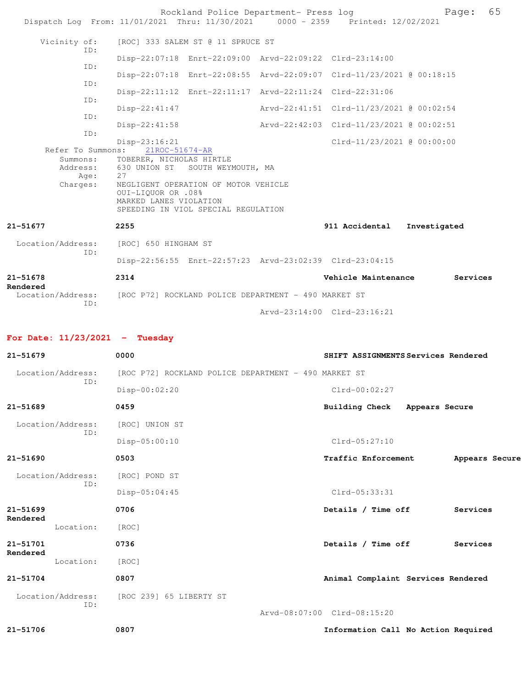|                                  | Rockland Police Department- Press log<br>Dispatch Log From: 11/01/2021 Thru: 11/30/2021 0000 - 2359 Printed: 12/02/2021              |                                          | Page:                               | 65 |
|----------------------------------|--------------------------------------------------------------------------------------------------------------------------------------|------------------------------------------|-------------------------------------|----|
| Vicinity of:                     | [ROC] 333 SALEM ST @ 11 SPRUCE ST                                                                                                    |                                          |                                     |    |
| ID:<br>ID:                       | Disp-22:07:18 Enrt-22:09:00 Arvd-22:09:22 Clrd-23:14:00                                                                              |                                          |                                     |    |
| ID:                              | Disp-22:07:18 Enrt-22:08:55 Arvd-22:09:07 Clrd-11/23/2021 @ 00:18:15                                                                 |                                          |                                     |    |
| ID:                              | Disp-22:11:12 Enrt-22:11:17 Arvd-22:11:24 Clrd-22:31:06                                                                              |                                          |                                     |    |
| ID:<br>ID:                       | Disp-22:41:47<br>$Disp-22:41:58$                                                                                                     | Arvd-22:42:03 Clrd-11/23/2021 @ 00:02:51 |                                     |    |
|                                  | $Disp-23:16:21$<br>Refer To Summons: 21ROC-51674-AR<br>Summons: TOBERER, NICHOLAS HIRTLE<br>Address: 630 UNION ST SOUTH WEYMOUTH, MA | $Clrd-11/23/2021$ @ 00:00:00             |                                     |    |
| Age:<br>Charges:                 | 27<br>NEGLIGENT OPERATION OF MOTOR VEHICLE<br>OUI-LIQUOR OR .08%<br>MARKED LANES VIOLATION<br>SPEEDING IN VIOL SPECIAL REGULATION    |                                          |                                     |    |
| 21-51677                         | 2255                                                                                                                                 | 911 Accidental Investigated              |                                     |    |
| Location/Address:<br>ID:         | [ROC] 650 HINGHAM ST                                                                                                                 |                                          |                                     |    |
|                                  | Disp-22:56:55 Enrt-22:57:23 Arvd-23:02:39 Clrd-23:04:15                                                                              |                                          |                                     |    |
| 21-51678<br>Rendered             | 2314<br>Location/Address: [ROC P72] ROCKLAND POLICE DEPARTMENT - 490 MARKET ST                                                       | Vehicle Maintenance                      | Services                            |    |
| ID:                              |                                                                                                                                      | Arvd-23:14:00 Clrd-23:16:21              |                                     |    |
| For Date: $11/23/2021$ - Tuesday |                                                                                                                                      |                                          |                                     |    |
| 21-51679                         | 0000                                                                                                                                 |                                          | SHIFT ASSIGNMENTS Services Rendered |    |
| Location/Address:<br>ID:         | [ROC P72] ROCKLAND POLICE DEPARTMENT - 490 MARKET ST                                                                                 |                                          |                                     |    |
|                                  | $Disp-00:02:20$                                                                                                                      | Clrd-00:02:27                            |                                     |    |
| 21-51689                         | 0459                                                                                                                                 | Building Check                           | Appears Secure                      |    |
| Location/Address:                | [ROC] UNION ST                                                                                                                       |                                          |                                     |    |
| ID:                              | Disp-05:00:10                                                                                                                        | $Clrd-05:27:10$                          |                                     |    |
| 21-51690                         | 0503                                                                                                                                 | Traffic Enforcement                      | Appears Secure                      |    |

 Location/Address: [ROC] POND ST ID: Disp-05:04:45 Clrd-05:33:31

**21-51699 0706 Details / Time off Services**

**Rendered** 

Location: [ROC] **21-51701 0736 Details / Time off Services**

**Rendered**  Location: [ROC]

**21-51704 0807 Animal Complaint Services Rendered**

 Location/Address: [ROC 239] 65 LIBERTY ST ID:

Arvd-08:07:00 Clrd-08:15:20

**21-51706 0807 Information Call No Action Required**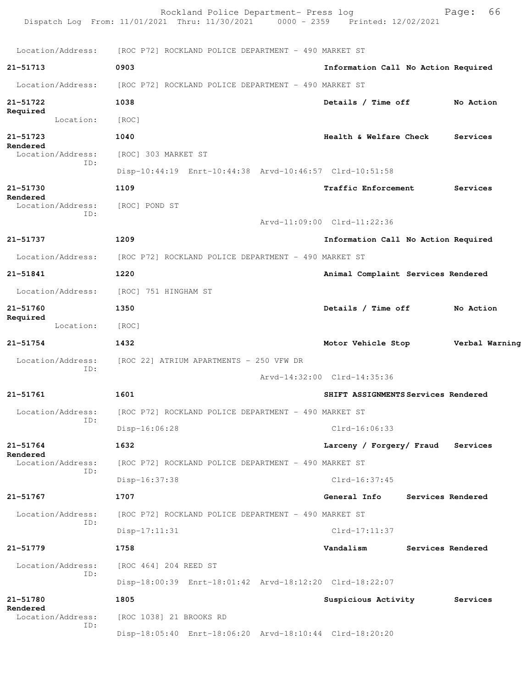|                                      | Rockland Police Department- Press log<br>Dispatch Log From: 11/01/2021 Thru: 11/30/2021 0000 - 2359 Printed: 12/02/2021 |                                     | 66<br>Page:       |  |  |  |
|--------------------------------------|-------------------------------------------------------------------------------------------------------------------------|-------------------------------------|-------------------|--|--|--|
| Location/Address:                    | [ROC P72] ROCKLAND POLICE DEPARTMENT - 490 MARKET ST                                                                    |                                     |                   |  |  |  |
| 21-51713                             | 0903                                                                                                                    | Information Call No Action Required |                   |  |  |  |
| Location/Address:                    | [ROC P72] ROCKLAND POLICE DEPARTMENT - 490 MARKET ST                                                                    |                                     |                   |  |  |  |
| 21-51722                             | 1038                                                                                                                    | Details / Time off                  | No Action         |  |  |  |
| Required<br>Location:                | [ROC]                                                                                                                   |                                     |                   |  |  |  |
| 21-51723                             | 1040                                                                                                                    | Health & Welfare Check              | Services          |  |  |  |
| Rendered<br>Location/Address:<br>ID: | [ROC] 303 MARKET ST                                                                                                     |                                     |                   |  |  |  |
|                                      | Disp-10:44:19 Enrt-10:44:38 Arvd-10:46:57 Clrd-10:51:58                                                                 |                                     |                   |  |  |  |
| 21-51730                             | 1109                                                                                                                    | Traffic Enforcement                 | Services          |  |  |  |
| Rendered<br>Location/Address:        | [ROC] POND ST                                                                                                           |                                     |                   |  |  |  |
| ID:                                  |                                                                                                                         | Arvd-11:09:00 Clrd-11:22:36         |                   |  |  |  |
| 21-51737                             | 1209                                                                                                                    | Information Call No Action Required |                   |  |  |  |
| Location/Address:                    | [ROC P72] ROCKLAND POLICE DEPARTMENT - 490 MARKET ST                                                                    |                                     |                   |  |  |  |
| 21-51841                             | 1220                                                                                                                    | Animal Complaint Services Rendered  |                   |  |  |  |
| Location/Address:                    | [ROC] 751 HINGHAM ST                                                                                                    |                                     |                   |  |  |  |
| 21-51760<br>Required                 | 1350                                                                                                                    | Details / Time off                  | No Action         |  |  |  |
| Location:                            | [ROC]                                                                                                                   |                                     |                   |  |  |  |
| 21-51754                             | 1432                                                                                                                    | Motor Vehicle Stop                  | Verbal Warning    |  |  |  |
| Location/Address:<br>ID:             | [ROC 22] ATRIUM APARTMENTS - 250 VFW DR                                                                                 |                                     |                   |  |  |  |
|                                      |                                                                                                                         | Arvd-14:32:00 Clrd-14:35:36         |                   |  |  |  |
| 21-51761                             | 1601                                                                                                                    | SHIFT ASSIGNMENTS Services Rendered |                   |  |  |  |
| Location/Address:<br>ID:             | [ROC P72] ROCKLAND POLICE DEPARTMENT - 490 MARKET ST                                                                    |                                     |                   |  |  |  |
|                                      | Disp-16:06:28                                                                                                           | $Clrd-16:06:33$                     |                   |  |  |  |
| $21 - 51764$<br>Rendered             | 1632                                                                                                                    | Larceny / Forgery/ Fraud Services   |                   |  |  |  |
| Location/Address:<br>ID:             | [ROC P72] ROCKLAND POLICE DEPARTMENT - 490 MARKET ST                                                                    |                                     |                   |  |  |  |
|                                      | Disp-16:37:38                                                                                                           | $Clrd-16:37:45$                     |                   |  |  |  |
| 21-51767                             | 1707                                                                                                                    | <b>General Info</b>                 | Services Rendered |  |  |  |
| Location/Address:<br>ID:             | [ROC P72] ROCKLAND POLICE DEPARTMENT - 490 MARKET ST                                                                    |                                     |                   |  |  |  |
|                                      | $Disp-17:11:31$                                                                                                         | $Clrd-17:11:37$                     |                   |  |  |  |
| 21-51779                             | 1758                                                                                                                    | Vandalism                           | Services Rendered |  |  |  |
| Location/Address:<br>ID:             | [ROC 464] 204 REED ST                                                                                                   |                                     |                   |  |  |  |
|                                      | Disp-18:00:39 Enrt-18:01:42 Arvd-18:12:20 Clrd-18:22:07                                                                 |                                     |                   |  |  |  |
| 21-51780<br>Rendered                 | 1805                                                                                                                    | Suspicious Activity                 | Services          |  |  |  |
| Location/Address:<br>ID:             | [ROC 1038] 21 BROOKS RD                                                                                                 |                                     |                   |  |  |  |
|                                      | Disp-18:05:40 Enrt-18:06:20 Arvd-18:10:44 Clrd-18:20:20                                                                 |                                     |                   |  |  |  |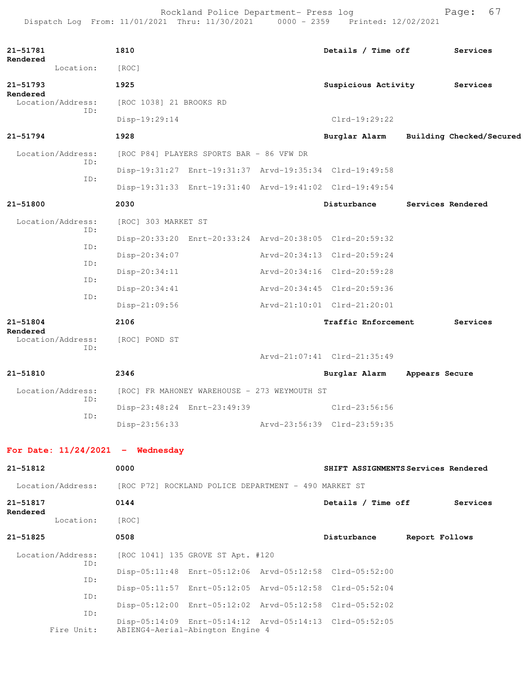Rockland Police Department- Press log entitled and Page: 67 Dispatch Log From: 11/01/2021 Thru: 11/30/2021 0000 - 2359 Printed: 12/02/2021

| 21-51781<br>Rendered               |     | 1810                                         |                                                      |  | Details / Time off                                      |                | Services                 |
|------------------------------------|-----|----------------------------------------------|------------------------------------------------------|--|---------------------------------------------------------|----------------|--------------------------|
| Location:                          |     | [ROC]                                        |                                                      |  |                                                         |                |                          |
| 21-51793<br>Rendered               |     | 1925                                         |                                                      |  | Suspicious Activity Services                            |                |                          |
| Location/Address:                  |     | [ROC 1038] 21 BROOKS RD                      |                                                      |  |                                                         |                |                          |
| ID:                                |     | Disp-19:29:14                                |                                                      |  | $Clrd-19:29:22$                                         |                |                          |
| 21-51794                           |     | 1928                                         |                                                      |  | Burglar Alarm                                           |                | Building Checked/Secured |
| Location/Address:                  |     |                                              | [ROC P84] PLAYERS SPORTS BAR - 86 VFW DR             |  |                                                         |                |                          |
|                                    | ID: |                                              |                                                      |  | Disp-19:31:27 Enrt-19:31:37 Arvd-19:35:34 Clrd-19:49:58 |                |                          |
|                                    | ID: |                                              |                                                      |  | Disp-19:31:33 Enrt-19:31:40 Arvd-19:41:02 Clrd-19:49:54 |                |                          |
| 21-51800                           |     | 2030                                         |                                                      |  | Disturbance                                             |                | Services Rendered        |
| Location/Address:                  |     | [ROC] 303 MARKET ST                          |                                                      |  |                                                         |                |                          |
|                                    | ID: |                                              |                                                      |  | Disp-20:33:20 Enrt-20:33:24 Arvd-20:38:05 Clrd-20:59:32 |                |                          |
|                                    | ID: | Disp-20:34:07                                |                                                      |  | Arvd-20:34:13 Clrd-20:59:24                             |                |                          |
|                                    | ID: | Disp-20:34:11                                |                                                      |  | Arvd-20:34:16 Clrd-20:59:28                             |                |                          |
|                                    | ID: | $Disp-20:34:41$                              |                                                      |  | Arvd-20:34:45 Clrd-20:59:36                             |                |                          |
|                                    | ID: | $Disp-21:09:56$                              |                                                      |  | Arvd-21:10:01 Clrd-21:20:01                             |                |                          |
| 21-51804                           |     | 2106                                         |                                                      |  | Traffic Enforcement                                     |                | Services                 |
| Rendered<br>Location/Address:      |     | [ROC] POND ST                                |                                                      |  |                                                         |                |                          |
|                                    | ID: |                                              |                                                      |  | Arvd-21:07:41 Clrd-21:35:49                             |                |                          |
| 21-51810                           |     | 2346                                         |                                                      |  | Burglar Alarm                                           | Appears Secure |                          |
| Location/Address:                  |     | [ROC] FR MAHONEY WAREHOUSE - 273 WEYMOUTH ST |                                                      |  |                                                         |                |                          |
|                                    | ID: |                                              | Disp-23:48:24 Enrt-23:49:39                          |  | $Clrd-23:56:56$                                         |                |                          |
|                                    | ID: | $Disp-23:56:33$                              |                                                      |  | Arvd-23:56:39 Clrd-23:59:35                             |                |                          |
|                                    |     |                                              |                                                      |  |                                                         |                |                          |
| For Date: $11/24/2021$ - Wednesday |     |                                              |                                                      |  |                                                         |                |                          |
| 21-51812                           |     | 0000                                         |                                                      |  | SHIFT ASSIGNMENTS Services Rendered                     |                |                          |
| Location/Address:                  |     |                                              | [ROC P72] ROCKLAND POLICE DEPARTMENT - 490 MARKET ST |  |                                                         |                |                          |
| 21-51817<br>Rendered               |     | 0144                                         |                                                      |  | Details / Time off                                      |                | Services                 |
| Location:                          |     | [ROC]                                        |                                                      |  |                                                         |                |                          |
| 21-51825                           |     | 0508                                         |                                                      |  | Disturbance                                             | Report Follows |                          |
| Location/Address:                  | ID: |                                              | [ROC 1041] 135 GROVE ST Apt. #120                    |  |                                                         |                |                          |
|                                    | ID: |                                              |                                                      |  | Disp-05:11:48 Enrt-05:12:06 Arvd-05:12:58 Clrd-05:52:00 |                |                          |
|                                    | ID: |                                              |                                                      |  | Disp-05:11:57 Enrt-05:12:05 Arvd-05:12:58 Clrd-05:52:04 |                |                          |
|                                    |     |                                              |                                                      |  | Disp-05:12:00 Enrt-05:12:02 Arvd-05:12:58 Clrd-05:52:02 |                |                          |
| Fire Unit:                         | ID: |                                              | ABIENG4-Aerial-Abington Engine 4                     |  | Disp-05:14:09 Enrt-05:14:12 Arvd-05:14:13 Clrd-05:52:05 |                |                          |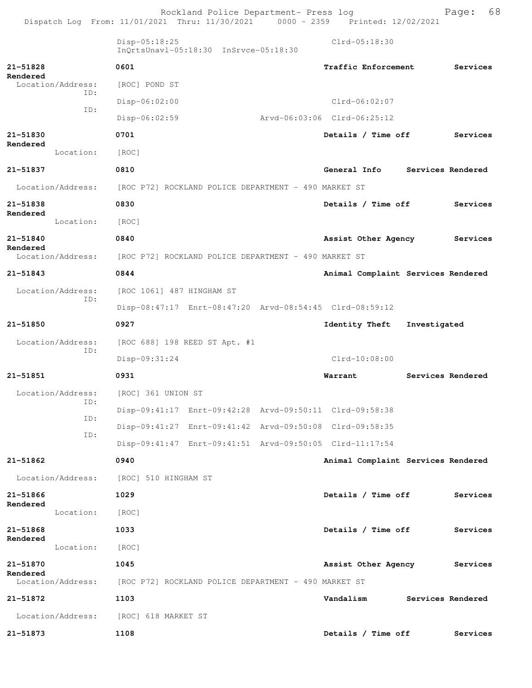|                                      | Dispatch Log From: 11/01/2021 Thru: 11/30/2021 0000 - 2359 Printed: 12/02/2021 | Rockland Police Department- Press log |                             | 68<br>Page:                        |
|--------------------------------------|--------------------------------------------------------------------------------|---------------------------------------|-----------------------------|------------------------------------|
|                                      | $Disp-05:18:25$<br>InOrtsUnavl-05:18:30 InSrvce-05:18:30                       |                                       | Clrd-05:18:30               |                                    |
| 21-51828                             | 0601                                                                           |                                       | Traffic Enforcement         | Services                           |
| Rendered<br>Location/Address:<br>ID: | [ROC] POND ST                                                                  |                                       |                             |                                    |
|                                      | $Disp-06:02:00$                                                                |                                       | $Clrd-06:02:07$             |                                    |
| ID:                                  | Disp-06:02:59                                                                  |                                       | Arvd-06:03:06 Clrd-06:25:12 |                                    |
| 21-51830                             | 0701                                                                           |                                       | Details / Time off          | Services                           |
| Rendered<br>Location:                | [ROC]                                                                          |                                       |                             |                                    |
| 21-51837                             | 0810                                                                           |                                       | General Info                | Services Rendered                  |
| Location/Address:                    | [ROC P72] ROCKLAND POLICE DEPARTMENT - 490 MARKET ST                           |                                       |                             |                                    |
| 21-51838                             | 0830                                                                           |                                       | Details / Time off          | Services                           |
| Rendered<br>Location:                | [ROC]                                                                          |                                       |                             |                                    |
| 21-51840                             | 0840                                                                           |                                       | Assist Other Agency         | Services                           |
| Rendered<br>Location/Address:        | [ROC P72] ROCKLAND POLICE DEPARTMENT - 490 MARKET ST                           |                                       |                             |                                    |
| 21-51843                             | 0844                                                                           |                                       |                             | Animal Complaint Services Rendered |
| Location/Address:<br>ID:             | [ROC 1061] 487 HINGHAM ST                                                      |                                       |                             |                                    |
|                                      | Disp-08:47:17 Enrt-08:47:20 Arvd-08:54:45 Clrd-08:59:12                        |                                       |                             |                                    |
| 21-51850                             | 0927                                                                           |                                       | Identity Theft              | Investigated                       |
| Location/Address:                    | [ROC 688] 198 REED ST Apt. #1                                                  |                                       |                             |                                    |
| ID:                                  | Disp-09:31:24                                                                  |                                       | $Clrd-10:08:00$             |                                    |
| 21-51851                             | 0931                                                                           |                                       | Warrant                     | Services Rendered                  |
|                                      | Location/Address: [ROC] 361 UNION ST                                           |                                       |                             |                                    |
| ID:                                  | Disp-09:41:17 Enrt-09:42:28 Arvd-09:50:11 Clrd-09:58:38                        |                                       |                             |                                    |
| ID:                                  | Disp-09:41:27 Enrt-09:41:42 Arvd-09:50:08 Clrd-09:58:35                        |                                       |                             |                                    |
| ID:                                  | Disp-09:41:47 Enrt-09:41:51 Arvd-09:50:05 Clrd-11:17:54                        |                                       |                             |                                    |
| $21 - 51862$                         | 0940                                                                           |                                       |                             | Animal Complaint Services Rendered |
| Location/Address:                    | [ROC] 510 HINGHAM ST                                                           |                                       |                             |                                    |
| 21-51866                             | 1029                                                                           |                                       | Details / Time off          | Services                           |
| Rendered<br>Location:                | [ROC]                                                                          |                                       |                             |                                    |
| 21-51868                             | 1033                                                                           |                                       | Details / Time off          | Services                           |
| Rendered<br>Location:                | [ROC]                                                                          |                                       |                             |                                    |
| 21-51870                             | 1045                                                                           |                                       | Assist Other Agency         | Services                           |
| Rendered<br>Location/Address:        | [ROC P72] ROCKLAND POLICE DEPARTMENT - 490 MARKET ST                           |                                       |                             |                                    |
| 21-51872                             | 1103                                                                           |                                       | Vandalism                   | Services Rendered                  |
| Location/Address:                    | [ROC] 618 MARKET ST                                                            |                                       |                             |                                    |
| 21-51873                             | 1108                                                                           |                                       | Details / Time off          | Services                           |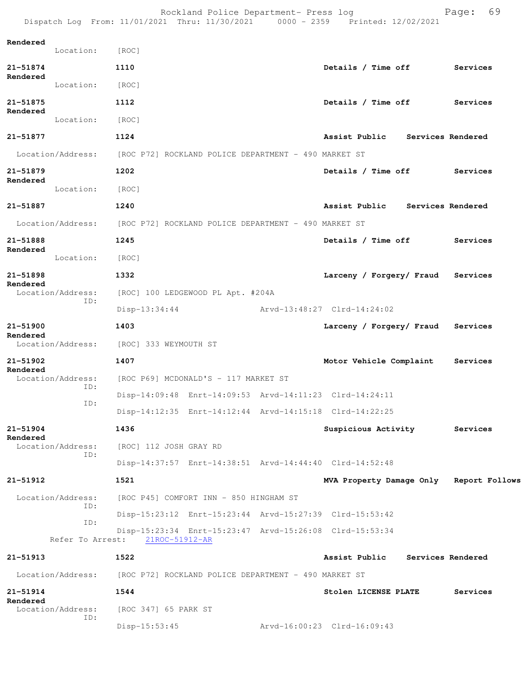|                          |                   |                                                                        | Rockland Police Department- Press log                |  | Dispatch Log From: 11/01/2021 Thru: 11/30/2021 0000 - 2359 Printed: 12/02/2021 |  | 69<br>Page: |  |
|--------------------------|-------------------|------------------------------------------------------------------------|------------------------------------------------------|--|--------------------------------------------------------------------------------|--|-------------|--|
| Rendered                 | Location: [ROC]   |                                                                        |                                                      |  |                                                                                |  |             |  |
| 21-51874                 |                   | 1110                                                                   |                                                      |  | Details / Time off                                                             |  | Services    |  |
| Rendered                 | Location:         | [ROC]                                                                  |                                                      |  |                                                                                |  |             |  |
| 21-51875                 |                   | 1112                                                                   |                                                      |  | Details / Time off                                                             |  | Services    |  |
| Rendered                 | Location:         | [ROC]                                                                  |                                                      |  |                                                                                |  |             |  |
| 21-51877                 |                   | 1124                                                                   |                                                      |  | Assist Public Services Rendered                                                |  |             |  |
|                          | Location/Address: |                                                                        |                                                      |  |                                                                                |  |             |  |
|                          |                   |                                                                        | [ROC P72] ROCKLAND POLICE DEPARTMENT - 490 MARKET ST |  |                                                                                |  |             |  |
| 21-51879<br>Rendered     |                   | 1202                                                                   |                                                      |  | Details / Time off Services                                                    |  |             |  |
|                          | Location:         | [ROC]                                                                  |                                                      |  |                                                                                |  |             |  |
| 21-51887                 |                   | 1240                                                                   |                                                      |  | Assist Public Services Rendered                                                |  |             |  |
|                          |                   | Location/Address: [ROC P72] ROCKLAND POLICE DEPARTMENT - 490 MARKET ST |                                                      |  |                                                                                |  |             |  |
| 21-51888<br>Rendered     |                   | 1245                                                                   |                                                      |  | Details / Time off                                                             |  | Services    |  |
|                          | Location:         | [ROC]                                                                  |                                                      |  |                                                                                |  |             |  |
| 21-51898<br>Rendered     |                   | 1332                                                                   |                                                      |  | Larceny / Forgery/ Fraud Services                                              |  |             |  |
| Location/Address:<br>ID: |                   |                                                                        | [ROC] 100 LEDGEWOOD PL Apt. #204A                    |  |                                                                                |  |             |  |
|                          |                   | Disp-13:34:44                                                          |                                                      |  | Arvd-13:48:27 Clrd-14:24:02                                                    |  |             |  |
| 21-51900                 |                   | 1403                                                                   |                                                      |  | Larceny / Forgery/ Fraud Services                                              |  |             |  |
| Rendered                 | Location/Address: | [ROC] 333 WEYMOUTH ST                                                  |                                                      |  |                                                                                |  |             |  |
| 21-51902                 |                   | 1407                                                                   |                                                      |  | Motor Vehicle Complaint                                                        |  | Services    |  |
| Rendered                 | Location/Address: |                                                                        | [ROC P69] MCDONALD'S - 117 MARKET ST                 |  |                                                                                |  |             |  |
|                          | ID:               |                                                                        |                                                      |  | Disp-14:09:48 Enrt-14:09:53 Arvd-14:11:23 Clrd-14:24:11                        |  |             |  |
|                          | ID:               |                                                                        |                                                      |  | Disp-14:12:35 Enrt-14:12:44 Arvd-14:15:18 Clrd-14:22:25                        |  |             |  |
| $21 - 51904$             |                   | 1436                                                                   |                                                      |  | Suspicious Activity                                                            |  | Services    |  |
| Rendered                 | Location/Address: | [ROC] 112 JOSH GRAY RD                                                 |                                                      |  |                                                                                |  |             |  |
|                          | ID:               |                                                                        |                                                      |  | Disp-14:37:57 Enrt-14:38:51 Arvd-14:44:40 Clrd-14:52:48                        |  |             |  |
| 21-51912                 |                   | 1521                                                                   |                                                      |  | MVA Property Damage Only Report Follows                                        |  |             |  |
|                          | Location/Address: |                                                                        | [ROC P45] COMFORT INN - 850 HINGHAM ST               |  |                                                                                |  |             |  |
|                          | ID:               |                                                                        |                                                      |  | Disp-15:23:12 Enrt-15:23:44 Arvd-15:27:39 Clrd-15:53:42                        |  |             |  |
|                          | ID:               | Refer To Arrest: 21ROC-51912-AR                                        |                                                      |  | Disp-15:23:34 Enrt-15:23:47 Arvd-15:26:08 Clrd-15:53:34                        |  |             |  |
| 21-51913                 |                   | 1522                                                                   |                                                      |  | Assist Public Services Rendered                                                |  |             |  |
|                          |                   | Location/Address: [ROC P72] ROCKLAND POLICE DEPARTMENT - 490 MARKET ST |                                                      |  |                                                                                |  |             |  |
| 21-51914                 |                   | 1544                                                                   |                                                      |  | Stolen LICENSE PLATE                                                           |  | Services    |  |
| Rendered                 | Location/Address: | [ROC 347] 65 PARK ST                                                   |                                                      |  |                                                                                |  |             |  |
|                          | ID:               | $Disp-15:53:45$                                                        |                                                      |  | Arvd-16:00:23 Clrd-16:09:43                                                    |  |             |  |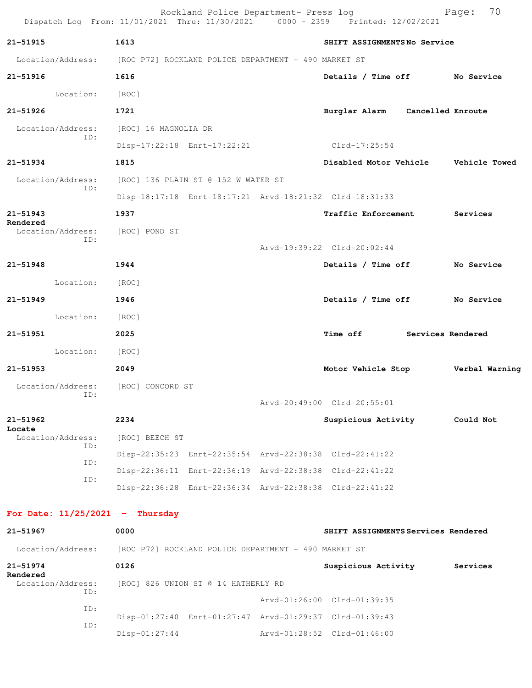| Dispatch Log From: 11/01/2021 Thru: 11/30/2021 0000 - 2359 Printed: 12/02/2021 |                      | Rockland Police Department- Press log                |                                                         | 70<br>Page:    |
|--------------------------------------------------------------------------------|----------------------|------------------------------------------------------|---------------------------------------------------------|----------------|
| 21-51915                                                                       | 1613                 |                                                      | SHIFT ASSIGNMENTSNo Service                             |                |
| Location/Address: [ROC P72] ROCKLAND POLICE DEPARTMENT - 490 MARKET ST         |                      |                                                      |                                                         |                |
| 21-51916                                                                       | 1616                 |                                                      | Details / Time off No Service                           |                |
| Location:                                                                      | [ROC]                |                                                      |                                                         |                |
| $21 - 51926$                                                                   | 1721                 |                                                      | Burglar Alarm Cancelled Enroute                         |                |
| Location/Address:                                                              | [ROC] 16 MAGNOLIA DR |                                                      |                                                         |                |
| ID:                                                                            |                      | Disp-17:22:18 Enrt-17:22:21                          | $Clrd-17:25:54$                                         |                |
| 21-51934                                                                       | 1815                 |                                                      | Disabled Motor Vehicle Vehicle Towed                    |                |
| Location/Address:                                                              |                      | [ROC] 136 PLAIN ST @ 152 W WATER ST                  |                                                         |                |
| ID:                                                                            |                      |                                                      | Disp-18:17:18 Enrt-18:17:21 Arvd-18:21:32 Clrd-18:31:33 |                |
| $21 - 51943$                                                                   | 1937                 |                                                      | Traffic Enforcement Services                            |                |
| Rendered<br>Location/Address:<br>ID:                                           | [ROC] POND ST        |                                                      |                                                         |                |
|                                                                                |                      |                                                      | Arvd-19:39:22 Clrd-20:02:44                             |                |
| $21 - 51948$                                                                   | 1944                 |                                                      | Details / Time off No Service                           |                |
| Location:                                                                      | [ROC]                |                                                      |                                                         |                |
| $21 - 51949$                                                                   | 1946                 |                                                      | Details / Time off No Service                           |                |
| Location: [ROC]                                                                |                      |                                                      |                                                         |                |
| 21-51951                                                                       | 2025                 |                                                      | Time off Services Rendered                              |                |
| Location:                                                                      | [ROC]                |                                                      |                                                         |                |
| $21 - 51953$                                                                   | 2049                 |                                                      | Motor Vehicle Stop                                      | Verbal Warning |
| Location/Address:                                                              | [ROC] CONCORD ST     |                                                      |                                                         |                |
| ID:                                                                            |                      |                                                      | Arvd-20:49:00 Clrd-20:55:01                             |                |
| 21-51962<br>Locate                                                             | 2234                 |                                                      | Suspicious Activity                                     | Could Not      |
| Location/Address:<br>ID:                                                       | [ROC] BEECH ST       |                                                      |                                                         |                |
| ID:                                                                            |                      |                                                      | Disp-22:35:23 Enrt-22:35:54 Arvd-22:38:38 Clrd-22:41:22 |                |
| ID:                                                                            |                      |                                                      | Disp-22:36:11 Enrt-22:36:19 Arvd-22:38:38 Clrd-22:41:22 |                |
|                                                                                |                      |                                                      | Disp-22:36:28 Enrt-22:36:34 Arvd-22:38:38 Clrd-22:41:22 |                |
| For Date: $11/25/2021$ - Thursday                                              |                      |                                                      |                                                         |                |
| 21-51967                                                                       | 0000                 |                                                      | SHIFT ASSIGNMENTS Services Rendered                     |                |
| Location/Address:                                                              |                      | [ROC P72] ROCKLAND POLICE DEPARTMENT - 490 MARKET ST |                                                         |                |
| 21-51974                                                                       | 0126                 |                                                      | Suspicious Activity                                     | Services       |
| Rendered<br>Location/Address:                                                  |                      | [ROC] 826 UNION ST @ 14 HATHERLY RD                  |                                                         |                |
| ID:                                                                            |                      |                                                      | Arvd-01:26:00 Clrd-01:39:35                             |                |
| ID:                                                                            |                      |                                                      | Disp-01:27:40 Enrt-01:27:47 Arvd-01:29:37 Clrd-01:39:43 |                |
| ID:                                                                            | $Disp-01:27:44$      |                                                      | Arvd-01:28:52 Clrd-01:46:00                             |                |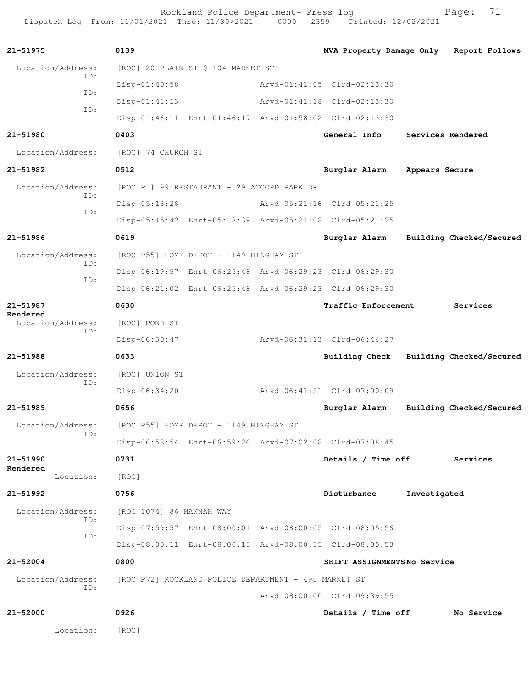Rockland Police Department- Press log entitled and Page: 71 Dispatch Log From: 11/01/2021 Thru: 11/30/2021 0000 - 2359 Printed: 12/02/2021

| 21-51975                      | 0139                                                    | MVA Property Damage Only Report Follows |                |                          |
|-------------------------------|---------------------------------------------------------|-----------------------------------------|----------------|--------------------------|
| Location/Address:             | [ROC] 20 PLAIN ST @ 104 MARKET ST                       |                                         |                |                          |
| ID:<br>ID:                    | $Disp-01:40:58$                                         | Arvd-01:41:05 Clrd-02:13:30             |                |                          |
|                               | $Disp-01:41:13$                                         | Arvd-01:41:18 Clrd-02:13:30             |                |                          |
| ID:                           | Disp-01:46:11 Enrt-01:46:17 Arvd-01:58:02 Clrd-02:13:30 |                                         |                |                          |
| 21-51980                      | 0403                                                    | General Info                            |                | Services Rendered        |
| Location/Address:             | [ROC] 74 CHURCH ST                                      |                                         |                |                          |
| 21-51982                      | 0512                                                    | Burglar Alarm                           | Appears Secure |                          |
| Location/Address:             | [ROC P1] 99 RESTAURANT - 29 ACCORD PARK DR              |                                         |                |                          |
| ID:                           | $Disp-05:13:26$                                         | Arvd-05:21:16 Clrd-05:21:25             |                |                          |
| ID:                           | Disp-05:15:42 Enrt-05:18:39 Arvd-05:21:08 Clrd-05:21:25 |                                         |                |                          |
| 21-51986                      | 0619                                                    | Burglar Alarm                           |                | Building Checked/Secured |
| Location/Address:             | [ROC P55] HOME DEPOT - 1149 HINGHAM ST                  |                                         |                |                          |
| ID:                           | Disp-06:19:57 Enrt-06:25:48 Arvd-06:29:23 Clrd-06:29:30 |                                         |                |                          |
| ID:                           | Disp-06:21:02 Enrt-06:25:48 Arvd-06:29:23 Clrd-06:29:30 |                                         |                |                          |
| 21-51987                      | 0630                                                    | <b>Traffic Enforcement</b>              |                | Services                 |
| Rendered<br>Location/Address: | [ROC] POND ST                                           |                                         |                |                          |
| ID:                           | Disp-06:30:47                                           | Arvd-06:31:13 Clrd-06:46:27             |                |                          |
| 21-51988                      | 0633                                                    | Building Check                          |                | Building Checked/Secured |
| Location/Address:             | [ROC] UNION ST                                          |                                         |                |                          |
| ID:                           | Disp-06:34:20                                           | Arvd-06:41:51 Clrd-07:00:09             |                |                          |
| 21-51989                      | 0656                                                    | Burglar Alarm                           |                | Building Checked/Secured |
| Location/Address:             | [ROC P55] HOME DEPOT - 1149 HINGHAM ST                  |                                         |                |                          |
| ID:                           | Disp-06:58:54 Enrt-06:59:26 Arvd-07:02:08 Clrd-07:08:45 |                                         |                |                          |
| 21-51990                      | 0731                                                    | Details / Time off                      |                | Services                 |
| Rendered<br>Location:         | [ROC]                                                   |                                         |                |                          |
| $21 - 51992$                  | 0756                                                    | Disturbance                             | Investigated   |                          |
| Location/Address:             | [ROC 1074] 86 HANNAH WAY                                |                                         |                |                          |
| ID:                           | Disp-07:59:57 Enrt-08:00:01 Arvd-08:00:05 Clrd-08:05:56 |                                         |                |                          |
| ID:                           | Disp-08:00:11 Enrt-08:00:15 Arvd-08:00:55 Clrd-08:05:53 |                                         |                |                          |
| $21 - 52004$                  | 0800                                                    | SHIFT ASSIGNMENTSNo Service             |                |                          |
| Location/Address:             | [ROC P72] ROCKLAND POLICE DEPARTMENT - 490 MARKET ST    |                                         |                |                          |
| ID:                           |                                                         | Arvd-08:00:00 Clrd-09:39:55             |                |                          |
| 21-52000                      | 0926                                                    | Details / Time off                      |                | No Service               |
| Location:                     | [ROC]                                                   |                                         |                |                          |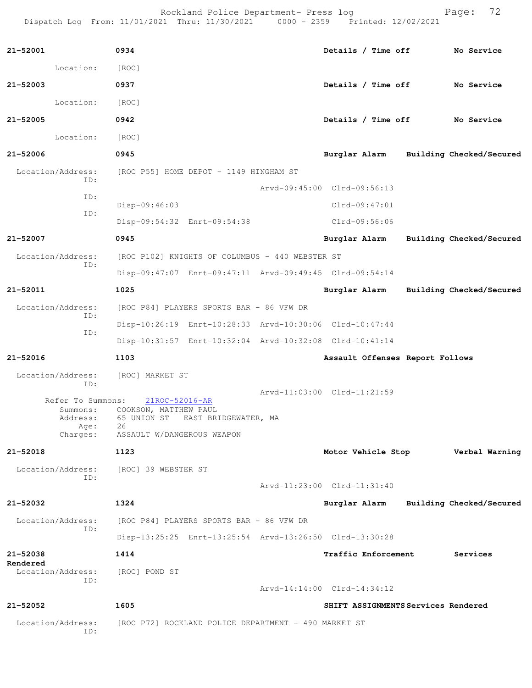Rockland Police Department- Press log entitled and Page: 72 Dispatch Log From: 11/01/2021 Thru: 11/30/2021 0000 - 2359 Printed: 12/02/2021

| 21-52001                      | 0934                                                         | Details / Time off No Service            |                          |
|-------------------------------|--------------------------------------------------------------|------------------------------------------|--------------------------|
| Location:                     | [ROC]                                                        |                                          |                          |
| 21-52003                      | 0937                                                         | Details / Time off No Service            |                          |
| Location:                     | [ROC]                                                        |                                          |                          |
| 21-52005                      | 0942                                                         | Details / Time off No Service            |                          |
| Location:                     | [ROC]                                                        |                                          |                          |
| 21-52006                      | 0945                                                         | Burglar Alarm Building Checked/Secured   |                          |
| Location/Address:<br>ID:      | [ROC P55] HOME DEPOT - 1149 HINGHAM ST                       |                                          |                          |
| ID:                           |                                                              | Arvd-09:45:00 Clrd-09:56:13              |                          |
|                               | Disp-09:46:03                                                | $Clrd-09:47:01$                          |                          |
| ID:                           | Disp-09:54:32 Enrt-09:54:38                                  | Clrd-09:56:06                            |                          |
| 21-52007                      | 0945                                                         | Burglar Alarm Building Checked/Secured   |                          |
| Location/Address:             | [ROC P102] KNIGHTS OF COLUMBUS - 440 WEBSTER ST              |                                          |                          |
| ID:                           | Disp-09:47:07 Enrt-09:47:11 Arvd-09:49:45 Clrd-09:54:14      |                                          |                          |
| 21-52011                      | 1025                                                         | Burglar Alarm                            | Building Checked/Secured |
| Location/Address:             | [ROC P84] PLAYERS SPORTS BAR - 86 VFW DR                     |                                          |                          |
| ID:                           | Disp-10:26:19 Enrt-10:28:33 Arvd-10:30:06 Clrd-10:47:44      |                                          |                          |
| ID:                           | Disp-10:31:57 Enrt-10:32:04 Arvd-10:32:08 Clrd-10:41:14      |                                          |                          |
| 21-52016                      | 1103                                                         | Assault Offenses Report Follows          |                          |
| Location/Address:<br>ID:      | [ROC] MARKET ST                                              |                                          |                          |
| Refer To Summons:             | 21ROC-52016-AR                                               | Arvd-11:03:00 Clrd-11:21:59              |                          |
| Summons:<br>Address:          | COOKSON, MATTHEW PAUL<br>65 UNION ST<br>EAST BRIDGEWATER, MA |                                          |                          |
| Age:<br>Charges:              | 26<br>ASSAULT W/DANGEROUS WEAPON                             |                                          |                          |
| 21-52018                      | 1123                                                         | Motor Vehicle Stop <b>Werbal Warning</b> |                          |
| Location/Address:             | [ROC] 39 WEBSTER ST                                          |                                          |                          |
| ID:                           |                                                              | Arvd-11:23:00 Clrd-11:31:40              |                          |
| 21-52032                      | 1324                                                         | Burglar Alarm                            | Building Checked/Secured |
| Location/Address:             | [ROC P84] PLAYERS SPORTS BAR - 86 VFW DR                     |                                          |                          |
| ID:                           | Disp-13:25:25 Enrt-13:25:54 Arvd-13:26:50 Clrd-13:30:28      |                                          |                          |
| 21-52038                      | 1414                                                         | Traffic Enforcement                      | Services                 |
| Rendered<br>Location/Address: | [ROC] POND ST                                                |                                          |                          |
| ID:                           |                                                              | Arvd-14:14:00 Clrd-14:34:12              |                          |
| 21-52052                      | 1605                                                         | SHIFT ASSIGNMENTS Services Rendered      |                          |
| Location/Address:<br>ID:      | [ROC P72] ROCKLAND POLICE DEPARTMENT - 490 MARKET ST         |                                          |                          |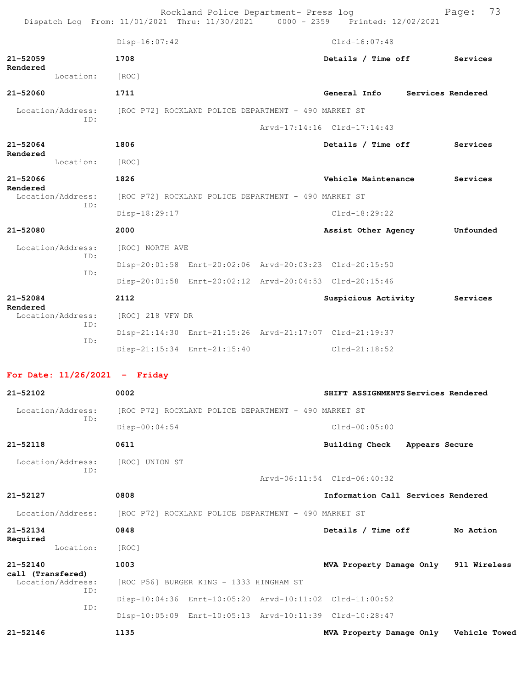|                                        |            | Rockland Police Department- Press log<br>Dispatch Log From: 11/01/2021 Thru: 11/30/2021 0000 - 2359 Printed: 12/02/2021 |                                         | 73<br>Page:       |
|----------------------------------------|------------|-------------------------------------------------------------------------------------------------------------------------|-----------------------------------------|-------------------|
|                                        |            | $Disp-16:07:42$                                                                                                         | $Clrd-16:07:48$                         |                   |
| $21 - 52059$                           |            | 1708                                                                                                                    | Details / Time off                      | Services          |
| Rendered                               | Location:  | [ROC]                                                                                                                   |                                         |                   |
| 21-52060                               |            | 1711                                                                                                                    | General Info                            | Services Rendered |
| Location/Address:                      |            | [ROC P72] ROCKLAND POLICE DEPARTMENT - 490 MARKET ST                                                                    |                                         |                   |
|                                        | ID:        |                                                                                                                         | Arvd-17:14:16 Clrd-17:14:43             |                   |
| $21 - 52064$                           |            | 1806                                                                                                                    | Details / Time off                      | Services          |
| Rendered<br>Location:                  |            | [ROC]                                                                                                                   |                                         |                   |
| 21-52066                               |            | 1826                                                                                                                    | Vehicle Maintenance                     | Services          |
| Rendered<br>Location/Address:          |            | [ROC P72] ROCKLAND POLICE DEPARTMENT - 490 MARKET ST                                                                    |                                         |                   |
|                                        | ID:        | Disp-18:29:17                                                                                                           | $Clrd-18:29:22$                         |                   |
| $21 - 52080$                           |            | 2000                                                                                                                    | Assist Other Agency                     | Unfounded         |
| Location/Address:                      |            | [ROC] NORTH AVE                                                                                                         |                                         |                   |
|                                        | ID:        | Disp-20:01:58 Enrt-20:02:06 Arvd-20:03:23 Clrd-20:15:50                                                                 |                                         |                   |
|                                        | ID:        | Disp-20:01:58 Enrt-20:02:12 Arvd-20:04:53 Clrd-20:15:46                                                                 |                                         |                   |
| 21-52084                               |            | 2112                                                                                                                    | Suspicious Activity                     | Services          |
| Rendered<br>Location/Address:          |            | [ROC] 218 VFW DR                                                                                                        |                                         |                   |
|                                        | ID:<br>ID: | Disp-21:14:30 Enrt-21:15:26 Arvd-21:17:07 Clrd-21:19:37                                                                 |                                         |                   |
|                                        |            | Disp-21:15:34 Enrt-21:15:40                                                                                             | $Clrd-21:18:52$                         |                   |
| For Date: $11/26/2021$ - Friday        |            |                                                                                                                         |                                         |                   |
| 21-52102                               |            | 0002                                                                                                                    | SHIFT ASSIGNMENTS Services Rendered     |                   |
| Location/Address:                      |            | [ROC P72] ROCKLAND POLICE DEPARTMENT - 490 MARKET ST                                                                    |                                         |                   |
|                                        | ID:        | $Disp-00:04:54$                                                                                                         | $Clrd-00:05:00$                         |                   |
| 21-52118                               |            | 0611                                                                                                                    | <b>Building Check</b><br>Appears Secure |                   |
| Location/Address:                      |            | [ROC] UNION ST                                                                                                          |                                         |                   |
|                                        | ID:        |                                                                                                                         | Arvd-06:11:54 Clrd-06:40:32             |                   |
| 21-52127                               |            | 0808                                                                                                                    | Information Call Services Rendered      |                   |
| Location/Address:                      |            | [ROC P72] ROCKLAND POLICE DEPARTMENT - 490 MARKET ST                                                                    |                                         |                   |
| 21-52134                               |            | 0848                                                                                                                    | Details / Time off                      | No Action         |
| Required<br>Location:                  |            | [ROC]                                                                                                                   |                                         |                   |
| 21-52140                               |            | 1003                                                                                                                    | MVA Property Damage Only 911 Wireless   |                   |
| call (Transfered)<br>Location/Address: |            | [ROC P56] BURGER KING - 1333 HINGHAM ST                                                                                 |                                         |                   |
|                                        | ID:<br>ID: | Disp-10:04:36 Enrt-10:05:20 Arvd-10:11:02 Clrd-11:00:52                                                                 |                                         |                   |

Disp-10:05:09 Enrt-10:05:13 Arvd-10:11:39 Clrd-10:28:47

**21-52146 1135 MVA Property Damage Only Vehicle Towed**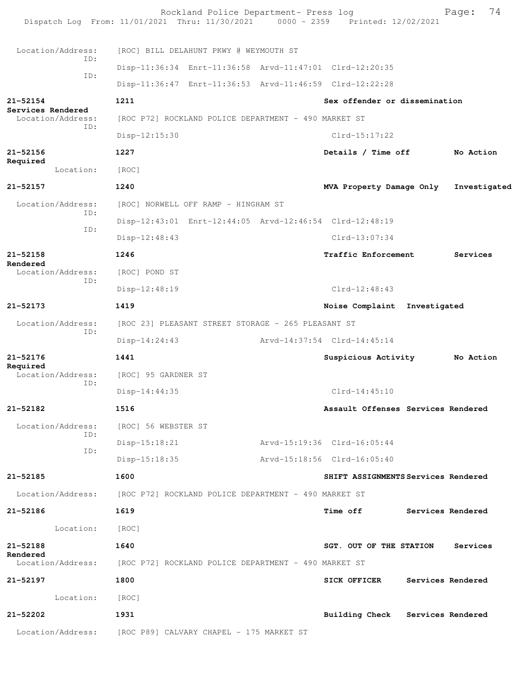Rockland Police Department- Press log Page: 74<br>21 Thru: 11/30/2021 0000 - 2359 Printed: 12/02/2021 Dispatch Log From: 11/01/2021 Thru: 11/30/2021 Location/Address: [ROC] BILL DELAHUNT PKWY @ WEYMOUTH ST ID: Disp-11:36:34 Enrt-11:36:58 Arvd-11:47:01 Clrd-12:20:35 ID: Disp-11:36:47 Enrt-11:36:53 Arvd-11:46:59 Clrd-12:22:28 **21-52154 1211 Sex offender or dissemination Services Rendered**  Location/Address: [ROC P72] ROCKLAND POLICE DEPARTMENT - 490 MARKET ST ID: Disp-12:15:30 Clrd-15:17:22 **21-52156 1227 Details / Time off No Action Required**  Location: [ROC] **21-52157 1240 MVA Property Damage Only Investigated** Location/Address: [ROC] NORWELL OFF RAMP - HINGHAM ST ID: Disp-12:43:01 Enrt-12:44:05 Arvd-12:46:54 Clrd-12:48:19 ID: Disp-12:48:43 Clrd-13:07:34 **21-52158 1246 Traffic Enforcement Services Rendered**  Location/Address: [ROC] POND ST ID: Disp-12:48:19 Clrd-12:48:43 **21-52173 1419 Noise Complaint Investigated** Location/Address: [ROC 23] PLEASANT STREET STORAGE - 265 PLEASANT ST ID: Disp-14:24:43 Arvd-14:37:54 Clrd-14:45:14 **21-52176 1441 Suspicious Activity No Action Required**  Location/Address: [ROC] 95 GARDNER ST ID: Disp-14:44:35 Clrd-14:45:10 **21-52182 1516 Assault Offenses Services Rendered** Location/Address: [ROC] 56 WEBSTER ST ID: Disp-15:18:21 Arvd-15:19:36 Clrd-16:05:44 ID: Disp-15:18:35 Arvd-15:18:56 Clrd-16:05:40 **21-52185 1600 SHIFT ASSIGNMENTS Services Rendered** Location/Address: [ROC P72] ROCKLAND POLICE DEPARTMENT - 490 MARKET ST **21-52186 1619 Time off Services Rendered** Location: [ROC] **21-52188 1640 SGT. OUT OF THE STATION Services Rendered**<br>Location/Address: [ROC P72] ROCKLAND POLICE DEPARTMENT - 490 MARKET ST **21-52197 1800 SICK OFFICER Services Rendered** Location: [ROC] **21-52202 1931 Building Check Services Rendered** Location/Address: [ROC P89] CALVARY CHAPEL - 175 MARKET ST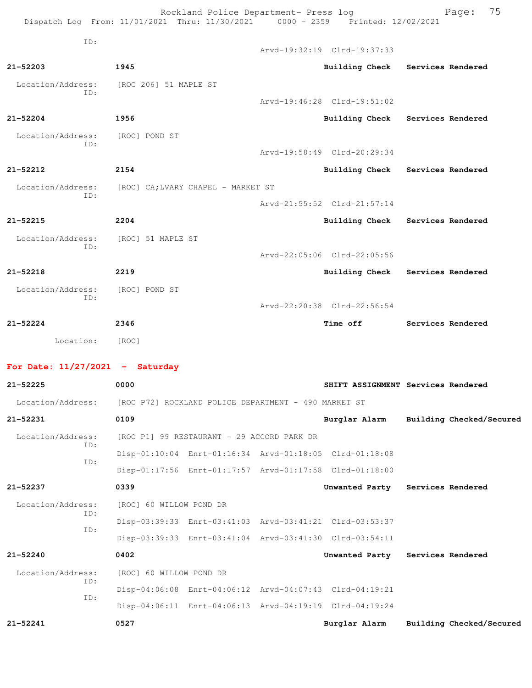Rockland Police Department- Press log entitled and Page: 75 Dispatch Log From: 11/01/2021 Thru: 11/30/2021 0000 - 2359 Printed: 12/02/2021

| TD:                      |                                   | Arvd-19:32:19 Clrd-19:37:33 |                                  |
|--------------------------|-----------------------------------|-----------------------------|----------------------------------|
| $21 - 52203$             | 1945                              | Building Check              | Services Rendered                |
| Location/Address:<br>ID: | [ROC 206] 51 MAPLE ST             |                             |                                  |
|                          |                                   | Arvd-19:46:28 Clrd-19:51:02 |                                  |
| $21 - 52204$             | 1956                              | <b>Building Check</b>       | Services Rendered                |
| Location/Address:<br>ID: | [ROC] POND ST                     |                             |                                  |
|                          |                                   | Arvd-19:58:49 Clrd-20:29:34 |                                  |
| $21 - 52212$             | 2154                              |                             | Building Check Services Rendered |
| Location/Address:<br>TD: | [ROC] CA;LVARY CHAPEL - MARKET ST |                             |                                  |
|                          |                                   | Arvd-21:55:52 Clrd-21:57:14 |                                  |
| $21 - 52215$             | 2204                              |                             | Building Check Services Rendered |
| Location/Address:<br>TD: | [ROC] 51 MAPLE ST                 |                             |                                  |
|                          |                                   | Arvd-22:05:06 Clrd-22:05:56 |                                  |
| $21 - 52218$             | 2219                              | <b>Building Check</b>       | Services Rendered                |
| Location/Address:<br>ID: | [ROC] POND ST                     |                             |                                  |
|                          |                                   | Arvd-22:20:38 Clrd-22:56:54 |                                  |
| $21 - 52224$             | 2346                              | Time off                    | Services Rendered                |
| Location:                | [ROC]                             |                             |                                  |

## **For Date: 11/27/2021 - Saturday**

| $21 - 52225$             | 0000                    |                                                      | SHIFT ASSIGNMENT Services Rendered                      |                   |                          |
|--------------------------|-------------------------|------------------------------------------------------|---------------------------------------------------------|-------------------|--------------------------|
| Location/Address:        |                         | [ROC P72] ROCKLAND POLICE DEPARTMENT - 490 MARKET ST |                                                         |                   |                          |
| 21-52231                 | 0109                    |                                                      | Burglar Alarm Building Checked/Secured                  |                   |                          |
| Location/Address:        |                         | [ROC P1] 99 RESTAURANT - 29 ACCORD PARK DR           |                                                         |                   |                          |
| ID:<br>ID:               |                         |                                                      | Disp-01:10:04 Enrt-01:16:34 Arvd-01:18:05 Clrd-01:18:08 |                   |                          |
|                          |                         |                                                      | Disp-01:17:56 Enrt-01:17:57 Arvd-01:17:58 Clrd-01:18:00 |                   |                          |
| $21 - 52237$             | 0339                    |                                                      | Unwanted Party                                          | Services Rendered |                          |
| Location/Address:<br>ID: | [ROC] 60 WILLOW POND DR |                                                      |                                                         |                   |                          |
|                          |                         |                                                      | Disp-03:39:33 Enrt-03:41:03 Arvd-03:41:21 Clrd-03:53:37 |                   |                          |
| ID:                      |                         |                                                      | Disp-03:39:33 Enrt-03:41:04 Arvd-03:41:30 Clrd-03:54:11 |                   |                          |
| $21 - 52240$             | 0402                    |                                                      | Unwanted Party Services Rendered                        |                   |                          |
| Location/Address:        | [ROC] 60 WILLOW POND DR |                                                      |                                                         |                   |                          |
| ID:                      |                         |                                                      | Disp-04:06:08 Enrt-04:06:12 Arvd-04:07:43 Clrd-04:19:21 |                   |                          |
| ID:                      |                         |                                                      | Disp-04:06:11 Enrt-04:06:13 Arvd-04:19:19 Clrd-04:19:24 |                   |                          |
| $21 - 52241$             | 0527                    |                                                      | Burglar Alarm                                           |                   | Building Checked/Secured |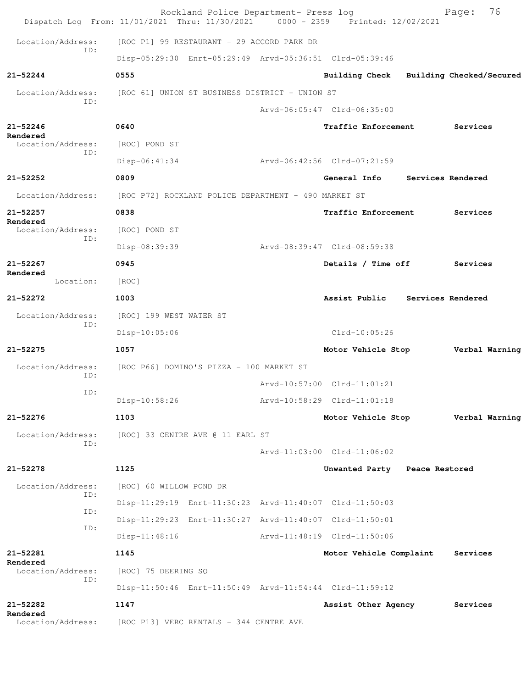| Dispatch Log From: 11/01/2021 Thru: 11/30/2021 0000 - 2359 Printed: 12/02/2021 |                         | Rockland Police Department- Press log                |                                                         | 76<br>Page:              |
|--------------------------------------------------------------------------------|-------------------------|------------------------------------------------------|---------------------------------------------------------|--------------------------|
| Location/Address:                                                              |                         | [ROC P1] 99 RESTAURANT - 29 ACCORD PARK DR           |                                                         |                          |
| ID:                                                                            |                         |                                                      | Disp-05:29:30 Enrt-05:29:49 Arvd-05:36:51 Clrd-05:39:46 |                          |
| $21 - 52244$                                                                   | 0555                    |                                                      | <b>Building Check</b>                                   | Building Checked/Secured |
| Location/Address:                                                              |                         | [ROC 61] UNION ST BUSINESS DISTRICT - UNION ST       |                                                         |                          |
| ID:                                                                            |                         |                                                      | Arvd-06:05:47 Clrd-06:35:00                             |                          |
| 21-52246                                                                       | 0640                    |                                                      | <b>Traffic Enforcement</b>                              | Services                 |
| Rendered<br>Location/Address:<br>ID:                                           | [ROC] POND ST           |                                                      |                                                         |                          |
|                                                                                | $Disp-06:41:34$         |                                                      | Arvd-06:42:56 Clrd-07:21:59                             |                          |
| $21 - 52252$                                                                   | 0809                    |                                                      | General Info                                            | Services Rendered        |
| Location/Address:                                                              |                         | [ROC P72] ROCKLAND POLICE DEPARTMENT - 490 MARKET ST |                                                         |                          |
| $21 - 52257$<br>Rendered                                                       | 0838                    |                                                      | Traffic Enforcement                                     | Services                 |
| Location/Address:<br>ID:                                                       | [ROC] POND ST           |                                                      |                                                         |                          |
|                                                                                | Disp-08:39:39           |                                                      | Arvd-08:39:47 Clrd-08:59:38                             |                          |
| $21 - 52267$                                                                   | 0945                    |                                                      | Details / Time off                                      | Services                 |
| Rendered<br>Location:                                                          | [ROC]                   |                                                      |                                                         |                          |
| 21-52272                                                                       | 1003                    |                                                      | Assist Public                                           | Services Rendered        |
| Location/Address:<br>TD:                                                       | [ROC] 199 WEST WATER ST |                                                      |                                                         |                          |
|                                                                                | Disp-10:05:06           |                                                      | $Clrd-10:05:26$                                         |                          |
| 21-52275                                                                       | 1057                    |                                                      | Motor Vehicle Stop                                      | Verbal Warning           |
| Location/Address:<br>ID:                                                       |                         | [ROC P66] DOMINO'S PIZZA - 100 MARKET ST             |                                                         |                          |
| TD:                                                                            |                         |                                                      | $Arvd-10:57:00$ $Clrd-11:01:21$                         |                          |
|                                                                                | Disp-10:58:26           |                                                      | Arvd-10:58:29 Clrd-11:01:18                             |                          |
| 21-52276                                                                       | 1103                    |                                                      | Motor Vehicle Stop                                      | Verbal Warning           |
| Location/Address:<br>ID:                                                       |                         | [ROC] 33 CENTRE AVE @ 11 EARL ST                     |                                                         |                          |
|                                                                                |                         |                                                      | Arvd-11:03:00 Clrd-11:06:02                             |                          |
| $21 - 52278$                                                                   | 1125                    |                                                      | Unwanted Party Peace Restored                           |                          |
| Location/Address:<br>ID:                                                       | [ROC] 60 WILLOW POND DR |                                                      |                                                         |                          |
| ID:                                                                            |                         |                                                      | Disp-11:29:19 Enrt-11:30:23 Arvd-11:40:07 Clrd-11:50:03 |                          |
| ID:                                                                            |                         |                                                      | Disp-11:29:23 Enrt-11:30:27 Arvd-11:40:07 Clrd-11:50:01 |                          |
|                                                                                | $Disp-11:48:16$         |                                                      | Arvd-11:48:19 Clrd-11:50:06                             |                          |
| 21-52281<br>Rendered                                                           | 1145                    |                                                      | Motor Vehicle Complaint                                 | Services                 |
| Location/Address:<br>ID:                                                       | [ROC] 75 DEERING SQ     |                                                      |                                                         |                          |
|                                                                                |                         |                                                      | Disp-11:50:46 Enrt-11:50:49 Arvd-11:54:44 Clrd-11:59:12 |                          |
| 21-52282<br>Rendered                                                           | 1147                    |                                                      | Assist Other Agency                                     | Services                 |
| Location/Address:                                                              |                         | [ROC P13] VERC RENTALS - 344 CENTRE AVE              |                                                         |                          |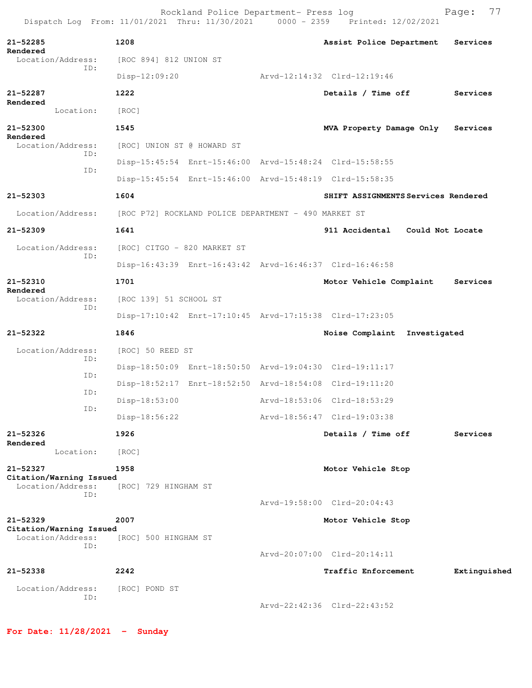Rockland Police Department- Press log Fage: 77<br>21 Thru: 11/30/2021 0000 - 2359 Printed: 12/02/2021 Dispatch Log From: 11/01/2021 Thru: 11/30/2021 **21-52285 1208 Assist Police Department Services Rendered**  Location/Address: [ROC 894] 812 UNION ST ID: Disp-12:09:20 Arvd-12:14:32 Clrd-12:19:46 **21-52287 1222 Details / Time off Services Rendered**  Location: [ROC] **21-52300 1545 MVA Property Damage Only Services Rendered**  Location/Address: [ROC] UNION ST @ HOWARD ST ID: Disp-15:45:54 Enrt-15:46:00 Arvd-15:48:24 Clrd-15:58:55 ID: Disp-15:45:54 Enrt-15:46:00 Arvd-15:48:19 Clrd-15:58:35 **21-52303 1604 SHIFT ASSIGNMENTS Services Rendered** Location/Address: [ROC P72] ROCKLAND POLICE DEPARTMENT - 490 MARKET ST **21-52309 1641 911 Accidental Could Not Locate** Location/Address: [ROC] CITGO - 820 MARKET ST ID: Disp-16:43:39 Enrt-16:43:42 Arvd-16:46:37 Clrd-16:46:58 **21-52310 1701 Motor Vehicle Complaint Services Rendered**  Location/Address: [ROC 139] 51 SCHOOL ST ID: Disp-17:10:42 Enrt-17:10:45 Arvd-17:15:38 Clrd-17:23:05 **21-52322 1846 Noise Complaint Investigated** Location/Address: [ROC] 50 REED ST ID: Disp-18:50:09 Enrt-18:50:50 Arvd-19:04:30 Clrd-19:11:17 ID: Disp-18:52:17 Enrt-18:52:50 Arvd-18:54:08 Clrd-19:11:20 ID: Disp-18:53:00 Arvd-18:53:06 Clrd-18:53:29 ID: Disp-18:56:22 Arvd-18:56:47 Clrd-19:03:38 **21-52326 1926 Details / Time off Services Rendered**  Location: [ROC] **21-52327 1958 Motor Vehicle Stop Citation/Warning Issued**  Location/Address: [ROC] 729 HINGHAM ST ID: Arvd-19:58:00 Clrd-20:04:43 **21-52329 2007 Motor Vehicle Stop Citation/Warning Issued**  Location/Address: [ROC] 500 HINGHAM ST ID: Arvd-20:07:00 Clrd-20:14:11 **21-52338 2242 Traffic Enforcement Extinguished** Location/Address: [ROC] POND ST ID: Arvd-22:42:36 Clrd-22:43:52

**For Date: 11/28/2021 - Sunday**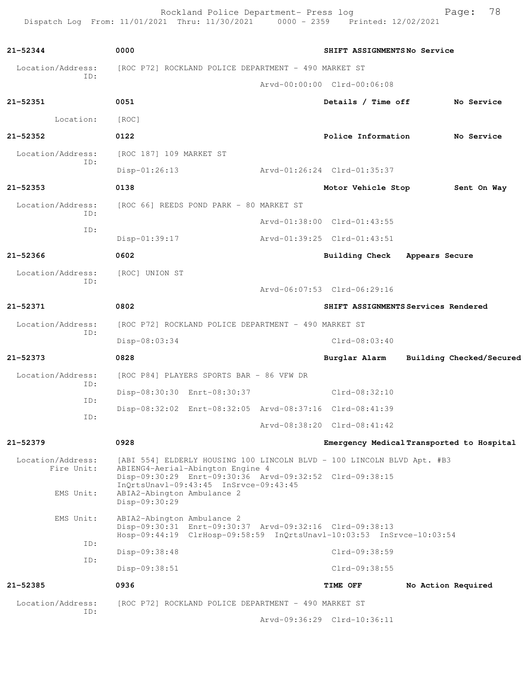Rockland Police Department- Press log entitled and Page: 78 Dispatch Log From: 11/01/2021 Thru: 11/30/2021 0000 - 2359 Printed: 12/02/2021

| $21 - 52344$      | 0000                                        |                                                                                             |  | SHIFT ASSIGNMENTSNo Service                                                                                                     |                |                          |
|-------------------|---------------------------------------------|---------------------------------------------------------------------------------------------|--|---------------------------------------------------------------------------------------------------------------------------------|----------------|--------------------------|
| Location/Address: |                                             | [ROC P72] ROCKLAND POLICE DEPARTMENT - 490 MARKET ST                                        |  |                                                                                                                                 |                |                          |
| ID:               |                                             |                                                                                             |  | Arvd-00:00:00 Clrd-00:06:08                                                                                                     |                |                          |
| 21-52351          | 0051                                        |                                                                                             |  | Details / Time off                                                                                                              |                | No Service               |
| Location:         | [ROC]                                       |                                                                                             |  |                                                                                                                                 |                |                          |
| 21-52352          | 0122                                        |                                                                                             |  | Police Information                                                                                                              |                | No Service               |
| Location/Address: | [ROC 187] 109 MARKET ST                     |                                                                                             |  |                                                                                                                                 |                |                          |
| ID:               | $Disp-01:26:13$                             |                                                                                             |  | Arvd-01:26:24 Clrd-01:35:37                                                                                                     |                |                          |
| 21-52353          | 0138                                        |                                                                                             |  | Motor Vehicle Stop                                                                                                              |                | Sent On Way              |
| Location/Address: |                                             | [ROC 66] REEDS POND PARK - 80 MARKET ST                                                     |  |                                                                                                                                 |                |                          |
| ID:               |                                             |                                                                                             |  | Arvd-01:38:00 Clrd-01:43:55                                                                                                     |                |                          |
| ID:               | $Disp-01:39:17$                             |                                                                                             |  | Arvd-01:39:25 Clrd-01:43:51                                                                                                     |                |                          |
| $21 - 52366$      | 0602                                        |                                                                                             |  | <b>Building Check</b>                                                                                                           | Appears Secure |                          |
| Location/Address: | [ROC] UNION ST                              |                                                                                             |  |                                                                                                                                 |                |                          |
| ID:               |                                             |                                                                                             |  | Arvd-06:07:53 Clrd-06:29:16                                                                                                     |                |                          |
| $21 - 52371$      | 0802                                        |                                                                                             |  | SHIFT ASSIGNMENTS Services Rendered                                                                                             |                |                          |
| Location/Address: |                                             | [ROC P72] ROCKLAND POLICE DEPARTMENT - 490 MARKET ST                                        |  |                                                                                                                                 |                |                          |
| ID:               | Disp-08:03:34                               |                                                                                             |  | $Clrd-08:03:40$                                                                                                                 |                |                          |
| $21 - 52373$      | 0828                                        |                                                                                             |  | Burglar Alarm                                                                                                                   |                | Building Checked/Secured |
| Location/Address: |                                             | [ROC P84] PLAYERS SPORTS BAR - 86 VFW DR                                                    |  |                                                                                                                                 |                |                          |
| ID:               |                                             | Disp-08:30:30 Enrt-08:30:37                                                                 |  | Clrd-08:32:10                                                                                                                   |                |                          |
| ID:               |                                             |                                                                                             |  | Disp-08:32:02 Enrt-08:32:05 Arvd-08:37:16 Clrd-08:41:39                                                                         |                |                          |
| ID:               |                                             |                                                                                             |  | Arvd-08:38:20 Clrd-08:41:42                                                                                                     |                |                          |
| 21-52379          | 0928                                        |                                                                                             |  | Emergency Medical Transported to Hospital                                                                                       |                |                          |
| Location/Address: |                                             |                                                                                             |  | [ABI 554] ELDERLY HOUSING 100 LINCOLN BLVD - 100 LINCOLN BLVD Apt. #B3                                                          |                |                          |
| Fire Unit:        |                                             | ABIENG4-Aerial-Abington Engine 4<br>Disp-09:30:29 Enrt-09:30:36 Arvd-09:32:52 Clrd-09:38:15 |  |                                                                                                                                 |                |                          |
| EMS Unit:         | ABIA2-Abington Ambulance 2<br>Disp-09:30:29 | InQrtsUnavl-09:43:45 InSrvce-09:43:45                                                       |  |                                                                                                                                 |                |                          |
| EMS Unit:         | ABIA2-Abington Ambulance 2                  |                                                                                             |  |                                                                                                                                 |                |                          |
|                   |                                             |                                                                                             |  | Disp-09:30:31 Enrt-09:30:37 Arvd-09:32:16 Clrd-09:38:13<br>Hosp-09:44:19 ClrHosp-09:58:59 InQrtsUnavl-10:03:53 InSrvce-10:03:54 |                |                          |
| ID:               | Disp-09:38:48                               |                                                                                             |  | Clrd-09:38:59                                                                                                                   |                |                          |
| ID:               | Disp-09:38:51                               |                                                                                             |  | $Clrd-09:38:55$                                                                                                                 |                |                          |
| 21-52385          | 0936                                        |                                                                                             |  | TIME OFF                                                                                                                        |                | No Action Required       |
| Location/Address: |                                             | [ROC P72] ROCKLAND POLICE DEPARTMENT - 490 MARKET ST                                        |  |                                                                                                                                 |                |                          |
| ID:               |                                             |                                                                                             |  | Arvd-09:36:29 Clrd-10:36:11                                                                                                     |                |                          |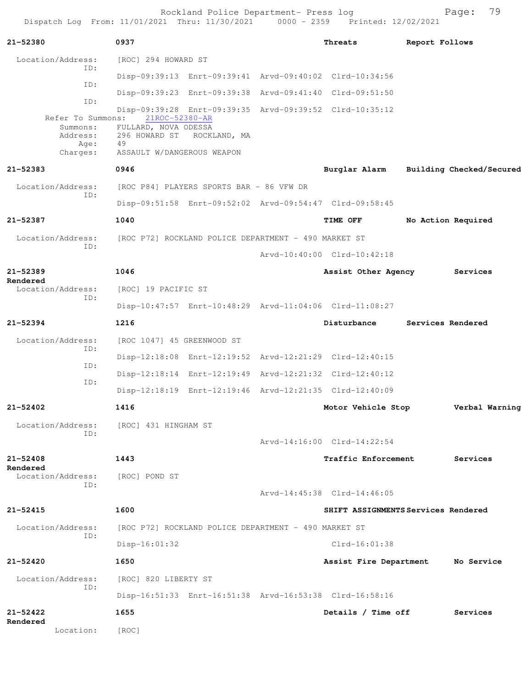Rockland Police Department- Press log entitled and Page: 79 Dispatch Log From: 11/01/2021 Thru: 11/30/2021 0000 - 2359 Printed: 12/02/2021

| 21-52380                                  | 0937                                                                 | Threats                     | Report Follows                         |
|-------------------------------------------|----------------------------------------------------------------------|-----------------------------|----------------------------------------|
| Location/Address:<br>ID:                  | [ROC] 294 HOWARD ST                                                  |                             |                                        |
| ID:                                       | Disp-09:39:13 Enrt-09:39:41 Arvd-09:40:02 Clrd-10:34:56              |                             |                                        |
| ID:                                       | Disp-09:39:23 Enrt-09:39:38 Arvd-09:41:40 Clrd-09:51:50              |                             |                                        |
|                                           | Disp-09:39:28 Enrt-09:39:35 Arvd-09:39:52 Clrd-10:35:12              |                             |                                        |
| Refer To Summons:<br>Summons:<br>Address: | 21ROC-52380-AR<br>FULLARD, NOVA ODESSA<br>296 HOWARD ST ROCKLAND, MA |                             |                                        |
| Age:<br>Charges:                          | 49<br>ASSAULT W/DANGEROUS WEAPON                                     |                             |                                        |
| $21 - 52383$                              | 0946                                                                 |                             | Burglar Alarm Building Checked/Secured |
| Location/Address:                         | [ROC P84] PLAYERS SPORTS BAR - 86 VFW DR                             |                             |                                        |
| TD:                                       | Disp-09:51:58 Enrt-09:52:02 Arvd-09:54:47 Clrd-09:58:45              |                             |                                        |
| 21-52387                                  | 1040                                                                 | <b>TIME OFF</b>             | No Action Required                     |
| Location/Address:                         | [ROC P72] ROCKLAND POLICE DEPARTMENT - 490 MARKET ST                 |                             |                                        |
| ID:                                       |                                                                      | Arvd-10:40:00 Clrd-10:42:18 |                                        |
| 21-52389                                  | 1046                                                                 | Assist Other Agency         | Services                               |
| Rendered<br>Location/Address:             | [ROC] 19 PACIFIC ST                                                  |                             |                                        |
| ID:                                       | Disp-10:47:57 Enrt-10:48:29 Arvd-11:04:06 Clrd-11:08:27              |                             |                                        |
| 21-52394                                  | 1216                                                                 | Disturbance                 | Services Rendered                      |
| Location/Address:                         | [ROC 1047] 45 GREENWOOD ST                                           |                             |                                        |
| ID:                                       | Disp-12:18:08 Enrt-12:19:52 Arvd-12:21:29 Clrd-12:40:15              |                             |                                        |
| ID:                                       | Disp-12:18:14 Enrt-12:19:49 Arvd-12:21:32 Clrd-12:40:12              |                             |                                        |
| ID:                                       | Disp-12:18:19 Enrt-12:19:46 Arvd-12:21:35 Clrd-12:40:09              |                             |                                        |
| $21 - 52402$                              | 1416                                                                 | Motor Vehicle Stop          | Verbal Warning                         |
| Location/Address: [ROC] 431 HINGHAM ST    |                                                                      |                             |                                        |
| ID:                                       |                                                                      | Arvd-14:16:00 Clrd-14:22:54 |                                        |
| $21 - 52408$                              | 1443                                                                 | Traffic Enforcement         | Services                               |
| Rendered<br>Location/Address:             | [ROC] POND ST                                                        |                             |                                        |
| ID:                                       |                                                                      | Arvd-14:45:38 Clrd-14:46:05 |                                        |
| 21-52415                                  | 1600                                                                 |                             | SHIFT ASSIGNMENTS Services Rendered    |
| Location/Address:                         | [ROC P72] ROCKLAND POLICE DEPARTMENT - 490 MARKET ST                 |                             |                                        |
| ID:                                       | $Disp-16:01:32$                                                      | $Clrd-16:01:38$             |                                        |
| 21-52420                                  | 1650                                                                 |                             | Assist Fire Department No Service      |
| Location/Address:                         | [ROC] 820 LIBERTY ST                                                 |                             |                                        |
| ID:                                       | Disp-16:51:33 Enrt-16:51:38 Arvd-16:53:38 Clrd-16:58:16              |                             |                                        |
| $21 - 52422$                              | 1655                                                                 | Details / Time off          | Services                               |
| Rendered<br>Location:                     |                                                                      |                             |                                        |
|                                           | [ROC]                                                                |                             |                                        |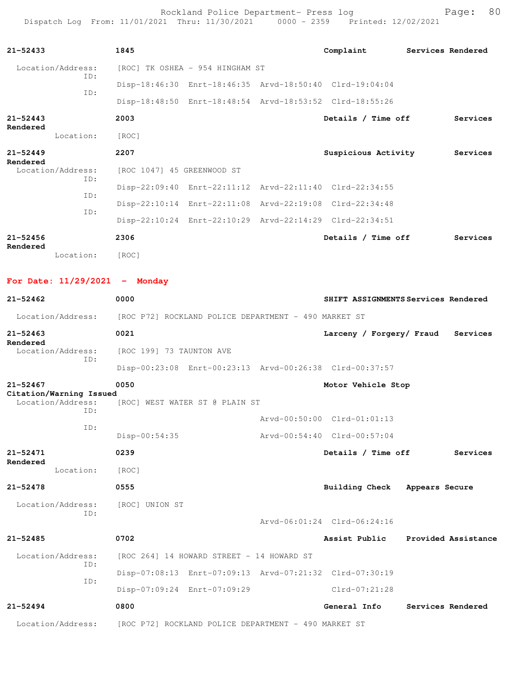Rockland Police Department- Press log entitled and Page: 80 Dispatch Log From: 11/01/2021 Thru: 11/30/2021 0000 - 2359 Printed: 12/02/2021

| $21 - 52433$                            | 1845                                                    | Complaint                     | Services Rendered                   |
|-----------------------------------------|---------------------------------------------------------|-------------------------------|-------------------------------------|
| Location/Address:                       | [ROC] TK OSHEA - 954 HINGHAM ST                         |                               |                                     |
| ID:                                     | Disp-18:46:30 Enrt-18:46:35 Arvd-18:50:40 Clrd-19:04:04 |                               |                                     |
| ID:                                     | Disp-18:48:50 Enrt-18:48:54 Arvd-18:53:52 Clrd-18:55:26 |                               |                                     |
| $21 - 52443$<br>Rendered                | 2003                                                    | Details / Time off            | Services                            |
| Location:                               | [ROC]                                                   |                               |                                     |
| $21 - 52449$                            | 2207                                                    | Suspicious Activity           | Services                            |
| Rendered<br>Location/Address:           | [ROC 1047] 45 GREENWOOD ST                              |                               |                                     |
| ID:                                     | Disp-22:09:40 Enrt-22:11:12 Arvd-22:11:40 Clrd-22:34:55 |                               |                                     |
| ID:                                     | Disp-22:10:14 Enrt-22:11:08 Arvd-22:19:08 Clrd-22:34:48 |                               |                                     |
| ID:                                     | Disp-22:10:24 Enrt-22:10:29 Arvd-22:14:29 Clrd-22:34:51 |                               |                                     |
| $21 - 52456$                            | 2306                                                    | Details / Time off            | Services                            |
| Rendered<br>Location:                   | [ROC]                                                   |                               |                                     |
|                                         |                                                         |                               |                                     |
| For Date: $11/29/2021$ - Monday         |                                                         |                               |                                     |
| $21 - 52462$                            | 0000                                                    |                               | SHIFT ASSIGNMENTS Services Rendered |
| Location/Address:                       | [ROC P72] ROCKLAND POLICE DEPARTMENT - 490 MARKET ST    |                               |                                     |
| $21 - 52463$<br>Rendered                | 0021                                                    | Larceny / Forgery/ Fraud      | Services                            |
| Location/Address:<br>ID:                | [ROC 199] 73 TAUNTON AVE                                |                               |                                     |
|                                         | Disp-00:23:08 Enrt-00:23:13 Arvd-00:26:38 Clrd-00:37:57 |                               |                                     |
| $21 - 52467$<br>Citation/Warning Issued | 0050                                                    | Motor Vehicle Stop            |                                     |
| Location/Address:<br>ID:                | [ROC] WEST WATER ST @ PLAIN ST                          |                               |                                     |
| ID:                                     |                                                         | Arvd-00:50:00 Clrd-01:01:13   |                                     |
|                                         | Disp-00:54:35                                           | Arvd-00:54:40 Clrd-00:57:04   |                                     |
| 21-52471<br>Rendered                    | 0239                                                    | Details / Time off            | Services                            |
| Location:                               | [ROC]                                                   |                               |                                     |
| 21-52478                                | 0555                                                    | Building Check Appears Secure |                                     |
| Location/Address:<br>ID:                | [ROC] UNION ST                                          |                               |                                     |
|                                         |                                                         | Arvd-06:01:24 Clrd-06:24:16   |                                     |
| $21 - 52485$                            | 0702                                                    |                               | Assist Public Provided Assistance   |
| Location/Address:<br>ID:                | [ROC 264] 14 HOWARD STREET - 14 HOWARD ST               |                               |                                     |
| ID:                                     | Disp-07:08:13 Enrt-07:09:13 Arvd-07:21:32 Clrd-07:30:19 |                               |                                     |
|                                         | Disp-07:09:24 Enrt-07:09:29                             | Clrd-07:21:28                 |                                     |
| $21 - 52494$                            | 0800                                                    | General Info                  | Services Rendered                   |
| Location/Address:                       | [ROC P72] ROCKLAND POLICE DEPARTMENT - 490 MARKET ST    |                               |                                     |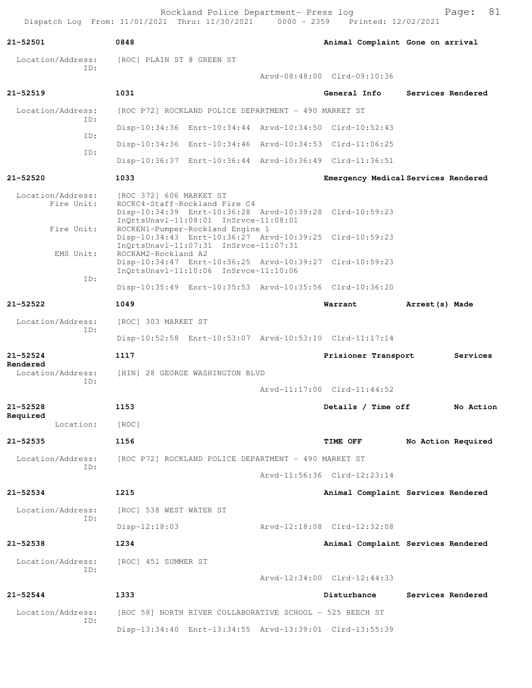Rockland Police Department- Press log Fage: 81<br>21 Thru: 11/30/2021 0000 - 2359 Printed: 12/02/2021 Dispatch Log From: 11/01/2021 Thru: 11/30/2021

**21-52501 0848 Animal Complaint Gone on arrival** Location/Address: [ROC] PLAIN ST @ GREEN ST ID: Arvd-08:48:00 Clrd-09:10:36 **21-52519 1031 General Info Services Rendered** Location/Address: [ROC P72] ROCKLAND POLICE DEPARTMENT - 490 MARKET ST ID: Disp-10:34:36 Enrt-10:34:44 Arvd-10:34:50 Clrd-10:52:43 ID: Disp-10:34:36 Enrt-10:34:46 Arvd-10:34:53 Clrd-11:06:25 ID: Disp-10:36:37 Enrt-10:36:44 Arvd-10:36:49 Clrd-11:36:51 **21-52520 1033 Emergency Medical Services Rendered** Location/Address: [ROC 372] 606 MARKET ST Fire Unit: ROCKC4-Staff-Rockland Fire C4 Disp-10:34:39 Enrt-10:36:28 Arvd-10:39:28 Clrd-10:59:23 InQrtsUnavl-11:08:01 InSrvce-11:08:01 Fire Unit: ROCKEN1-Pumper-Rockland Engine 1 Disp-10:34:43 Enrt-10:36:27 Arvd-10:39:25 Clrd-10:59:23 InQrtsUnavl-11:07:31 InSrvce-11:07:31<br>EMS Unit: ROCKAM2-Rockland A2 ROCKAM2-Rockland A2 Disp-10:34:47 Enrt-10:36:25 Arvd-10:39:27 Clrd-10:59:23 InQrtsUnavl-11:10:06 InSrvce-11:10:06 ID: Disp-10:35:49 Enrt-10:35:53 Arvd-10:35:56 Clrd-10:36:20 **21-52522 1049 Warrant Arrest(s) Made** Location/Address: [ROC] 303 MARKET ST ID: Disp-10:52:58 Enrt-10:53:07 Arvd-10:53:10 Clrd-11:17:14 **21-52524 1117 Prisioner Transport Services Rendered**  Location/Address: [HIN] 28 GEORGE WASHINGTON BLVD ID: Arvd-11:17:00 Clrd-11:44:52 **21-52528 1153 Details / Time off No Action Required**  Location: [ROC] **21-52535 1156 TIME OFF No Action Required** Location/Address: [ROC P72] ROCKLAND POLICE DEPARTMENT - 490 MARKET ST ID: Arvd-11:56:36 Clrd-12:23:14 **21-52534 1215 Animal Complaint Services Rendered** Location/Address: [ROC] 538 WEST WATER ST ID: Disp-12:18:03 Arvd-12:18:08 Clrd-12:32:08 **21-52538 1234 Animal Complaint Services Rendered** Location/Address: [ROC] 451 SUMMER ST ID: Arvd-12:34:00 Clrd-12:44:33 **21-52544 1333 Disturbance Services Rendered** Location/Address: [ROC 58] NORTH RIVER COLLABORATIVE SCHOOL - 525 BEECH ST ID: Disp-13:34:40 Enrt-13:34:55 Arvd-13:39:01 Clrd-13:55:39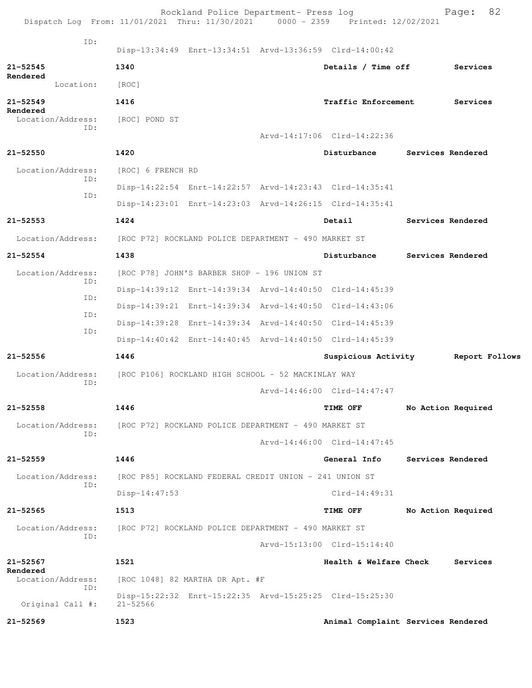|                               | Dispatch Log From: 11/01/2021 Thru: 11/30/2021 0000 - 2359 Printed: 12/02/2021 | Rockland Police Department- Press log |                             | 82<br>Page:                        |
|-------------------------------|--------------------------------------------------------------------------------|---------------------------------------|-----------------------------|------------------------------------|
| ID:                           | Disp-13:34:49 Enrt-13:34:51 Arvd-13:36:59 Clrd-14:00:42                        |                                       |                             |                                    |
| $21 - 52545$                  | 1340                                                                           |                                       | Details / Time off          | Services                           |
| Rendered<br>Location:         | [ROC]                                                                          |                                       |                             |                                    |
| $21 - 52549$<br>Rendered      | 1416                                                                           |                                       | <b>Traffic Enforcement</b>  | Services                           |
| Location/Address:<br>ID:      | [ROC] POND ST                                                                  |                                       |                             |                                    |
|                               |                                                                                |                                       | Arvd-14:17:06 Clrd-14:22:36 |                                    |
| $21 - 52550$                  | 1420                                                                           |                                       | Disturbance                 | Services Rendered                  |
| Location/Address:             | [ROC] 6 FRENCH RD                                                              |                                       |                             |                                    |
| ID:<br>ID:                    | Disp-14:22:54 Enrt-14:22:57 Arvd-14:23:43 Clrd-14:35:41                        |                                       |                             |                                    |
|                               | Disp-14:23:01 Enrt-14:23:03 Arvd-14:26:15 Clrd-14:35:41                        |                                       |                             |                                    |
| $21 - 52553$                  | 1424                                                                           |                                       | Detail                      | Services Rendered                  |
|                               | Location/Address: [ROC P72] ROCKLAND POLICE DEPARTMENT - 490 MARKET ST         |                                       |                             |                                    |
| $21 - 52554$                  | 1438                                                                           |                                       | Disturbance                 | Services Rendered                  |
| Location/Address:             | [ROC P78] JOHN'S BARBER SHOP - 196 UNION ST                                    |                                       |                             |                                    |
| ID:                           | Disp-14:39:12 Enrt-14:39:34 Arvd-14:40:50 Clrd-14:45:39                        |                                       |                             |                                    |
| ID:                           | Disp-14:39:21 Enrt-14:39:34 Arvd-14:40:50 Clrd-14:43:06                        |                                       |                             |                                    |
| ID:<br>ID:                    | Disp-14:39:28 Enrt-14:39:34 Arvd-14:40:50 Clrd-14:45:39                        |                                       |                             |                                    |
|                               | Disp-14:40:42 Enrt-14:40:45 Arvd-14:40:50 Clrd-14:45:39                        |                                       |                             |                                    |
| $21 - 52556$                  | 1446                                                                           |                                       | Suspicious Activity         | Report Follows                     |
| Location/Address:             | [ROC P106] ROCKLAND HIGH SCHOOL - 52 MACKINLAY WAY                             |                                       |                             |                                    |
| ID:                           |                                                                                |                                       | Arvd-14:46:00 Clrd-14:47:47 |                                    |
| 21-52558                      | 1446                                                                           |                                       | TIME OFF                    | No Action Required                 |
| Location/Address:<br>ID:      | [ROC P72] ROCKLAND POLICE DEPARTMENT - 490 MARKET ST                           |                                       |                             |                                    |
|                               |                                                                                |                                       | Arvd-14:46:00 Clrd-14:47:45 |                                    |
| $21 - 52559$                  | 1446                                                                           |                                       | General Info                | Services Rendered                  |
| Location/Address:             | [ROC P85] ROCKLAND FEDERAL CREDIT UNION - 241 UNION ST                         |                                       |                             |                                    |
| ID:                           | $Disp-14:47:53$                                                                |                                       | $Clrd-14:49:31$             |                                    |
| 21-52565                      | 1513                                                                           |                                       | TIME OFF                    | No Action Required                 |
| Location/Address:             | [ROC P72] ROCKLAND POLICE DEPARTMENT - 490 MARKET ST                           |                                       |                             |                                    |
| ID:                           |                                                                                |                                       | Arvd-15:13:00 Clrd-15:14:40 |                                    |
| $21 - 52567$                  | 1521                                                                           |                                       | Health & Welfare Check      | Services                           |
| Rendered<br>Location/Address: | [ROC 1048] 82 MARTHA DR Apt. #F                                                |                                       |                             |                                    |
| ID:<br>Original Call #:       | Disp-15:22:32 Enrt-15:22:35 Arvd-15:25:25 Clrd-15:25:30<br>$21 - 52566$        |                                       |                             |                                    |
| $21 - 52569$                  | 1523                                                                           |                                       |                             | Animal Complaint Services Rendered |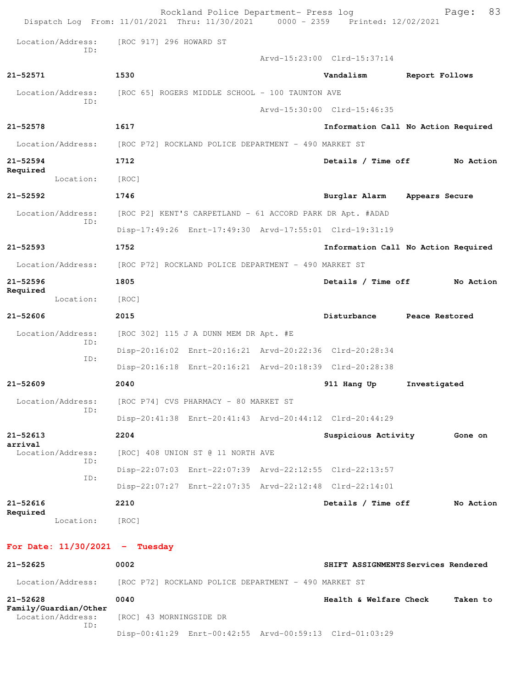|                                                   | Rockland Police Department- Press log<br>Dispatch Log From: 11/01/2021 Thru: 11/30/2021 0000 - 2359 Printed: 12/02/2021 |                             | 83<br>Page:                         |
|---------------------------------------------------|-------------------------------------------------------------------------------------------------------------------------|-----------------------------|-------------------------------------|
| Location/Address:                                 | [ROC 917] 296 HOWARD ST                                                                                                 |                             |                                     |
| TD:                                               |                                                                                                                         | Arvd-15:23:00 Clrd-15:37:14 |                                     |
| 21-52571                                          | 1530                                                                                                                    | Vandalism                   | Report Follows                      |
| Location/Address:                                 | [ROC 65] ROGERS MIDDLE SCHOOL - 100 TAUNTON AVE                                                                         |                             |                                     |
| ID:                                               |                                                                                                                         | Arvd-15:30:00 Clrd-15:46:35 |                                     |
| $21 - 52578$                                      | 1617                                                                                                                    |                             | Information Call No Action Required |
| Location/Address:                                 | [ROC P72] ROCKLAND POLICE DEPARTMENT - 490 MARKET ST                                                                    |                             |                                     |
| $21 - 52594$                                      | 1712                                                                                                                    | Details / Time off          | No Action                           |
| Required<br>Location:                             | [ROC]                                                                                                                   |                             |                                     |
| $21 - 52592$                                      | 1746                                                                                                                    | Burglar Alarm               | Appears Secure                      |
| Location/Address:                                 | [ROC P2] KENT'S CARPETLAND - 61 ACCORD PARK DR Apt. #ADAD                                                               |                             |                                     |
| ID:                                               | Disp-17:49:26 Enrt-17:49:30 Arvd-17:55:01 Clrd-19:31:19                                                                 |                             |                                     |
| $21 - 52593$                                      | 1752                                                                                                                    |                             | Information Call No Action Required |
| Location/Address:                                 | [ROC P72] ROCKLAND POLICE DEPARTMENT - 490 MARKET ST                                                                    |                             |                                     |
| $21 - 52596$                                      | 1805                                                                                                                    | Details / Time off          | No Action                           |
| Required<br>Location:                             | [ROC]                                                                                                                   |                             |                                     |
| $21 - 52606$                                      | 2015                                                                                                                    | Disturbance                 | Peace Restored                      |
| Location/Address:                                 | [ROC 302] 115 J A DUNN MEM DR Apt. #E                                                                                   |                             |                                     |
| ID:                                               | Disp-20:16:02 Enrt-20:16:21 Arvd-20:22:36 Clrd-20:28:34                                                                 |                             |                                     |
| ID:                                               | Disp-20:16:18 Enrt-20:16:21 Arvd-20:18:39 Clrd-20:28:38                                                                 |                             |                                     |
| $21 - 52609$                                      | 2040                                                                                                                    | 911 Hang Up                 | Investigated                        |
| Location/Address:<br>ID:                          | [ROC P74] CVS PHARMACY - 80 MARKET ST                                                                                   |                             |                                     |
|                                                   | Disp-20:41:38 Enrt-20:41:43 Arvd-20:44:12 Clrd-20:44:29                                                                 |                             |                                     |
| $21 - 52613$                                      | 2204                                                                                                                    | Suspicious Activity         | Gone on                             |
| arrival<br>Location/Address:<br>ID:               | [ROC] 408 UNION ST @ 11 NORTH AVE                                                                                       |                             |                                     |
| ID:                                               | Disp-22:07:03 Enrt-22:07:39 Arvd-22:12:55 Clrd-22:13:57                                                                 |                             |                                     |
|                                                   | Disp-22:07:27 Enrt-22:07:35 Arvd-22:12:48 Clrd-22:14:01                                                                 |                             |                                     |
| $21 - 52616$<br>Required                          | 2210                                                                                                                    | Details / Time off          | No Action                           |
| Location:                                         | [ROC]                                                                                                                   |                             |                                     |
| For Date: $11/30/2021$ - Tuesday                  |                                                                                                                         |                             |                                     |
| $21 - 52625$                                      | 0002                                                                                                                    |                             | SHIFT ASSIGNMENTS Services Rendered |
| Location/Address:                                 | [ROC P72] ROCKLAND POLICE DEPARTMENT - 490 MARKET ST                                                                    |                             |                                     |
| $21 - 52628$                                      | 0040                                                                                                                    | Health & Welfare Check      | Taken to                            |
| Family/Guardian/Other<br>Location/Address:<br>ID: | [ROC] 43 MORNINGSIDE DR                                                                                                 |                             |                                     |

Disp-00:41:29 Enrt-00:42:55 Arvd-00:59:13 Clrd-01:03:29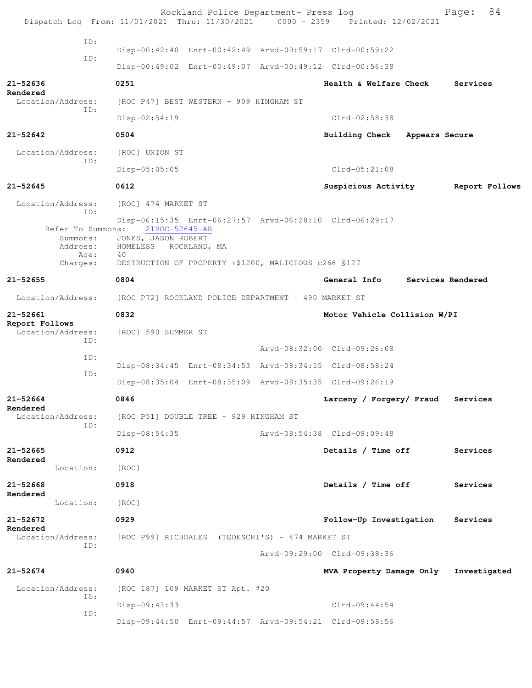|                                                          | Rockland Police Department- Press log<br>Dispatch Log From: 11/01/2021 Thru: 11/30/2021 0000 - 2359 Printed: 12/02/2021         |                                    | 84<br>Page:       |
|----------------------------------------------------------|---------------------------------------------------------------------------------------------------------------------------------|------------------------------------|-------------------|
|                                                          |                                                                                                                                 |                                    |                   |
| ID:                                                      | Disp-00:42:40 Enrt-00:42:49 Arvd-00:59:17 Clrd-00:59:22                                                                         |                                    |                   |
| ID:                                                      | Disp-00:49:02 Enrt-00:49:07 Arvd-00:49:12 Clrd-00:56:38                                                                         |                                    |                   |
| $21 - 52636$                                             | 0251                                                                                                                            | Health & Welfare Check             | Services          |
| Rendered<br>Location/Address:                            | [ROC P47] BEST WESTERN - 909 HINGHAM ST                                                                                         |                                    |                   |
| ID:                                                      | Disp-02:54:19                                                                                                                   | $Clrd-02:58:38$                    |                   |
| $21 - 52642$                                             | 0504                                                                                                                            | Building Check Appears Secure      |                   |
| Location/Address:                                        | [ROC] UNION ST                                                                                                                  |                                    |                   |
| ID:                                                      | $Disp-05:05:05$                                                                                                                 | $Clrd-05:21:08$                    |                   |
| $21 - 52645$                                             | 0612                                                                                                                            | Suspicious Activity Report Follows |                   |
| Location/Address:                                        | [ROC] 474 MARKET ST                                                                                                             |                                    |                   |
| ID:<br>Refer To Summons:<br>Summons:<br>Address:<br>Age: | Disp-06:15:35 Enrt-06:27:57 Arvd-06:28:10 Clrd-06:29:17<br>21ROC-52645-AR<br>JONES, JASON ROBERT<br>HOMELESS ROCKLAND, MA<br>40 |                                    |                   |
| Charges:                                                 | DESTRUCTION OF PROPERTY +\$1200, MALICIOUS c266 \$127                                                                           |                                    |                   |
| $21 - 52655$                                             | 0804                                                                                                                            | <b>General Info</b>                | Services Rendered |
| Location/Address:                                        | [ROC P72] ROCKLAND POLICE DEPARTMENT - 490 MARKET ST                                                                            |                                    |                   |
| 21-52661<br>Report Follows<br>Location/Address:          | 0832<br>[ROC] 590 SUMMER ST                                                                                                     | Motor Vehicle Collision W/PI       |                   |
| ID:                                                      |                                                                                                                                 | Arvd-08:32:00 Clrd-09:26:08        |                   |
| ID:                                                      | Disp-08:34:45 Enrt-08:34:53 Arvd-08:34:55 Clrd-08:58:24                                                                         |                                    |                   |
| ID:                                                      | Disp-08:35:04 Enrt-08:35:09 Arvd-08:35:35 Clrd-09:26:19                                                                         |                                    |                   |
| 21-52664                                                 | 0846                                                                                                                            | Larceny / Forgery/ Fraud           | Services          |
| Rendered<br>Location/Address:                            | [ROC P51] DOUBLE TREE - 929 HINGHAM ST                                                                                          |                                    |                   |
| ID:                                                      | $Disp-08:54:35$                                                                                                                 | Arvd-08:54:38 Clrd-09:09:48        |                   |
| $21 - 52665$                                             | 0912                                                                                                                            | Details / Time off                 | Services          |
| Rendered<br>Location:                                    | [ROC]                                                                                                                           |                                    |                   |
| 21-52668                                                 | 0918                                                                                                                            | Details / Time off                 | Services          |
| Rendered<br>Location:                                    | [ROC]                                                                                                                           |                                    |                   |
| $21 - 52672$                                             | 0929                                                                                                                            | Follow-Up Investigation            | Services          |
| Rendered<br>Location/Address:                            | [ROC P99] RICHDALES (TEDESCHI'S) - 474 MARKET ST                                                                                |                                    |                   |
| ID:                                                      |                                                                                                                                 | Arvd-09:29:00 Clrd-09:38:36        |                   |
| $21 - 52674$                                             | 0940                                                                                                                            | MVA Property Damage Only           | Investigated      |
| Location/Address:<br>ID:                                 | [ROC 187] 109 MARKET ST Apt. #20                                                                                                |                                    |                   |
| ID:                                                      | $Disp-09:43:33$                                                                                                                 | $Clrd-09:44:54$                    |                   |
|                                                          | Disp-09:44:50 Enrt-09:44:57 Arvd-09:54:21 Clrd-09:58:56                                                                         |                                    |                   |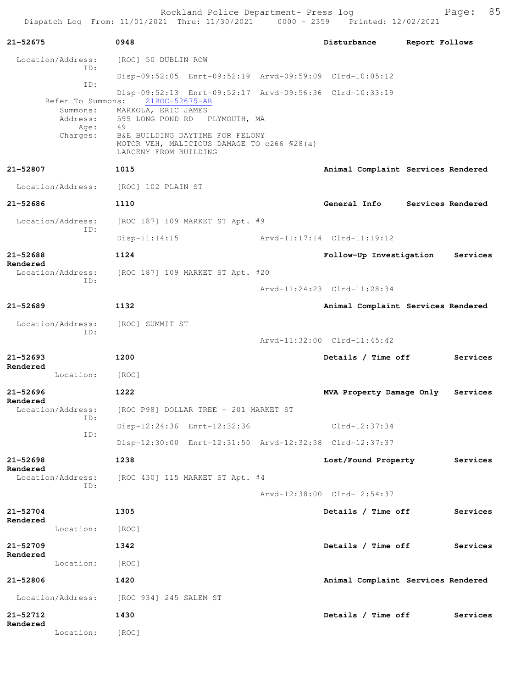Rockland Police Department- Press log entitled and Page: 85 Dispatch Log From: 11/01/2021 Thru: 11/30/2021 0000 - 2359 Printed: 12/02/2021

| 21-52675                             | 0948                                                                                                                                           | Disturbance                        | Report Follows    |          |
|--------------------------------------|------------------------------------------------------------------------------------------------------------------------------------------------|------------------------------------|-------------------|----------|
| Location/Address:                    | [ROC] 50 DUBLIN ROW                                                                                                                            |                                    |                   |          |
| ID:                                  | Disp-09:52:05 Enrt-09:52:19 Arvd-09:59:09 Clrd-10:05:12                                                                                        |                                    |                   |          |
| ID:<br>Refer To Summons:<br>Summons: | Disp-09:52:13 Enrt-09:52:17 Arvd-09:56:36 Clrd-10:33:19<br>21ROC-52675-AR<br>MARKOLA, ERIC JAMES                                               |                                    |                   |          |
| Address:<br>Age:<br>Charges:         | 595 LONG POND RD PLYMOUTH, MA<br>49<br>B&E BUILDING DAYTIME FOR FELONY<br>MOTOR VEH, MALICIOUS DAMAGE TO c266 \$28(a)<br>LARCENY FROM BUILDING |                                    |                   |          |
| 21-52807                             | 1015                                                                                                                                           | Animal Complaint Services Rendered |                   |          |
| Location/Address: [ROC] 102 PLAIN ST |                                                                                                                                                |                                    |                   |          |
| 21-52686                             | 1110                                                                                                                                           | General Info                       | Services Rendered |          |
| Location/Address:                    | [ROC 187] 109 MARKET ST Apt. #9                                                                                                                |                                    |                   |          |
| ID:                                  | $Disp-11:14:15$                                                                                                                                | Arvd-11:17:14 Clrd-11:19:12        |                   |          |
| $21 - 52688$<br>Rendered             | 1124                                                                                                                                           | Follow-Up Investigation            |                   | Services |
| Location/Address:<br>ID:             | [ROC 187] 109 MARKET ST Apt. #20                                                                                                               |                                    |                   |          |
|                                      |                                                                                                                                                | Arvd-11:24:23 Clrd-11:28:34        |                   |          |
| $21 - 52689$                         | 1132                                                                                                                                           | Animal Complaint Services Rendered |                   |          |
| Location/Address:<br>ID:             | [ROC] SUMMIT ST                                                                                                                                |                                    |                   |          |
|                                      |                                                                                                                                                | Arvd-11:32:00 Clrd-11:45:42        |                   |          |
| $21 - 52693$<br>Rendered             | 1200                                                                                                                                           | Details / Time off                 |                   | Services |
| Location:                            | [ROC]                                                                                                                                          |                                    |                   |          |
| $21 - 52696$<br>Rendered             | 1222                                                                                                                                           | MVA Property Damage Only           |                   | Services |
| Location/Address:<br>ID:             | [ROC P98] DOLLAR TREE - 201 MARKET ST                                                                                                          |                                    |                   |          |
| ID:                                  | Disp-12:24:36 Enrt-12:32:36                                                                                                                    | Clrd-12:37:34                      |                   |          |
|                                      | Disp-12:30:00 Enrt-12:31:50 Arvd-12:32:38 Clrd-12:37:37                                                                                        |                                    |                   |          |
| $21 - 52698$<br>Rendered             | 1238                                                                                                                                           | Lost/Found Property                |                   | Services |
| Location/Address:<br>ID:             | [ROC 430] 115 MARKET ST Apt. #4                                                                                                                |                                    |                   |          |
|                                      |                                                                                                                                                | Arvd-12:38:00 Clrd-12:54:37        |                   |          |
| $21 - 52704$<br>Rendered             | 1305                                                                                                                                           | Details / Time off                 |                   | Services |
| Location:                            | [ROC]                                                                                                                                          |                                    |                   |          |
| 21-52709<br>Rendered                 | 1342                                                                                                                                           | Details / Time off                 |                   | Services |
| Location:                            | [ROC]                                                                                                                                          |                                    |                   |          |
| 21-52806                             | 1420                                                                                                                                           | Animal Complaint Services Rendered |                   |          |
| Location/Address:                    | [ROC 934] 245 SALEM ST                                                                                                                         |                                    |                   |          |
| 21-52712<br>Rendered                 | 1430                                                                                                                                           | Details / Time off                 |                   | Services |
| Location:                            | [ROC]                                                                                                                                          |                                    |                   |          |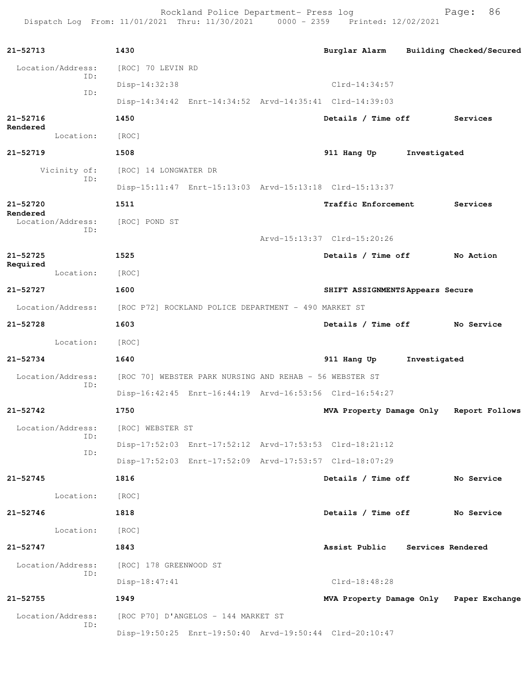Rockland Police Department- Press log entitled and Page: 86 Dispatch Log From: 11/01/2021 Thru: 11/30/2021 0000 - 2359 Printed: 12/02/2021

| $21 - 52713$                  | 1430                                                    |                             | Burglar Alarm Building Checked/Secured  |              |            |
|-------------------------------|---------------------------------------------------------|-----------------------------|-----------------------------------------|--------------|------------|
| Location/Address:             | [ROC] 70 LEVIN RD                                       |                             |                                         |              |            |
| ID:                           | Disp-14:32:38                                           |                             | $Clrd-14:34:57$                         |              |            |
| ID:                           | Disp-14:34:42 Enrt-14:34:52 Arvd-14:35:41 Clrd-14:39:03 |                             |                                         |              |            |
| 21-52716                      | 1450                                                    |                             | Details / Time off Services             |              |            |
| Rendered<br>Location:         | [ROC]                                                   |                             |                                         |              |            |
| 21-52719                      | 1508                                                    |                             | 911 Hang Up                             | Investigated |            |
| Vicinity of:                  | [ROC] 14 LONGWATER DR                                   |                             |                                         |              |            |
| ID:                           | Disp-15:11:47 Enrt-15:13:03 Arvd-15:13:18 Clrd-15:13:37 |                             |                                         |              |            |
| 21-52720                      | 1511                                                    |                             | <b>Traffic Enforcement</b>              |              | Services   |
| Rendered<br>Location/Address: | [ROC] POND ST                                           |                             |                                         |              |            |
| ID:                           |                                                         | Arvd-15:13:37 Clrd-15:20:26 |                                         |              |            |
| 21-52725                      | 1525                                                    |                             | Details / Time off No Action            |              |            |
| Required<br>Location:         | [ROC]                                                   |                             |                                         |              |            |
| $21 - 52727$                  | 1600                                                    |                             | SHIFT ASSIGNMENTS Appears Secure        |              |            |
| Location/Address:             | [ROC P72] ROCKLAND POLICE DEPARTMENT - 490 MARKET ST    |                             |                                         |              |            |
| 21-52728                      | 1603                                                    |                             | Details / Time off No Service           |              |            |
| Location:                     | [ROC]                                                   |                             |                                         |              |            |
| 21-52734                      | 1640                                                    |                             | 911 Hang Up                             | Investigated |            |
| Location/Address:             | [ROC 70] WEBSTER PARK NURSING AND REHAB - 56 WEBSTER ST |                             |                                         |              |            |
| ID:                           | Disp-16:42:45 Enrt-16:44:19 Arvd-16:53:56 Clrd-16:54:27 |                             |                                         |              |            |
| 21-52742                      | 1750                                                    |                             | MVA Property Damage Only Report Follows |              |            |
| Location/Address:             | [ROC] WEBSTER ST                                        |                             |                                         |              |            |
| ID:                           | Disp-17:52:03 Enrt-17:52:12 Arvd-17:53:53 Clrd-18:21:12 |                             |                                         |              |            |
| ID:                           | Disp-17:52:03 Enrt-17:52:09 Arvd-17:53:57 Clrd-18:07:29 |                             |                                         |              |            |
| 21-52745                      | 1816                                                    |                             | Details / Time off                      |              | No Service |
| Location:                     | [ROC]                                                   |                             |                                         |              |            |
| $21 - 52746$                  | 1818                                                    |                             | Details / Time off                      |              | No Service |
| Location:                     | [ROC]                                                   |                             |                                         |              |            |
| 21-52747                      | 1843                                                    |                             | Assist Public Services Rendered         |              |            |
| Location/Address:             | [ROC] 178 GREENWOOD ST                                  |                             |                                         |              |            |
| ID:                           | Disp-18:47:41                                           |                             | $Clrd-18:48:28$                         |              |            |
| 21-52755                      | 1949                                                    |                             | MVA Property Damage Only Paper Exchange |              |            |
| Location/Address:             | [ROC P70] D'ANGELOS - 144 MARKET ST                     |                             |                                         |              |            |
| ID:                           | Disp-19:50:25 Enrt-19:50:40 Arvd-19:50:44 Clrd-20:10:47 |                             |                                         |              |            |